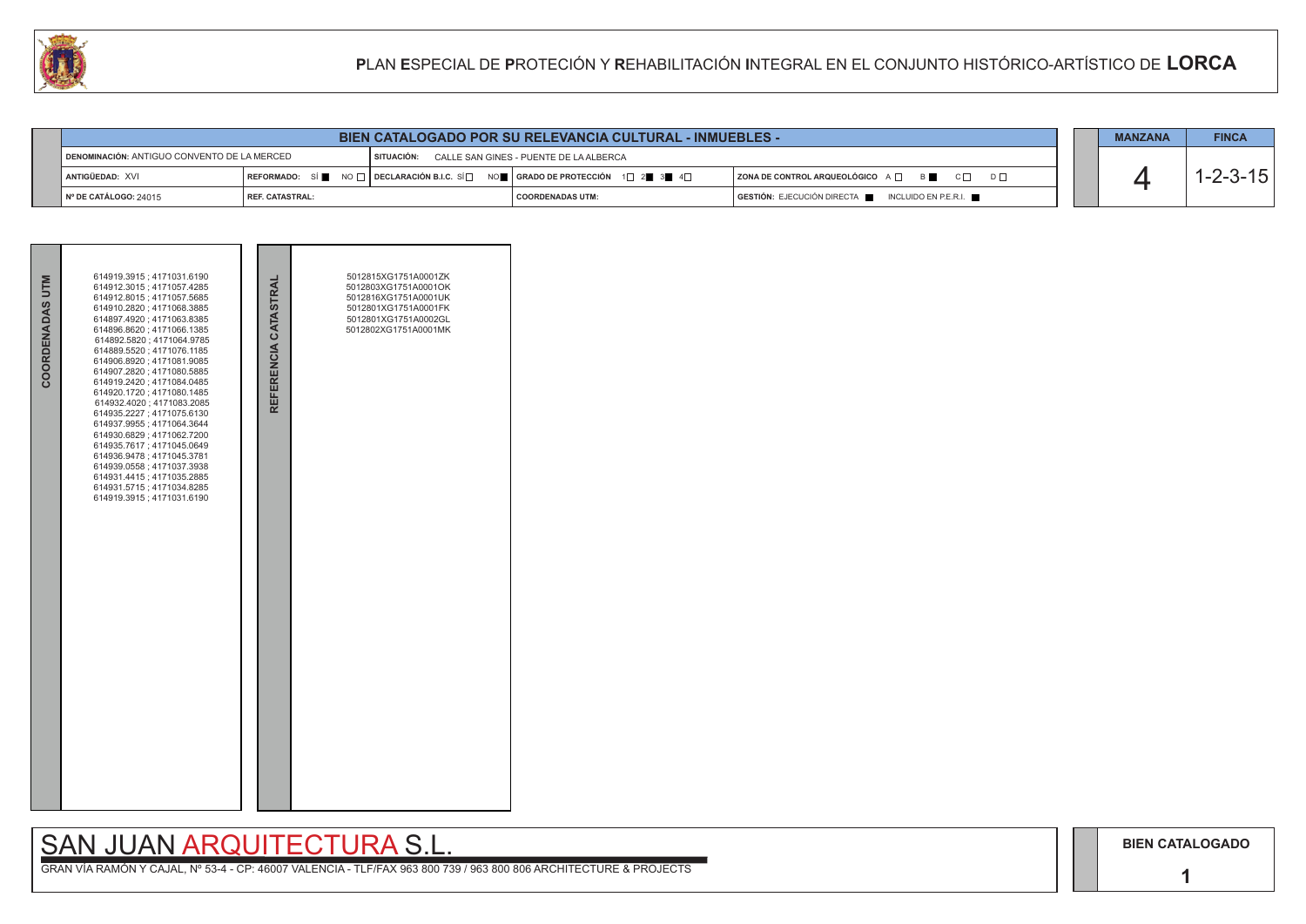**1**

## SAN JUAN ARQUITECTURA S.L.

| <b>BIEN CATALOGADO POR SU RELEVANCIA CULTURAL - INMUEBLES -</b>                                  |                        |  |                                                                                                            |                                                    |  | <b>MANZANA</b> | <b>FINCA</b> |
|--------------------------------------------------------------------------------------------------|------------------------|--|------------------------------------------------------------------------------------------------------------|----------------------------------------------------|--|----------------|--------------|
| DENOMINACIÓN: ANTIGUO CONVENTO DE LA MERCED<br>SITUACIÓN: CALLE SAN GINES - PUENTE DE LA ALBERCA |                        |  |                                                                                                            |                                                    |  |                |              |
| ANTIGÜEDAD: XVI                                                                                  |                        |  | REFORMADO: SÍ NO $\Box$ DECLARACIÓN B.I.C. SÍ $\Box$ NO $\Box$ GRADO DE PROTECCIÓN 1 $\Box$ 2 3 4 4 $\Box$ | ZONA DE CONTROL ARQUEOLÓGICO A □ B B C □ D □       |  |                |              |
| N° DE CATÁLOGO: 24015                                                                            | <b>REF. CATASTRAL:</b> |  | I COORDENADAS UTM:                                                                                         | GESTIÓN: EJECUCIÓN DIRECTA NO INCLUIDO EN P.E.R.I. |  |                |              |

| COORDENADAS UTM | 614919.3915; 4171031.6190<br>614912.3015; 4171057.4285<br>614912.8015; 4171057.5685<br>614910.2820; 4171068.3885<br>614897.4920; 4171063.8385<br>614896.8620; 4171066.1385<br>614892.5820; 4171064.9785<br>614889.5520; 4171076.1185<br>614906.8920; 4171081.9085<br>614907.2820; 4171080.5885<br>614919.2420; 4171084.0485<br>614920.1720; 4171080.1485<br>614932.4020; 4171083.2085<br>614935.2227; 4171075.6130<br>614937.9955; 4171064.3644<br>614930.6829; 4171062.7200<br>614935.7617; 4171045.0649<br>614936.9478; 4171045.3781<br>614939.0558; 4171037.3938<br>614931.4415; 4171035.2885<br>614931.5715; 4171034.8285<br>614919.3915; 4171031.6190 | REFERENCIA CATASTRAL | 5012815XG1751A0001ZK<br>5012803XG1751A0001OK<br>5012816XG1751A0001UK<br>5012801XG1751A0001FK<br>5012801XG1751A0002GL<br>5012802XG1751A0001MK |  |
|-----------------|------------------------------------------------------------------------------------------------------------------------------------------------------------------------------------------------------------------------------------------------------------------------------------------------------------------------------------------------------------------------------------------------------------------------------------------------------------------------------------------------------------------------------------------------------------------------------------------------------------------------------------------------------------|----------------------|----------------------------------------------------------------------------------------------------------------------------------------------|--|

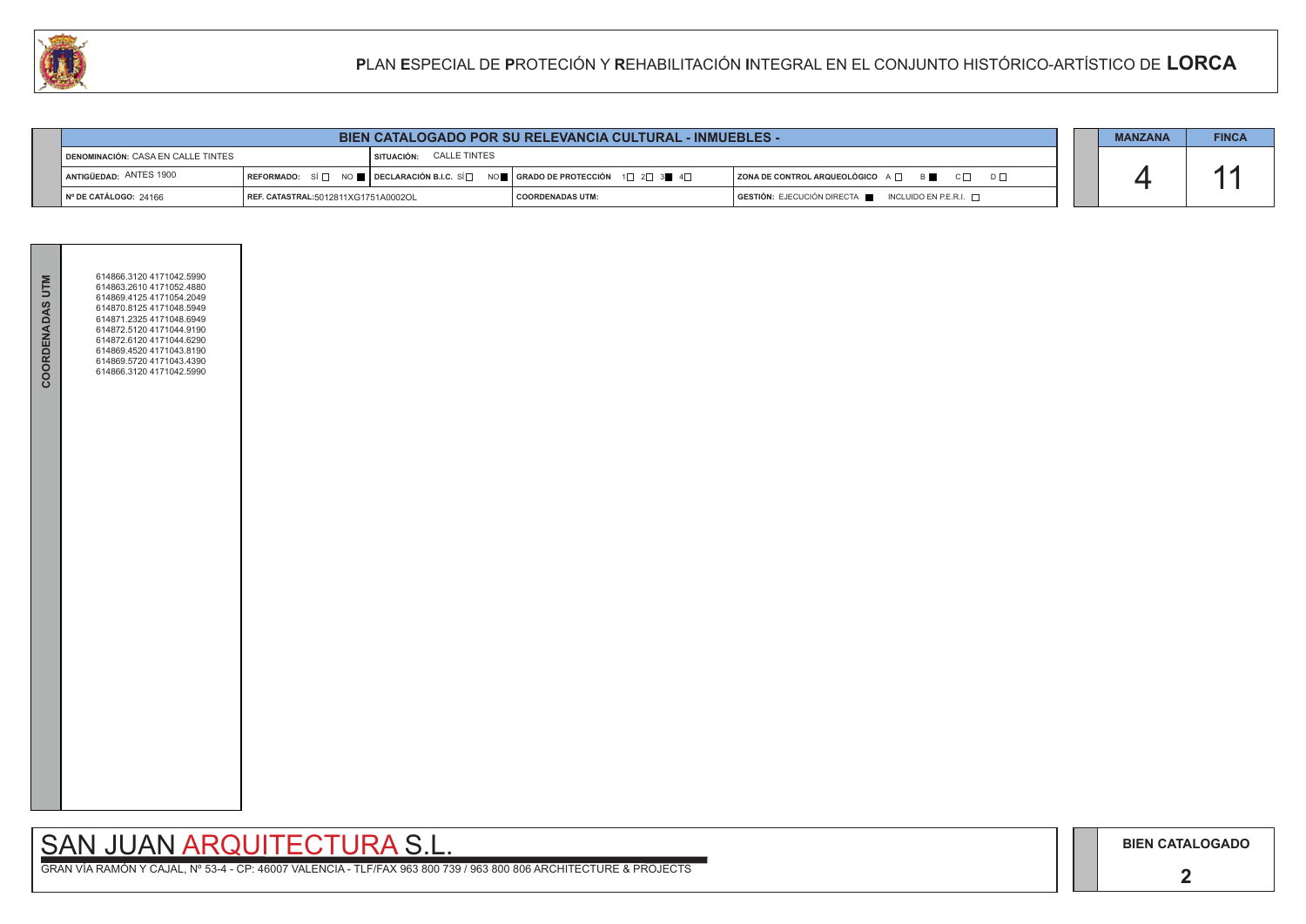# SAN JUAN ARQUITECTURA S.L.

|                                                                   | <b>BIEN CATALOGADO POR SU RELEVANCIA CULTURAL - INMUEBLES -</b> |                                                                                                                                                                                           |                         |  | <b>MANZANA</b>                                           | <b>FINCA</b> |  |
|-------------------------------------------------------------------|-----------------------------------------------------------------|-------------------------------------------------------------------------------------------------------------------------------------------------------------------------------------------|-------------------------|--|----------------------------------------------------------|--------------|--|
| I SITUACIÓN: CALLE TINTES<br>I DENOMINACIÓN: CASA EN CALLE TINTES |                                                                 |                                                                                                                                                                                           |                         |  |                                                          |              |  |
| ANTIGÜEDAD: ANTES 1900                                            |                                                                 | $\mid$ REFORMADO: $\;$ SÍ $\Box$ $\;$ NO $\blacksquare$ $\mid$ DECLARACIÓN B.I.C. SÍ $\Box$ NO $\blacksquare$ $\mid$ GRADO DE PROTECCIÓN $\;$ 1 $\Box$ 2 $\Box$ 3 $\blacksquare$ 4 $\Box$ |                         |  | ZONA DE CONTROL ARQUEOLÓGICO A □ B ■ C □ D □             |              |  |
| Nº DE CATÁLOGO: 24166                                             | REF. CATASTRAL:5012811XG1751A0002OL                             |                                                                                                                                                                                           | <b>COORDENADAS UTM:</b> |  | $GESTIÓN: EJECUCIÓN DIRECTA$ INCLUIDO EN P.E.R.I. $\Box$ |              |  |



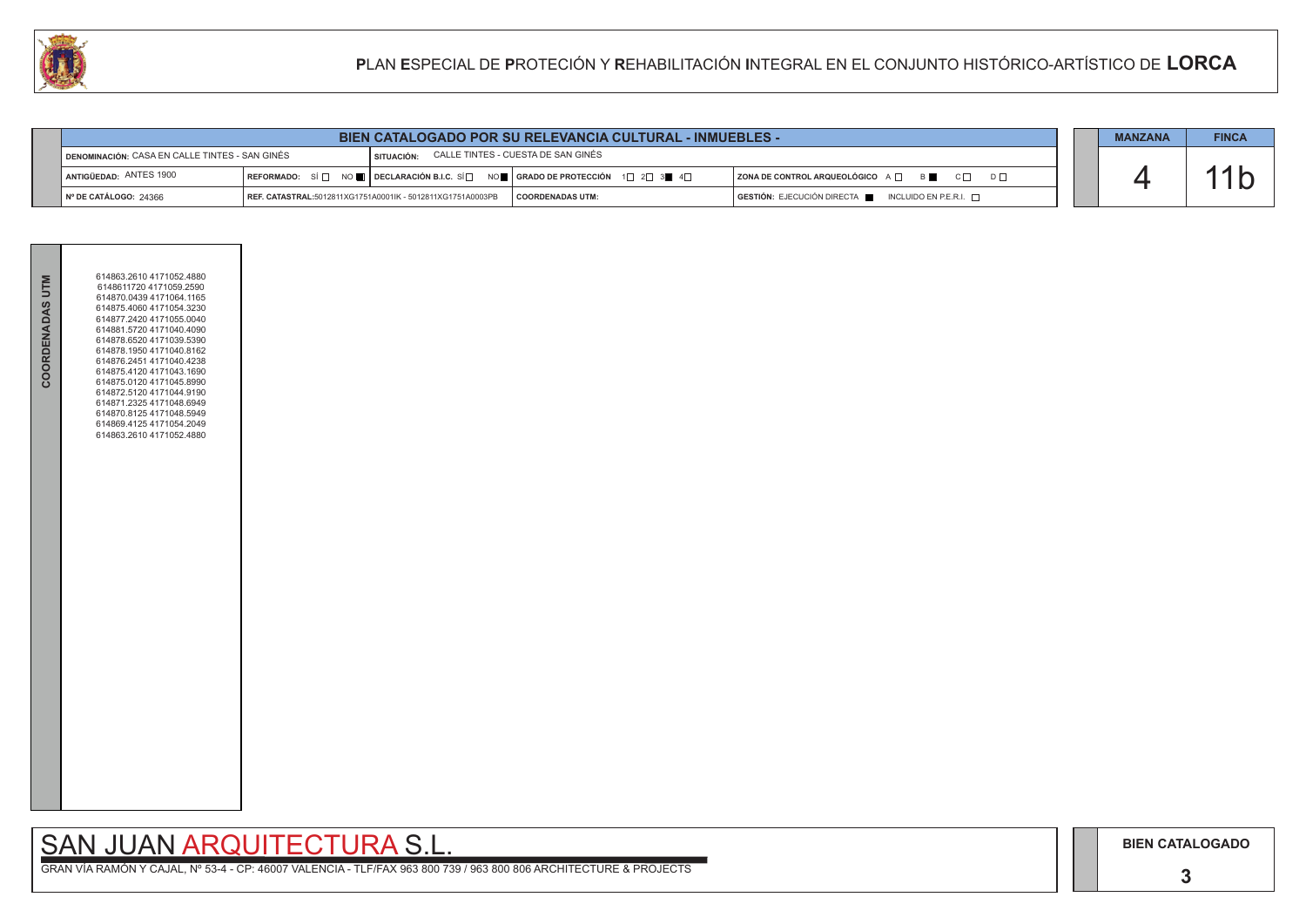## SAN JUAN ARQUITECTURA S.L.

| <b>BIEN CATALOGADO POR SU RELEVANCIA CULTURAL - INMUEBLES -</b>                                    |  |                                                            | <b>MANZANA</b>                                                                                                                                        | <b>FINCA</b>                                                                         |  |  |
|----------------------------------------------------------------------------------------------------|--|------------------------------------------------------------|-------------------------------------------------------------------------------------------------------------------------------------------------------|--------------------------------------------------------------------------------------|--|--|
| CALLE TINTES - CUESTA DE SAN GINÉS<br>DENOMINACIÓN: CASA EN CALLE TINTES - SAN GINÉS<br>SITUACIÓN: |  |                                                            |                                                                                                                                                       |                                                                                      |  |  |
| ANTIGÜEDAD: ANTES 1900                                                                             |  |                                                            | REFORMADO: SÍ $\Box$ NO $\blacksquare$ DECLARACIÓN B.I.C. SÍ $\Box$ NO $\blacksquare$ GRADO DE PROTECCIÓN 1 $\Box$ 2 $\Box$ 3 $\blacksquare$ 4 $\Box$ | $ $ ZONA DE CONTROL ARQUEOLÓGICO $A \Box$ B<br>$C \Box$<br>$D \Box$                  |  |  |
| INº DE CATÁLOGO: 24366                                                                             |  | REF. CATASTRAL:5012811XG1751A0001IK - 5012811XG1751A0003PB | <b>COORDENADAS UTM:</b>                                                                                                                               | $\overline{)}$ GESTIÓN: EJECUCIÓN DIRECTA $\overline{)}$ INCLUIDO EN P.E.R.I. $\Box$ |  |  |



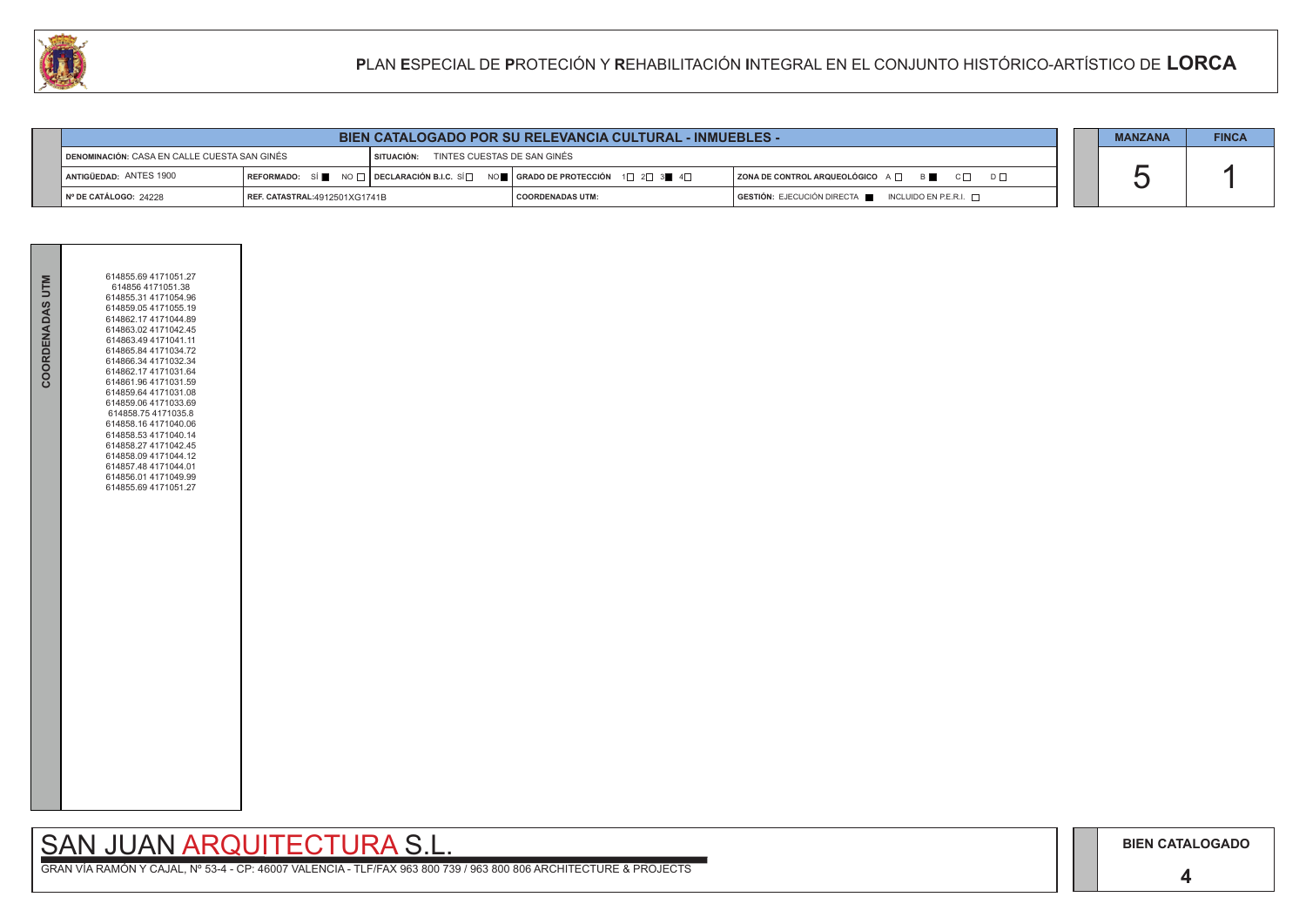## SAN JUAN ARQUITECTURA S.L.

|                                                                                           | <b>BIEN CATALOGADO POR SU RELEVANCIA CULTURAL - INMUEBLES -</b> |  |                                                                                                        |                                                          |  |  | <b>FINCA</b> |
|-------------------------------------------------------------------------------------------|-----------------------------------------------------------------|--|--------------------------------------------------------------------------------------------------------|----------------------------------------------------------|--|--|--------------|
| TINTES CUESTAS DE SAN GINÉS<br>DENOMINACIÓN: CASA EN CALLE CUESTA SAN GINÉS<br>SITUACIÓN: |                                                                 |  |                                                                                                        |                                                          |  |  |              |
| ANTIGÜEDAD: ANTES 1900                                                                    |                                                                 |  | REFORMADO: SÍ NO $\Box$ DECLARACIÓN B.I.C. SÍ $\Box$ NO $\Box$ GRADO DE PROTECCIÓN 1 $\Box$ 2 $\Box$ 3 | ZONA DE CONTROL ARQUEOLÓGICO A □ B ■ C □ D □             |  |  |              |
| Nº DE CATÁLOGO: 24228                                                                     | REF. CATASTRAL:4912501XG1741B                                   |  | <b>COORDENADAS UTM:</b>                                                                                | $GESTIÓN: EJECUCIÓN DIRECTA$ INCLUIDO EN P.E.R.I. $\Box$ |  |  |              |



| COORDENADAS UTM | 614855.69 4171051.27<br>614856 4171051.38<br>614855.31 4171054.96<br>614859.05 4171055.19<br>614862.17 4171044.89<br>614863.02 4171042.45<br>614863.49 4171041.11<br>614865.84 4171034.72<br>614866.34 4171032.34<br>614862.17 4171031.64<br>614861.96 4171031.59<br>614859.64 4171031.08<br>614859.06 4171033.69<br>614858.75 4171035.8<br>614858.16 4171040.06<br>614858.53 4171040.14<br>614858.27 4171042.45<br>614858.09 4171044.12<br>614857.48 4171044.01<br>614856.01 4171049.99<br>614855.69 4171051.27 |  |
|-----------------|------------------------------------------------------------------------------------------------------------------------------------------------------------------------------------------------------------------------------------------------------------------------------------------------------------------------------------------------------------------------------------------------------------------------------------------------------------------------------------------------------------------|--|
|                 |                                                                                                                                                                                                                                                                                                                                                                                                                                                                                                                  |  |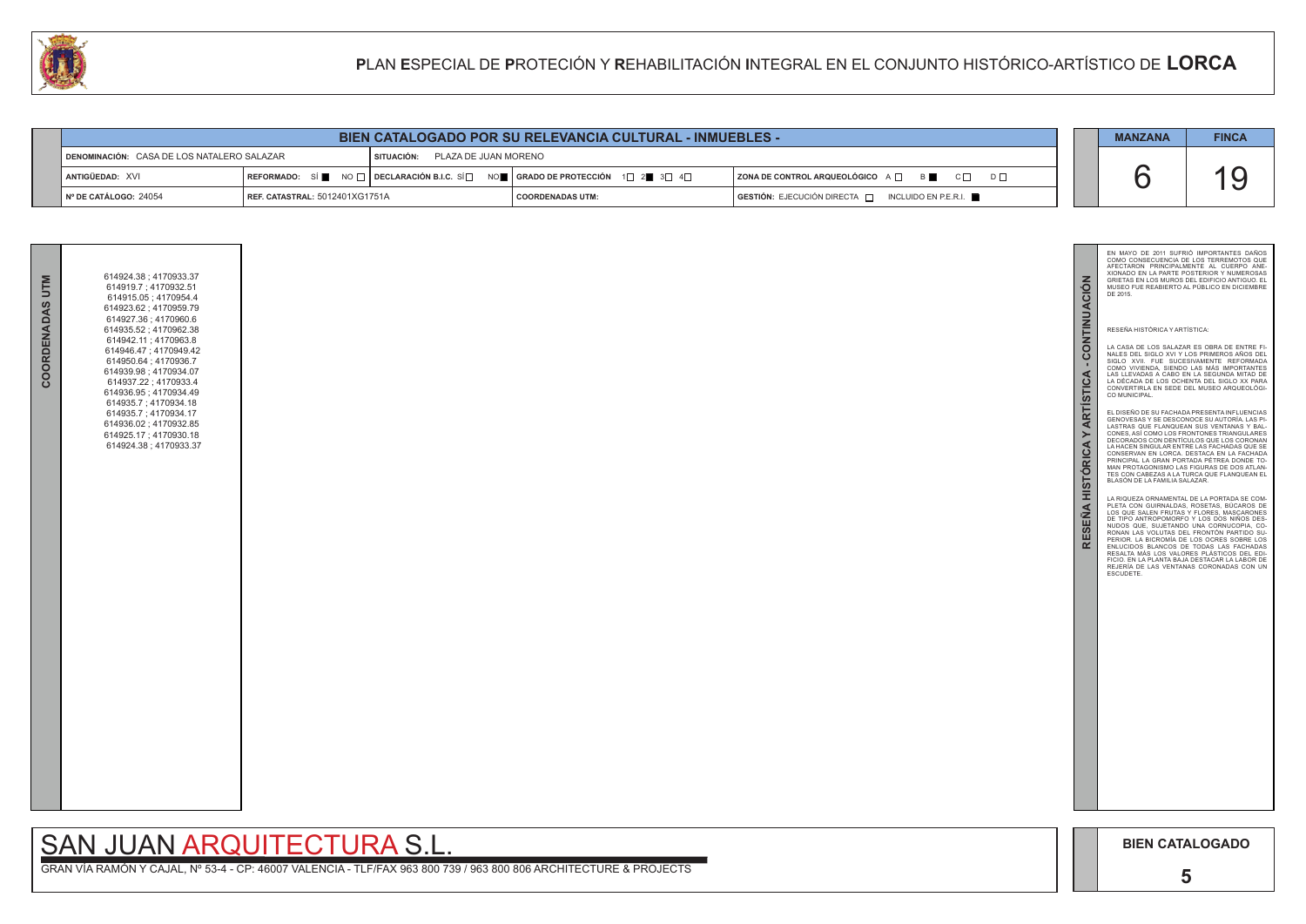**5**

|     |                                             | <b>MANZANA</b>                                                                                           | <b>FINCA</b>                                                                                                                                                                                                                                                                                                                                                                                                                                                                                                                                                                                                                                                                                                                                                                                                                                                                                                                                                                                                                                                                                                                                                                                                                                                                                                                                                                                                                                                                                                                                                                                                |
|-----|---------------------------------------------|----------------------------------------------------------------------------------------------------------|-------------------------------------------------------------------------------------------------------------------------------------------------------------------------------------------------------------------------------------------------------------------------------------------------------------------------------------------------------------------------------------------------------------------------------------------------------------------------------------------------------------------------------------------------------------------------------------------------------------------------------------------------------------------------------------------------------------------------------------------------------------------------------------------------------------------------------------------------------------------------------------------------------------------------------------------------------------------------------------------------------------------------------------------------------------------------------------------------------------------------------------------------------------------------------------------------------------------------------------------------------------------------------------------------------------------------------------------------------------------------------------------------------------------------------------------------------------------------------------------------------------------------------------------------------------------------------------------------------------|
| ⊡ כ |                                             |                                                                                                          | 19                                                                                                                                                                                                                                                                                                                                                                                                                                                                                                                                                                                                                                                                                                                                                                                                                                                                                                                                                                                                                                                                                                                                                                                                                                                                                                                                                                                                                                                                                                                                                                                                          |
|     | RESEÑA HISTÓRICA Y ARTÍSTICA - CONTINUACIÓN | DE 2015.<br>RESEÑA HISTÓRICA Y ARTÍSTICA:<br>CO MUNICIPAL.<br>BLASÓN DE LA FAMILIA SALAZAR.<br>ESCUDETE. | EN MAYO DE 2011 SUFRIÓ IMPORTANTES DAÑOS<br>COMO CONSECUENCIA DE LOS TERREMOTOS QUE<br>AFECTARON PRINCIPALMENTE AL CUERPO ANE-<br>XIONADO EN LA PARTE POSTERIOR Y NUMEROSAS<br>GRIETAS EN LOS MUROS DEL EDIFICIO ANTIGUO. EL<br>MUSEO FUE REABIERTO AL PÚBLICO EN DICIEMBRE<br>LA CASA DE LOS SALAZAR ES OBRA DE ENTRE FI-<br>NALES DEL SIGLO XVI Y LOS PRIMEROS AÑOS DEL<br>SIGLO XVII. FUE SUCESIVAMENTE REFORMADA<br>COMO VIVIENDA, SIENDO LAS MÁS IMPORTANTES<br>LAS LLEVADAS A CABO EN LA SEGUNDA MITAD DE<br>LA DÉCADA DE LOS OCHENTA DEL SIGLO XX PARA<br>CONVERTIRLA EN SEDE DEL MUSEO ARQUEOLÓGI-<br>EL DISEÑO DE SU FACHADA PRESENTA INFLUENCIAS<br>GENOVESAS Y SE DESCONOCE SU AUTORÍA. LAS PI-<br>LASTRAS QUE FLANQUEAN SUS VENTANAS Y BAL-<br>CONES, ASÍ COMO LOS FRONTONES TRIANGULARES<br>DECORADOS CON DENTÍCULOS QUE LOS CORONAN<br>LA HACEN SINGULAR ENTRE LAS FACHADAS QUE SE<br>CONSERVAN EN LORCA. DESTACA EN LA FACHADA<br>PRINCIPAL LA GRAN PORTADA PÉTREA DONDE TO-<br>MAN PROTAGONISMO LAS FIGURAS DE DOS ATLAN-<br>TES CON CABEZAS A LA TURCA QUE FLANQUEAN EL<br>LA RIQUEZA ORNAMENTAL DE LA PORTADA SE COM-<br>PLETA CON GUIRNALDAS, ROSETAS, BUCAROS DE<br>LOS QUE SALEN FRUTAS Y FLORES, MASCARONES<br>DE TIPO ANTROPOMORFO Y LOS DOS NIÑOS DES-<br>NUDOS QUE, SUJETANDO UNA CORNUCOPIA, CO-<br>RONAN LAS VOLUTAS DEL FRONTÓN PARTIDO SU-<br>PERIOR. LA BICROMÍA DE LOS OCRES SOBRE LOS<br>ENLUCIDOS BLANCOS DE TODAS LAS FACHADAS<br>RESALTA MÁS LOS VALORES PLÁSTICOS DEL EDI-<br>FICIO. EN LA PLANTA BAJA DESTACAR LA LABOR DE<br>REJERÍA DE LAS VENTANAS CORONADAS CON UN |
|     |                                             | <b>BIEN CATALOGADO</b>                                                                                   |                                                                                                                                                                                                                                                                                                                                                                                                                                                                                                                                                                                                                                                                                                                                                                                                                                                                                                                                                                                                                                                                                                                                                                                                                                                                                                                                                                                                                                                                                                                                                                                                             |

| <b>BIEN CATALOGADO POR SU RELEVANCIA CULTURAL - INMUEBLES -</b> |                                       |            |                                                                                                                                                        |                                                                                  |  | <b>MANZANA</b> | <b>FINCA</b> |
|-----------------------------------------------------------------|---------------------------------------|------------|--------------------------------------------------------------------------------------------------------------------------------------------------------|----------------------------------------------------------------------------------|--|----------------|--------------|
| DENOMINACIÓN: CASA DE LOS NATALERO SALAZAR                      |                                       | SITUACIÓN: | PLAZA DE JUAN MORENO                                                                                                                                   |                                                                                  |  |                |              |
| <b>LANTIGÜEDAD: XVI</b>                                         |                                       |            | REFORMADO: SÍ $\blacksquare$ NO $\Box$ DECLARACIÓN B.I.C. SÍ $\Box$ NO $\blacksquare$ SERADO DE PROTECCIÓN 1 $\Box$ 2 $\blacksquare$ 3 $\Box$ 4 $\Box$ | $ $ ZONA DE CONTROL ARQUEOLÓGICO $A \Box$ $B \Box$ $C \Box$                      |  |                |              |
| ∥N° DE CATÁLOGO: 24054                                          | <b>REF. CATASTRAL: 5012401XG1751A</b> |            | COORDENADAS UTM:                                                                                                                                       | $\overline{ }$ GESTIÓN: EJECUCIÓN DIRECTA $\overline{ }$<br>INCLUIDO EN P.E.R.I. |  |                |              |

## SAN JUAN ARQUITECTURA S.L.

| COORDENADAS UTM | 614924.38; 4170933.37<br>614919.7; 4170932.51<br>614915.05; 4170954.4<br>614923.62; 4170959.79<br>614927.36; 4170960.6<br>614935.52; 4170962.38<br>614942.11; 4170963.8<br>614946.47; 4170949.42<br>614950.64; 4170936.7<br>614939.98 ; 4170934.07<br>614937.22; 4170933.4<br>614936.95; 4170934.49<br>614935.7; 4170934.18<br>614935.7; 4170934.17<br>614936.02; 4170932.85<br>614925.17; 4170930.18<br>614924.38; 4170933.37 |  |
|-----------------|--------------------------------------------------------------------------------------------------------------------------------------------------------------------------------------------------------------------------------------------------------------------------------------------------------------------------------------------------------------------------------------------------------------------------------|--|
|                 |                                                                                                                                                                                                                                                                                                                                                                                                                                |  |

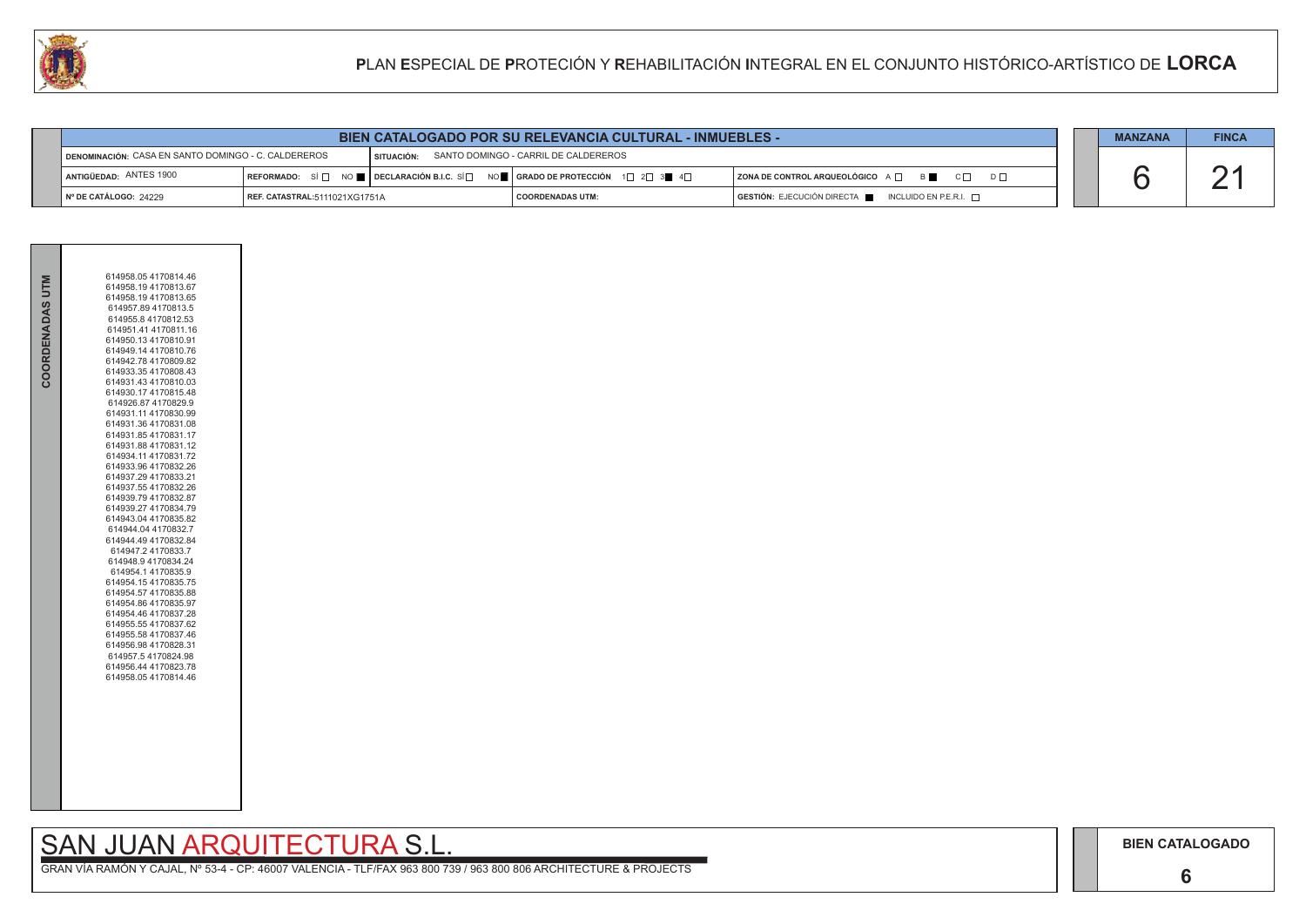**6**

# SAN JUAN ARQUITECTURA S.L.

GRAN VÍA RAMÓN Y CAJAL, Nº 53-4 - CP: 46007 VALENCIA - TLF/FAX 963 800 739 / 963 800 806 ARCHITECTURE & PROJECTS

|  | <b>MANZANA</b> | <b>FINCA</b> |
|--|----------------|--------------|
|  |                |              |
|  |                |              |

| <b>BIEN CATALOGADO POR SU RELEVANCIA CULTURAL - INMUEBLES -</b> |                               |                                                 |                                                                                                                                                                                                                                                                                                  |                                                   | <b>MANZANA</b> | <b>FINCA</b> |
|-----------------------------------------------------------------|-------------------------------|-------------------------------------------------|--------------------------------------------------------------------------------------------------------------------------------------------------------------------------------------------------------------------------------------------------------------------------------------------------|---------------------------------------------------|----------------|--------------|
| DENOMINACIÓN: CASA EN SANTO DOMINGO - C. CALDEREROS             |                               | SITUACIÓN: SANTO DOMINGO - CARRIL DE CALDEREROS |                                                                                                                                                                                                                                                                                                  |                                                   |                |              |
| ANTIGÜEDAD: ANTES 1900                                          |                               |                                                 | $\mathsf{REFORMADO:} \ \ \mathbb{S} \ \ \Box \ \ \ \mathsf{NO} \ \blacksquare \ \ \mathsf{DECLARACIÓN\ B.I.C.} \ \ \mathbb{S} \ \Box \ \ \ \mathsf{NO} \blacksquare \ \ \mathsf{GRADO\ DE\ PROTECCIÓN} \ \ \ \mathbf{1} \ \ \Box \ \ \mathbf{2} \ \ \mathbf{3} \blacksquare \ \ \mathbf{4} \Box$ | ZONA DE CONTROL ARQUEOLÓGICO A □ B B C □ D □      |                |              |
| N° DE CATÁLOGO: 24229                                           | REF. CATASTRAL:5111021XG1751A |                                                 | <b>COORDENADAS UTM:</b>                                                                                                                                                                                                                                                                          | GESTIÓN: EJECUCIÓN DIRECTA   INCLUIDO EN P.E.R.I. |                |              |



| COORDENADAS UTM | 614958.05 4170814.46<br>614958.19 4170813.67<br>614958.19 4170813.65<br>614957.89 4170813.5<br>614955.8 4170812.53<br>614951.41 4170811.16<br>614950.13 4170810.91<br>614949.14 4170810.76<br>614942.78 4170809.82<br>614933.354170808.43<br>614931.43 4170810.03<br>614930.17 4170815.48<br>614926.87 4170829.9<br>614931.11 4170830.99<br>614931.36 4170831.08<br>614931.85 4170831.17<br>614931.88 4170831.12<br>614934.11 4170831.72<br>614933.96 4170832.26<br>614937.29 4170833.21<br>614937.55 4170832.26<br>614939.79 4170832.87<br>614939.27 4170834.79<br>614943.04 4170835.82<br>614944.04 4170832.7<br>614944.49 4170832.84<br>614947.2 4170833.7<br>614948.9 4170834.24<br>614954.14170835.9<br>614954.15 4170835.75<br>614954.57 4170835.88<br>614954.86 4170835.97<br>614954.46 4170837.28<br>614955.55 4170837.62<br>614955.58 4170837.46<br>614956.98 4170828.31<br>614957.54170824.98<br>614956.44 4170823.78<br>614958.05 4170814.46 |
|-----------------|---------------------------------------------------------------------------------------------------------------------------------------------------------------------------------------------------------------------------------------------------------------------------------------------------------------------------------------------------------------------------------------------------------------------------------------------------------------------------------------------------------------------------------------------------------------------------------------------------------------------------------------------------------------------------------------------------------------------------------------------------------------------------------------------------------------------------------------------------------------------------------------------------------------------------------------------------------|
|                 |                                                                                                                                                                                                                                                                                                                                                                                                                                                                                                                                                                                                                                                                                                                                                                                                                                                                                                                                                         |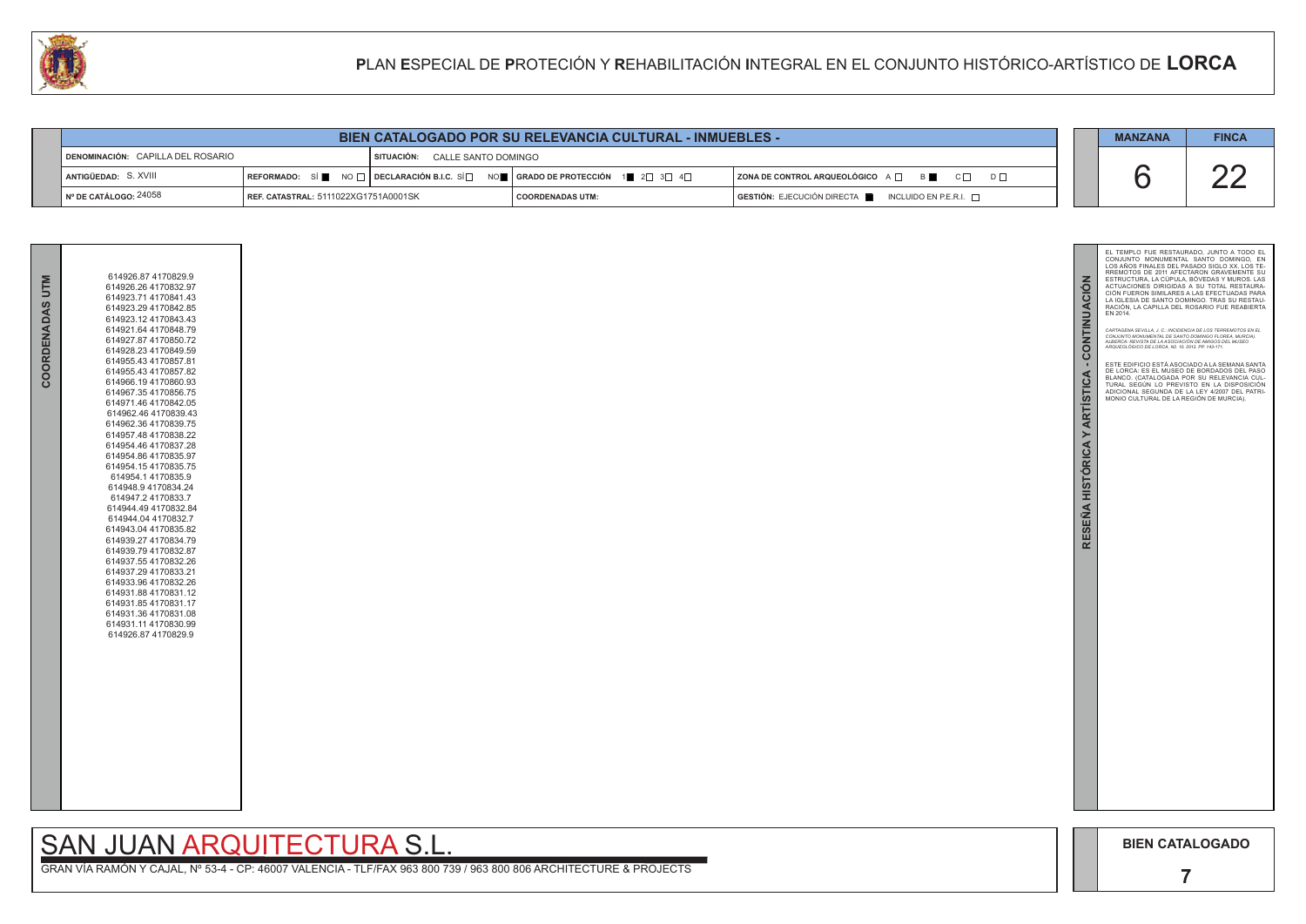

# SAN JUAN ARQUITECTURA S.L.

| <b>QAI</b><br>PLAN ESPECIAL DE PROTECIÓN Y REHABILITACIÓN INTEGRAL EN EL CONJUNTO HISTÓRICO-ARTÍSTICO DE LORCA |                                                                 |                                      |  |                                                                                                                                                                         |                                                           |                |            |
|----------------------------------------------------------------------------------------------------------------|-----------------------------------------------------------------|--------------------------------------|--|-------------------------------------------------------------------------------------------------------------------------------------------------------------------------|-----------------------------------------------------------|----------------|------------|
|                                                                                                                |                                                                 |                                      |  |                                                                                                                                                                         |                                                           |                |            |
|                                                                                                                | <b>BIEN CATALOGADO POR SU RELEVANCIA CULTURAL - INMUEBLES -</b> |                                      |  |                                                                                                                                                                         |                                                           | <b>MANZANA</b> | <b>FIN</b> |
|                                                                                                                | DENOMINACIÓN: CAPILLA DEL ROSARIO                               | SITUACIÓN: CALLE SANTO DOMINGO       |  |                                                                                                                                                                         |                                                           |                |            |
|                                                                                                                | ANTIGÜEDAD: S. XVIII                                            |                                      |  | $\mid$ REFORMADO: SÍ $\blacksquare$ NO $\Box$ DECLARACIÓN B.I.C. SÍ $\Box$ NO $\blacksquare$ $\mid$ GRADO DE PROTECCIÓN $\mid$ 1 $\parallel$ 2 $\Box$ 3 $\Box$ 4 $\Box$ | <b>ZONA DE CONTROL ARQUEOLÓGICO</b> A □ B ■ C □ D □       |                | ΩI         |
|                                                                                                                | N° DE CATÁLOGO: 24058                                           | REF. CATASTRAL: 5111022XG1751A0001SK |  | <b>COORDENADAS UTM:</b>                                                                                                                                                 | GESTIÓN: EJECUCIÓN DIRECTA<br>INCLUIDO EN P.E.R.I. $\Box$ |                |            |

| COORDENADAS | 614926.87 4170829.9<br>614926.26 4170832.97<br>614923.71 4170841.43<br>614923.29 4170842.85<br>614923.12 4170843.43<br>614921.64 4170848.79<br>614927.87 4170850.72<br>614928.23 4170849.59<br>614955.43 4170857.81<br>614955.43 4170857.82<br>614966.19 4170860.93<br>614967.35 4170856.75<br>614971.46 4170842.05<br>614962.46 4170839.43<br>614962.36 4170839.75<br>614957.48 4170838.22<br>614954.46 4170837.28<br>614954.86 4170835.97<br>614954.15 4170835.75<br>614954.14170835.9<br>614948.9 4170834.24<br>614947.24170833.7<br>614944.49 4170832.84<br>614944.04 4170832.7<br>614943.04 4170835.82<br>614939.27 4170834.79<br>614939.79 4170832.87<br>614937.55 4170832.26<br>614937.29 4170833.21<br>614933.96 4170832.26<br>614931.88 4170831.12<br>614931.85 4170831.17<br>614931.36 4170831.08<br>614931.11 4170830.99<br>614926.87 4170829.9 |
|-------------|------------------------------------------------------------------------------------------------------------------------------------------------------------------------------------------------------------------------------------------------------------------------------------------------------------------------------------------------------------------------------------------------------------------------------------------------------------------------------------------------------------------------------------------------------------------------------------------------------------------------------------------------------------------------------------------------------------------------------------------------------------------------------------------------------------------------------------------------------------|
|             |                                                                                                                                                                                                                                                                                                                                                                                                                                                                                                                                                                                                                                                                                                                                                                                                                                                            |



| <b>BIEN CATALOGADO POR SU RELEVANCIA CULTURAL - INMUEBLES -</b> |  |  | <b>MANZANA</b> | <b>FINCA</b> |
|-----------------------------------------------------------------|--|--|----------------|--------------|
|-----------------------------------------------------------------|--|--|----------------|--------------|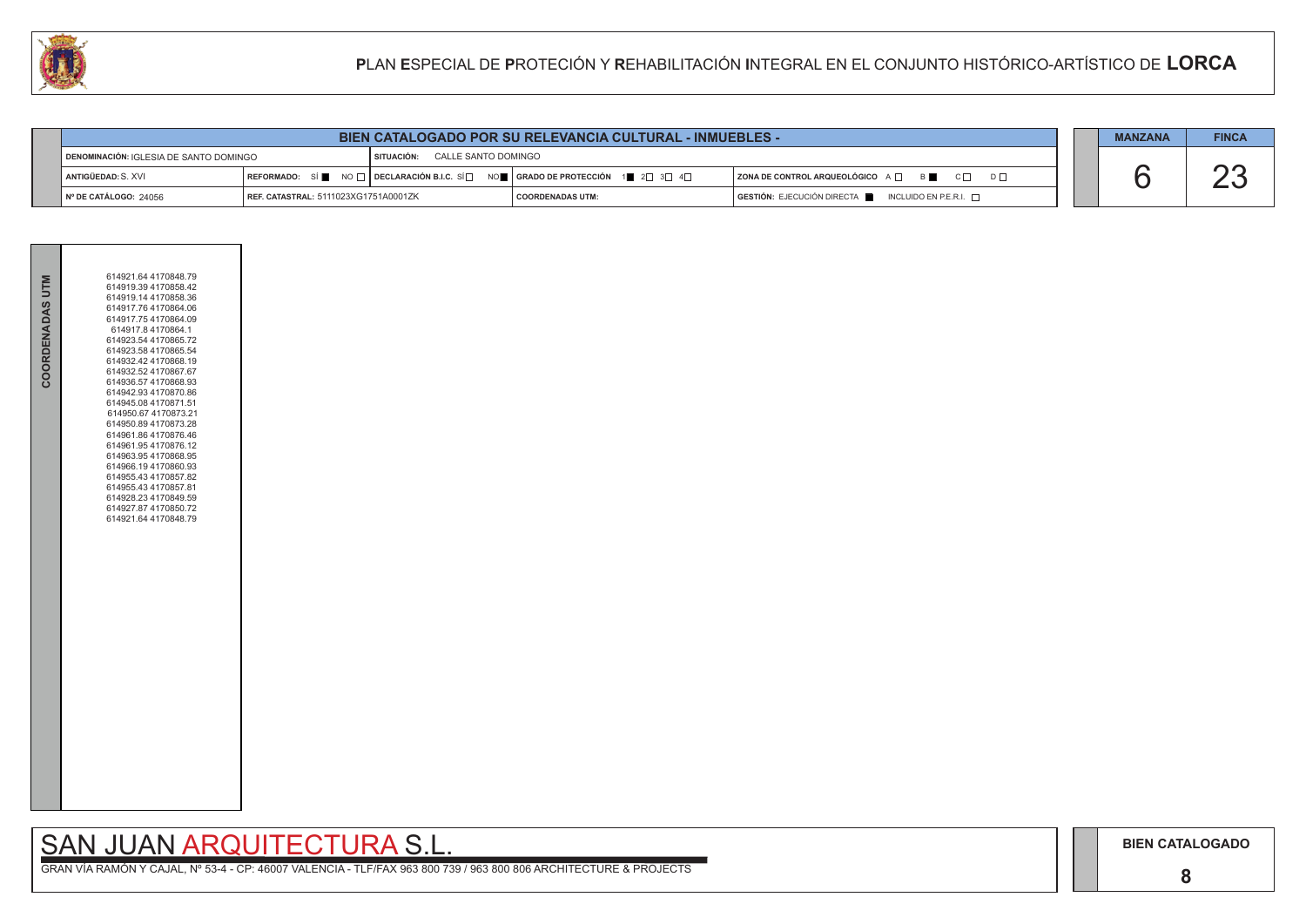## SAN JUAN ARQUITECTURA S.L.

|  | <b>MANZANA</b> | <b>FINCA</b> |
|--|----------------|--------------|
|  |                |              |
|  |                |              |

| COORDENADAS UTM | 614921.64 4170848.79<br>614919.39 4170858.42<br>614919.14 4170858.36<br>614917.76 4170864.06<br>614917.75 4170864.09<br>614917.8 4170864.1<br>614923.54 4170865.72<br>614923.58 4170865.54<br>614932.42 4170868.19<br>614932.52 4170867.67<br>614936.57 4170868.93<br>614942.93 4170870.86<br>614945.08 4170871.51<br>614950.67 4170873.21<br>614950.89 4170873.28<br>614961.86 4170876.46<br>614961.95 4170876.12<br>614963.954170868.95<br>614966.19 4170860.93<br>614955.43 4170857.82<br>614955.43 4170857.81<br>614928.23 4170849.59<br>614927.87 4170850.72<br>614921.64 4170848.79 |  |
|-----------------|-------------------------------------------------------------------------------------------------------------------------------------------------------------------------------------------------------------------------------------------------------------------------------------------------------------------------------------------------------------------------------------------------------------------------------------------------------------------------------------------------------------------------------------------------------------------------------------------|--|

| DENOMINACIÓN: IGLESIA DE SANTO DOMINGO |                                               | CALLE SANTO DOMINGO<br>SITUACIÓN: |                                                                                                                                                                                         |                                                                             |
|----------------------------------------|-----------------------------------------------|-----------------------------------|-----------------------------------------------------------------------------------------------------------------------------------------------------------------------------------------|-----------------------------------------------------------------------------|
| ANTIGÜEDAD: S. XVI                     |                                               |                                   | $\mid$ REFORMADO: $\mid$ S $\mid$ $\parallel$ NO $\mid$ $\mid$ DECLARACIÓN B.I.C. SÍ $\mid$ $\mid$ nO $\parallel$ $\mid$ GRADO DE PROTECCIÓN $\mid$ 1 $\mid$ 2 $\mid$ 3 $\mid$ 4 $\mid$ | $C\Gamma$<br>I ZONA DE CONTROL ARQUEOLÓGICO A $\Box$<br>B I                 |
| I Nº DE CATÁLOGO: 24056                | <b>I REF. CATASTRAL:</b> 5111023XG1751A0001ZK |                                   | I COORDENADAS UTM:                                                                                                                                                                      | $\mid$ GESTIÓN: EJECUCIÓN DIRECTA $\parallel$ INCLUIDO EN P.E.R.I. $\sqcap$ |

| BIEN CATALOGADO POR SU RELEVANCIA CULTURAL - INMUEBLES - |  |  | <b>MANZANA</b> | <b>FINCA</b> |
|----------------------------------------------------------|--|--|----------------|--------------|
|----------------------------------------------------------|--|--|----------------|--------------|

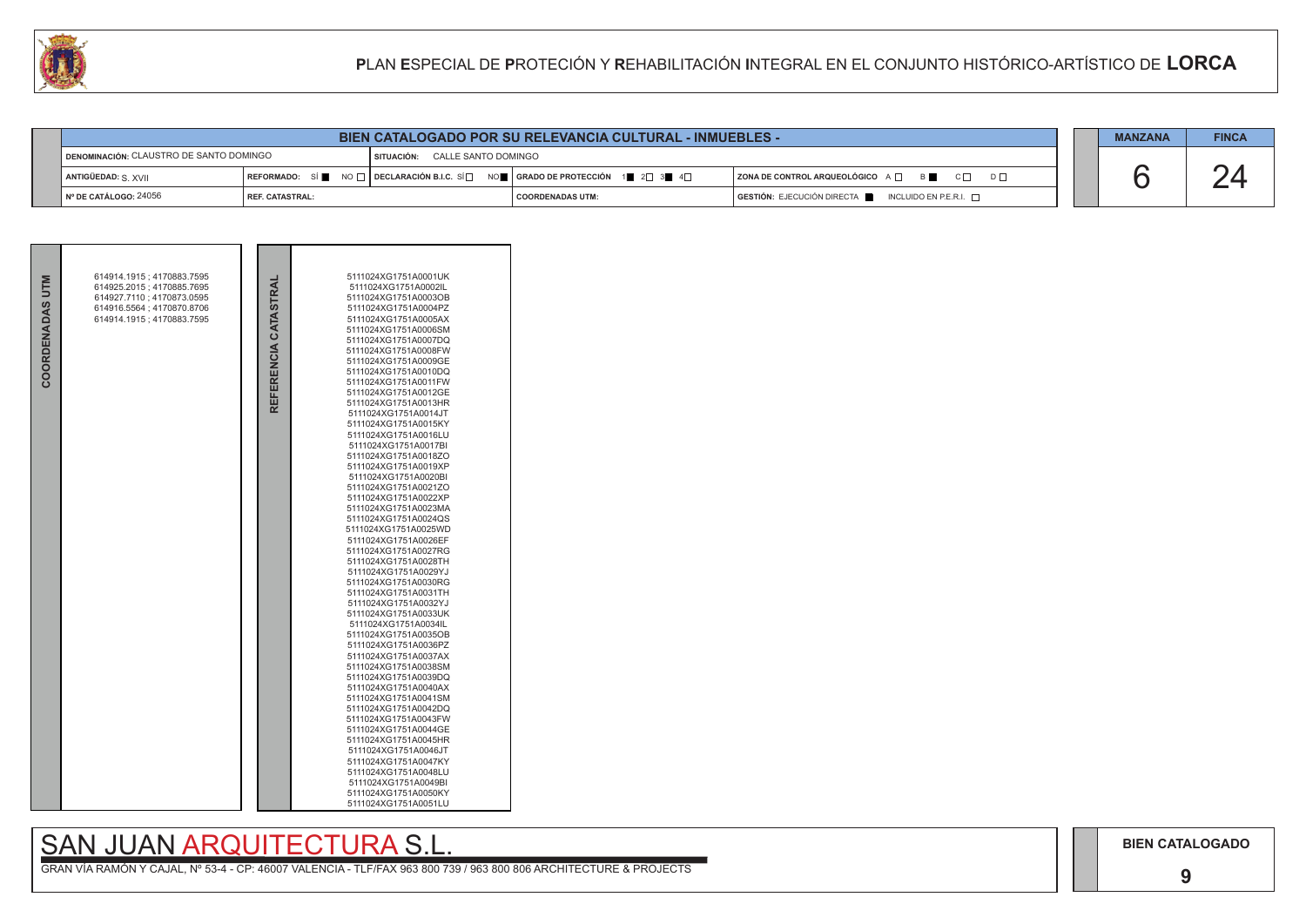|  | <b>MANZANA</b> | <b>FINCA</b> |
|--|----------------|--------------|
|  |                |              |

**9**

# SAN JUAN ARQUITECTURA S.L.



| <b>CALL</b>                                       |                        |                                |  |                                                                                                                                                                                | PLAN ESPECIAL DE PROTECIÓN Y REHABILITACIÓN INTEGRAL EN EL CONJUNTO HISTÓRICO-ARTÍSTICO DE LORCA |                |              |
|---------------------------------------------------|------------------------|--------------------------------|--|--------------------------------------------------------------------------------------------------------------------------------------------------------------------------------|--------------------------------------------------------------------------------------------------|----------------|--------------|
|                                                   |                        |                                |  |                                                                                                                                                                                |                                                                                                  |                |              |
|                                                   |                        |                                |  | <b>BIEN CATALOGADO POR SU RELEVANCIA CULTURAL - INMUEBLES -</b>                                                                                                                |                                                                                                  | <b>MANZANA</b> | <b>FINCA</b> |
| <u> I DENOMINACIÓN: CLAUSTRO DE SANTO DOMINGO</u> |                        | SITUACIÓN: CALLE SANTO DOMINGO |  |                                                                                                                                                                                |                                                                                                  |                |              |
|                                                   | ANTIGÜEDAD: S XVII     |                                |  | $\mid$ REFORMADO: $\mid$ Si $\parallel$ $\parallel$ NO $\mid$ $\mid$ DECLARACIÓN B.I.C. Si $\mid$ $\mid$ $\mid$ orado de protección $\mid$ 1 $\mid$ 2 $\mid$ 3 $\mid$ 4 $\mid$ | $ $ ZONA DE CONTROL ARQUEOLÓGICO $A \Box$ B<br>$D \Box$                                          |                | 2Δ           |
|                                                   | l № DE CATÁLOGO: 24056 | I REF. CATASTRAL:              |  | <b>COORDENADAS UTM:</b>                                                                                                                                                        | GESTIÓN: EJECUCIÓN DIRECTA<br>INCLUIDO EN P.E.R.I. $\Box$                                        |                |              |

| COORDENADAS UTM | 614914.1915; 4170883.7595<br>614925.2015; 4170885.7695 |                      | 5111024XG1751A0001UK<br>5111024XG1751A0002IL |
|-----------------|--------------------------------------------------------|----------------------|----------------------------------------------|
|                 | 614927.7110 : 4170873.0595                             |                      | 5111024XG1751A0003OB                         |
|                 | 614916.5564 ; 4170870.8706                             |                      | 5111024XG1751A0004PZ                         |
|                 | 614914.1915; 4170883.7595                              |                      | 5111024XG1751A0005AX                         |
|                 |                                                        |                      | 5111024XG1751A0006SM                         |
|                 |                                                        |                      | 5111024XG1751A0007DQ                         |
|                 |                                                        |                      | 5111024XG1751A0008FW                         |
|                 |                                                        |                      | 5111024XG1751A0009GE                         |
|                 |                                                        |                      | 5111024XG1751A0010DQ                         |
|                 |                                                        |                      | 5111024XG1751A0011FW<br>5111024XG1751A0012GE |
|                 |                                                        | REFERENCIA CATASTRAI | 5111024XG1751A0013HR                         |
|                 |                                                        |                      | 5111024XG1751A0014JT                         |
|                 |                                                        |                      | 5111024XG1751A0015KY                         |
|                 |                                                        |                      | 5111024XG1751A0016LU                         |
|                 |                                                        |                      | 5111024XG1751A0017BI                         |
|                 |                                                        |                      | 5111024XG1751A0018ZO                         |
|                 |                                                        |                      | 5111024XG1751A0019XP                         |
|                 |                                                        |                      | 5111024XG1751A0020BI                         |
|                 |                                                        |                      | 5111024XG1751A0021ZO<br>5111024XG1751A0022XP |
|                 |                                                        |                      | 5111024XG1751A0023MA                         |
|                 |                                                        |                      | 5111024XG1751A0024QS                         |
|                 |                                                        |                      | 5111024XG1751A0025WD                         |
|                 |                                                        |                      | 5111024XG1751A0026EF                         |
|                 |                                                        |                      | 5111024XG1751A0027RG                         |
|                 |                                                        |                      | 5111024XG1751A0028TH                         |
|                 |                                                        |                      | 5111024XG1751A0029YJ                         |
|                 |                                                        |                      | 5111024XG1751A0030RG<br>5111024XG1751A0031TH |
|                 |                                                        |                      | 5111024XG1751A0032YJ                         |
|                 |                                                        |                      | 5111024XG1751A0033UK                         |
|                 |                                                        |                      | 5111024XG1751A0034IL                         |
|                 |                                                        |                      | 5111024XG1751A0035OB                         |
|                 |                                                        |                      | 5111024XG1751A0036PZ                         |
|                 |                                                        |                      | 5111024XG1751A0037AX                         |
|                 |                                                        |                      | 5111024XG1751A0038SM<br>5111024XG1751A0039DQ |
|                 |                                                        |                      | 5111024XG1751A0040AX                         |
|                 |                                                        |                      | 5111024XG1751A0041SM                         |
|                 |                                                        |                      | 5111024XG1751A0042DQ                         |
|                 |                                                        |                      | 5111024XG1751A0043FW                         |
|                 |                                                        |                      | 5111024XG1751A0044GE                         |
|                 |                                                        |                      | 5111024XG1751A0045HR                         |
|                 |                                                        |                      | 5111024XG1751A0046JT                         |
|                 |                                                        |                      | 5111024XG1751A0047KY<br>5111024XG1751A0048LU |
|                 |                                                        |                      | 5111024XG1751A0049BI                         |
|                 |                                                        |                      | 5111024XG1751A0050KY                         |
|                 |                                                        |                      | 5111024XG1751A0051LU                         |
|                 |                                                        |                      |                                              |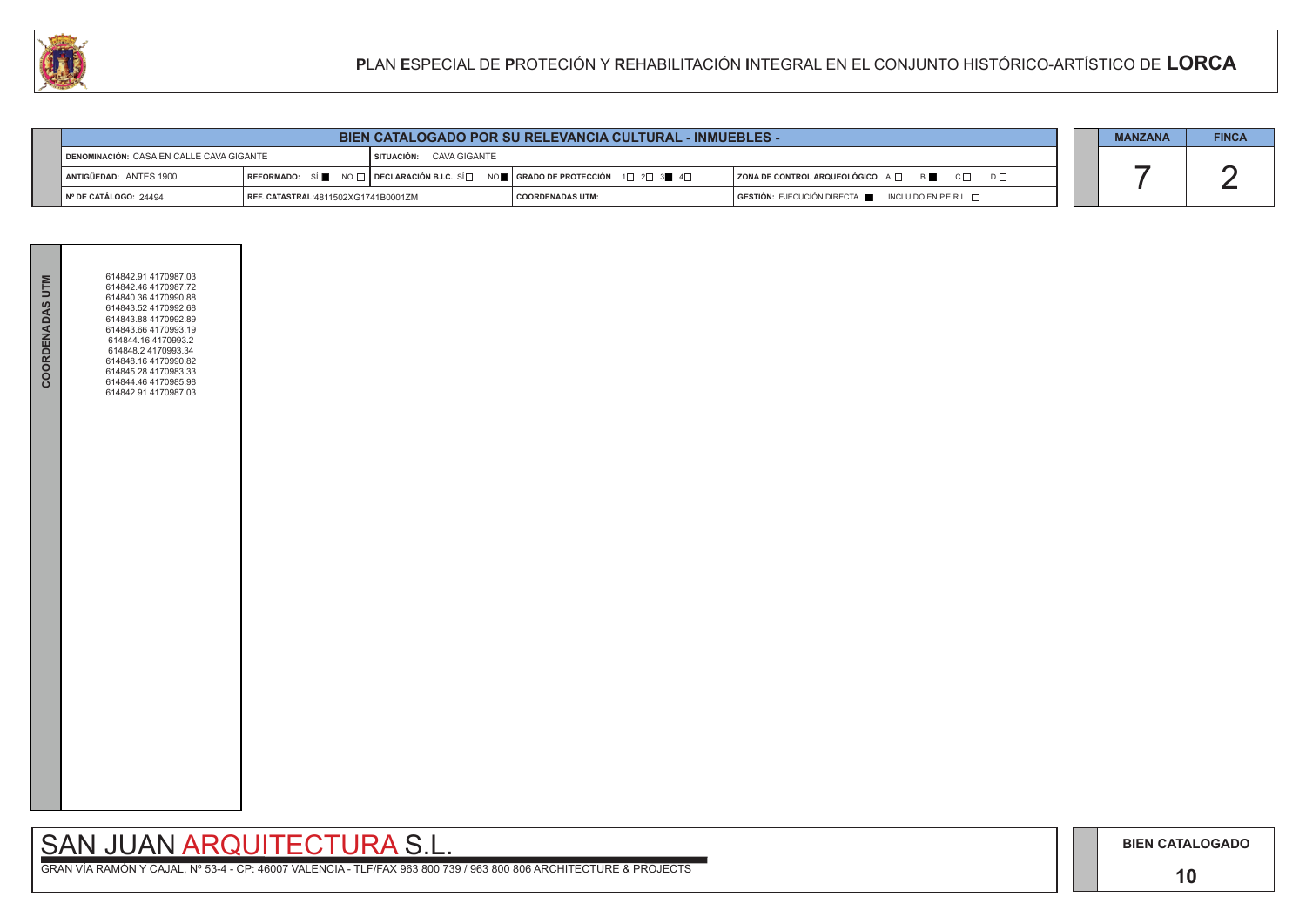

**The Common** 

**BIEN CATALOGADO**

### **10**

## SAN JUAN ARQUITECTURA S.L.

|                                                                            | <b>BIEN CATALOGADO POR SU RELEVANCIA CULTURAL - INMUEBLES -</b> |                    |                                                                                                                                                       |                                              |  | <b>MANZANA</b> | <b>FINCA</b> |
|----------------------------------------------------------------------------|-----------------------------------------------------------------|--------------------|-------------------------------------------------------------------------------------------------------------------------------------------------------|----------------------------------------------|--|----------------|--------------|
| DENOMINACIÓN: CASA EN CALLE CAVA GIGANTE<br><b>SITUACIÓN: CAVA GIGANTE</b> |                                                                 |                    |                                                                                                                                                       |                                              |  |                |              |
| ANTIGÜEDAD: ANTES 1900                                                     |                                                                 |                    | REFORMADO: SÍ $\blacksquare$ NO $\Box$ DECLARACIÓN B.I.C. SÍ $\Box$ NO $\blacksquare$ GRADO DE PROTECCIÓN 1 $\Box$ 2 $\Box$ 3 $\blacksquare$ 4 $\Box$ | ZONA DE CONTROL ARQUEOLÓGICO A □ B ■ C □ D □ |  |                |              |
| $\vert$ N° DE CATÁLOGO: 24494<br>  REF. CATASTRAL:4811502XG1741B0001ZM     |                                                                 | I COORDENADAS UTM: | $\overline{)}$ GESTIÓN: EJECUCIÓN DIRECTA $\overline{)}$ INCLUIDO EN P.E.R.I. $\Box$                                                                  |                                              |  |                |              |

| COORDENADAS UTM | 614842.91 4170987.03<br>614842.46 4170987.72<br>614840.36 4170990.88<br>614843.52 4170992.68<br>614843.88 4170992.89<br>614843.66 4170993.19<br>614844.16 4170993.2<br>614848.2 4170993.34<br>614848.16 4170990.82<br>614845.28 4170983.33<br>614844.46 4170985.98<br>614842.91 4170987.03 |  |
|-----------------|--------------------------------------------------------------------------------------------------------------------------------------------------------------------------------------------------------------------------------------------------------------------------------------------|--|
|                 |                                                                                                                                                                                                                                                                                            |  |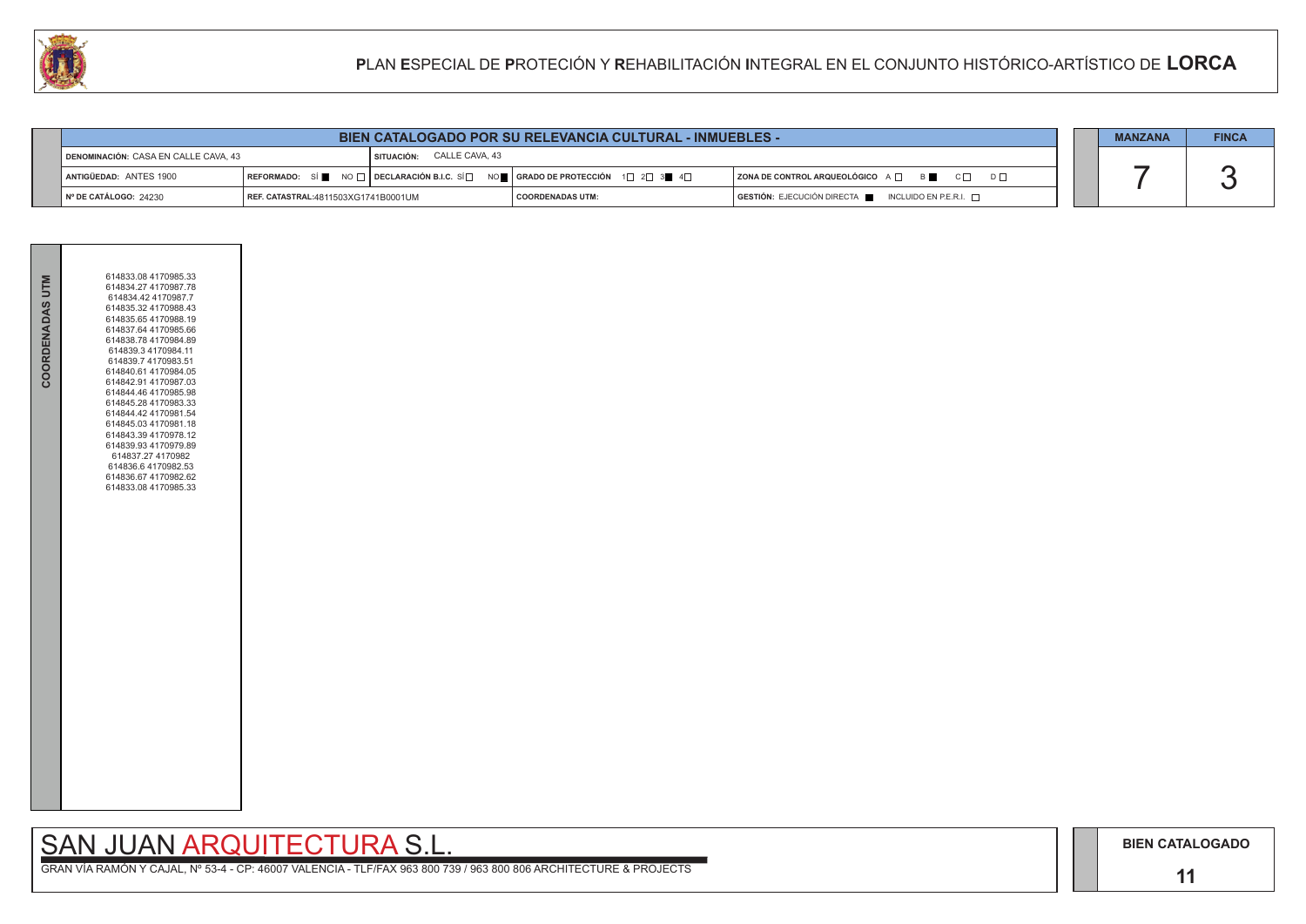### **11**

## SAN JUAN ARQUITECTURA S.L.

|                                                                     | <b>BIEN CATALOGADO POR SU RELEVANCIA CULTURAL - INMUEBLES -</b> |  |                                                                                                                       |                                                          |  | <b>MANZANA</b> | <b>FINCA</b> |
|---------------------------------------------------------------------|-----------------------------------------------------------------|--|-----------------------------------------------------------------------------------------------------------------------|----------------------------------------------------------|--|----------------|--------------|
| I SITUACIÓN: CALLE CAVA, 43<br>DENOMINACIÓN: CASA EN CALLE CAVA, 43 |                                                                 |  |                                                                                                                       |                                                          |  |                |              |
| ANTIGÜEDAD: ANTES 1900                                              | REFORMADO: SÍ                                                   |  | $\Box$ NO $\Box$ DECLARACIÓN B.I.C. SÍ $\Box$ NO $\Box$ GRADO DE PROTECCIÓN $\Box$ 2 $\Box$ 3 $\blacksquare$ 4 $\Box$ | ZONA DE CONTROL ARQUEOLÓGICO A □ B C □ D □               |  |                |              |
| Nº DE CATÁLOGO: 24230                                               | <b>REF. CATASTRAL:</b> 4811503XG1741B0001UM                     |  | <b>COORDENADAS UTM:</b>                                                                                               | $GESTIÓN: EJECUCIÓN DIRECTA$ INCLUIDO EN P.E.R.I. $\Box$ |  |                |              |



| COORDENADAS UTM | 614833.08 4170985.33<br>614834 27 4170987 78<br>614834.42 4170987.7<br>614835.32 4170988.43<br>614835.654170988.19<br>614837.64 4170985.66<br>614838.78 4170984.89<br>614839.34170984.11<br>614839.7 4170983.51<br>614840.61 4170984.05<br>614842.91 4170987.03<br>614844.46 4170985.98<br>614845.28 4170983.33<br>614844.42 4170981.54 |  |
|-----------------|-----------------------------------------------------------------------------------------------------------------------------------------------------------------------------------------------------------------------------------------------------------------------------------------------------------------------------------------|--|
|                 | 614845.03 4170981.18<br>614843.39 4170978.12<br>614839.93 4170979.89<br>614837.27 4170982<br>614836.64170982.53<br>614836.67 4170982.62<br>614833.08 4170985.33                                                                                                                                                                         |  |
|                 |                                                                                                                                                                                                                                                                                                                                         |  |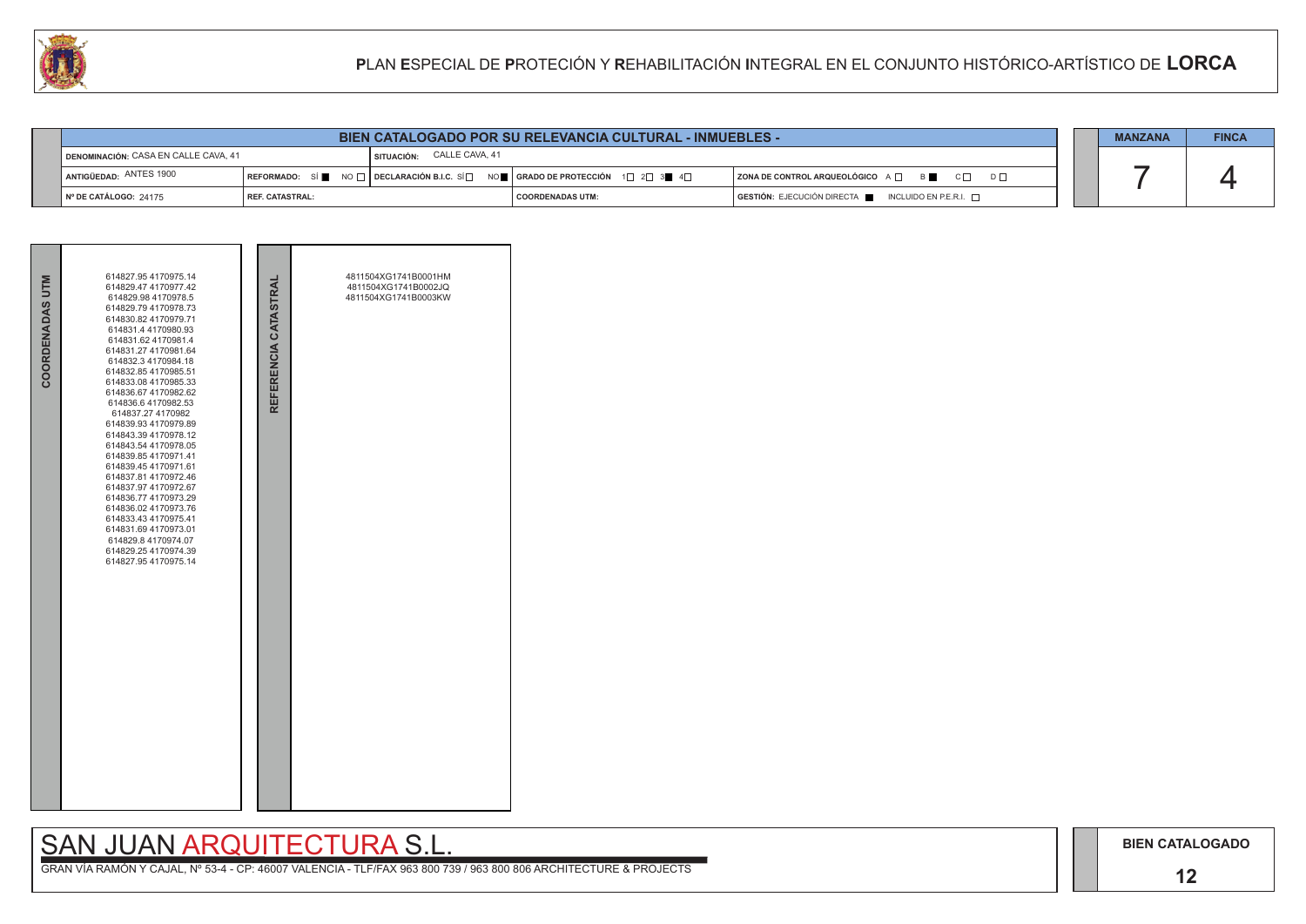## SAN JUAN ARQUITECTURA S.L.



| <b>CALL</b>                                 |                 |                           |                                                                                                                                                                          | PLAN ESPECIAL DE PROTECIÓN Y REHABILITACIÓN INTEGRAL EN EL CONJUNTO HISTÓRICO-ARTÍSTICO DE LORCA |                |              |
|---------------------------------------------|-----------------|---------------------------|--------------------------------------------------------------------------------------------------------------------------------------------------------------------------|--------------------------------------------------------------------------------------------------|----------------|--------------|
|                                             |                 |                           |                                                                                                                                                                          |                                                                                                  |                |              |
|                                             |                 |                           | <b>BIEN CATALOGADO POR SU RELEVANCIA CULTURAL - INMUEBLES -</b>                                                                                                          |                                                                                                  | <b>MANZANA</b> | <b>FINCA</b> |
| <b>DENOMINACIÓN: CASA EN CALLE CAVA, 41</b> |                 | SITUACIÓN: CALLE CAVA, 41 |                                                                                                                                                                          |                                                                                                  |                |              |
| ANTIGÜEDAD: ANTES 1900                      |                 |                           | $\mid$ REFORMADO: $\mid$ SÍ $\parallel$ NO $\Box$ $\mid$ DECLARACIÓN B.I.C. SÍ $\Box$ NO $\parallel$ GRADO DE PROTECCIÓN $\mid$ 1 $\Box$ 2 $\Box$ 3 $\parallel$ 4 $\Box$ | $ $ ZONA DE CONTROL ARQUEOLÓGICO $A \Box$ B $\Box$ C $\Box$ D $\Box$                             |                |              |
| Nº DE CATÁLOGO: 24175                       | REF. CATASTRAL: |                           | <b>COORDENADAS UTM:</b>                                                                                                                                                  | $GESTIÓN: EJECUCIÓN DIRECTA \blacksquare INCLUIDO EN P.E.R.I. \square$                           |                |              |

| COORDENADAS UTM | 614827.95 4170975.14<br>614829.47 4170977.42<br>614829.98 4170978.5<br>614829.79 4170978.73<br>614830.82 4170979.71<br>614831.4 4170980.93<br>614831.62 4170981.4<br>614831.27 4170981.64<br>614832.3 4170984.18<br>614832.85 4170985.51<br>614833.08 4170985.33<br>614836.67 4170982.62<br>614836.6 4170982.53<br>614837.27 4170982<br>614839.93 4170979.89<br>614843.39 4170978.12<br>614843.54 4170978.05<br>614839.854170971.41<br>614839.45 4170971.61<br>614837.81 4170972.46<br>614837.97 4170972.67<br>614836.77 4170973.29<br>614836.02 4170973.76<br>614833.43 4170975.41<br>614831.69 4170973.01<br>614829.8 4170974.07<br>614829.25 4170974.39<br>614827.95 4170975.14 | REFERENCIA CATASTRAL | 4811504XG1741B0001HM<br>4811504XG1741B0002JQ<br>4811504XG1741B0003KW |  |
|-----------------|------------------------------------------------------------------------------------------------------------------------------------------------------------------------------------------------------------------------------------------------------------------------------------------------------------------------------------------------------------------------------------------------------------------------------------------------------------------------------------------------------------------------------------------------------------------------------------------------------------------------------------------------------------------------------------|----------------------|----------------------------------------------------------------------|--|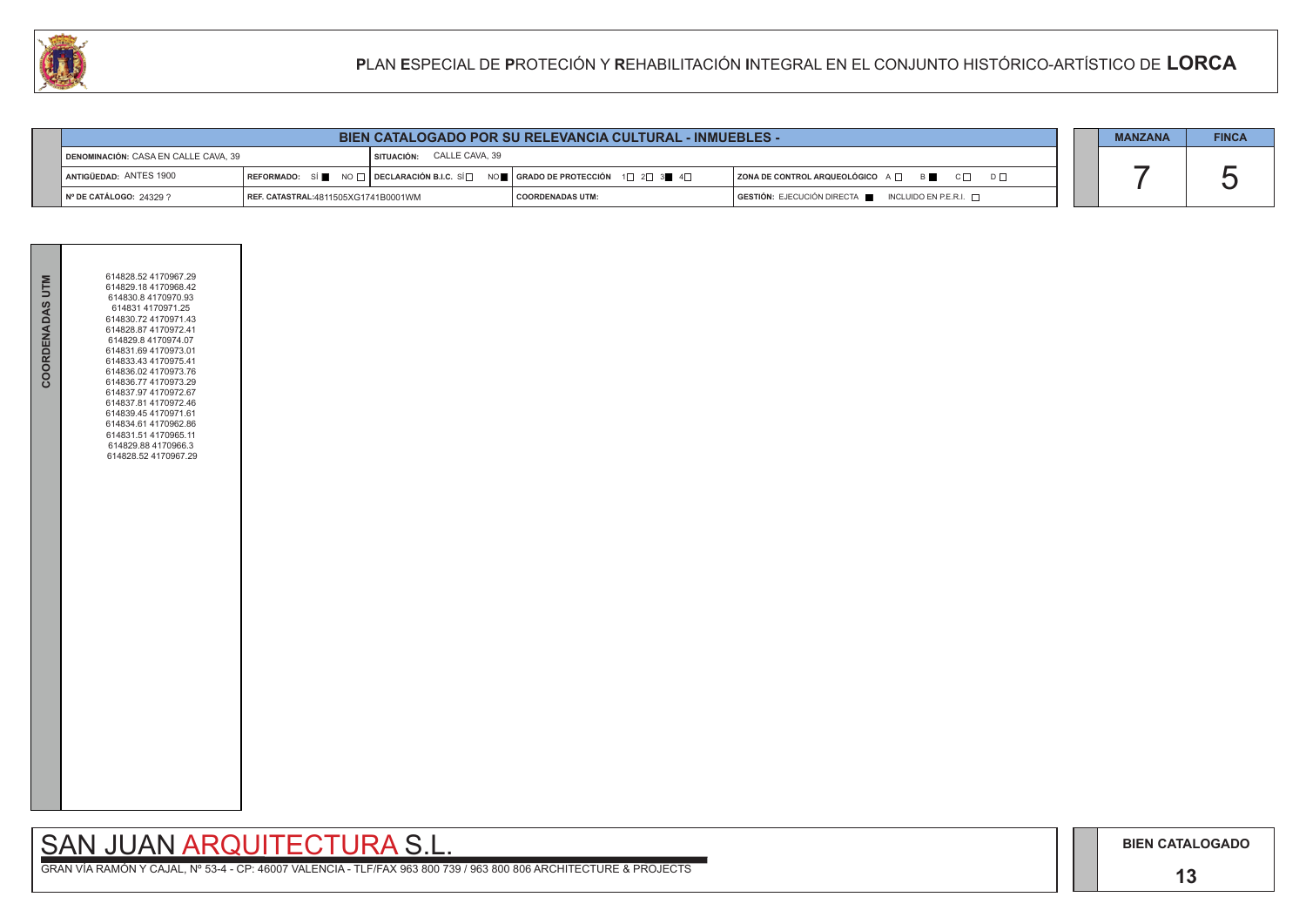# SAN JUAN ARQUITECTURA S.L.

|                                                                                                                                                                                          | <b>BIEN CATALOGADO POR SU RELEVANCIA CULTURAL - INMUEBLES -</b> |                         |                                                                                      |  | <b>MANZANA</b> | <b>FINCA</b> |
|------------------------------------------------------------------------------------------------------------------------------------------------------------------------------------------|-----------------------------------------------------------------|-------------------------|--------------------------------------------------------------------------------------|--|----------------|--------------|
| <b>I SITUACIÓN: CALLE CAVA, 39</b><br>DENOMINACIÓN: CASA EN CALLE CAVA, 39                                                                                                               |                                                                 |                         |                                                                                      |  |                |              |
| $\lceil$ REFORMADO: SÍ $\blacksquare$ NO $\Box$ DECLARACIÓN B.I.C. SÍ $\Box$ NO $\blacksquare$ GRADO DE PROTECCIÓN 1 $\Box$ 2 $\Box$ 3 $\blacksquare$ 4 $\Box$<br>ANTIGÜEDAD: ANTES 1900 |                                                                 |                         | $ $ ZONA DE CONTROL ARQUEOLÓGICO $A \Box$ B $ \Box$ C $ \Box$ D $ \Box$              |  |                |              |
| Nº DE CATÁLOGO: 24329 ?<br>  REF. CATASTRAL:4811505XG1741B0001WM                                                                                                                         |                                                                 | <b>COORDENADAS UTM:</b> | $\overline{)}$ GESTIÓN: EJECUCIÓN DIRECTA $\overline{)}$ INCLUIDO EN P.E.R.I. $\Box$ |  |                |              |



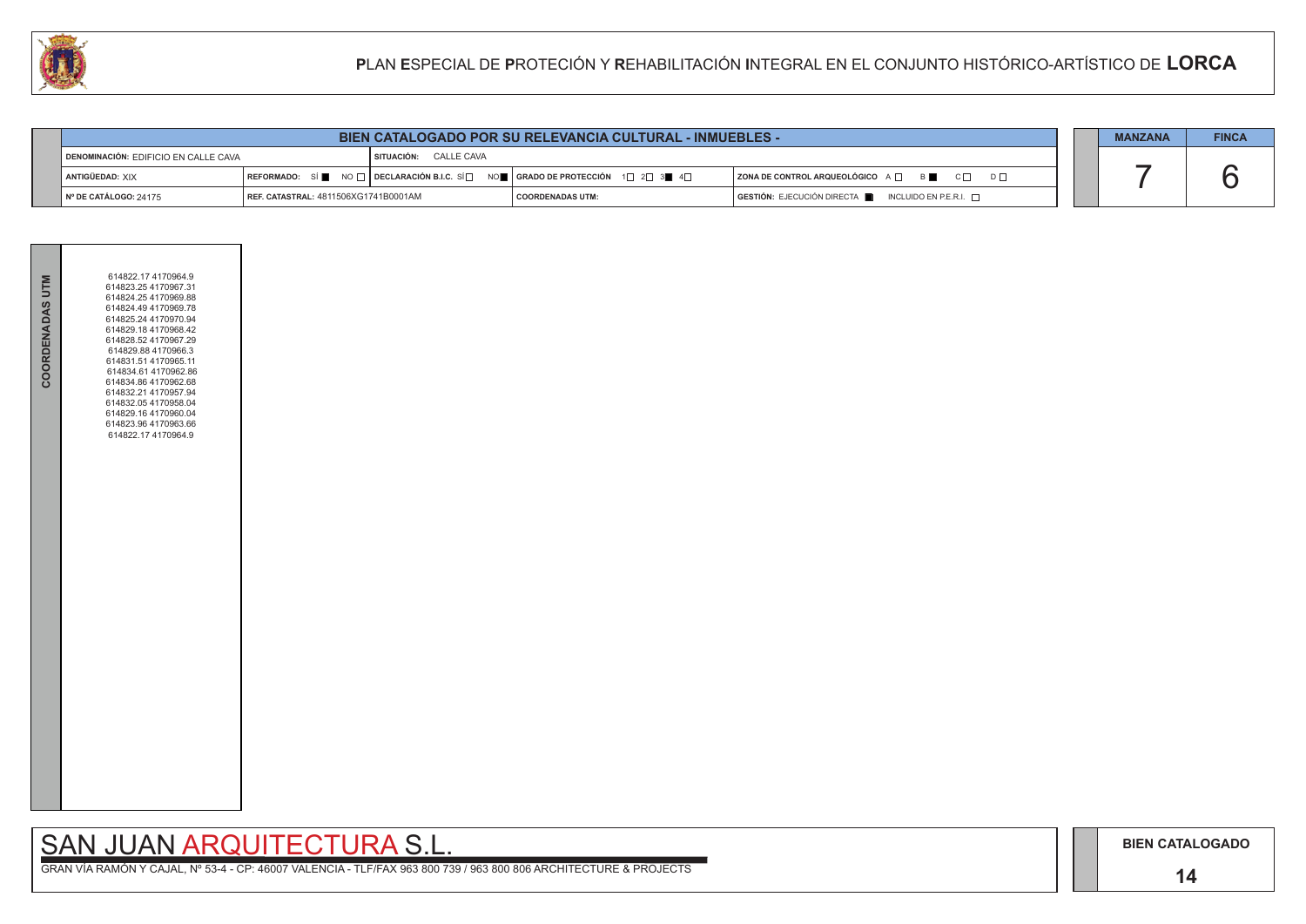### **14**

## SAN JUAN ARQUITECTURA S.L.

| <b>COORDENADAS UTM</b> | 614822.17 4170964.9<br>614823.25 4170967.31<br>614824.25 4170969.88<br>614824.49 4170969.78<br>614825.24 4170970.94<br>614829.18 4170968.42<br>614828.52 4170967.29<br>614829.88 4170966.3<br>614831.51 4170965.11<br>614834.61 4170962.86<br>614834.86 4170962.68<br>614832.21 4170957.94<br>614832.05 4170958.04<br>614829.16 4170960.04<br>614823.96 4170963.66<br>614822.17 4170964.9 |  |
|------------------------|-------------------------------------------------------------------------------------------------------------------------------------------------------------------------------------------------------------------------------------------------------------------------------------------------------------------------------------------------------------------------------------------|--|
|                        |                                                                                                                                                                                                                                                                                                                                                                                           |  |

| <b>BIEN CATALOGADO POR SU RELEVANCIA CULTURAL - INMUEBLES -</b> |                                             |                       |                                                                                                       | <b>MANZANA</b>                                            | <b>FINCA</b> |  |
|-----------------------------------------------------------------|---------------------------------------------|-----------------------|-------------------------------------------------------------------------------------------------------|-----------------------------------------------------------|--------------|--|
| DENOMINACIÓN: EDIFICIO EN CALLE CAVA                            |                                             | SITUACIÓN: CALLE CAVA |                                                                                                       |                                                           |              |  |
| ANTIGÜEDAD: XIX                                                 |                                             |                       | REFORMADO: SÍ NO $\Box$ DECLARACIÓN B.I.C. SÍ NO REGRADO DE PROTECCIÓN 1 $\Box$ 2 $\Box$ 3 4 4 $\Box$ | ZONA DE CONTROL ARQUEOLÓGICO A □ B ■ C □ D □              |              |  |
| Nº DE CATÁLOGO: 24175                                           | <b>REF. CATASTRAL: 4811506XG1741B0001AM</b> |                       | I COORDENADAS UTM:                                                                                    | GESTIÓN: EJECUCIÓN DIRECTA<br>INCLUIDO EN P.E.R.I. $\Box$ |              |  |

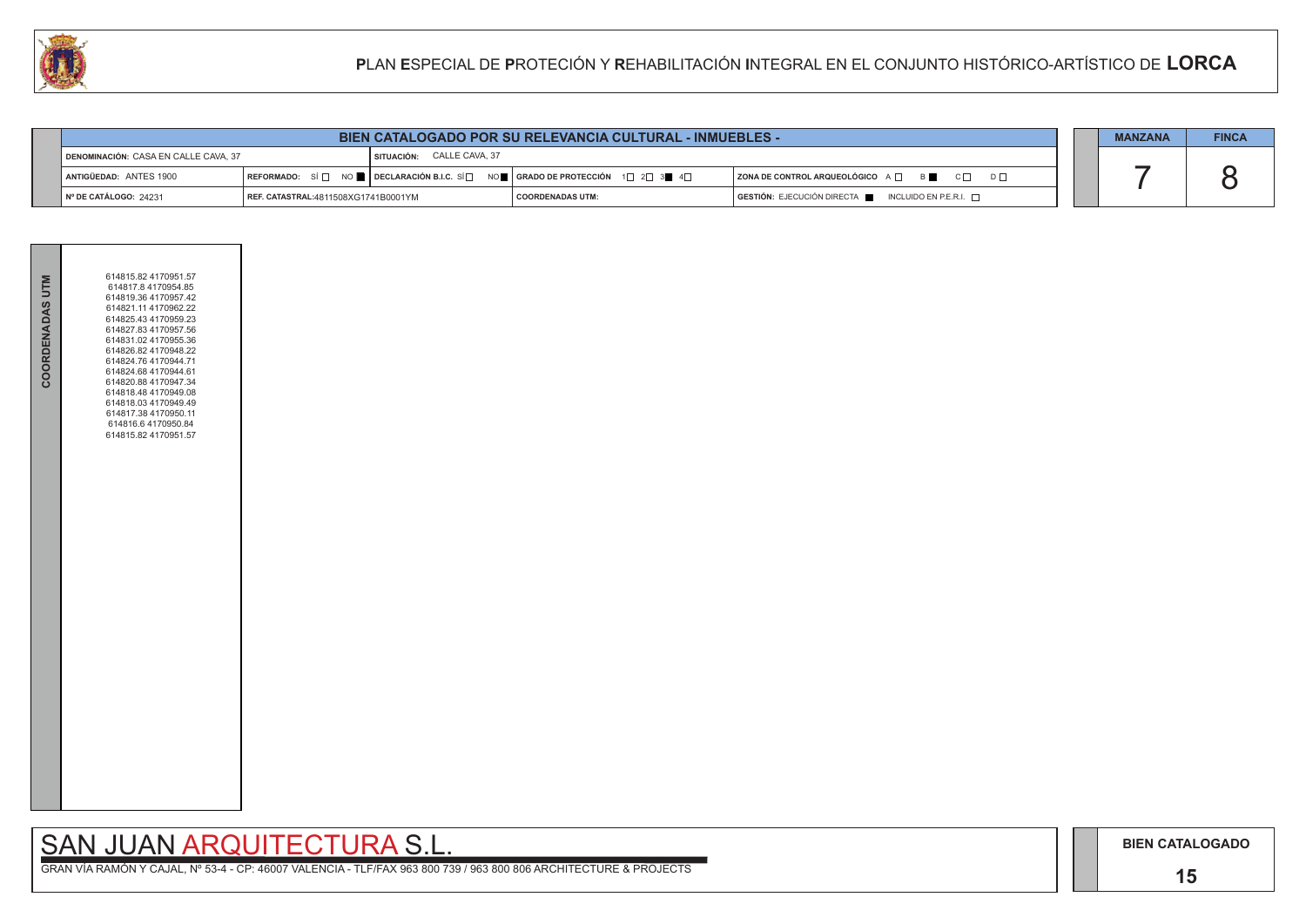### **15**

# SAN JUAN ARQUITECTURA S.L.

|                                                                          | <b>BIEN CATALOGADO POR SU RELEVANCIA CULTURAL - INMUEBLES -</b> |  |                                                                                                                                                       |                                                                                      |  | <b>MANZANA</b> | <b>FINCA</b> |
|--------------------------------------------------------------------------|-----------------------------------------------------------------|--|-------------------------------------------------------------------------------------------------------------------------------------------------------|--------------------------------------------------------------------------------------|--|----------------|--------------|
| <b>SITUACIÓN: CALLE CAVA, 37</b><br>DENOMINACIÓN: CASA EN CALLE CAVA, 37 |                                                                 |  |                                                                                                                                                       |                                                                                      |  |                |              |
| <b>  ANTIGÜEDAD: ANTES 1900</b>                                          |                                                                 |  | REFORMADO: SÍ $\square$ NO $\square$ DECLARACIÓN B.I.C. SÍ $\square$ NO $\square$ GRADO DE PROTECCIÓN 1 $\square$ 2 $\square$ 3 $\square$ 4 $\square$ | $ $ ZONA DE CONTROL ARQUEOLÓGICO $A \Box$ B $\Box$ C $\Box$ D $\Box$                 |  |                |              |
| ∥ № DE CATÁLOGO: 24231                                                   | REF. CATASTRAL:4811508XG1741B0001YM                             |  | <b>COORDENADAS UTM:</b>                                                                                                                               | $\overline{)}$ GESTIÓN: EJECUCIÓN DIRECTA $\overline{)}$ INCLUIDO EN P.E.R.I. $\Box$ |  |                |              |



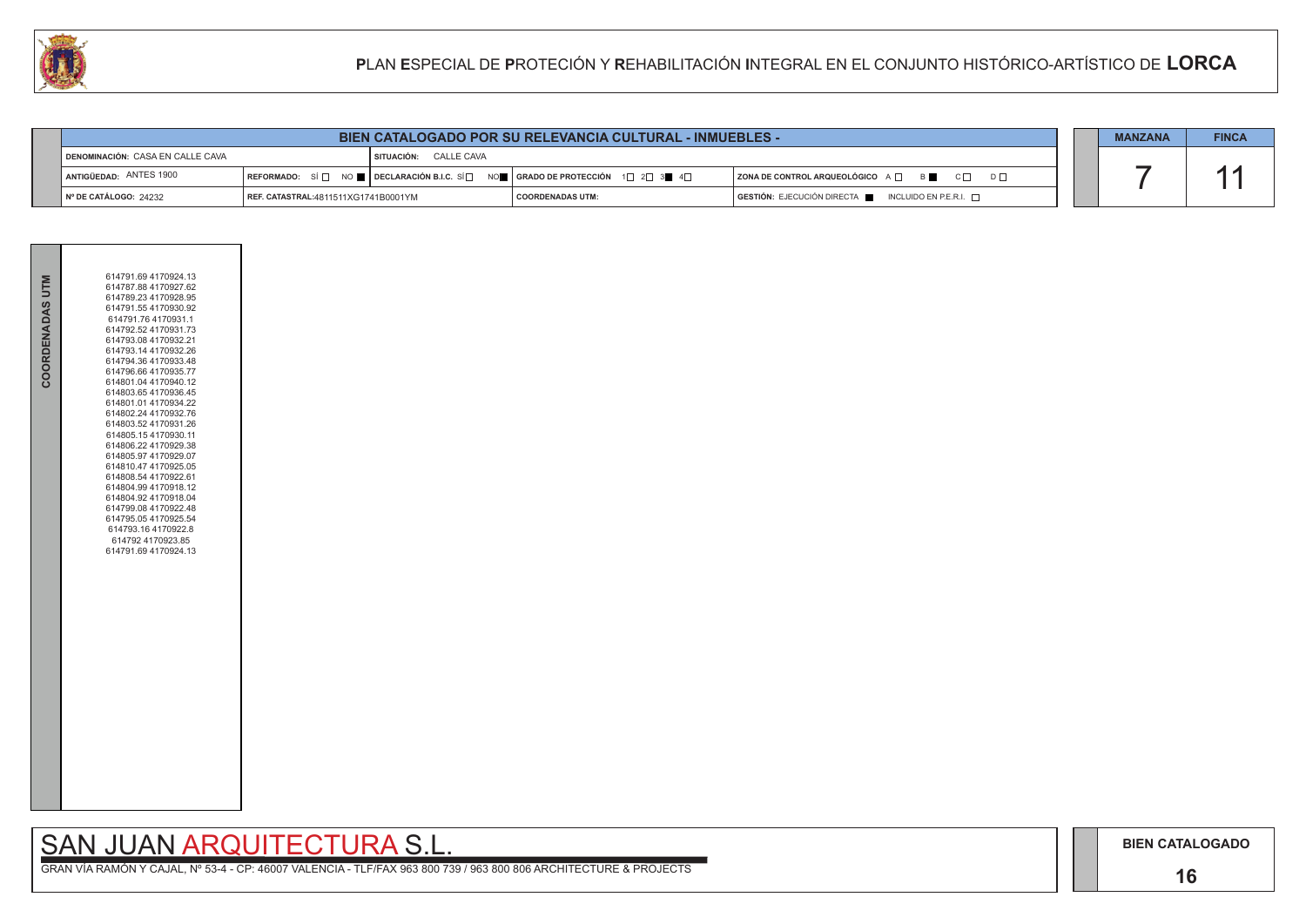### **16**

## SAN JUAN ARQUITECTURA S.L.



| W<br>PLAN ESPECIAL DE PROTECIÓN Y REHABILITACIÓN INTEGRAL EN EL CONJUNTO HISTÓRICO-ARTÍSTICO DE LORCA |                                         |                                     |                       |                                                                                                                                                                |                                                                        |  |                |              |
|-------------------------------------------------------------------------------------------------------|-----------------------------------------|-------------------------------------|-----------------------|----------------------------------------------------------------------------------------------------------------------------------------------------------------|------------------------------------------------------------------------|--|----------------|--------------|
|                                                                                                       |                                         |                                     |                       |                                                                                                                                                                |                                                                        |  |                |              |
|                                                                                                       |                                         |                                     |                       | <b>BIEN CATALOGADO POR SU RELEVANCIA CULTURAL - INMUEBLES -</b>                                                                                                |                                                                        |  | <b>MANZANA</b> | <b>FINCA</b> |
|                                                                                                       | <b>DENOMINACIÓN: CASA EN CALLE CAVA</b> |                                     | SITUACIÓN: CALLE CAVA |                                                                                                                                                                |                                                                        |  |                |              |
|                                                                                                       | ANTIGÜEDAD: ANTES 1900                  |                                     |                       | $\lceil$ REFORMADO: SÍ $\Box$ NO $\blacksquare$ DECLARACIÓN B.I.C. SÍ $\Box$ NO $\blacksquare$ GRADO DE PROTECCIÓN 1 $\Box$ 2 $\Box$ 3 $\blacksquare$ 4 $\Box$ | ZONA DE CONTROL ARQUEOLÓGICO A □ B ■ C □ D □                           |  |                |              |
|                                                                                                       | Nº DE CATÁLOGO: 24232                   | REF. CATASTRAL:4811511XG1741B0001YM |                       | <b>COORDENADAS UTM:</b>                                                                                                                                        | $GESTIÓN: EJECUCIÓN DIRECTA \blacksquare INCLUIDO EN P.E.R.I. \square$ |  |                |              |

| COORDENADAS UTM | 614791.69 4170924.13<br>614787.88 4170927.62<br>614789.23 4170928.95<br>614791.55 4170930.92<br>614791.76 4170931.1<br>614792.52 4170931.73<br>614793.08 4170932.21<br>614793.14 4170932.26<br>614794.36 4170933.48<br>614796.66 4170935.77<br>614801.04 4170940.12<br>614803.654170936.45<br>614801.01 4170934.22<br>614802.24 4170932.76<br>614803.52 4170931.26<br>614805.15 4170930.11<br>614806.22 4170929.38<br>614805.97 4170929.07<br>614810.47 4170925.05<br>614808.54 4170922.61<br>614804.99 4170918.12<br>614804.92 4170918.04<br>614799.08 4170922.48<br>614795.05 4170925.54<br>614793.16 4170922.8<br>614792 4170923.85<br>614791.69 4170924.13 |
|-----------------|----------------------------------------------------------------------------------------------------------------------------------------------------------------------------------------------------------------------------------------------------------------------------------------------------------------------------------------------------------------------------------------------------------------------------------------------------------------------------------------------------------------------------------------------------------------------------------------------------------------------------------------------------------------|
|                 |                                                                                                                                                                                                                                                                                                                                                                                                                                                                                                                                                                                                                                                                |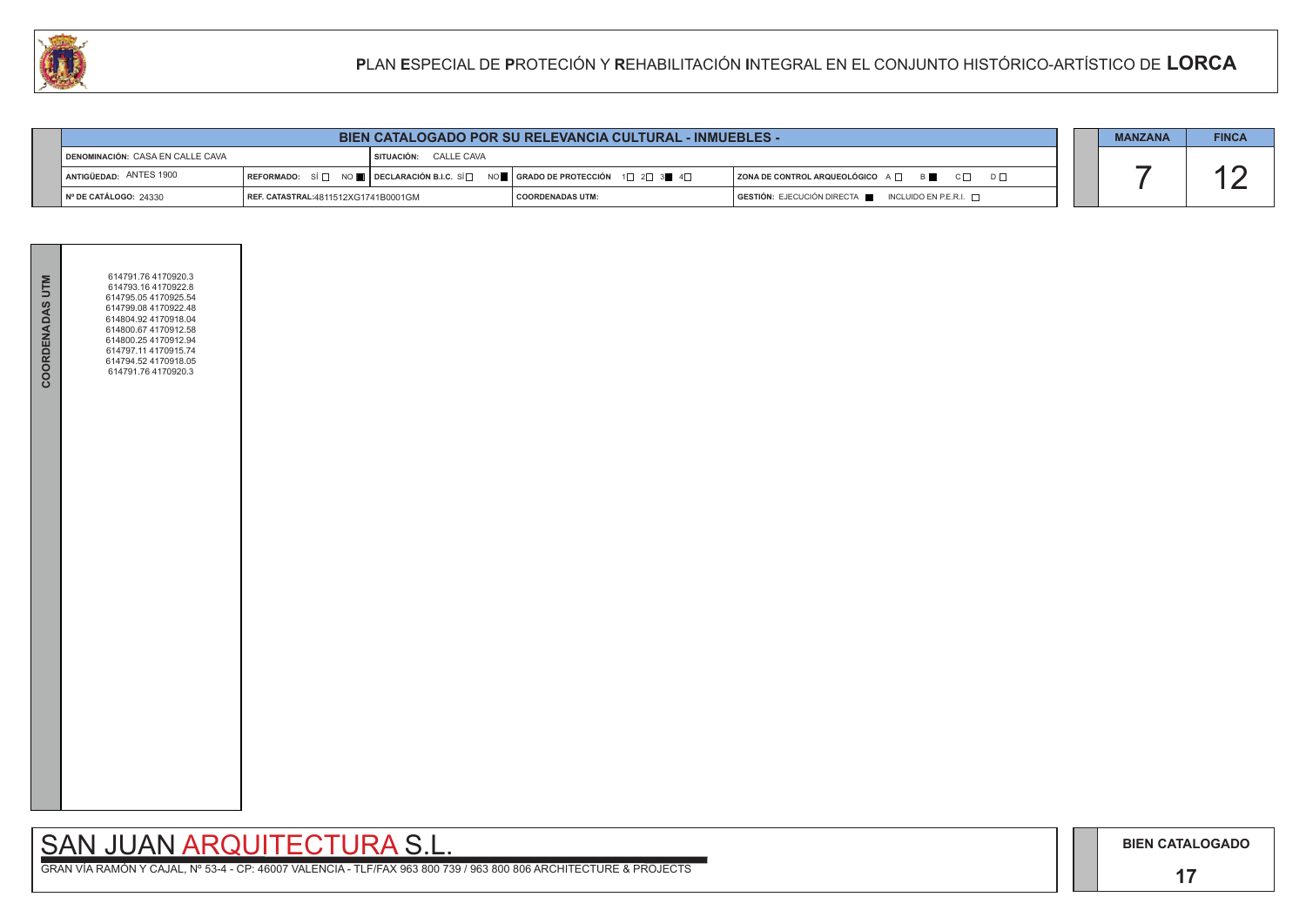## SAN JUAN ARQUITECTURA S.L.

|                                                                                                                                                                                 | <b>BIEN CATALOGADO POR SU RELEVANCIA CULTURAL - INMUEBLES -</b> |  |                    |                                                                      | <b>MANZANA</b>                                                                       | <b>FINCA</b> |  |
|---------------------------------------------------------------------------------------------------------------------------------------------------------------------------------|-----------------------------------------------------------------|--|--------------------|----------------------------------------------------------------------|--------------------------------------------------------------------------------------|--------------|--|
| <b>DENOMINACIÓN: CASA EN CALLE CAVA</b><br><b>SITUACIÓN: CALLE CAVA</b>                                                                                                         |                                                                 |  |                    |                                                                      |                                                                                      |              |  |
| ANTIGÜEDAD: ANTES 1900<br>REFORMADO: SÍ $\Box$ NO $\blacksquare$ DECLARACIÓN B.I.C. SÍ $\Box$ NO $\blacksquare$ GRADO DE PROTECCIÓN 1 $\Box$ 2 $\Box$ 3 $\blacksquare$ 4 $\Box$ |                                                                 |  |                    | $ $ ZONA DE CONTROL ARQUEOLÓGICO A $\Box$ B $\Box$ C $\Box$ D $\Box$ |                                                                                      |              |  |
| ∥N° DE CATÁLOGO: 24330                                                                                                                                                          | <b>REF. CATASTRAL:</b> 4811512XG1741B0001GM                     |  | I COORDENADAS UTM: |                                                                      | $\overline{)}$ GESTIÓN: EJECUCIÓN DIRECTA $\overline{)}$ INCLUIDO EN P.E.R.I. $\Box$ |              |  |



| <b>COORDENADAS UTM</b> | 614791.76 4170920.3<br>614793.16 4170922.8<br>614795.05 4170925.54<br>614799.08 4170922.48<br>614804.92 4170918.04<br>614800.67 4170912.58<br>614800.25 4170912.94<br>614797.11 4170915.74<br>614794.52 4170918.05<br>614791.76 4170920.3 |  |
|------------------------|-------------------------------------------------------------------------------------------------------------------------------------------------------------------------------------------------------------------------------------------|--|
|                        |                                                                                                                                                                                                                                           |  |
|                        |                                                                                                                                                                                                                                           |  |
|                        |                                                                                                                                                                                                                                           |  |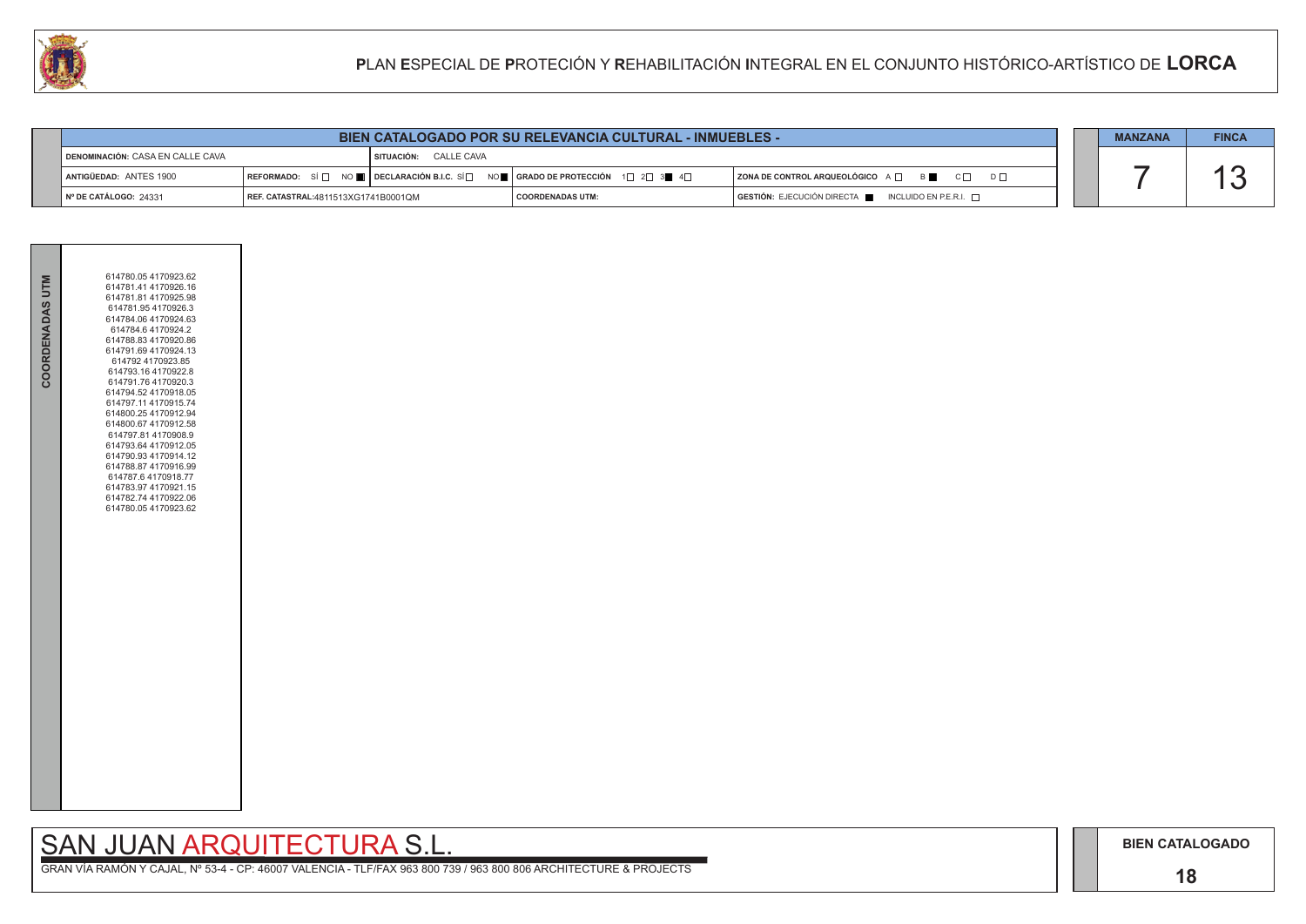### **18**

## SAN JUAN ARQUITECTURA S.L.

|                                         | <b>BIEN CATALOGADO POR SU RELEVANCIA CULTURAL - INMUEBLES -</b><br><b>MANZANA</b> |                                     |                                                                                                                                                                      |                                                          |  |  | <b>FINCA</b> |
|-----------------------------------------|-----------------------------------------------------------------------------------|-------------------------------------|----------------------------------------------------------------------------------------------------------------------------------------------------------------------|----------------------------------------------------------|--|--|--------------|
| <b>DENOMINACIÓN: CASA EN CALLE CAVA</b> |                                                                                   | <b>I SITUACIÓN:      CALLE CAVA</b> |                                                                                                                                                                      |                                                          |  |  |              |
| <b>I ANTIGÜEDAD: ANTES 1900</b>         |                                                                                   |                                     | REFORMADO: SÍ $\square$ NO $\blacksquare$ DECLARACIÓN B.I.C. SÍ $\square$ NO $\blacksquare$ GRADO DE PROTECCIÓN 1 $\square$ 2 $\square$ 3 $\blacksquare$ 4 $\square$ | ZONA DE CONTROL ARQUEOLÓGICO A □ B C O D D O             |  |  |              |
| $\parallel$ N° DE CATÁLOGO: 24331       | REF. CATASTRAL:4811513XG1741B0001QM                                               |                                     | <b>COORDENADAS UTM:</b>                                                                                                                                              | $GESTIÓN: EJECUCIÓN DIRECTA$ INCLUIDO EN P.E.R.I. $\Box$ |  |  |              |



| COORDENADAS UTM | 614780.054170923.62<br>614781.41 4170926.16<br>614781.81 4170925.98<br>614781.95 4170926.3<br>614784.06 4170924.63<br>614784.6 4170924.2<br>614788.83 4170920.86<br>614791.69 4170924.13<br>614792 4170923.85<br>614793.16 4170922.8<br>614791.76 4170920.3<br>614794.52 4170918.05<br>614797.11 4170915.74<br>614800.25 4170912.94<br>614800.67 4170912.58<br>614797.81 4170908.9<br>614793.64 4170912.05<br>614790.93 4170914.12<br>614788.87 4170916.99<br>614787.6 4170918.77<br>614783.97 4170921.15<br>614782.74 4170922.06<br>614780.054170923.62 |  |
|-----------------|----------------------------------------------------------------------------------------------------------------------------------------------------------------------------------------------------------------------------------------------------------------------------------------------------------------------------------------------------------------------------------------------------------------------------------------------------------------------------------------------------------------------------------------------------------|--|
|                 |                                                                                                                                                                                                                                                                                                                                                                                                                                                                                                                                                          |  |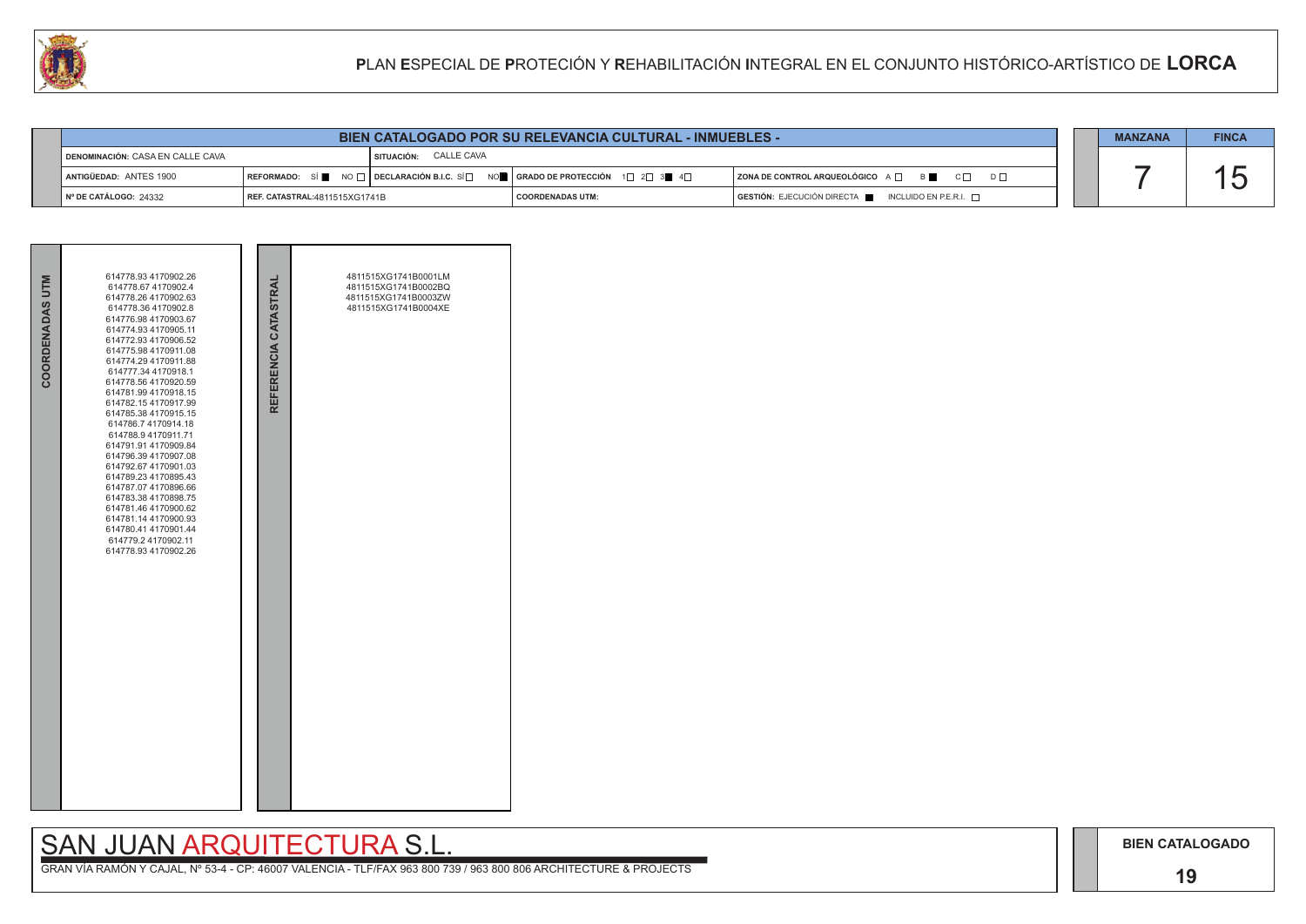### **19**

## SAN JUAN ARQUITECTURA S.L.

|                                         |                               |                       | BIEN CATALOGADO POR SU RELEVANCIA CULTURAL - INMUEBLES -                                                                                                              |                                                    | <b>MANZANA</b> | <b>FINCA</b> |
|-----------------------------------------|-------------------------------|-----------------------|-----------------------------------------------------------------------------------------------------------------------------------------------------------------------|----------------------------------------------------|----------------|--------------|
| <b>DENOMINACIÓN: CASA EN CALLE CAVA</b> |                               | SITUACIÓN: CALLE CAVA |                                                                                                                                                                       |                                                    |                |              |
| ANTIGÜEDAD: ANTES 1900                  |                               |                       | REFORMADO: SÍ $\blacksquare$ NO $\square$ DECLARACIÓN B.I.C. SÍ $\square$ NO $\blacksquare$ SERADO DE PROTECCIÓN 1 $\square$ 2 $\square$ 3 $\blacksquare$ 4 $\square$ | ZONA DE CONTROL ARQUEOLÓGICO A □ B B C □ D □       |                |              |
| I Nº DE CATÁLOGO: 24332                 | REF. CATASTRAL:4811515XG1741B |                       | I COORDENADAS UTM:                                                                                                                                                    | GESTIÓN: EJECUCIÓN DIRECTA NE INCLUIDO EN P.E.R.I. |                |              |



| COORDENADAS UTM | 614778.93 4170902.26<br>614778.67 4170902.4<br>614778.26 4170902.63<br>614778.364170902.8<br>614776.98 4170903.67<br>614774.93 4170905.11<br>614772.93 4170906.52<br>614775.98 4170911.08<br>614774.29 4170911.88<br>614777.34 4170918.1<br>614778.56 4170920.59<br>614781.99 4170918.15<br>614782.154170917.99<br>614785.38 4170915.15<br>614786.7 4170914.18<br>614788.9 4170911.71<br>614791.91 4170909.84<br>614796.39 4170907.08<br>614792.67 4170901.03<br>614789.23 4170895.43<br>614787.07 4170896.66<br>614783.38 4170898.75<br>614781.46 4170900.62<br>614781.14 4170900.93<br>614780.41 4170901.44<br>614779.2 4170902.11<br>614778.93 4170902.26 | REFERENCIA CATASTRAL | 4811515XG1741B0001LM<br>4811515XG1741B0002BQ<br>4811515XG1741B0003ZW<br>4811515XG1741B0004XE |  |
|-----------------|--------------------------------------------------------------------------------------------------------------------------------------------------------------------------------------------------------------------------------------------------------------------------------------------------------------------------------------------------------------------------------------------------------------------------------------------------------------------------------------------------------------------------------------------------------------------------------------------------------------------------------------------------------------|----------------------|----------------------------------------------------------------------------------------------|--|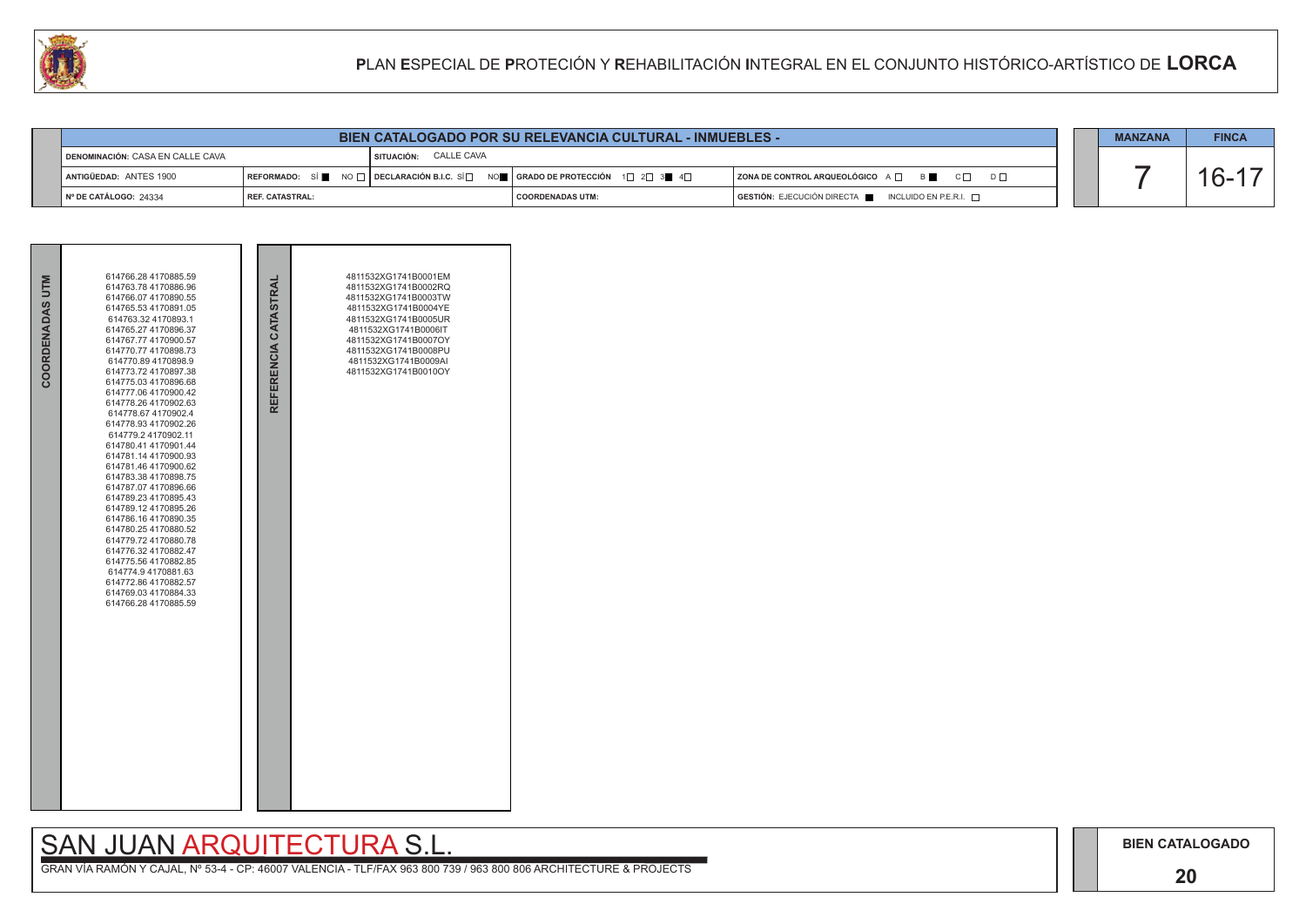### **20**

## SAN JUAN ARQUITECTURA S.L.





| <b>CALL</b> |                                  |                 |                                                                                                                                                                            |                         | PLAN ESPECIAL DE PROTECIÓN Y REHABILITACIÓN INTEGRAL EN EL CONJUNTO HISTÓRICO-ARTÍSTICO DE LORCA |  |                |              |
|-------------|----------------------------------|-----------------|----------------------------------------------------------------------------------------------------------------------------------------------------------------------------|-------------------------|--------------------------------------------------------------------------------------------------|--|----------------|--------------|
|             |                                  |                 |                                                                                                                                                                            |                         |                                                                                                  |  |                |              |
|             |                                  |                 | <b>BIEN CATALOGADO POR SU RELEVANCIA CULTURAL - INMUEBLES -</b>                                                                                                            |                         |                                                                                                  |  | <b>MANZANA</b> | <b>FINCA</b> |
|             | DENOMINACIÓN: CASA EN CALLE CAVA |                 | SITUACIÓN: CALLE CAVA                                                                                                                                                      |                         |                                                                                                  |  |                |              |
|             | <b>ANTIGÜEDAD: ANTES 1900</b>    |                 | $\mid$ REFORMADO: $\mid$ SÍ $\parallel$ NO $\Box$ $\mid$ DECLARACIÓN B.I.C. SÍ $\Box$ NO $\parallel$   GRADO DE PROTECCIÓN $\mid$ 1 $\Box$ 2 $\Box$ 3 $\parallel$ 4 $\Box$ |                         | <b>ZONA DE CONTROL ARQUEOLÓGICO</b> A □ B B C □<br>$D \Box$                                      |  |                | $6 - 1$      |
|             | │ Nº DE CATÁLOGO: 24334          | REF. CATASTRAL: |                                                                                                                                                                            | <b>COORDENADAS UTM:</b> | GESTIÓN: EJECUCIÓN DIRECTA E<br>INCLUIDO EN P.E.R.I. $\Box$                                      |  |                |              |

| COORDENADAS UTM | 614766.28 4170885.59<br>614763.78 4170886.96<br>614766.07 4170890.55<br>614765.53 4170891.05<br>614763.32 4170893.1<br>614765.27 4170896.37<br>614767.77 4170900.57<br>614770.77 4170898.73<br>614770.89 4170898.9<br>614773.72 4170897.38<br>614775.03 4170896.68<br>614777.06 4170900.42<br>614778.26 4170902.63<br>614778.67 4170902.4<br>614778.93 4170902.26<br>614779.2 4170902.11<br>614780.41 4170901.44<br>614781.14 4170900.93<br>614781.46 4170900.62<br>614783.38 4170898.75<br>614787.07 4170896.66<br>614789.23 4170895.43<br>614789.12 4170895.26<br>614786.16 4170890.35<br>614780.25 4170880.52<br>614779.72 4170880.78<br>614776.32 4170882.47<br>614775.56 4170882.85<br>614774.9 4170881.63<br>614772.86 4170882.57<br>614769.03 4170884.33<br>614766.28 4170885.59 | REFERENCIA CATASTRAL | 4811532XG1741B0001EM<br>4811532XG1741B0002RQ<br>4811532XG1741B0003TW<br>4811532XG1741B0004YE<br>4811532XG1741B0005UR<br>4811532XG1741B0006IT<br>4811532XG1741B0007OY<br>4811532XG1741B0008PU<br>4811532XG1741B0009AI<br>4811532XG1741B0010OY |  |
|-----------------|-----------------------------------------------------------------------------------------------------------------------------------------------------------------------------------------------------------------------------------------------------------------------------------------------------------------------------------------------------------------------------------------------------------------------------------------------------------------------------------------------------------------------------------------------------------------------------------------------------------------------------------------------------------------------------------------------------------------------------------------------------------------------------------------|----------------------|----------------------------------------------------------------------------------------------------------------------------------------------------------------------------------------------------------------------------------------------|--|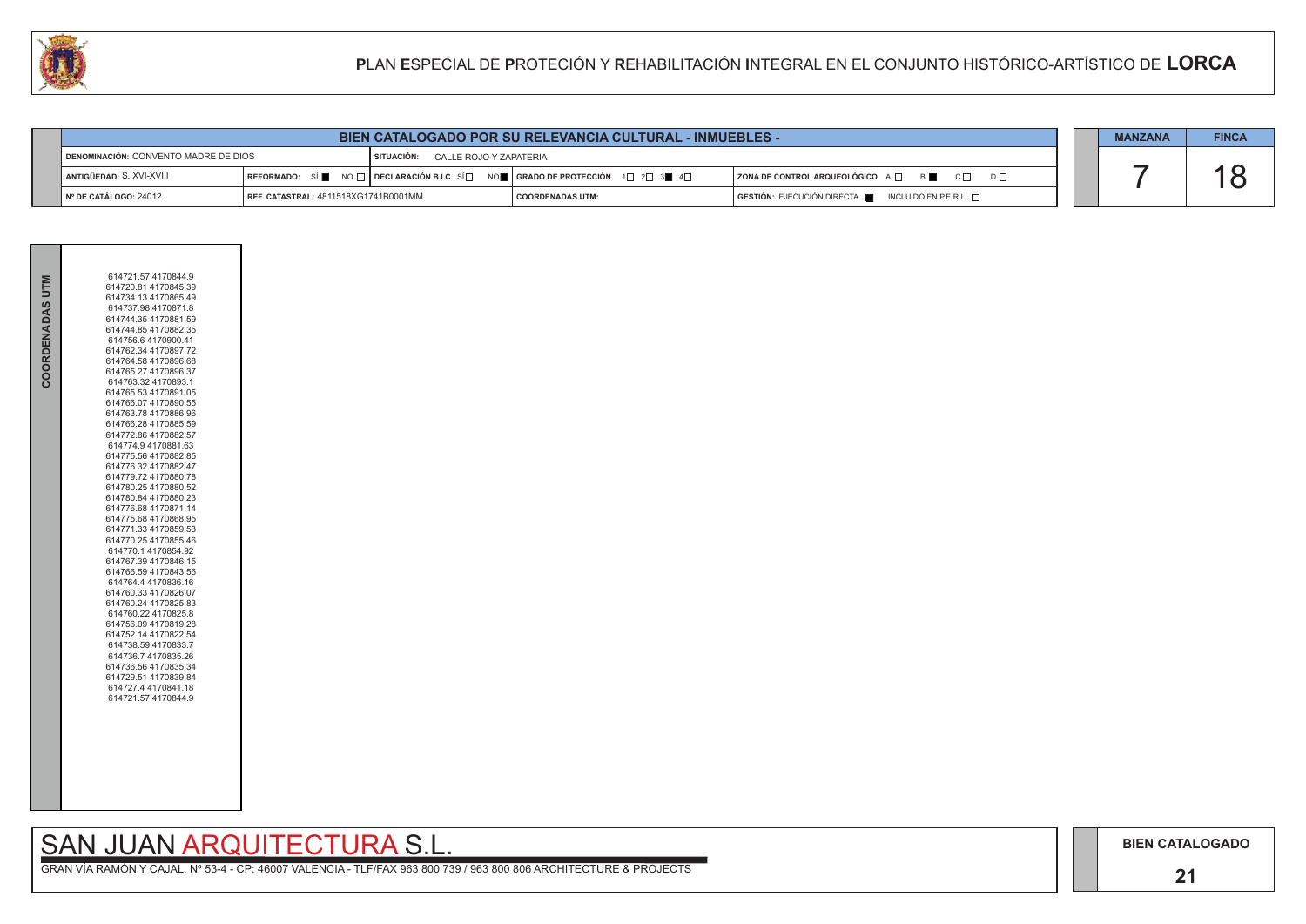### **21**

# SAN JUAN ARQUITECTURA S.L.

GRAN VÍA RAMÓN Y CAJAL, Nº 53-4 - CP: 46007 VALENCIA - TLF/FAX 963 800 739 / 963 800 806 ARCHITECTURE & PROJECTS

| COORDENADAS UTM | 614721.57 4170844.9<br>614720.81 4170845.39<br>614734.13 4170865.49<br>614737.98 4170871.8<br>614744.35 4170881.59<br>614744.85 4170882.35<br>614756.6 4170900.41<br>614762.34 4170897.72<br>614764.58 4170896.68<br>614765.27 4170896.37<br>614763.32 4170893.1<br>614765.53 4170891.05<br>614766.07 4170890.55<br>614763.78 4170886.96<br>614766.28 4170885.59<br>614772.86 4170882.57<br>614774.9 4170881.63<br>614775.56 4170882.85<br>614776.32 4170882.47<br>614779.72 4170880.78<br>614780.25 4170880.52<br>614780.84 4170880.23<br>614776.68 4170871.14<br>614775.68 4170868.95<br>614771.33 4170859.53<br>614770.25 4170855.46<br>614770.1 4170854.92<br>614767.39 4170846.15<br>614766.59 4170843.56<br>614764.4 4170836.16<br>614760.33 4170826.07<br>614760.24 4170825.83<br>614760.22 4170825.8<br>614756.09 4170819.28<br>614752.14 4170822.54<br>614738.59 4170833.7<br>614736.7 4170835.26<br>614736.56 4170835.34<br>614729.51 4170839.84<br>614727.4 4170841.18<br>614721.57 4170844.9 |
|-----------------|----------------------------------------------------------------------------------------------------------------------------------------------------------------------------------------------------------------------------------------------------------------------------------------------------------------------------------------------------------------------------------------------------------------------------------------------------------------------------------------------------------------------------------------------------------------------------------------------------------------------------------------------------------------------------------------------------------------------------------------------------------------------------------------------------------------------------------------------------------------------------------------------------------------------------------------------------------------------------------------------------------|
|                 |                                                                                                                                                                                                                                                                                                                                                                                                                                                                                                                                                                                                                                                                                                                                                                                                                                                                                                                                                                                                          |

| U)                                   |                                      |                                        |                                                                                                                                                                              | PLAN ESPECIAL DE PROTECIÓN Y REHABILITACIÓN INTEGRAL EN EL CONJUNTO HISTÓRICO-ARTÍSTICO DE LORCA |                |              |
|--------------------------------------|--------------------------------------|----------------------------------------|------------------------------------------------------------------------------------------------------------------------------------------------------------------------------|--------------------------------------------------------------------------------------------------|----------------|--------------|
|                                      |                                      |                                        |                                                                                                                                                                              |                                                                                                  |                |              |
|                                      |                                      |                                        | <b>BIEN CATALOGADO POR SU RELEVANCIA CULTURAL - INMUEBLES -</b>                                                                                                              |                                                                                                  | <b>MANZANA</b> | <b>FINCA</b> |
| DENOMINACIÓN: CONVENTO MADRE DE DIOS |                                      | CALLE ROJO Y ZAPATERIA<br>I SITUACIÓN: |                                                                                                                                                                              |                                                                                                  |                |              |
| ANTIGÜEDAD: S. XVI-XVIII             |                                      |                                        | $\mid$ REFORMADO: $\mid$ Si $\parallel$ NO $\sqcap$ $\mid$ DECLARACIÓN B.I.C. Si $\Box$ NO $\parallel$   GRADO DE PROTECCIÓN $\mid$ 1 $\Box$ 2 $\Box$ 3 $\parallel$ 4 $\Box$ | ZONA DE CONTROL ARQUEOLÓGICO A □ B<br>$D \Box$<br>$C \Box$                                       |                |              |
| Nº DE CATÁLOGO: 24012                | REF. CATASTRAL: 4811518XG1741B0001MM |                                        | <b>COORDENADAS UTM:</b>                                                                                                                                                      | GESTIÓN: EJECUCIÓN DIRECTA   INCLUIDO EN P.E.R.I.                                                |                |              |

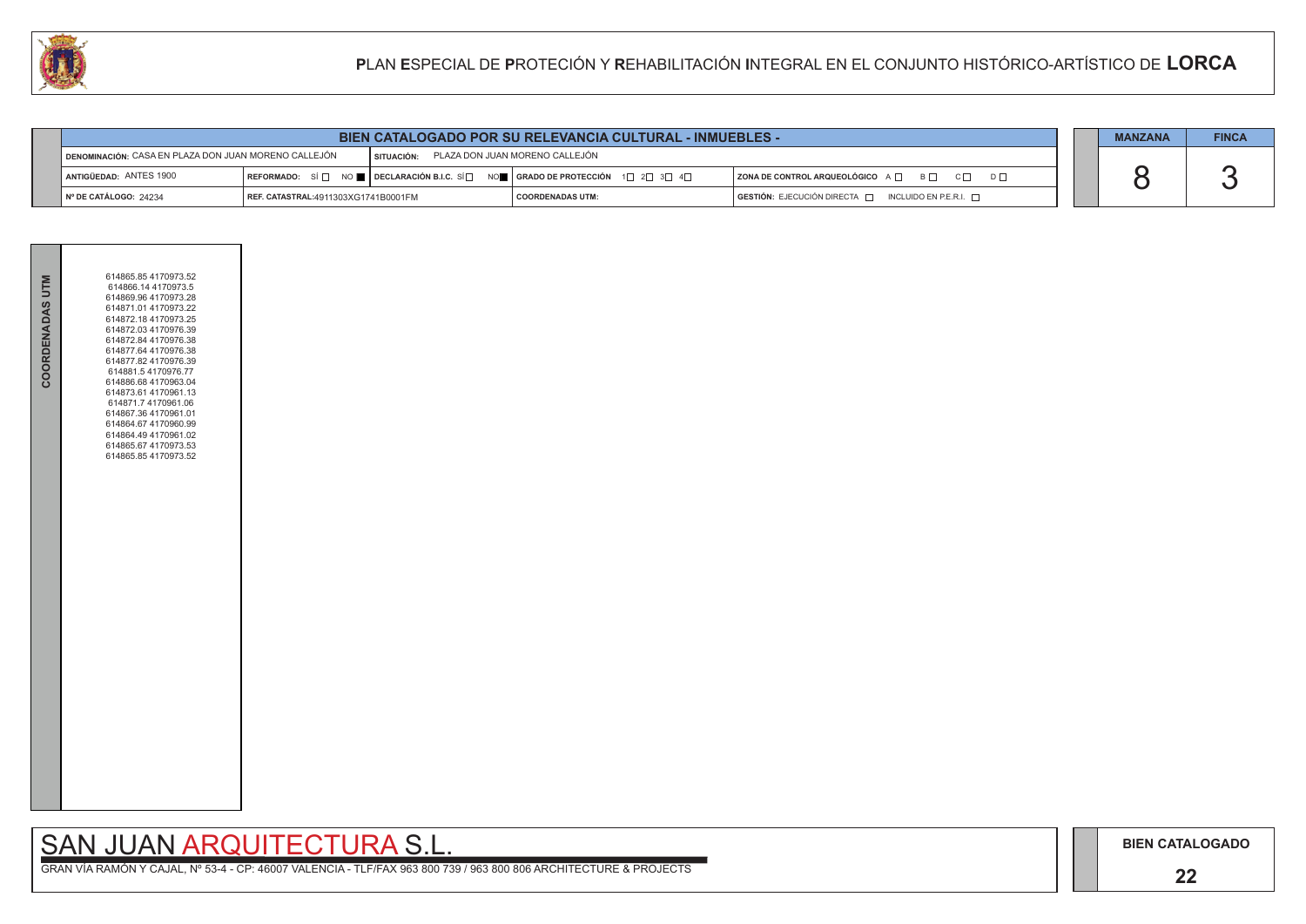### **22**

# SAN JUAN ARQUITECTURA S.L.

|  | <b>MANZANA</b> | <b>FINCA</b> |
|--|----------------|--------------|
|  |                |              |
|  |                |              |
|  |                |              |

|                                                             | <b>BIEN CATALOGADO POR SU RELEVANCIA CULTURAL - INMUEBLES -</b> |                                                                                                                                               |                                |  | <b>MANZANA</b>                                                                                              | <b>FINCA</b> |  |  |
|-------------------------------------------------------------|-----------------------------------------------------------------|-----------------------------------------------------------------------------------------------------------------------------------------------|--------------------------------|--|-------------------------------------------------------------------------------------------------------------|--------------|--|--|
| <b>DENOMINACIÓN: CASA EN PLAZA DON JUAN MORENO CALLEJÓN</b> |                                                                 | SITUACIÓN:                                                                                                                                    | PLAZA DON JUAN MORENO CALLEJÓN |  |                                                                                                             |              |  |  |
| ANTIGÜEDAD: ANTES 1900                                      |                                                                 | REFORMADO: SÍ $\Box$ NO $\blacksquare$ DECLARACIÓN B.I.C. SÍ $\Box$ NO $\blacksquare$ GRADO DE PROTECCIÓN 1 $\Box$ 2 $\Box$ 3 $\Box$ 4 $\Box$ |                                |  | $ $ ZONA DE CONTROL ARQUEOLÓGICO $A \Box$ $B \Box$ $C \Box$                                                 | $D \Box$     |  |  |
| $\vert$ N° DE CATÁLOGO: 24234                               | REF. CATASTRAL:4911303XG1741B0001FM                             |                                                                                                                                               | <b>COORDENADAS UTM:</b>        |  | $\overline{\phantom{a}}$ GESTIÓN: EJECUCIÓN DIRECTA $\overline{\phantom{a}}$<br>INCLUIDO EN P.E.R.I. $\Box$ |              |  |  |



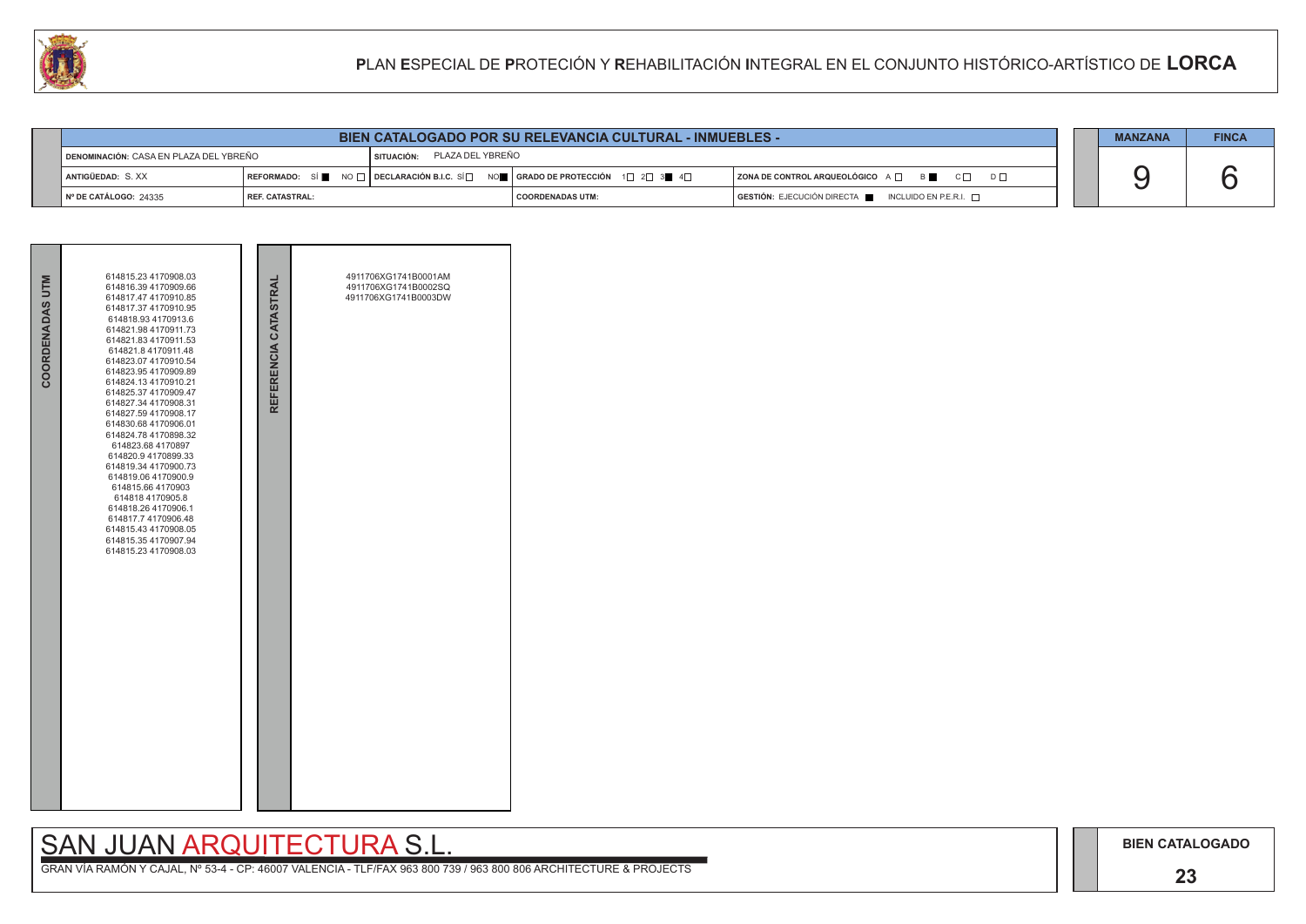## SAN JUAN ARQUITECTURA S.L.

| <b>BIEN CATALOGADO POR SU RELEVANCIA CULTURAL - INMUEBLES -</b> |                 |                             |                                                                                                                                                       |                                                                                              |  | <b>MANZANA</b> | <b>FINCA</b> |
|-----------------------------------------------------------------|-----------------|-----------------------------|-------------------------------------------------------------------------------------------------------------------------------------------------------|----------------------------------------------------------------------------------------------|--|----------------|--------------|
| <b>I DENOMINACIÓN:</b> CASA EN PLAZA DEL YBREÑO                 |                 | SITUACIÓN: PLAZA DEL YBREÑO |                                                                                                                                                       |                                                                                              |  |                |              |
| ANTIGÜEDAD: S. XX                                               |                 |                             | REFORMADO: SÍ $\blacksquare$ NO $\Box$ DECLARACIÓN B.I.C. SÍ $\Box$ NO $\blacksquare$   GRADO DE PROTECCIÓN $\Box$ 2 $\Box$ 3 $\blacksquare$ 4 $\Box$ | ZONA DE CONTROL ARQUEOLÓGICO A □ B B C □ D □                                                 |  |                |              |
| N° DE CATÁLOGO: 24335                                           | REF. CATASTRAL: |                             | I COORDENADAS UTM:                                                                                                                                    | $\overline{S}$ GESTIÓN: EJECUCIÓN DIRECTA $\overline{S}$ INCLUIDO EN P.E.R.I. $\overline{S}$ |  |                |              |



| COORDENADAS UTM | 614815.23 4170908.03<br>614816.39 4170909.66<br>614817.47 4170910.85<br>614817.37 4170910.95<br>614818.93 4170913.6<br>614821.98 4170911.73<br>614821.83 4170911.53<br>614821.8 4170911.48<br>614823.07 4170910.54<br>614823.95 4170909.89<br>614824.13 4170910.21<br>614825.37 4170909.47<br>614827.34 4170908.31<br>614827.59 4170908.17<br>614830.68 4170906.01<br>614824.78 4170898.32<br>614823.68 4170897<br>614820.9 4170899.33<br>614819.34 4170900.73<br>614819.06 4170900.9<br>614815.66 4170903<br>614818 4170905.8<br>614818.26 4170906.1<br>614817.7 4170906.48<br>614815.43 4170908.05<br>614815.35 4170907.94<br>614815.23 4170908.03 | REFERENCIA CATASTRAL | 4911706XG1741B0001AM<br>4911706XG1741B0002SQ<br>4911706XG1741B0003DW |
|-----------------|------------------------------------------------------------------------------------------------------------------------------------------------------------------------------------------------------------------------------------------------------------------------------------------------------------------------------------------------------------------------------------------------------------------------------------------------------------------------------------------------------------------------------------------------------------------------------------------------------------------------------------------------------|----------------------|----------------------------------------------------------------------|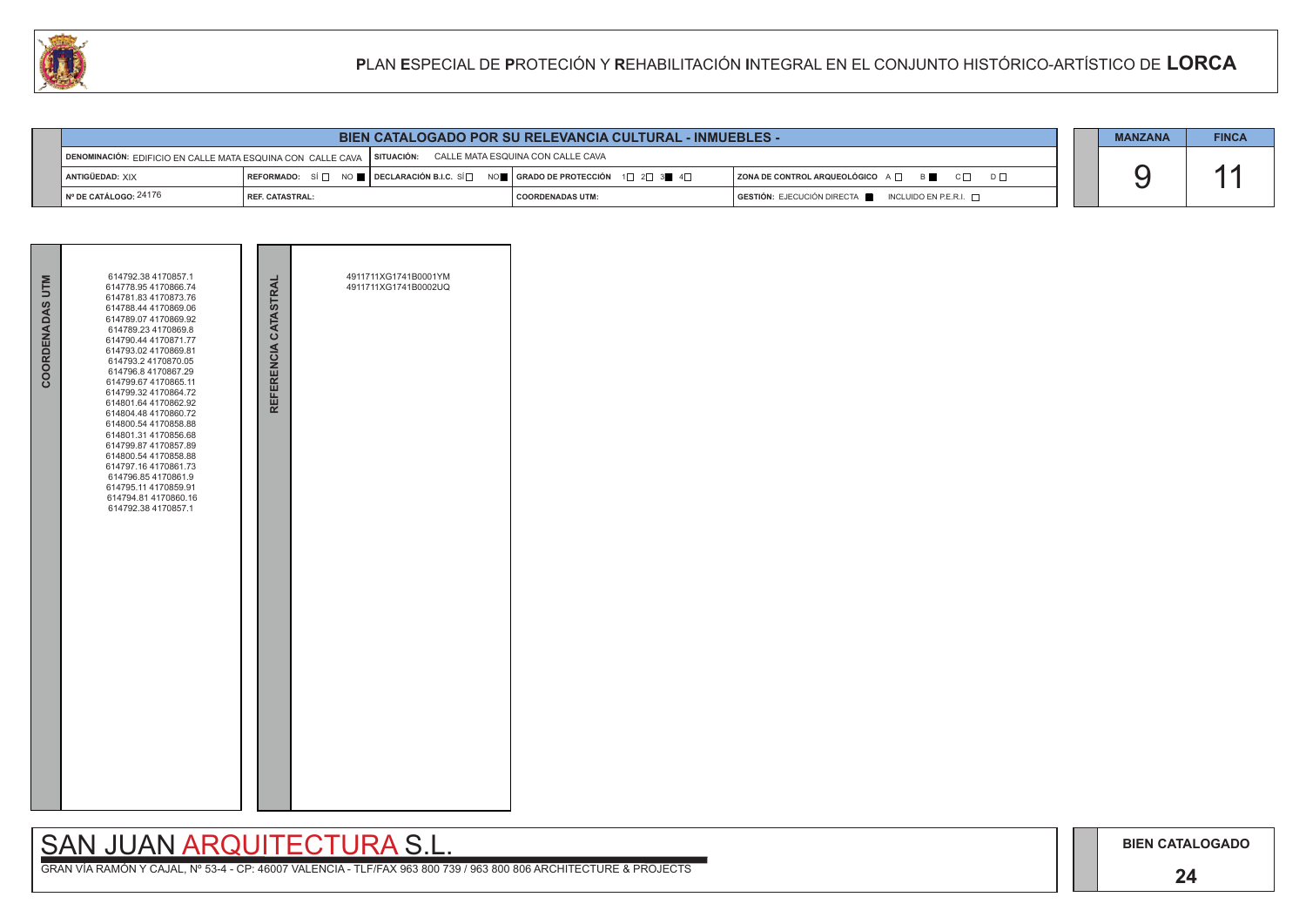### **24**

## SAN JUAN ARQUITECTURA S.L.

|                                                | <b>BIEN CATALOGADO POR SU RELEVANCIA CULTURAL - INMUEBLES -</b>                                            |  |                                                                                                                                                       |                                                                                                  |  |  |  |  |
|------------------------------------------------|------------------------------------------------------------------------------------------------------------|--|-------------------------------------------------------------------------------------------------------------------------------------------------------|--------------------------------------------------------------------------------------------------|--|--|--|--|
|                                                | DENOMINACIÓN: EDIFICIO EN CALLE MATA ESQUINA CON CALLE CAVA   SITUACIÓN: CALLE MATA ESQUINA CON CALLE CAVA |  |                                                                                                                                                       |                                                                                                  |  |  |  |  |
| ANTIGÜEDAD: XIX                                |                                                                                                            |  | REFORMADO: SÍ $\square$ NO $\square$ DECLARACIÓN B.I.C. SÍ $\square$ NO $\square$ GRADO DE PROTECCIÓN 1 $\square$ 2 $\square$ 3 $\square$ 4 $\square$ | ZONA DE CONTROL ARQUEOLÓGICO A O<br>$\begin{array}{ccc} & & C \square & & D \square \end{array}$ |  |  |  |  |
| $\mathsf{\mathsf{N}}^\circ$ DE CATÁLOGO: 24176 | <b>I REF. CATASTRAL:</b>                                                                                   |  | <b>COORDENADAS UTM:</b>                                                                                                                               | $GESTIÓN: EJECUCIÓN DIRECTA$ INCLUIDO EN P.E.R.I. $\Box$                                         |  |  |  |  |

| COORDENADAS UTM | 614792.38 4170857.1<br>614778.95 4170866.74<br>614781.83 4170873.76<br>614788.44 4170869.06<br>614789.07 4170869.92<br>614789.23 4170869.8<br>614790.44 4170871.77<br>614793.02 4170869.81<br>614793.2 4170870.05<br>614796.8 4170867.29<br>614799.67 4170865.11<br>614799.32 4170864.72<br>614801.64 4170862.92<br>614804.48 4170860.72<br>614800.54 4170858.88<br>614801.31 4170856.68<br>614799.87 4170857.89<br>614800.54 4170858.88<br>614797.16 4170861.73<br>614796.854170861.9<br>614795.11 4170859.91<br>614794.81 4170860.16<br>614792.38 4170857.1 | REFERENCIA CATASTRAL | 4911711XG1741B0001YM<br>4911711XG1741B0002UQ |  |
|-----------------|---------------------------------------------------------------------------------------------------------------------------------------------------------------------------------------------------------------------------------------------------------------------------------------------------------------------------------------------------------------------------------------------------------------------------------------------------------------------------------------------------------------------------------------------------------------|----------------------|----------------------------------------------|--|
|                 |                                                                                                                                                                                                                                                                                                                                                                                                                                                                                                                                                               |                      |                                              |  |

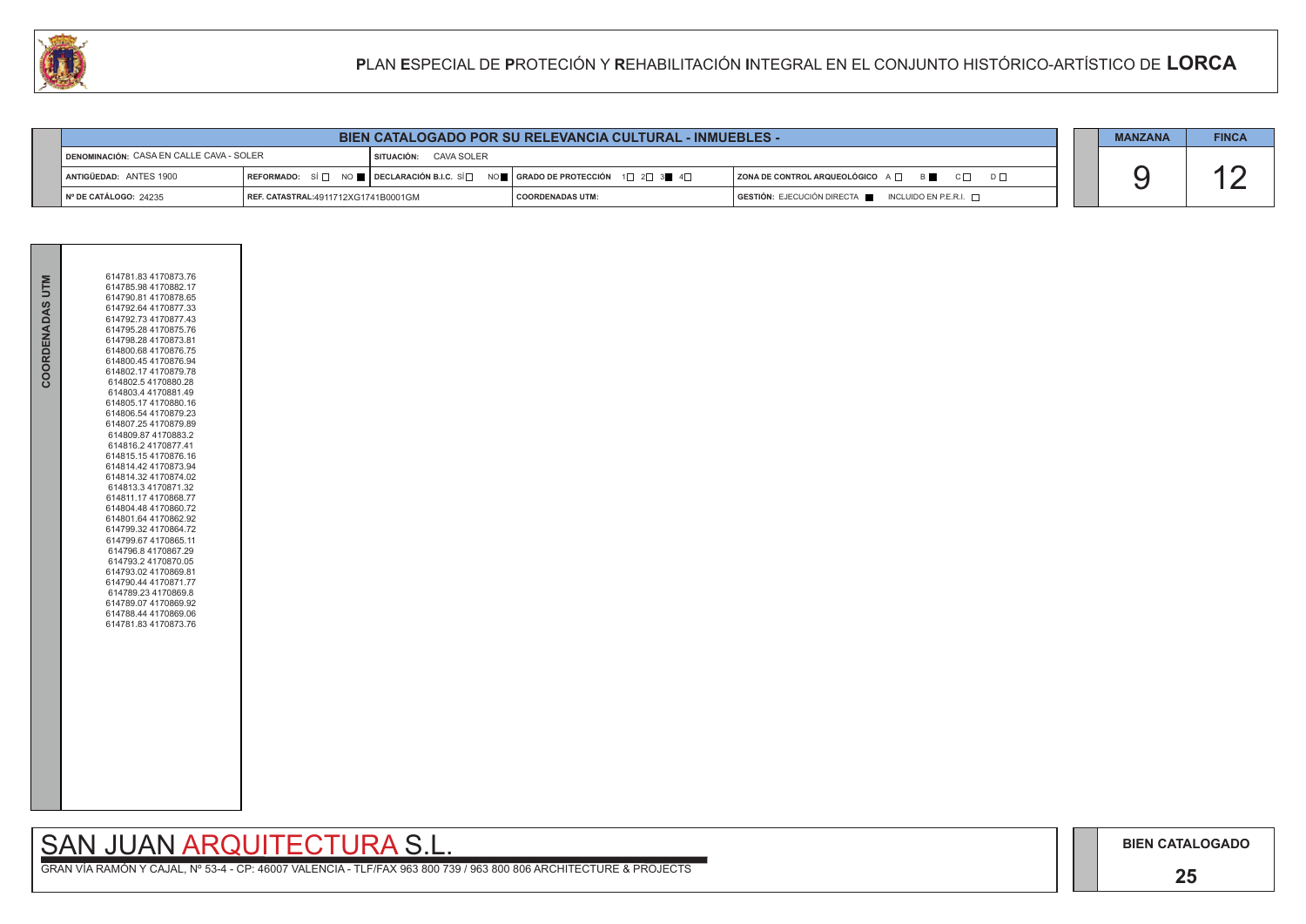### **25**

## SAN JUAN ARQUITECTURA S.L.



| U                                               | PLAN ESPECIAL DE PROTECIÓN Y REHABILITACIÓN INTEGRAL EN EL CONJUNTO HISTÓRICO-ARTÍSTICO DE LORCA |                       |                                                                 |                                                                      |                |              |
|-------------------------------------------------|--------------------------------------------------------------------------------------------------|-----------------------|-----------------------------------------------------------------|----------------------------------------------------------------------|----------------|--------------|
|                                                 |                                                                                                  |                       |                                                                 |                                                                      |                |              |
|                                                 |                                                                                                  |                       | <b>BIEN CATALOGADO POR SU RELEVANCIA CULTURAL - INMUEBLES -</b> |                                                                      | <b>MANZANA</b> | <b>FINCA</b> |
| <b>DENOMINACIÓN: CASA EN CALLE CAVA - SOLER</b> |                                                                                                  | SITUACIÓN: CAVA SOLER |                                                                 |                                                                      |                |              |
| ANTIGÜEDAD: ANTES 1900                          |                                                                                                  |                       |                                                                 | $ $ ZONA DE CONTROL ARQUEOLÓGICO $A \Box$ $B \Box$ $C \Box$ $D \Box$ |                |              |
| Nº DE CATÁLOGO: 24235                           | REF. CATASTRAL:4911712XG1741B0001GM                                                              |                       | <b>COORDENADAS UTM:</b>                                         | GESTIÓN: EJECUCIÓN DIRECTA NEL INCLUIDO EN P.E.R.I.                  |                |              |

| COORDENADAS UTM | 614781.83 4170873.76<br>614785.98 4170882.17<br>614790.81 4170878.65<br>614792.64 4170877.33<br>614792.73 4170877.43<br>614795.28 4170875.76<br>614798.28 4170873.81<br>614800.68 4170876.75<br>614800.45 4170876.94<br>614802.17 4170879.78<br>614802.54170880.28<br>614803.4 4170881.49<br>614805.17 4170880.16<br>614806.54 4170879.23<br>614807.25 4170879.89<br>614809.87 4170883.2<br>614816.2 4170877.41<br>614815.154170876.16<br>614814.42 4170873.94<br>614814.32 4170874.02<br>614813.3 4170871.32<br>614811.17 4170868.77<br>614804.48 4170860.72<br>614801.64 4170862.92<br>614799.32 4170864.72<br>614799.67 4170865.11<br>614796.8 4170867.29<br>614793.2 4170870.05<br>614793.02 4170869.81<br>614790.44 4170871.77<br>614789.23 4170869.8<br>614789.07 4170869.92<br>614788.44 4170869.06<br>614781.83 4170873.76 |
|-----------------|------------------------------------------------------------------------------------------------------------------------------------------------------------------------------------------------------------------------------------------------------------------------------------------------------------------------------------------------------------------------------------------------------------------------------------------------------------------------------------------------------------------------------------------------------------------------------------------------------------------------------------------------------------------------------------------------------------------------------------------------------------------------------------------------------------------------------------|
|                 |                                                                                                                                                                                                                                                                                                                                                                                                                                                                                                                                                                                                                                                                                                                                                                                                                                    |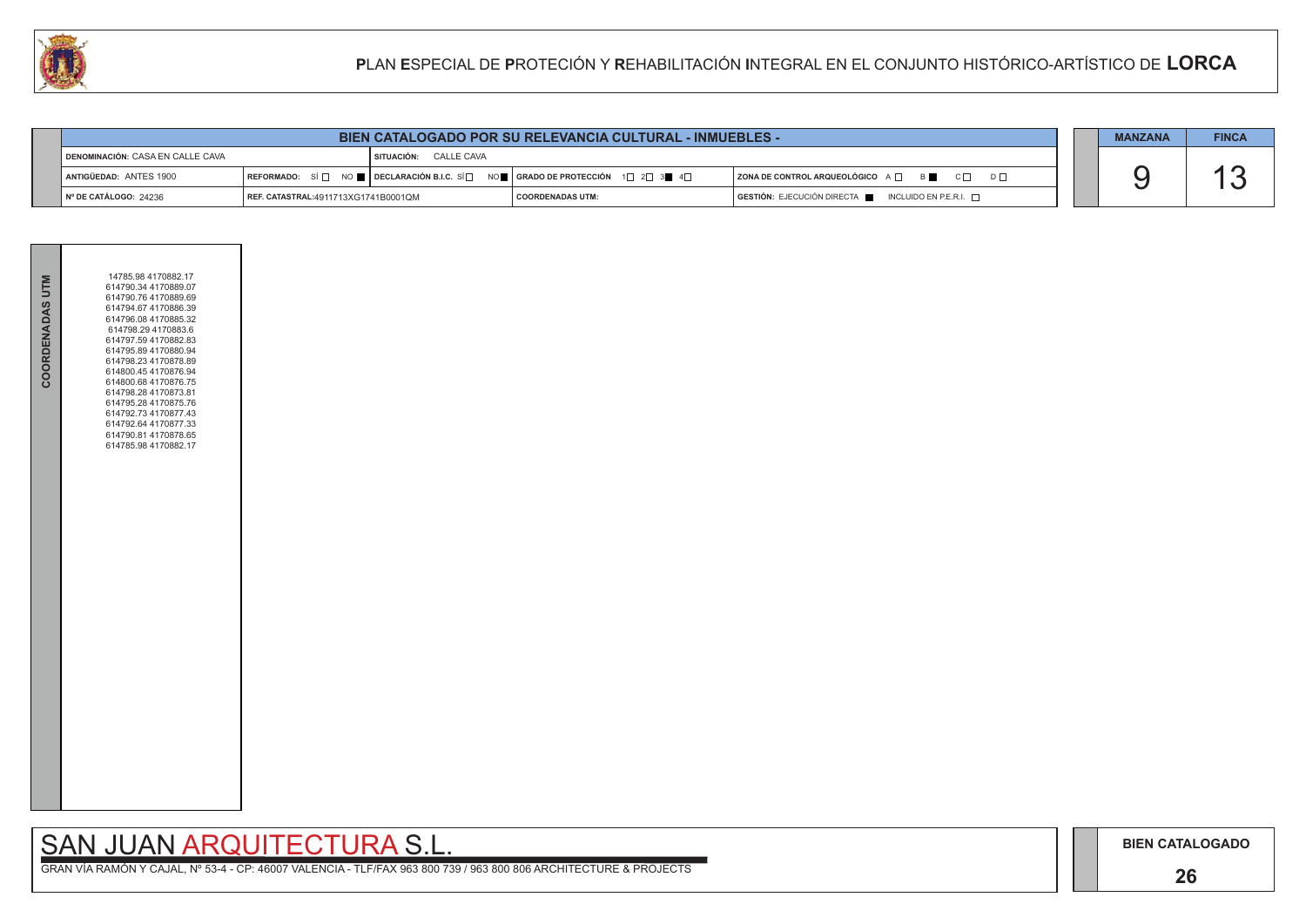### **26**

# SAN JUAN ARQUITECTURA S.L.

|                                    | <b>BIEN CATALOGADO POR SU RELEVANCIA CULTURAL - INMUEBLES -</b> |                              |                                                                                                                                                       |                                                                        |  |  |  |  |
|------------------------------------|-----------------------------------------------------------------|------------------------------|-------------------------------------------------------------------------------------------------------------------------------------------------------|------------------------------------------------------------------------|--|--|--|--|
| ¶ DENOMINACIÓN: CASA EN CALLE CAVA |                                                                 | <b>SITUACIÓN: CALLE CAVA</b> |                                                                                                                                                       |                                                                        |  |  |  |  |
| <b>LANTIGÜEDAD: ANTES 1900</b>     |                                                                 |                              | REFORMADO: SÍ $\square$ NO $\square$ DECLARACIÓN B.I.C. SÍ $\square$ NO $\square$ GRADO DE PROTECCIÓN 1 $\square$ 2 $\square$ 3 $\square$ 4 $\square$ | ZONA DE CONTROL ARQUEOLÓGICO A □ B C □ D □                             |  |  |  |  |
| Nº DE CATÁLOGO: 24236              | REF. CATASTRAL:4911713XG1741B0001QM                             |                              | <b>COORDENADAS UTM:</b>                                                                                                                               | $GESTIÓN: EJECUCIÓN DIRECTA \blacksquare INCLUIDO EN P.E.R.I. \square$ |  |  |  |  |



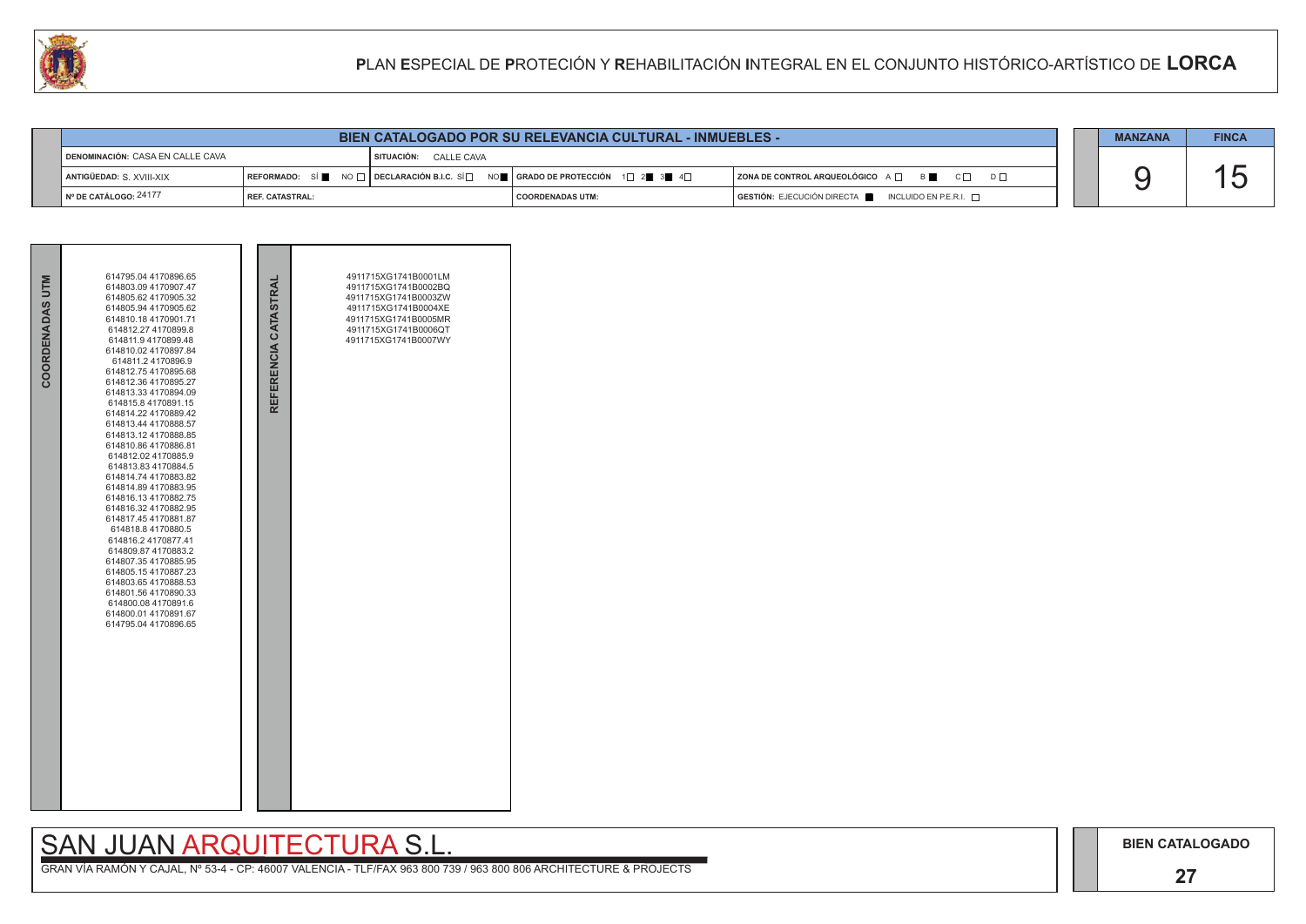### **27**

## SAN JUAN ARQUITECTURA S.L.



| LU<br>PLAN ESPECIAL DE PROTECIÓN Y REHABILITACIÓN INTEGRAL EN EL CONJUNTO HISTÓRICO-ARTÍSTICO DE LORCA |                        |  |                       |  |                                                                                                                                                                                          |                                              |  |                |              |  |
|--------------------------------------------------------------------------------------------------------|------------------------|--|-----------------------|--|------------------------------------------------------------------------------------------------------------------------------------------------------------------------------------------|----------------------------------------------|--|----------------|--------------|--|
|                                                                                                        |                        |  |                       |  |                                                                                                                                                                                          |                                              |  |                |              |  |
|                                                                                                        |                        |  |                       |  | <b>BIEN CATALOGADO POR SU RELEVANCIA CULTURAL - INMUEBLES -</b>                                                                                                                          |                                              |  | <b>MANZANA</b> | <b>FINCA</b> |  |
| DENOMINACIÓN: CASA EN CALLE CAVA                                                                       |                        |  | SITUACIÓN: CALLE CAVA |  |                                                                                                                                                                                          |                                              |  |                |              |  |
| ANTIGÜEDAD: S. XVIII-XIX                                                                               |                        |  |                       |  | $\mid$ REFORMADO: $\mid$ Si $\parallel$ $\parallel$ NO $\mid$ $\mid$ DECLARACIÓN B.I.C. Si $\mid$ $\mid$ $\mid$ orado de protección $\mid$ 1 $\mid$ 2 $\parallel$ 3 $\parallel$ 4 $\mid$ | ZONA DE CONTROL ARQUEOLÓGICO A □ B ■ C □ D □ |  |                |              |  |
| Nº DE CATÁLOGO: 24177                                                                                  | <b>REF. CATASTRAL:</b> |  |                       |  | <b>COORDENADAS UTM:</b>                                                                                                                                                                  | GESTIÓN: EJECUCIÓN DIRECTA NEURO EN P.E.R.I. |  |                |              |  |

| COORDENADAS UTM | 614795.04 4170896.65<br>614803.09 4170907.47<br>614805.62 4170905.32<br>614805.94 4170905.62<br>614810.18 4170901.71<br>614812.27 4170899.8<br>614811.9 4170899.48<br>614810.02 4170897.84<br>614811.24170896.9<br>614812.75 4170895.68<br>614812.36 4170895.27<br>614813.33 4170894.09<br>614815.8 4170891.15<br>614814.22 4170889.42<br>614813.44 4170888.57<br>614813.12 4170888.85<br>614810.86 4170886.81<br>614812.02 4170885.9<br>614813.83 4170884.5<br>614814.74 4170883.82<br>614814.89 4170883.95<br>614816.134170882.75<br>614816.32 4170882.95<br>614817.45 4170881.87<br>614818.8 4170880.5<br>614816.2 4170877.41<br>614809.87 4170883.2<br>614807.35 4170885.95<br>614805.154170887.23<br>614803.65 4170888.53<br>614801.56 4170890.33<br>614800.08 4170891.6<br>614800.01 4170891.67<br>614795.04 4170896.65 | REFERENCIA CATASTRAL | 4911715XG1741B0001LM<br>4911715XG1741B0002BQ<br>4911715XG1741B0003ZW<br>4911715XG1741B0004XE<br>4911715XG1741B0005MR<br>4911715XG1741B0006QT<br>4911715XG1741B0007WY |  |
|-----------------|-------------------------------------------------------------------------------------------------------------------------------------------------------------------------------------------------------------------------------------------------------------------------------------------------------------------------------------------------------------------------------------------------------------------------------------------------------------------------------------------------------------------------------------------------------------------------------------------------------------------------------------------------------------------------------------------------------------------------------------------------------------------------------------------------------------------------------|----------------------|----------------------------------------------------------------------------------------------------------------------------------------------------------------------|--|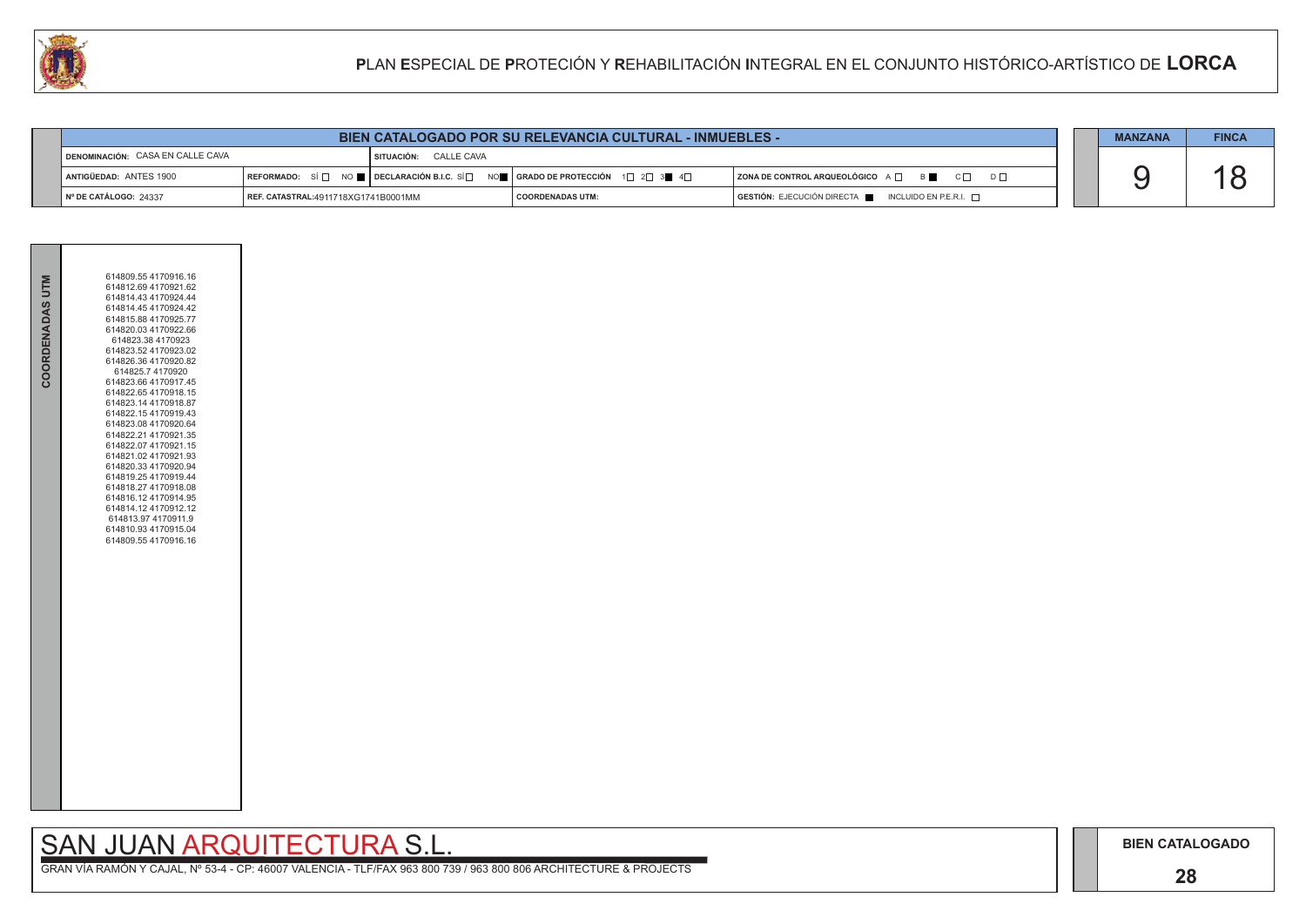### **28**

## SAN JUAN ARQUITECTURA S.L.

|                                   | <b>BIEN CATALOGADO POR SU RELEVANCIA CULTURAL - INMUEBLES -</b> |                         |                                                                                                                                                       |                                                                        |  |  |  |  |
|-----------------------------------|-----------------------------------------------------------------|-------------------------|-------------------------------------------------------------------------------------------------------------------------------------------------------|------------------------------------------------------------------------|--|--|--|--|
| DENOMINACIÓN: CASA EN CALLE CAVA  |                                                                 | I SITUACIÓN: CALLE CAVA |                                                                                                                                                       |                                                                        |  |  |  |  |
| <b>LANTIGÜEDAD: ANTES 1900</b>    |                                                                 |                         | REFORMADO: SÍ $\Box$ NO $\blacksquare$ DECLARACIÓN B.I.C. SÍ $\Box$ NO $\blacksquare$ GRADO DE PROTECCIÓN 1 $\Box$ 2 $\Box$ 3 $\blacksquare$ 4 $\Box$ | ZONA DE CONTROL ARQUEOLÓGICO A □ B C □ D □                             |  |  |  |  |
| $\parallel$ N° DE CATÁLOGO: 24337 | REF. CATASTRAL:4911718XG1741B0001MM                             |                         | <b>COORDENADAS UTM:</b>                                                                                                                               | $GESTIÓN: EJECUCIÓN DIRECTA \blacksquare INCLUIDO EN P.E.R.I. \square$ |  |  |  |  |



| COORDENADAS UTM | 614809.55 4170916.16<br>614812.69 4170921.62<br>614814.43 4170924.44<br>614814 45 4170924 42<br>614815.88 4170925.77<br>614820.03 4170922.66<br>614823.38 4170923<br>614823.52 4170923.02<br>614826.36 4170920.82<br>614825.7 4170920<br>614823.66 4170917.45<br>614822.65 4170918.15                                                     |
|-----------------|-------------------------------------------------------------------------------------------------------------------------------------------------------------------------------------------------------------------------------------------------------------------------------------------------------------------------------------------|
|                 | 614823.14 4170918.87<br>614822.154170919.43<br>614823.08 4170920.64<br>614822.21 4170921.35<br>614822.07 4170921.15<br>614821.02 4170921.93<br>614820.33 4170920.94<br>614819.25 4170919.44<br>614818.27 4170918.08<br>614816.12 4170914.95<br>614814.12 4170912.12<br>614813.97 4170911.9<br>614810.93 4170915.04<br>614809.554170916.16 |
|                 |                                                                                                                                                                                                                                                                                                                                           |
|                 |                                                                                                                                                                                                                                                                                                                                           |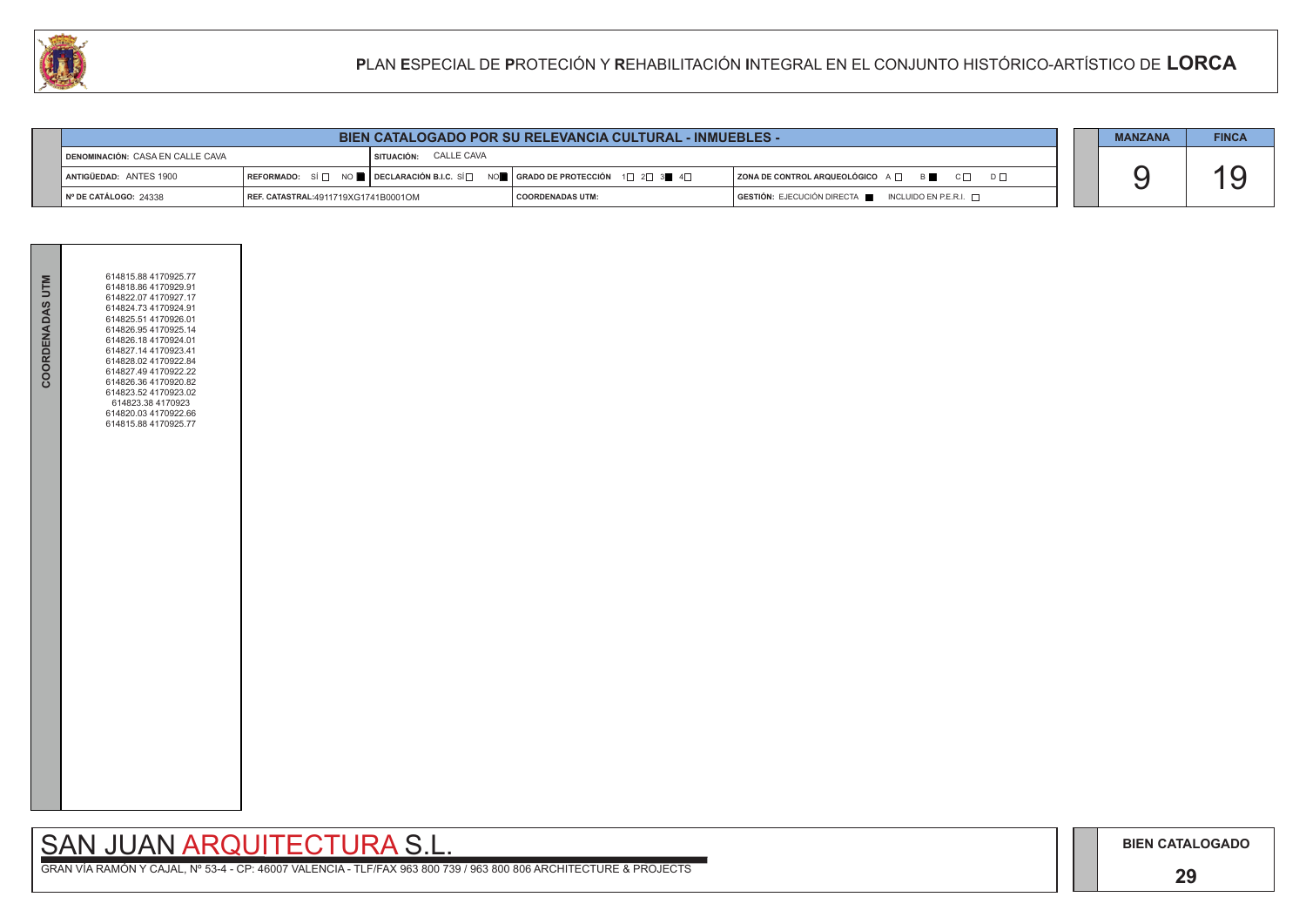### **29**

## SAN JUAN ARQUITECTURA S.L.

|                                    | <b>BIEN CATALOGADO POR SU RELEVANCIA CULTURAL - INMUEBLES -</b> |                         |                                                                 |                                                                        |  |  |  |  |  |
|------------------------------------|-----------------------------------------------------------------|-------------------------|-----------------------------------------------------------------|------------------------------------------------------------------------|--|--|--|--|--|
| I DENOMINACIÓN: CASA EN CALLE CAVA |                                                                 | I SITUACIÓN: CALLE CAVA |                                                                 |                                                                        |  |  |  |  |  |
| ANTIGÜEDAD: ANTES 1900             | REFORMADO: SÍ $\Box$ NO <b>Declaración B.I.C.</b> SÍ $\Box$     |                         | NO█ │ GRADO DE PROTECCIÓN     1 $\Box$ 2 $\Box$ 3 █    4 $\Box$ | ZONA DE CONTROL ARQUEOLÓGICO A □ B B C □ D □                           |  |  |  |  |  |
| $\vert$ N° DE CATÁLOGO: 24338      | REF. CATASTRAL:4911719XG1741B0001OM                             |                         | <b>COORDENADAS UTM:</b>                                         | $GESTIÓN: EJECUCIÓN DIRECTA \blacksquare INCLUIDO EN P.E.R.I. \square$ |  |  |  |  |  |

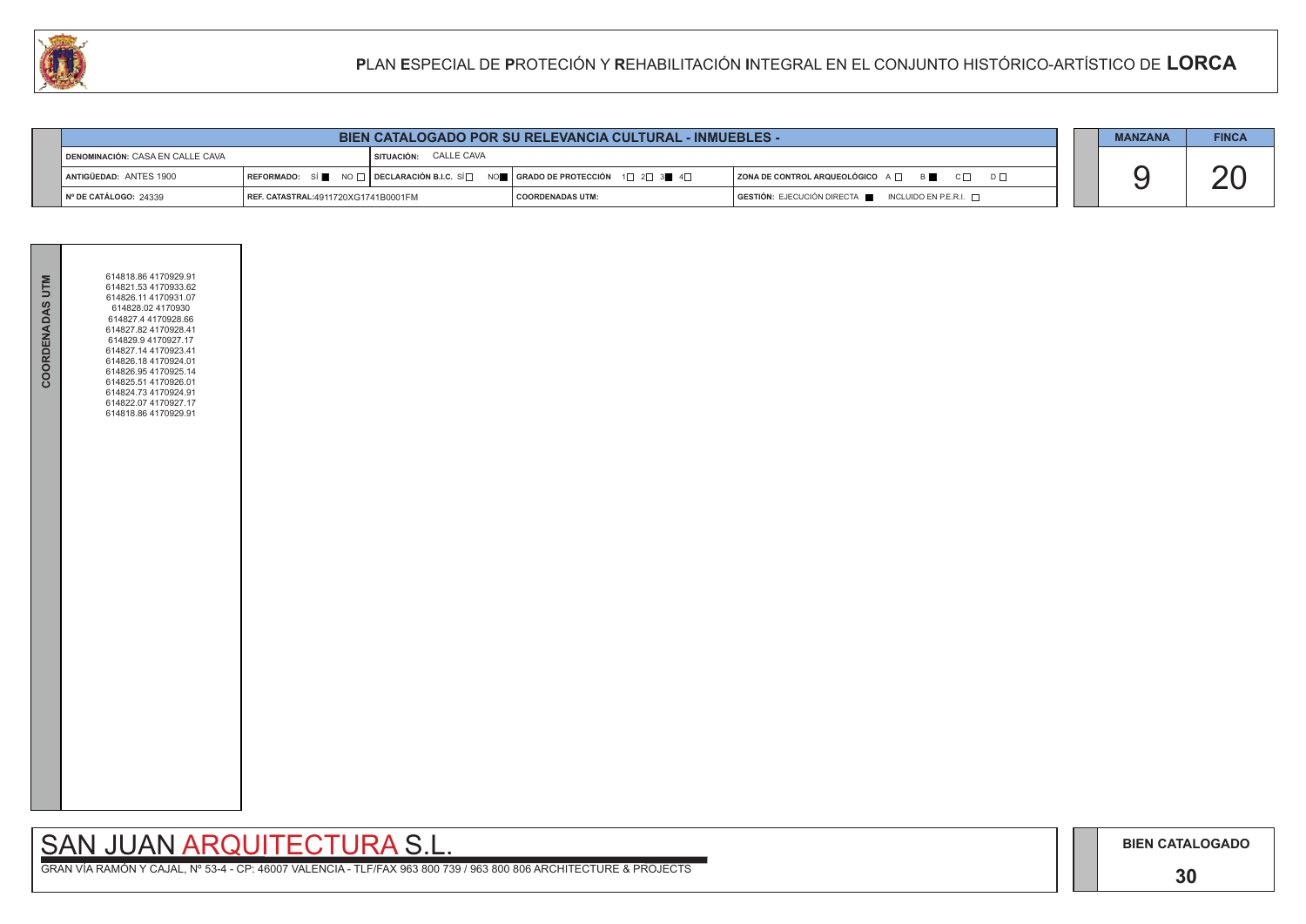### **30**

## SAN JUAN ARQUITECTURA S.L.

|                                           |                                     | <b>MANZANA</b>          | <b>FINCA</b>                                                                                                                                          |                                                                                      |  |  |  |
|-------------------------------------------|-------------------------------------|-------------------------|-------------------------------------------------------------------------------------------------------------------------------------------------------|--------------------------------------------------------------------------------------|--|--|--|
| <b>I DENOMINACIÓN: CASA EN CALLE CAVA</b> |                                     | I SITUACIÓN: CALLE CAVA |                                                                                                                                                       |                                                                                      |  |  |  |
| ANTIGÜEDAD: ANTES 1900                    |                                     |                         | REFORMADO: SÍ $\blacksquare$ NO $\Box$ DECLARACIÓN B.I.C. SÍ $\Box$ NO $\blacksquare$ GRADO DE PROTECCIÓN 1 $\Box$ 2 $\Box$ 3 $\blacksquare$ 4 $\Box$ | ZONA DE CONTROL ARQUEOLÓGICO A □ B B C □ D □                                         |  |  |  |
| $\vert$ N° DE CATÁLOGO: 24339             | REF. CATASTRAL:4911720XG1741B0001FM |                         | <b>COORDENADAS UTM:</b>                                                                                                                               | $\overline{)}$ GESTIÓN: EJECUCIÓN DIRECTA $\blacksquare$ INCLUIDO EN P.E.R.I. $\Box$ |  |  |  |



| COORDENADAS UTM | 614818.86 4170929.91<br>614821.53 4170933.62<br>614826.11 4170931.07<br>614828.02 4170930<br>614827.4 4170928.66<br>614827.82 4170928.41<br>614829.9 4170927.17<br>614827.14 4170923.41<br>614826.18 4170924.01<br>614826.95 4170925.14<br>614825.51 4170926.01<br>614824.73 4170924.91<br>614822.07 4170927.17<br>614818.86 4170929.91 |  |
|-----------------|-----------------------------------------------------------------------------------------------------------------------------------------------------------------------------------------------------------------------------------------------------------------------------------------------------------------------------------------|--|
|                 |                                                                                                                                                                                                                                                                                                                                         |  |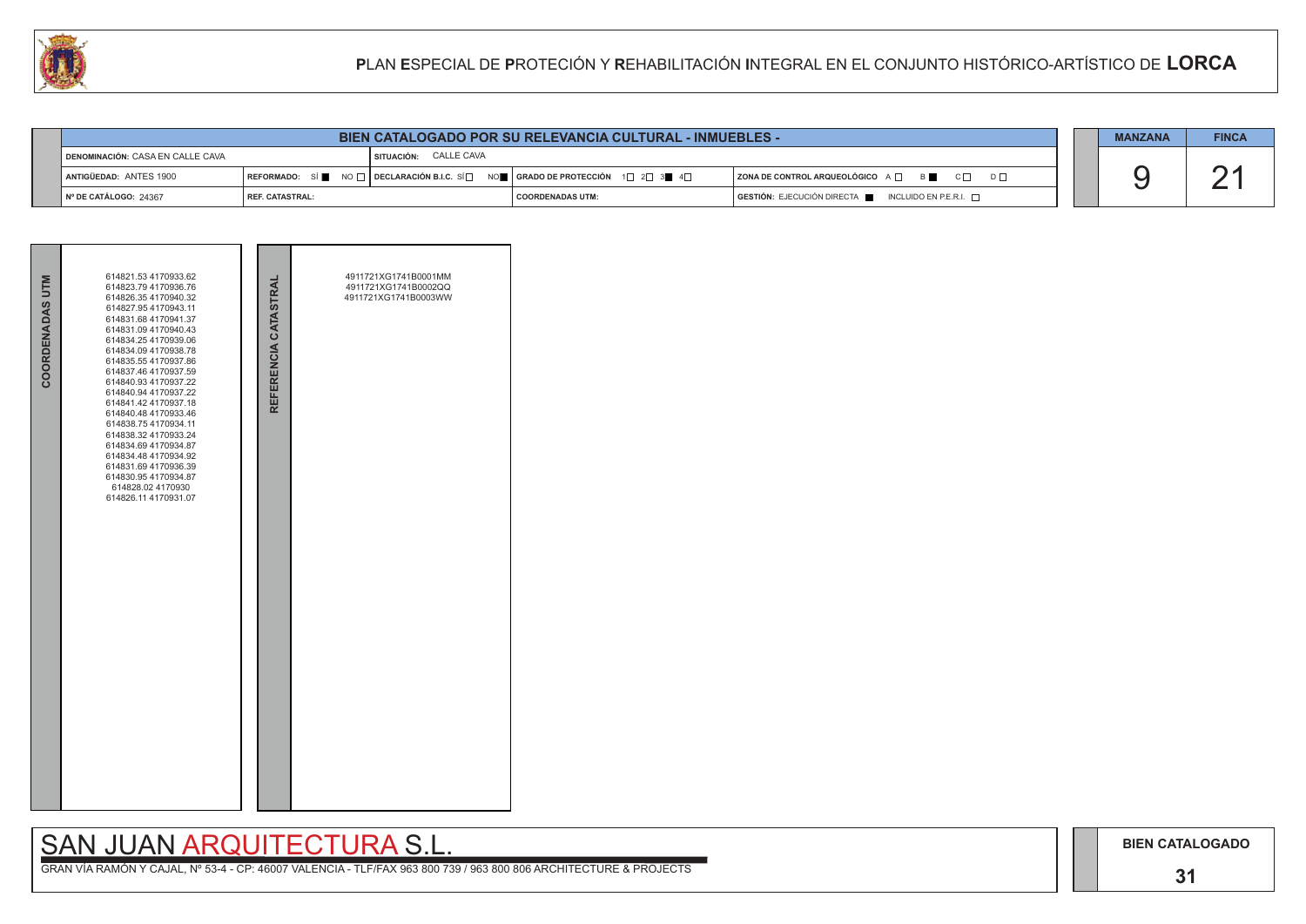## SAN JUAN ARQUITECTURA S.L.

|                                           | <b>BIEN CATALOGADO POR SU RELEVANCIA CULTURAL - INMUEBLES -</b> |                         |                                                                                                                                                       |                                                                                      | <b>MANZANA</b> | <b>FINCA</b> |
|-------------------------------------------|-----------------------------------------------------------------|-------------------------|-------------------------------------------------------------------------------------------------------------------------------------------------------|--------------------------------------------------------------------------------------|----------------|--------------|
| <b>I DENOMINACIÓN: CASA EN CALLE CAVA</b> |                                                                 | I SITUACIÓN: CALLE CAVA |                                                                                                                                                       |                                                                                      |                |              |
| ANTIGÜEDAD: ANTES 1900                    |                                                                 |                         | REFORMADO: SÍ $\blacksquare$ NO $\Box$ DECLARACIÓN B.I.C. SÍ $\Box$ NO $\blacksquare$ GRADO DE PROTECCIÓN 1 $\Box$ 2 $\Box$ 3 $\blacksquare$ 4 $\Box$ | ZONA DE CONTROL ARQUEOLÓGICO A □ B C □ D □                                           |                |              |
| I № DE CATÁLOGO: 24367                    | REF. CATASTRAL:                                                 |                         | <b>COORDENADAS UTM:</b>                                                                                                                               | $\overline{)}$ GESTIÓN: EJECUCIÓN DIRECTA $\overline{)}$ INCLUIDO EN P.E.R.I. $\Box$ |                |              |

| COORDENADAS UTM | 614821.53 4170933.62<br>614823.79 4170936.76<br>614826.35 4170940.32<br>614827.95 4170943.11<br>614831.68 4170941.37<br>614831.09 4170940.43<br>614834.25 4170939.06<br>614834.09 4170938.78<br>614835.55 4170937.86<br>614837.46 4170937.59<br>614840.93 4170937.22<br>614840.94 4170937.22<br>614841.42 4170937.18<br>614840.48 4170933.46<br>614838.75 4170934.11<br>614838.32 4170933.24<br>614834.69 4170934.87<br>614834.48 4170934.92<br>614831.69 4170936.39<br>614830.95 4170934.87<br>614828.02 4170930<br>614826.11 4170931.07 | REFERENCIA CATASTRAL | 4911721XG1741B0001MM<br>4911721XG1741B0002QQ<br>4911721XG1741B0003WW |
|-----------------|-------------------------------------------------------------------------------------------------------------------------------------------------------------------------------------------------------------------------------------------------------------------------------------------------------------------------------------------------------------------------------------------------------------------------------------------------------------------------------------------------------------------------------------------|----------------------|----------------------------------------------------------------------|

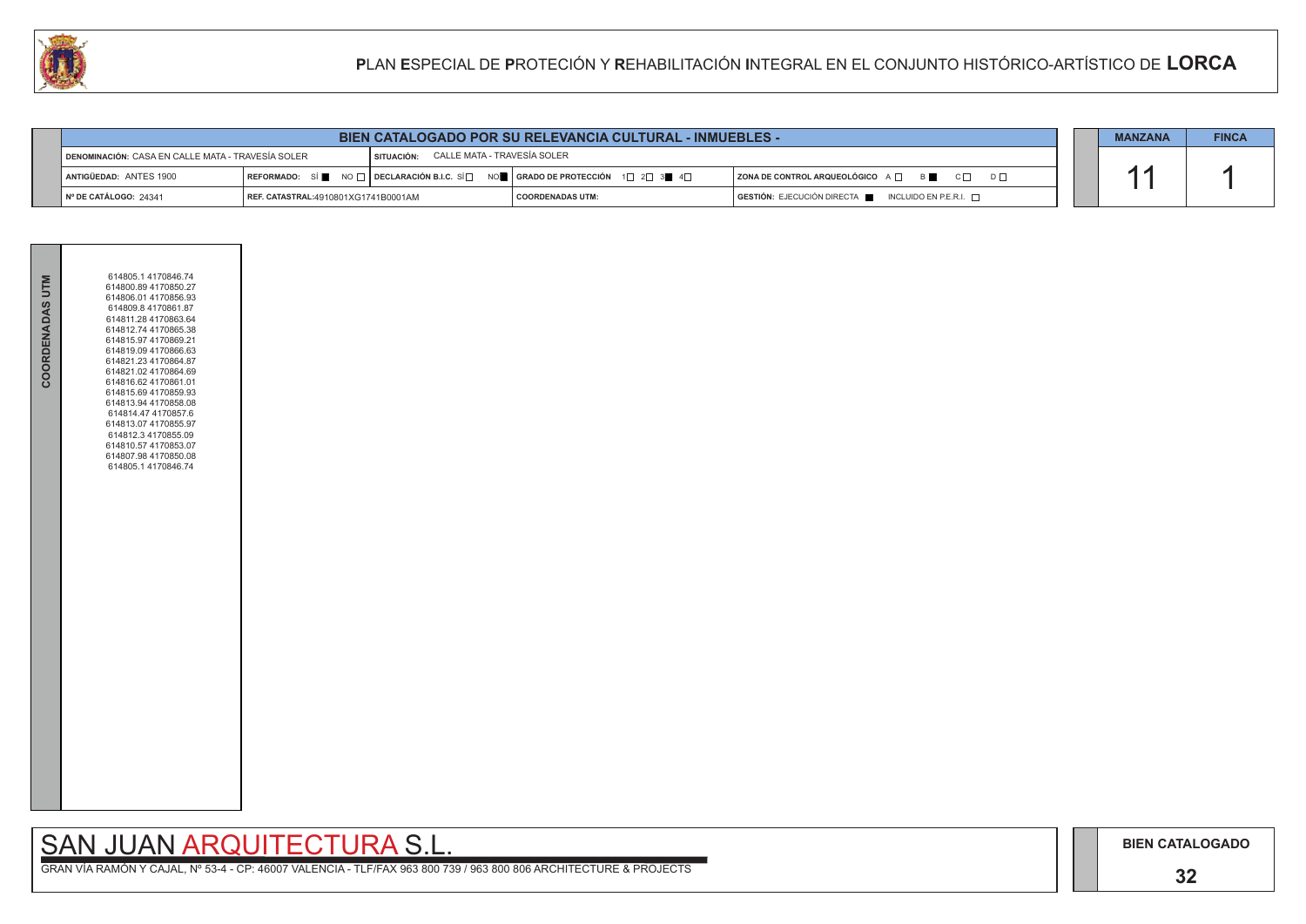### **32**

## SAN JUAN ARQUITECTURA S.L.

|                               | <b>BIEN CATALOGADO POR SU RELEVANCIA CULTURAL - INMUEBLES -</b>                                                       |  |                                                                                                        |                                                                        |  | <b>MANZANA</b> | <b>FINCA</b> |
|-------------------------------|-----------------------------------------------------------------------------------------------------------------------|--|--------------------------------------------------------------------------------------------------------|------------------------------------------------------------------------|--|----------------|--------------|
|                               | $^{\prime}$ SITUACIÓN: $\phantom{0}$ CALLE MATA - TRAVESÍA SOLER<br>DENOMINACIÓN: CASA EN CALLE MATA - TRAVESÍA SOLER |  |                                                                                                        |                                                                        |  |                |              |
| ANTIGÜEDAD: ANTES 1900        |                                                                                                                       |  | REFORMADO: SÍ NO $\Box$ DECLARACIÓN B.I.C. SÍ $\Box$ NO $\Box$ GRADO DE PROTECCIÓN 1 $\Box$ 2 $\Box$ 3 | ZONA DE CONTROL ARQUEOLÓGICO A □ B B C □ D □                           |  |                |              |
| $\vert$ N° DE CATÁLOGO: 24341 | REF. CATASTRAL:4910801XG1741B0001AM                                                                                   |  | I COORDENADAS UTM:                                                                                     | $GESTIÓN: EJECUCIÓN DIRECTA \blacksquare INCLUIDO EN P.E.R.I. \square$ |  |                |              |



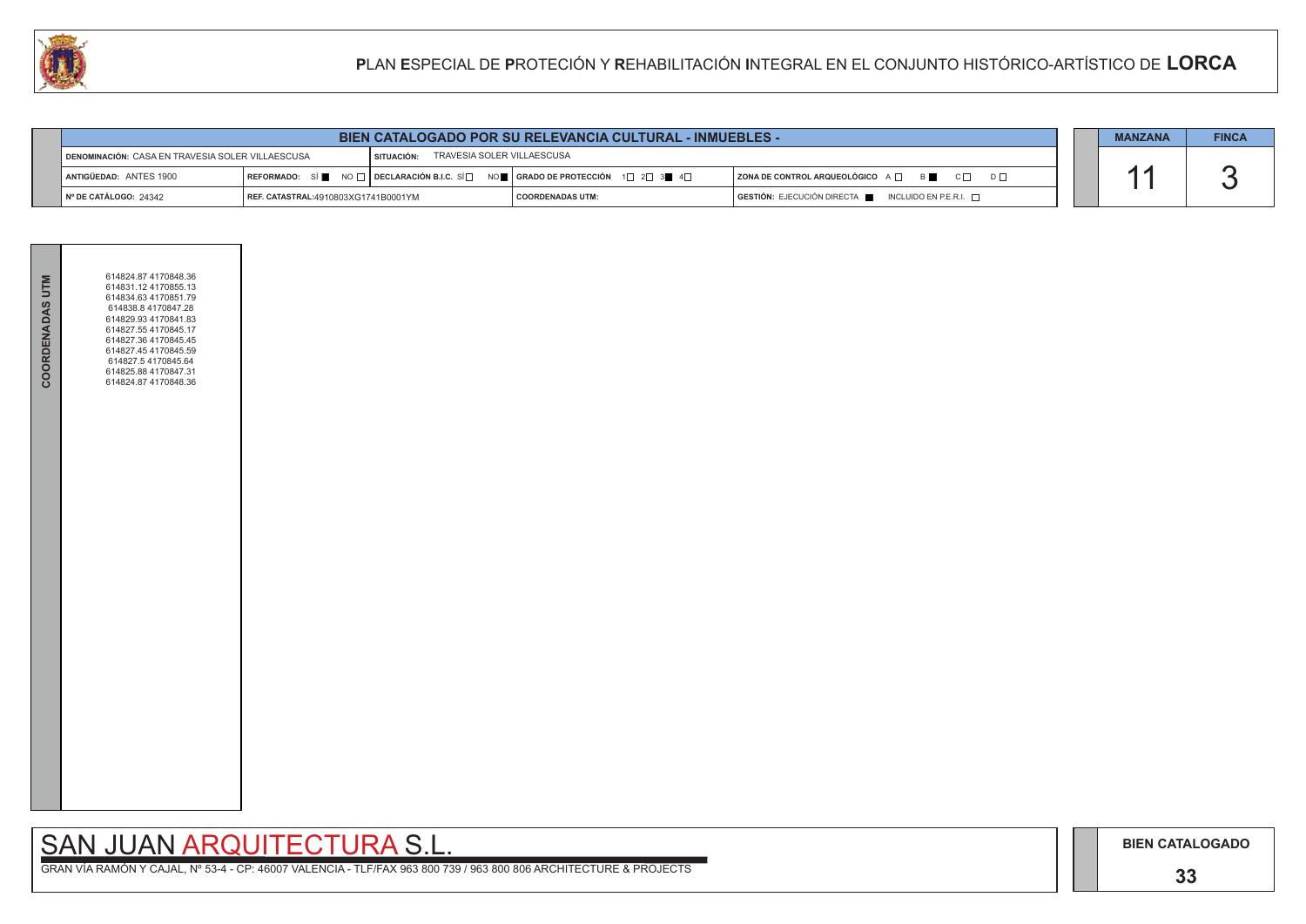## SAN JUAN ARQUITECTURA S.L.

|                                                                                                | <b>BIEN CATALOGADO POR SU RELEVANCIA CULTURAL - INMUEBLES -</b> |  |                                                                                                                                                       | <b>MANZANA</b>                                        | <b>FINCA</b> |  |
|------------------------------------------------------------------------------------------------|-----------------------------------------------------------------|--|-------------------------------------------------------------------------------------------------------------------------------------------------------|-------------------------------------------------------|--------------|--|
| TRAVESIA SOLER VILLAESCUSA<br>DENOMINACIÓN: CASA EN TRAVESIA SOLER VILLAESCUSA<br>I SITUACIÓN: |                                                                 |  |                                                                                                                                                       |                                                       |              |  |
| <b>I ANTIGÜEDAD: ANTES 1900</b>                                                                |                                                                 |  | REFORMADO: SÍ $\blacksquare$ NO $\Box$ DECLARACIÓN B.I.C. SÍ $\Box$ NO $\blacksquare$ GRADO DE PROTECCIÓN 1 $\Box$ 2 $\Box$ 3 $\blacksquare$ 4 $\Box$ | <b>  ZONA DE CONTROL ARQUEOLÓGICO</b> A □ B ■ C □ D □ |              |  |
| $\vert$ N° DE CATÁLOGO: 24342                                                                  | <b>REF. CATASTRAL:</b> 4910803XG1741B0001YM                     |  | <b>COORDENADAS UTM:</b>                                                                                                                               | GESTIÓN: EJECUCIÓN DIRECTA NE INCLUIDO EN P.E.R.I.    |              |  |



| <b>COORDENADAS UTM</b> | 614824.87 4170848.36<br>614831.12 4170855.13<br>614834.63 4170851.79<br>614838.8 4170847.28<br>614829.93 4170841.83<br>614827.55 4170845.17<br>614827.36 4170845.45<br>614827.45 4170845.59<br>614827.5 4170845.64<br>614825.88 4170847.31<br>614824.87 4170848.36 |  |  |
|------------------------|--------------------------------------------------------------------------------------------------------------------------------------------------------------------------------------------------------------------------------------------------------------------|--|--|
|                        |                                                                                                                                                                                                                                                                    |  |  |
|                        |                                                                                                                                                                                                                                                                    |  |  |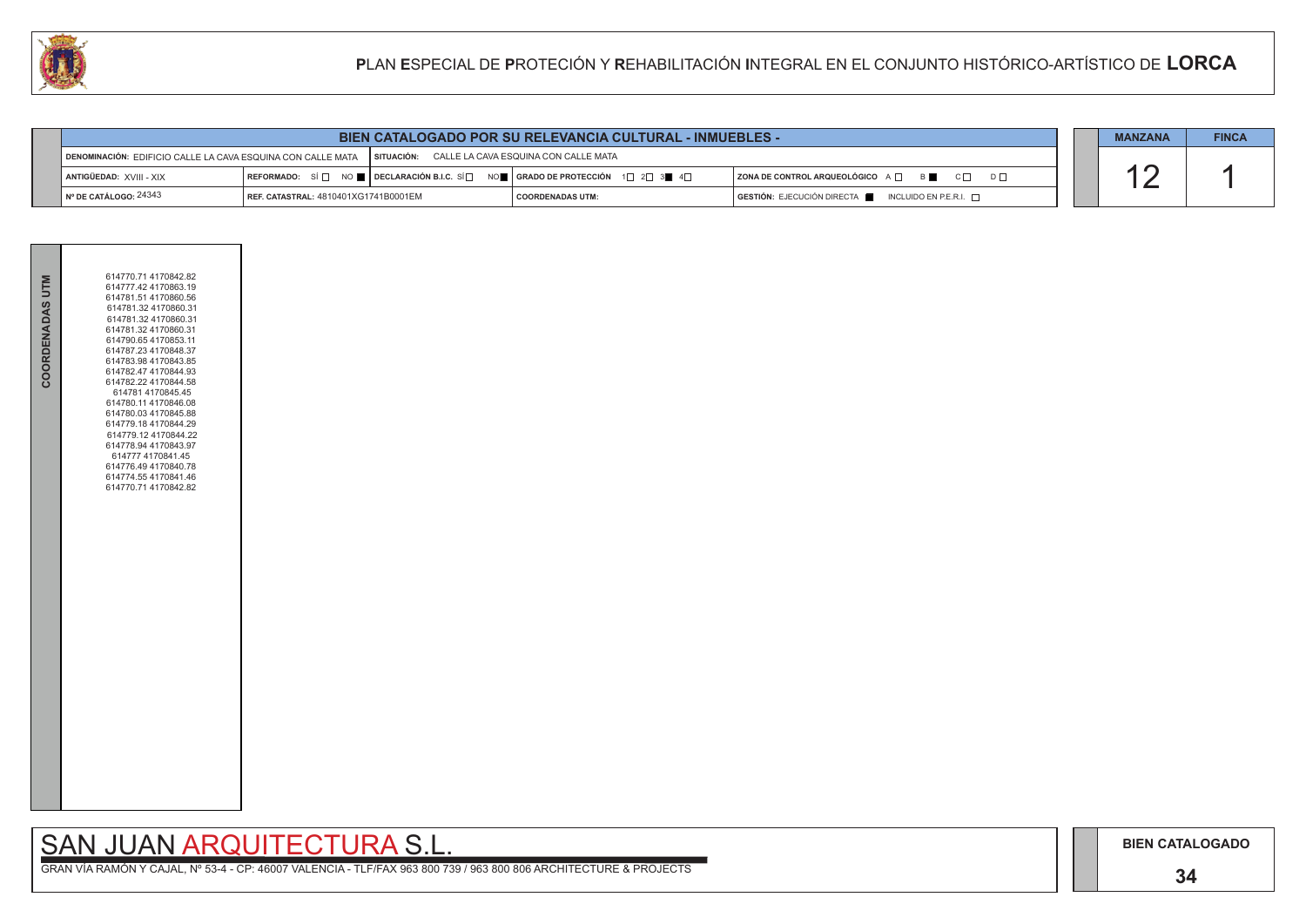### **34**

## SAN JUAN ARQUITECTURA S.L.

| COORDENADAS UTM | 614770.71 4170842.82<br>614777.42 4170863.19<br>614781.51 4170860.56<br>614781.32 4170860.31<br>614781.32 4170860.31<br>614781.32 4170860.31<br>614790.65 4170853.11<br>614787.23 4170848.37<br>614783.98 4170843.85<br>614782.47 4170844.93<br>614782.22 4170844.58<br>614781 4170845.45<br>614780.11 4170846.08<br>614780.03 4170845.88<br>614779.18 4170844.29<br>614779.12 4170844.22<br>614778.94 4170843.97<br>614777 4170841.45<br>614776.49 4170840.78<br>614774.554170841.46<br>614770.71 4170842.82 |  |
|-----------------|---------------------------------------------------------------------------------------------------------------------------------------------------------------------------------------------------------------------------------------------------------------------------------------------------------------------------------------------------------------------------------------------------------------------------------------------------------------------------------------------------------------|--|
|-----------------|---------------------------------------------------------------------------------------------------------------------------------------------------------------------------------------------------------------------------------------------------------------------------------------------------------------------------------------------------------------------------------------------------------------------------------------------------------------------------------------------------------------|--|

|                                                | <b>BIEN CATALOGADO POR SU RELEVANCIA CULTURAL - INMUEBLES -</b>                                                |  |                                                                                                                                                       | <b>MANZANA</b>                                               | <b>FINCA</b> |  |
|------------------------------------------------|----------------------------------------------------------------------------------------------------------------|--|-------------------------------------------------------------------------------------------------------------------------------------------------------|--------------------------------------------------------------|--------------|--|
|                                                | SITUACIÓN: CALLE LA CAVA ESQUINA CON CALLE MATA<br>DENOMINACIÓN: EDIFICIO CALLE LA CAVA ESQUINA CON CALLE MATA |  |                                                                                                                                                       |                                                              |              |  |
| ANTIGÜEDAD: XVIII - XIX                        |                                                                                                                |  | REFORMADO: SÍ $\square$ NO $\square$ DECLARACIÓN B.I.C. SÍ $\square$ NO $\square$ GRADO DE PROTECCIÓN 1 $\square$ 2 $\square$ 3 $\square$ 4 $\square$ | ZONA DE CONTROL ARQUEOLÓGICO A $\Box$ B<br>$C \Box$ $D \Box$ |              |  |
| $\mathsf{\mathsf{N}}^\circ$ DE CATÁLOGO: 24343 | REF. CATASTRAL: 4810401XG1741B0001EM                                                                           |  | <b>COORDENADAS UTM:</b>                                                                                                                               | GESTIÓN: EJECUCIÓN DIRECTA   INCLUIDO EN P.E.R.I. D          |              |  |

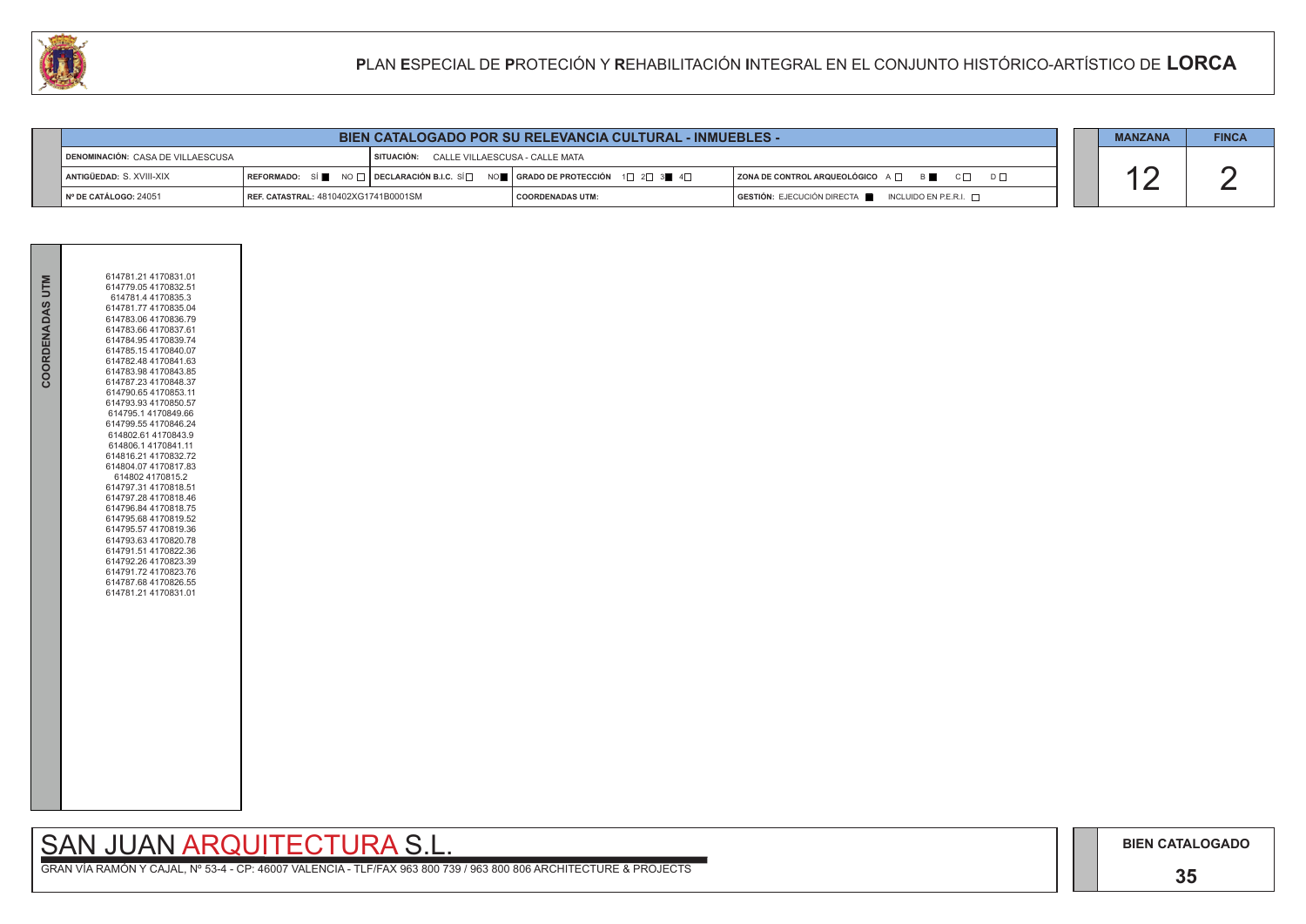### **35**

## SAN JUAN ARQUITECTURA S.L.

| 614781.21 4170831.01<br>COORDENADAS UTM<br>614779.05 4170832.51<br>614781.4 4170835.3<br>614781.77 4170835.04<br>614783.06 4170836.79<br>614783.66 4170837.61<br>614784.954170839.74<br>614785.154170840.07<br>614782.48 4170841.63<br>614783.98 4170843.85<br>614787.23 4170848.37<br>614790.65 4170853.11<br>614793.93 4170850.57<br>614795.1 4170849.66<br>614799.55 4170846.24<br>614802.61 4170843.9<br>614806.14170841.11<br>614816.21 4170832.72<br>614804.07 4170817.83<br>614802 4170815.2<br>614797.31 4170818.51<br>614797.28 4170818.46<br>614796.84 4170818.75<br>614795.68 4170819.52<br>614795.57 4170819.36<br>614793.63 4170820.78<br>614791.51 4170822.36<br>614792.26 4170823.39<br>614791.72 4170823.76<br>614787.68 4170826.55<br>614781.21 4170831.01 |  |  |
|-----------------------------------------------------------------------------------------------------------------------------------------------------------------------------------------------------------------------------------------------------------------------------------------------------------------------------------------------------------------------------------------------------------------------------------------------------------------------------------------------------------------------------------------------------------------------------------------------------------------------------------------------------------------------------------------------------------------------------------------------------------------------------|--|--|
|                                                                                                                                                                                                                                                                                                                                                                                                                                                                                                                                                                                                                                                                                                                                                                             |  |  |

|                                                   | <b>BIEN CATALOGADO POR SU RELEVANCIA CULTURAL - INMUEBLES -</b> |  |                                                                                                                                                                      | <b>MANZANA</b>          | <b>FINCA</b> |                                                                                      |  |  |
|---------------------------------------------------|-----------------------------------------------------------------|--|----------------------------------------------------------------------------------------------------------------------------------------------------------------------|-------------------------|--------------|--------------------------------------------------------------------------------------|--|--|
| I SITUACIÓN:<br>DENOMINACIÓN: CASA DE VILLAESCUSA |                                                                 |  | CALLE VILLAESCUSA - CALLE MATA                                                                                                                                       |                         |              |                                                                                      |  |  |
| ANTIGÜEDAD: S. XVIII-XIX                          |                                                                 |  | REFORMADO: SÍ $\blacksquare$ NO $\square$ DECLARACIÓN B.I.C. SÍ $\square$ NO $\blacksquare$ GRADO DE PROTECCIÓN 1 $\square$ 2 $\square$ 3 $\blacksquare$ 4 $\square$ |                         |              | <b>  ZONA DE CONTROL ARQUEOLÓGICO</b> A □ B ■ C □ D □                                |  |  |
| $\blacksquare$ N° DE CATÁLOGO: 24051              | REF. CATASTRAL: 4810402XG1741B0001SM                            |  |                                                                                                                                                                      | <b>COORDENADAS UTM:</b> |              | $\overline{)}$ GESTIÓN: EJECUCIÓN DIRECTA $\blacksquare$ INCLUIDO EN P.E.R.I. $\Box$ |  |  |

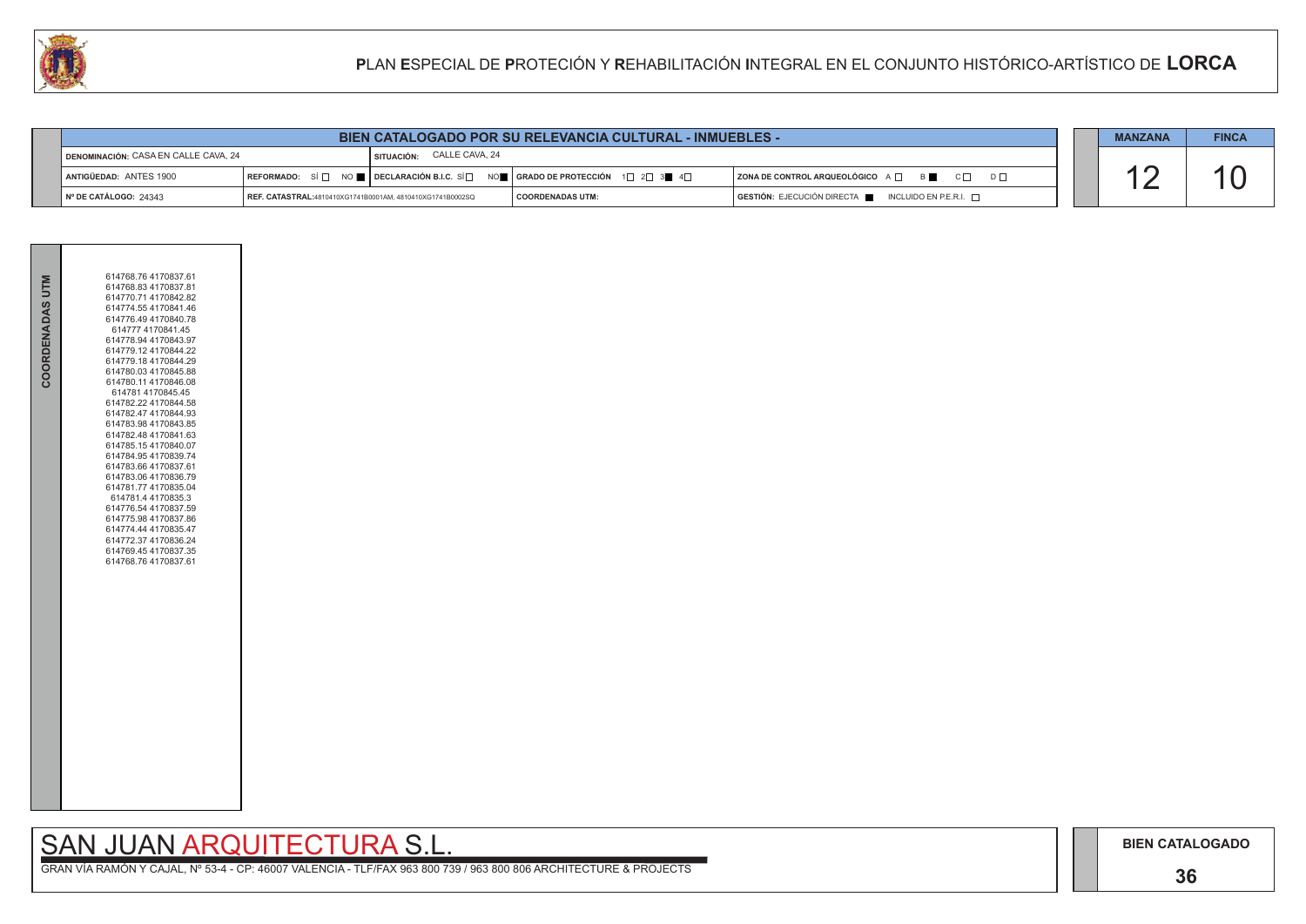### **36**

## SAN JUAN ARQUITECTURA S.L.

|                                   | <b>BIEN CATALOGADO POR SU RELEVANCIA CULTURAL - INMUEBLES -</b>   |  |                                                                                                                                                       |                                                                                      | <b>MANZANA</b> | <b>FINCA</b> |
|-----------------------------------|-------------------------------------------------------------------|--|-------------------------------------------------------------------------------------------------------------------------------------------------------|--------------------------------------------------------------------------------------|----------------|--------------|
|                                   | SITUACIÓN: CALLE CAVA, 24<br>DENOMINACIÓN: CASA EN CALLE CAVA, 24 |  |                                                                                                                                                       |                                                                                      |                |              |
| ANTIGÜEDAD: ANTES 1900            |                                                                   |  | REFORMADO: SÍ $\Box$ NO $\blacksquare$ DECLARACIÓN B.I.C. SÍ $\Box$ NO $\blacksquare$ GRADO DE PROTECCIÓN 1 $\Box$ 2 $\Box$ 3 $\blacksquare$ 4 $\Box$ | ZONA DE CONTROL ARQUEOLÓGICO A □ B B C □ D □                                         |                |              |
| $\parallel$ N° DE CATÁLOGO: 24343 | REF. CATASTRAL:4810410XG1741B0001AM, 4810410XG1741B0002SQ         |  | I COORDENADAS UTM:                                                                                                                                    | $\overline{)}$ GESTIÓN: EJECUCIÓN DIRECTA $\blacksquare$ INCLUIDO EN P.E.R.I. $\Box$ |                |              |



|                 | 614768.76 4170837.61                         |
|-----------------|----------------------------------------------|
| COORDENADAS UTM | 614768.83 4170837.81                         |
|                 | 614770.71 4170842.82<br>614774.554170841.46  |
|                 | 614776.49 4170840.78                         |
|                 | 614777 4170841.45                            |
|                 | 614778.94 4170843.97<br>614779.12 4170844.22 |
|                 | 614779.18 4170844.29                         |
|                 | 614780.03 4170845.88                         |
|                 | 614780.11 4170846.08                         |
|                 | 614781 4170845.45<br>614782.22 4170844.58    |
|                 | 614782.47 4170844.93                         |
|                 | 614783.98 4170843.85                         |
|                 | 614782.48 4170841.63<br>614785.154170840.07  |
|                 | 614784.95 4170839.74                         |
|                 | 614783.66 4170837.61                         |
|                 | 614783.06 4170836.79                         |
|                 | 614781.77 4170835.04<br>614781.4 4170835.3   |
|                 | 614776.54 4170837.59                         |
|                 | 614775.98 4170837.86                         |
|                 | 614774.44 4170835.47<br>614772.37 4170836.24 |
|                 | 614769.45 4170837.35                         |
|                 | 614768.764170837.61                          |
|                 |                                              |
|                 |                                              |
|                 |                                              |
|                 |                                              |
|                 |                                              |
|                 |                                              |
|                 |                                              |
|                 |                                              |
|                 |                                              |
|                 |                                              |
|                 |                                              |
|                 |                                              |
|                 |                                              |
|                 |                                              |
|                 |                                              |
|                 |                                              |
|                 |                                              |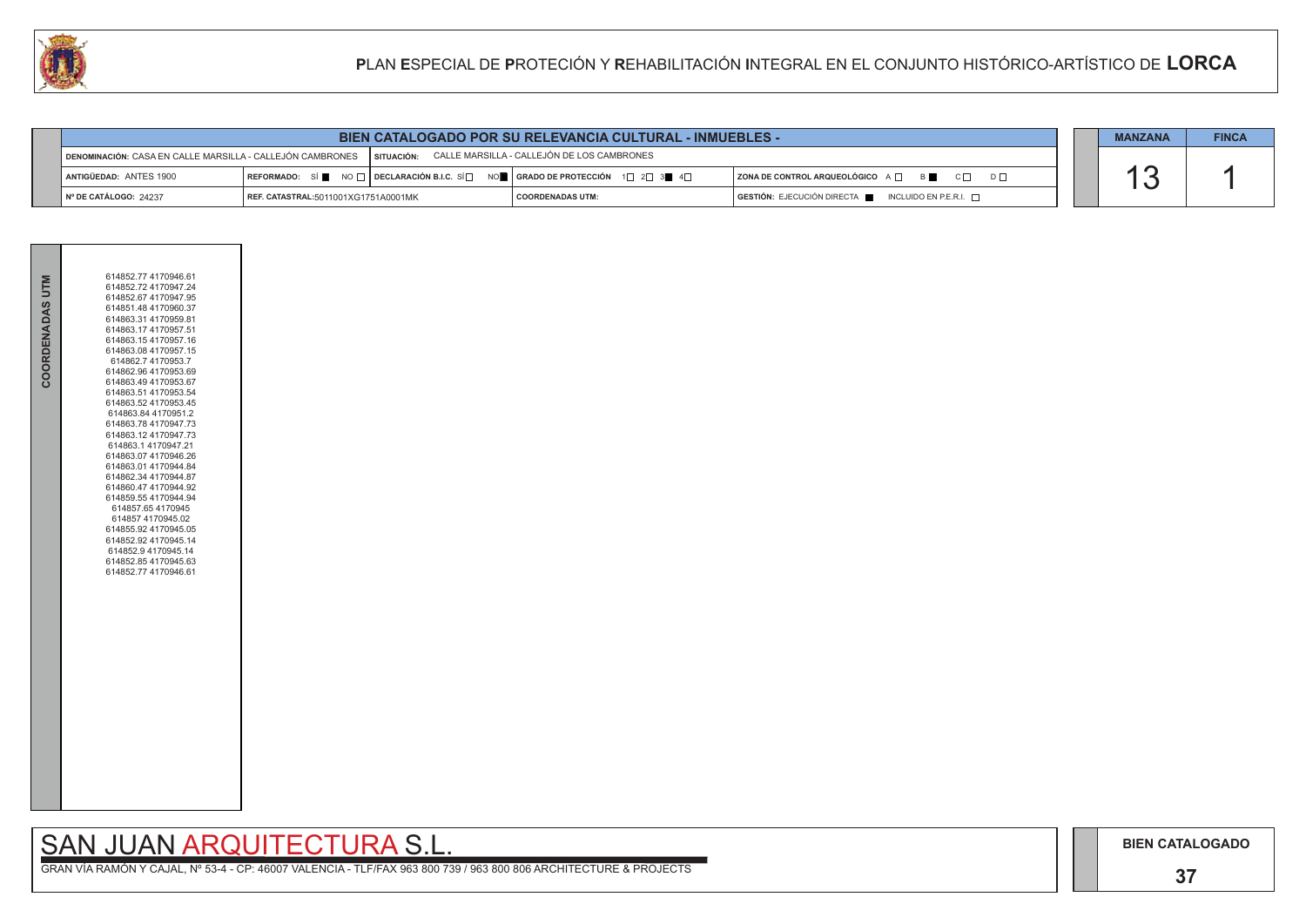## **37**

# SAN JUAN ARQUITECTURA S.L.

| <b>BIEN CATALOGADO POR SU RELEVANCIA CULTURAL - INMUEBLES -</b> |                                                                                                                    |  |                                                                                                                                                       |                                                                                      |  | <b>MANZANA</b> | <b>FINCA</b> |
|-----------------------------------------------------------------|--------------------------------------------------------------------------------------------------------------------|--|-------------------------------------------------------------------------------------------------------------------------------------------------------|--------------------------------------------------------------------------------------|--|----------------|--------------|
|                                                                 | SITUACIÓN: CALLE MARSILLA - CALLEJÓN DE LOS CAMBRONES<br>DENOMINACIÓN: CASA EN CALLE MARSILLA - CALLEJÓN CAMBRONES |  |                                                                                                                                                       |                                                                                      |  |                |              |
| ANTIGÜEDAD: ANTES 1900                                          |                                                                                                                    |  | REFORMADO: SÍ $\blacksquare$ NO $\Box$ DECLARACIÓN B.I.C. SÍ $\Box$ NO $\blacksquare$ GRADO DE PROTECCIÓN 1 $\Box$ 2 $\Box$ 3 $\blacksquare$ 4 $\Box$ | ZONA DE CONTROL ARQUEOLÓGICO A □ B C □ D □                                           |  |                |              |
| N° DE CATÁLOGO: 24237                                           | REF. CATASTRAL:5011001XG1751A0001MK                                                                                |  | <b>COORDENADAS UTM:</b>                                                                                                                               | $\overline{)}$ GESTIÓN: EJECUCIÓN DIRECTA $\blacksquare$ INCLUIDO EN P.E.R.I. $\Box$ |  |                |              |



| 614852.77 4170946.61<br>COORDENADAS UTM<br>614852.72 4170947.24<br>614852.67 4170947.95<br>614851.48 4170960.37<br>614863.31 4170959.81<br>614863.17 4170957.51<br>614863.154170957.16<br>614863.08 4170957.15<br>614862.7 4170953.7<br>614862.96 4170953.69<br>614863.49 4170953.67<br>614863.51 4170953.54<br>614863.52 4170953.45<br>614863.84 4170951.2<br>614863.78 4170947.73<br>614863.12 4170947.73<br>614863.14170947.21<br>614863.07 4170946.26<br>614863.01 4170944.84<br>614862.34 4170944.87<br>614860.47 4170944.92<br>614859.55 4170944.94<br>614857.65 4170945<br>614857 4170945.02<br>614855.92 4170945.05<br>614852.92 4170945.14<br>614852.9 4170945.14<br>614852.85 4170945.63<br>614852.77 4170946.61 |  |  |
|----------------------------------------------------------------------------------------------------------------------------------------------------------------------------------------------------------------------------------------------------------------------------------------------------------------------------------------------------------------------------------------------------------------------------------------------------------------------------------------------------------------------------------------------------------------------------------------------------------------------------------------------------------------------------------------------------------------------------|--|--|
|                                                                                                                                                                                                                                                                                                                                                                                                                                                                                                                                                                                                                                                                                                                            |  |  |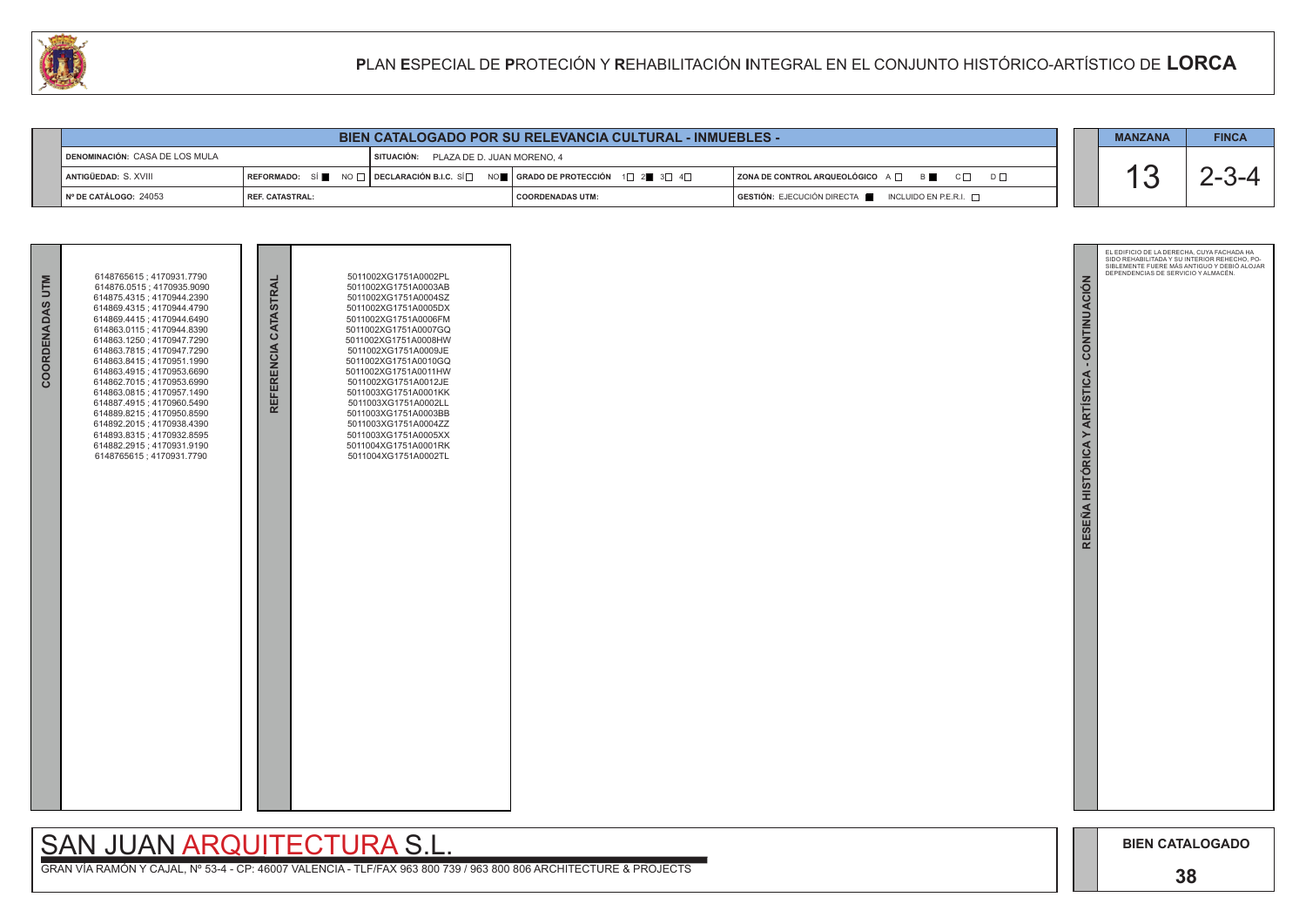

GRAN VÍA RAMÓN Y CAJAL, Nº 53-4 - CP: 46007 VALENCIA - TLF/FAX 963 800 739 / 963 800 806 ARCHITECTURE & PROJECTS

| <b>BIEN CATALOGADO POR SU RELEVANCIA CULTURAL - INMUEBLES -</b> |                   |                                                                                                           |                         |  |                                                                                              |  | <b>MANZANA</b> | <b>FINCA</b> |
|-----------------------------------------------------------------|-------------------|-----------------------------------------------------------------------------------------------------------|-------------------------|--|----------------------------------------------------------------------------------------------|--|----------------|--------------|
| DENOMINACIÓN: CASA DE LOS MULA                                  |                   | PLAZA DE D. JUAN MORENO. 4<br>SITUACIÓN:                                                                  |                         |  |                                                                                              |  |                |              |
| ANTIGÜEDAD: S. XVIII                                            | <b>REFORMADO:</b> | SÍ NO $\Box$ DECLARACIÓN B.I.C. SÍ $\Box$ NO $\Box$ GRADO DE PROTECCIÓN $\Box$ 2 $\Box$ 3 $\Box$ 4 $\Box$ |                         |  | $ $ ZONA DE CONTROL ARQUEOLÓGICO A $\Box$ B<br>$C \Box$<br>$D$ $\Box$                        |  |                |              |
| $\vert$ N° DE CATÁLOGO: 24053                                   | l REF. CATASTRAL: |                                                                                                           | <b>COORDENADAS UTM:</b> |  | $\overline{S}$ GESTIÓN: EJECUCIÓN DIRECTA $\overline{S}$ INCLUIDO EN P.E.R.I. $\overline{S}$ |  |                |              |

| COORDENADAS UTM | 6148765615; 4170931.7790<br>614876.0515; 4170935.9090<br>614875.4315; 4170944.2390<br>614869.4315; 4170944.4790<br>614869.4415; 4170944.6490<br>614863 0115 ; 4170944 8390<br>614863.1250; 4170947.7290<br>614863.7815; 4170947.7290<br>614863.8415; 4170951.1990<br>614863.4915; 4170953.6690<br>614862.7015; 4170953.6990<br>614863.0815; 4170957.1490<br>614887.4915; 4170960.5490<br>614889.8215; 4170950.8590<br>614892.2015; 4170938.4390<br>614893.8315; 4170932.8595<br>614882.2915; 4170931.9190<br>6148765615; 4170931.7790 | REFERENCIA CATASTRAL | 5011002XG1751A0002PL<br>5011002XG1751A0003AB<br>5011002XG1751A0004SZ<br>5011002XG1751A0005DX<br>5011002XG1751A0006FM<br>5011002XG1751A0007GQ<br>5011002XG1751A0008HW<br>5011002XG1751A0009JE<br>5011002XG1751A0010GQ<br>5011002XG1751A0011HW<br>5011002XG1751A0012JE<br>5011003XG1751A0001KK<br>5011003XG1751A0002LL<br>5011003XG1751A0003BB<br>5011003XG1751A0004ZZ<br>5011003XG1751A0005XX<br>5011004XG1751A0001RK<br>5011004XG1751A0002TL |  |
|-----------------|---------------------------------------------------------------------------------------------------------------------------------------------------------------------------------------------------------------------------------------------------------------------------------------------------------------------------------------------------------------------------------------------------------------------------------------------------------------------------------------------------------------------------------------|----------------------|----------------------------------------------------------------------------------------------------------------------------------------------------------------------------------------------------------------------------------------------------------------------------------------------------------------------------------------------------------------------------------------------------------------------------------------------|--|
|                 |                                                                                                                                                                                                                                                                                                                                                                                                                                                                                                                                       |                      |                                                                                                                                                                                                                                                                                                                                                                                                                                              |  |

# SAN JUAN ARQUITECTURA S.L.

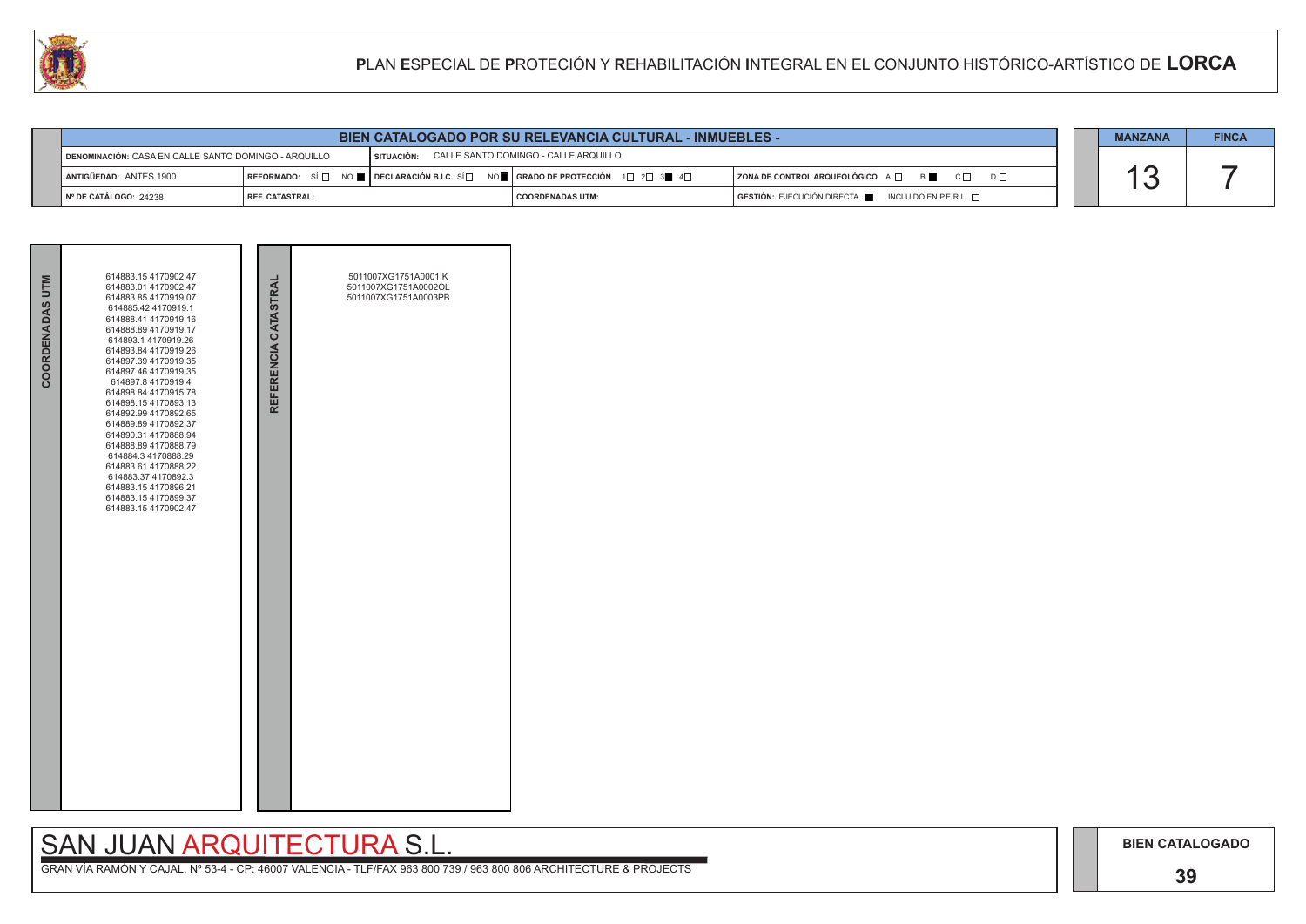## **39**

## SAN JUAN ARQUITECTURA S.L.

|                                                                                                         | <b>BIEN CATALOGADO POR SU RELEVANCIA CULTURAL - INMUEBLES -</b> |                                                                                                                                                       |                    |  |                                                                                      |  | <b>MANZANA</b> | <b>FINCA</b> |
|---------------------------------------------------------------------------------------------------------|-----------------------------------------------------------------|-------------------------------------------------------------------------------------------------------------------------------------------------------|--------------------|--|--------------------------------------------------------------------------------------|--|----------------|--------------|
| SITUACIÓN: CALLE SANTO DOMINGO - CALLE ARQUILLO<br>DENOMINACIÓN: CASA EN CALLE SANTO DOMINGO - ARQUILLO |                                                                 |                                                                                                                                                       |                    |  |                                                                                      |  |                |              |
| ANTIGÜEDAD: ANTES 1900                                                                                  |                                                                 | REFORMADO: SÍ $\Box$ NO $\blacksquare$ DECLARACIÓN B.I.C. SÍ $\Box$ NO $\blacksquare$ GRADO DE PROTECCIÓN 1 $\Box$ 2 $\Box$ 3 $\blacksquare$ 4 $\Box$ |                    |  | ZONA DE CONTROL ARQUEOLÓGICO A □ B C O D D D O                                       |  |                |              |
| Nº DE CATÁLOGO: 24238                                                                                   | <b>I REF. CATASTRAL:</b>                                        |                                                                                                                                                       | I COORDENADAS UTM: |  | $\overline{)}$ GESTIÓN: EJECUCIÓN DIRECTA $\overline{)}$ INCLUIDO EN P.E.R.I. $\Box$ |  |                |              |

| COORDENADAS UTM | 614883.154170902.47<br>614883.01 4170902.47<br>614883.85 4170919.07<br>614885.42 4170919.1<br>614888.41 4170919.16<br>614888.89 4170919.17<br>614893.14170919.26<br>614893.84 4170919.26<br>614897.39 4170919.35<br>614897.46 4170919.35<br>614897.8 4170919.4<br>614898.84 4170915.78<br>614898.154170893.13<br>614892.99 4170892.65<br>614889.89 4170892.37<br>614890.31 4170888.94<br>614888.89 4170888.79<br>614884.3 4170888.29<br>614883.61 4170888.22<br>614883.37 4170892.3<br>614883.154170896.21<br>614883.154170899.37<br>614883.154170902.47 | REFERENCIA CATASTRAL | 5011007XG1751A0001lK<br>5011007XG1751A0002OL<br>5011007XG1751A0003PB |  |
|-----------------|----------------------------------------------------------------------------------------------------------------------------------------------------------------------------------------------------------------------------------------------------------------------------------------------------------------------------------------------------------------------------------------------------------------------------------------------------------------------------------------------------------------------------------------------------------|----------------------|----------------------------------------------------------------------|--|

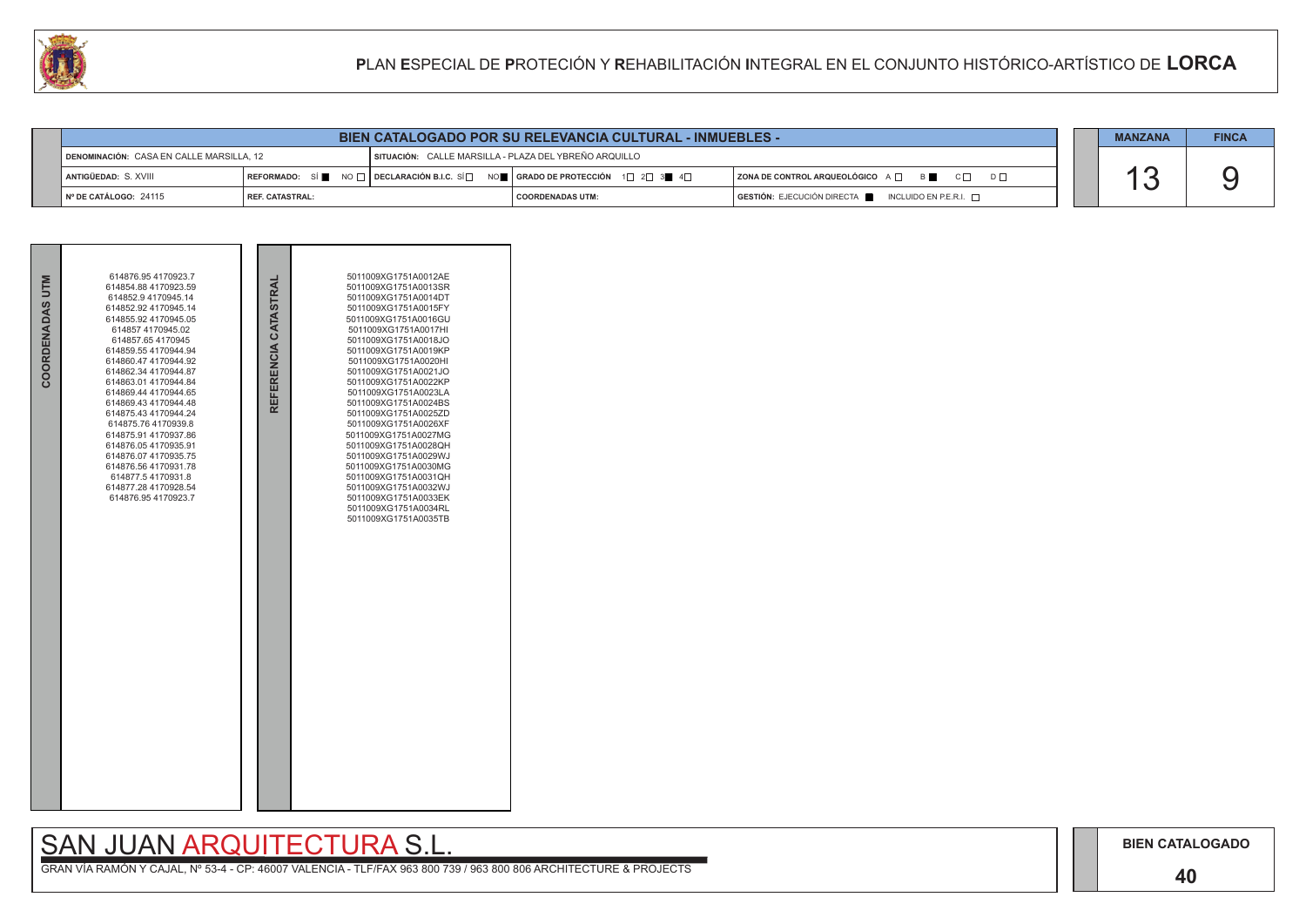### **40**

## SAN JUAN ARQUITECTURA S.L.

|                                                                                                   | BIEN CATALOGADO POR SU RELEVANCIA CULTURAL - INMUEBLES - |  |                                                                                                                 |                                                 |  |  |  |
|---------------------------------------------------------------------------------------------------|----------------------------------------------------------|--|-----------------------------------------------------------------------------------------------------------------|-------------------------------------------------|--|--|--|
| SITUACIÓN: CALLE MARSILLA - PLAZA DEL YBREÑO ARQUILLO<br>DENOMINACIÓN: CASA EN CALLE MARSILLA. 12 |                                                          |  |                                                                                                                 |                                                 |  |  |  |
| Antigüedad: S. XVIII                                                                              |                                                          |  | REFORMADO: SÍ NO $\Box$ DECLARACIÓN B.I.C. SÍ $\Box$ NO $\Box$ GRADO DE PROTECCIÓN 1 $\Box$ 2 $\Box$ 3 4 $\Box$ | ZONA DE CONTROL ARQUEOLÓGICO A □ B C □ D □      |  |  |  |
| I Nº DE CATÁLOGO: 24115                                                                           | REF. CATASTRAL:                                          |  | I COORDENADAS UTM:                                                                                              | GESTIÓN: EJECUCIÓN DIRECTA NICLUIDO EN P.E.R.I. |  |  |  |

| COORDENADAS UTM | 614876.95 4170923.7<br>614854.88 4170923.59<br>614852.9 4170945.14<br>614852.92 4170945.14<br>614855.92 4170945.05<br>614857 4170945.02<br>614857.654170945<br>614859.55 4170944.94<br>614860.47 4170944.92<br>614862.34 4170944.87<br>614863.01 4170944.84<br>614869.44 4170944.65<br>614869.43 4170944.48<br>614875.43 4170944.24<br>614875.764170939.8<br>614875.91 4170937.86<br>614876.054170935.91<br>614876.07 4170935.75<br>614876.56 4170931.78<br>614877.54170931.8<br>614877.28 4170928.54<br>614876.95 4170923.7 | REFERENCIA CATASTRAI | 5011009XG1751A0012AE<br>5011009XG1751A0013SR<br>5011009XG1751A0014DT<br>5011009XG1751A0015FY<br>5011009XG1751A0016GU<br>5011009XG1751A0017HI<br>5011009XG1751A0018JO<br>5011009XG1751A0019KP<br>5011009XG1751A0020HI<br>5011009XG1751A0021JO<br>5011009XG1751A0022KP<br>5011009XG1751A0023LA<br>5011009XG1751A0024BS<br>5011009XG1751A0025ZD<br>5011009XG1751A0026XF<br>5011009XG1751A0027MG<br>5011009XG1751A0028QH<br>5011009XG1751A0029WJ<br>5011009XG1751A0030MG<br>5011009XG1751A0031QH<br>5011009XG1751A0032WJ<br>5011009XG1751A0033EK<br>5011009XG1751A0034RL<br>5011009XG1751A0035TB |  |
|-----------------|------------------------------------------------------------------------------------------------------------------------------------------------------------------------------------------------------------------------------------------------------------------------------------------------------------------------------------------------------------------------------------------------------------------------------------------------------------------------------------------------------------------------------|----------------------|----------------------------------------------------------------------------------------------------------------------------------------------------------------------------------------------------------------------------------------------------------------------------------------------------------------------------------------------------------------------------------------------------------------------------------------------------------------------------------------------------------------------------------------------------------------------------------------------|--|

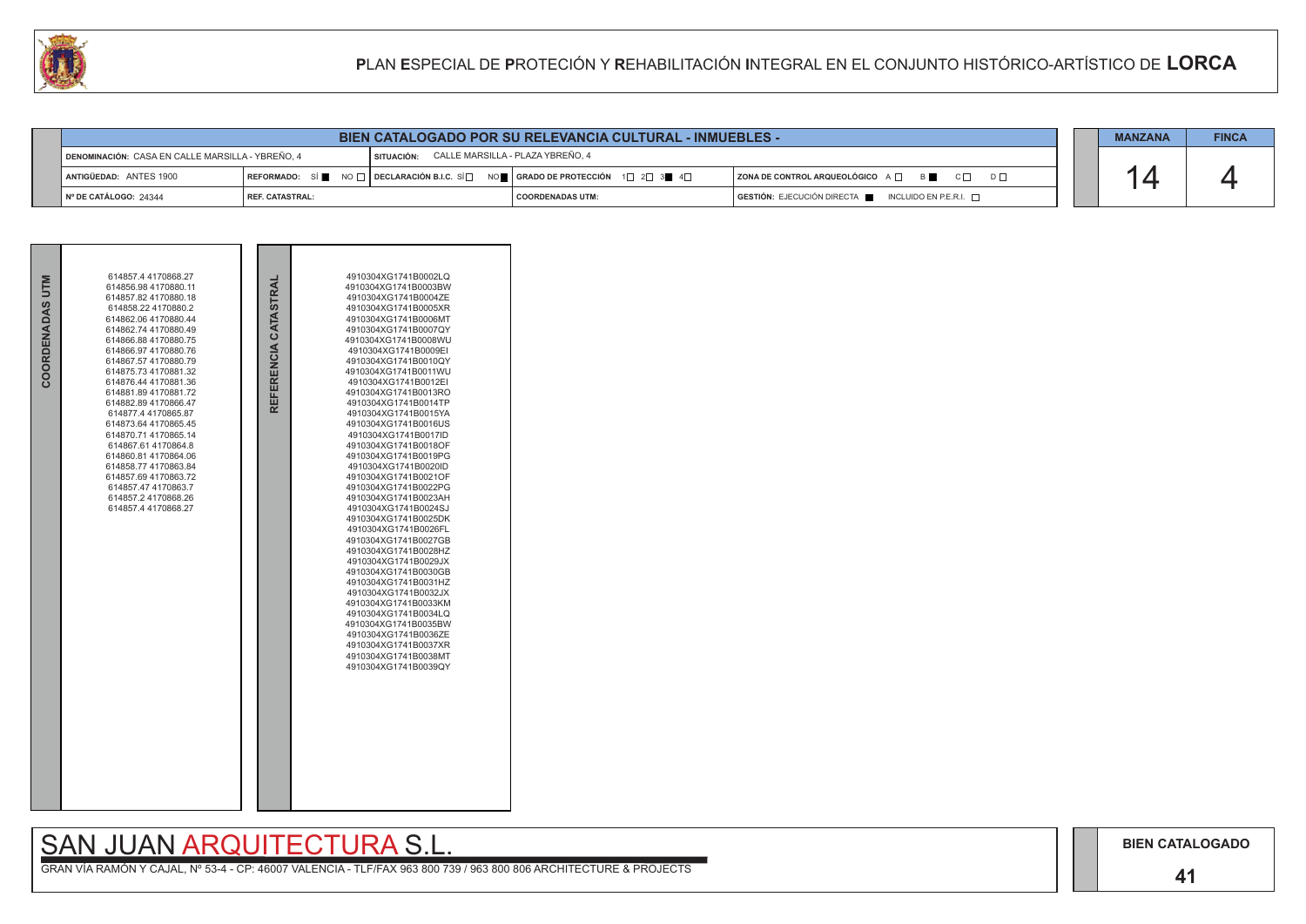## SAN JUAN ARQUITECTURA S.L.

| COORDENADAS UTM | 614857.4 4170868.27<br>614856.98 4170880.11<br>614857.82 4170880.18<br>614858.22 4170880.2<br>614862.06 4170880.44<br>614862.74 4170880.49<br>614866.88 4170880.75<br>614866.97 4170880.76<br>614867.57 4170880.79<br>614875.73 4170881.32<br>614876.44 4170881.36<br>614881.894170881.72<br>614882.89 4170866.47<br>614877.4 4170865.87<br>614873.64 4170865.45<br>614870.714170865.14<br>614867.61 4170864.8<br>614860.81 4170864.06<br>614858.77 4170863.84<br>614857.69 4170863.72<br>614857.47 4170863.7<br>614857.2 4170868.26<br>614857.4 4170868.27 | REFERENCIA CATASTRAI | 4910304XG1741B0002LQ<br>4910304XG1741B0003BW<br>4910304XG1741B0004ZE<br>4910304XG1741B0005XR<br>4910304XG1741B0006MT<br>4910304XG1741B0007QY<br>4910304XG1741B0008WU<br>4910304XG1741B0009EI<br>4910304XG1741B0010QY<br>4910304XG1741B0011WU<br>4910304XG1741B0012EI<br>4910304XG1741B0013RO<br>4910304XG1741B0014TP<br>4910304XG1741B0015YA<br>4910304XG1741B0016US<br>4910304XG1741B0017ID<br>4910304XG1741B0018OF<br>4910304XG1741B0019PG<br>4910304XG1741B0020ID<br>4910304XG1741B0021OF<br>4910304XG1741B0022PG<br>4910304XG1741B0023AH<br>4910304XG1741B0024SJ<br>4910304XG1741B0025DK<br>4910304XG1741B0026FL<br>4910304XG1741B0027GB<br>4910304XG1741B0028HZ<br>4910304XG1741B0029JX<br>4910304XG1741B0030GB<br>4910304XG1741B0031HZ<br>4910304XG1741B0032JX<br>4910304XG1741B0033KM<br>4910304XG1741B0034LQ<br>4910304XG1741B0035BW<br>4910304XG1741B0036ZE<br>4910304XG1741B0037XR<br>4910304XG1741B0038MT<br>4910304XG1741B0039QY |  |
|-----------------|-------------------------------------------------------------------------------------------------------------------------------------------------------------------------------------------------------------------------------------------------------------------------------------------------------------------------------------------------------------------------------------------------------------------------------------------------------------------------------------------------------------------------------------------------------------|----------------------|----------------------------------------------------------------------------------------------------------------------------------------------------------------------------------------------------------------------------------------------------------------------------------------------------------------------------------------------------------------------------------------------------------------------------------------------------------------------------------------------------------------------------------------------------------------------------------------------------------------------------------------------------------------------------------------------------------------------------------------------------------------------------------------------------------------------------------------------------------------------------------------------------------------------------------------------|--|

|                                                  | <b>BIEN CATALOGADO POR SU RELEVANCIA CULTURAL - INMUEBLES -</b> |  |                                                                               |                                                                                      |  |  | <b>FINCA</b> |
|--------------------------------------------------|-----------------------------------------------------------------|--|-------------------------------------------------------------------------------|--------------------------------------------------------------------------------------|--|--|--------------|
| DENOMINACIÓN: CASA EN CALLE MARSILLA - YBREÑO, 4 |                                                                 |  | SITUACIÓN: CALLE MARSILLA - PLAZA YBREÑO, 4                                   |                                                                                      |  |  |              |
| ANTIGÜEDAD: ANTES 1900                           |                                                                 |  | REFORMADO: SÍ NO I DECLARACIÓN B.I.C. SÍ NO I GRADO DE PROTECCIÓN 1 $2$ 3 4 4 | ZONA DE CONTROL ARQUEOLÓGICO A O BOSO CO DO                                          |  |  |              |
| I Nº DE CATÁLOGO: 24344                          | <b>I REF. CATASTRAL:</b>                                        |  | <b>COORDENADAS UTM:</b>                                                       | $\overline{)}$ GESTIÓN: EJECUCIÓN DIRECTA $\overline{)}$ INCLUIDO EN P.E.R.I. $\Box$ |  |  |              |

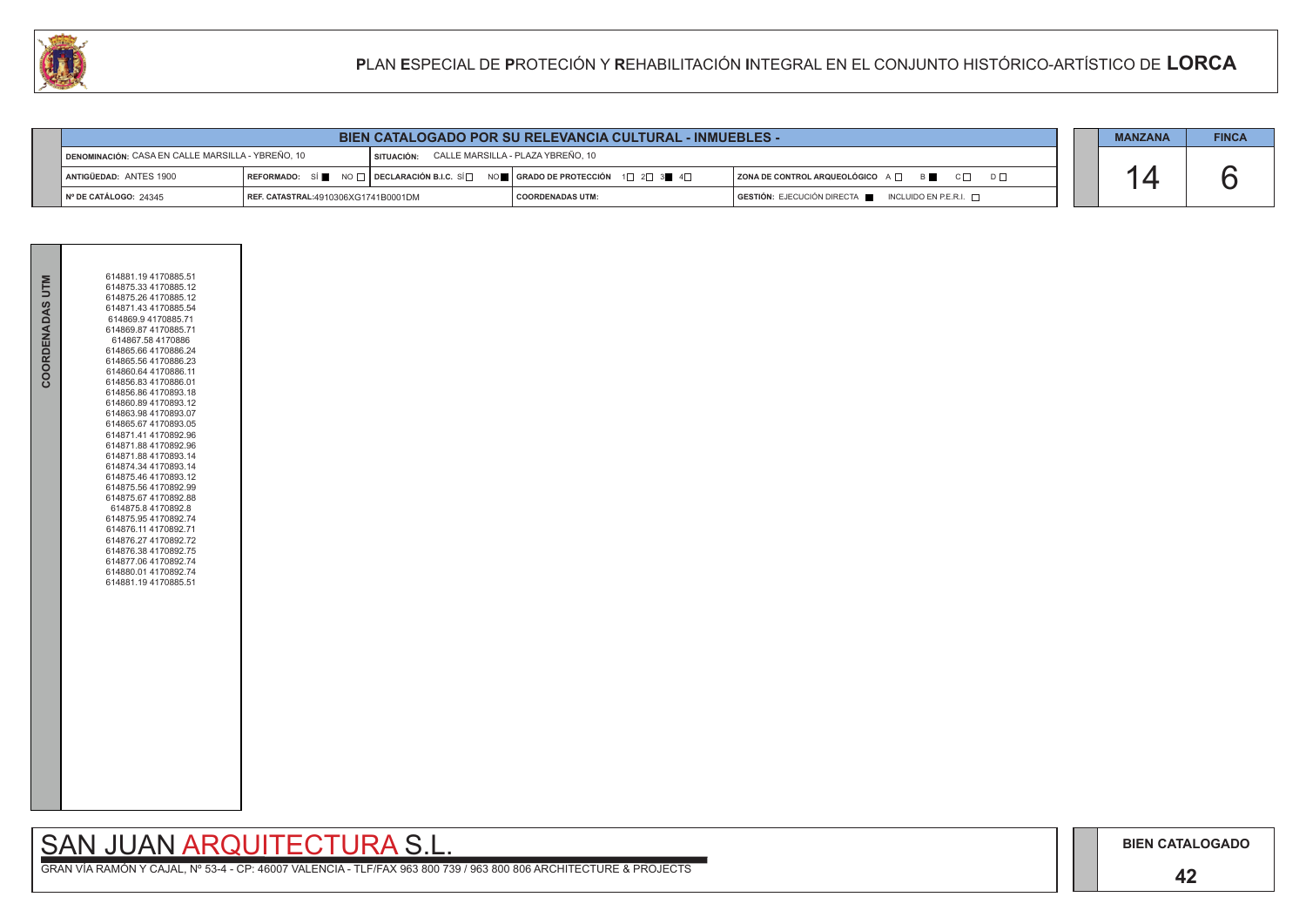### **42**

## SAN JUAN ARQUITECTURA S.L.

|                                                   | BIEN CATALOGADO POR SU RELEVANCIA CULTURAL - INMUEBLES - |                                              |                                                                                                                 |                                                          |  |  | <b>FINCA</b> |
|---------------------------------------------------|----------------------------------------------------------|----------------------------------------------|-----------------------------------------------------------------------------------------------------------------|----------------------------------------------------------|--|--|--------------|
| DENOMINACIÓN: CASA EN CALLE MARSILLA - YBREÑO, 10 |                                                          | SITUACIÓN: CALLE MARSILLA - PLAZA YBREÑO, 10 |                                                                                                                 |                                                          |  |  |              |
| ANTIGÜEDAD: ANTES 1900                            |                                                          |                                              | REFORMADO: SÍ NO $\Box$ DECLARACIÓN B.I.C. SÍ $\Box$ NO $\Box$ GRADO DE PROTECCIÓN 1 $\Box$ 2 $\Box$ 3 4 $\Box$ | ZONA DE CONTROL ARQUEOLÓGICO A □ B C □ D □               |  |  |              |
| $\vert$ N° DE CATÁLOGO: 24345                     | REF. CATASTRAL:4910306XG1741B0001DM                      |                                              | I COORDENADAS UTM:                                                                                              | $GESTIÓN: EJECUCIÓN DIRECTA$ INCLUIDO EN P.E.R.I. $\Box$ |  |  |              |



| COORDENADAS UTM | 614881.19 4170885.51<br>614875.33 4170885.12<br>614875.26 4170885.12<br>614871.43 4170885.54<br>614869.9 4170885.71<br>614869.87 4170885.71<br>614867.58 4170886<br>614865.66 4170886.24<br>614865.56 4170886.23<br>614860.64 4170886.11<br>614856.83 4170886.01<br>614856.86 4170893.18<br>614860.89 4170893.12<br>614863.98 4170893.07<br>614865.67 4170893.05<br>614871.41 4170892.96<br>614871.88 4170892.96<br>614871.88 4170893.14<br>614874.34 4170893.14<br>614875.46 4170893.12<br>614875.56 4170892.99<br>614875.67 4170892.88<br>614875.8 4170892.8<br>614875.95 4170892.74<br>614876.11 4170892.71<br>614876.27 4170892.72<br>614876.38 4170892.75<br>614877.06 4170892.74<br>614880.01 4170892.74<br>614881.19 4170885.51 |  |
|-----------------|----------------------------------------------------------------------------------------------------------------------------------------------------------------------------------------------------------------------------------------------------------------------------------------------------------------------------------------------------------------------------------------------------------------------------------------------------------------------------------------------------------------------------------------------------------------------------------------------------------------------------------------------------------------------------------------------------------------------------------------|--|
|                 |                                                                                                                                                                                                                                                                                                                                                                                                                                                                                                                                                                                                                                                                                                                                        |  |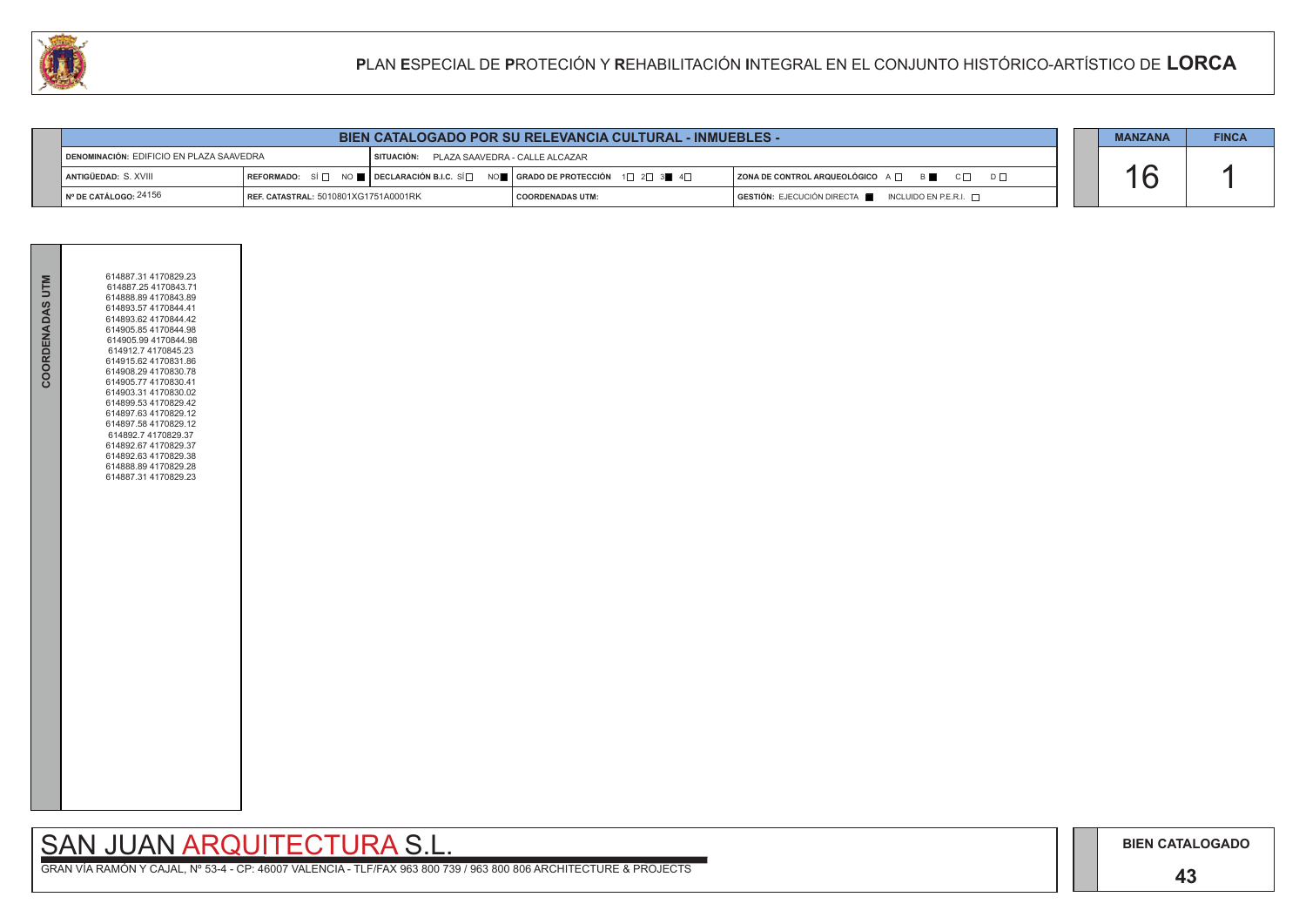## SAN JUAN ARQUITECTURA S.L.

| COORDENADAS UTM | 614887.31 4170829.23<br>614887.254170843.71<br>614888.894170843.89<br>614893.57 4170844.41<br>614893.62 4170844.42<br>614905.854170844.98<br>614905.99 4170844.98<br>614912.7 4170845.23<br>614915.62 4170831.86<br>614908.29 4170830.78<br>614905.77 4170830.41<br>614903.31 4170830.02<br>614899.53 4170829.42<br>614897.63 4170829.12<br>614897.58 4170829.12<br>614892.7 4170829.37<br>614892.67 4170829.37<br>614892.63 4170829.38<br>614888.894170829.28<br>614887.31 4170829.23 |  |
|-----------------|----------------------------------------------------------------------------------------------------------------------------------------------------------------------------------------------------------------------------------------------------------------------------------------------------------------------------------------------------------------------------------------------------------------------------------------------------------------------------------------|--|
|                 |                                                                                                                                                                                                                                                                                                                                                                                                                                                                                        |  |

| <b>BIEN CATALOGADO POR SU RELEVANCIA CULTURAL - INMUEBLES -</b> |                                      |                                           |                                                                                                                                                       |                                                                 |  |  | <b>FINCA</b> |
|-----------------------------------------------------------------|--------------------------------------|-------------------------------------------|-------------------------------------------------------------------------------------------------------------------------------------------------------|-----------------------------------------------------------------|--|--|--------------|
| DENOMINACIÓN: EDIFICIO EN PLAZA SAAVEDRA                        |                                      | SITUACIÓN: PLAZA SAAVEDRA - CALLE ALCAZAR |                                                                                                                                                       |                                                                 |  |  |              |
| <b>I ANTIGÜEDAD:</b> S. XVIII                                   |                                      |                                           | REFORMADO: SÍ $\square$ NO $\square$ DECLARACIÓN B.I.C. SÍ $\square$ NO $\square$ GRADO DE PROTECCIÓN 1 $\square$ 2 $\square$ 3 $\square$ 4 $\square$ | ZONA DE CONTROL ARQUEOLÓGICO A $\Box$ B<br>$C \Box$<br>$D \Box$ |  |  |              |
| $\sqrt{N^{\circ}$ DE CATÁLOGO: 24156                            | REF. CATASTRAL: 5010801XG1751A0001RK |                                           | I COORDENADAS UTM:                                                                                                                                    | GESTIÓN: EJECUCIÓN DIRECTA   INCLUIDO EN P.E.R.I.               |  |  |              |

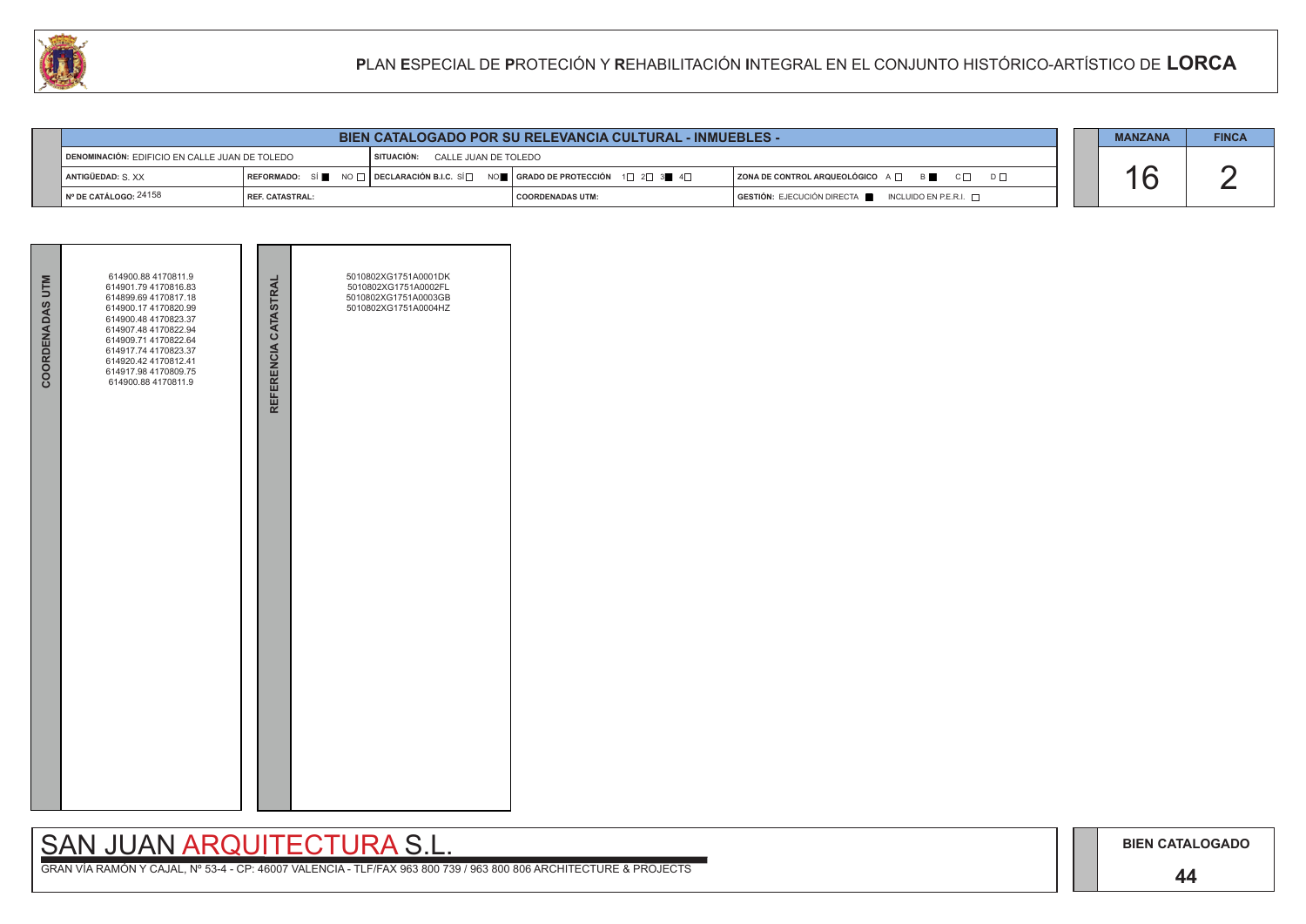### **44**

## SAN JUAN ARQUITECTURA S.L.

|                                                                                      | <b>BIEN CATALOGADO POR SU RELEVANCIA CULTURAL - INMUEBLES -</b> |  |                                                                                                        |                                                                                      |  |  |  |
|--------------------------------------------------------------------------------------|-----------------------------------------------------------------|--|--------------------------------------------------------------------------------------------------------|--------------------------------------------------------------------------------------|--|--|--|
| SITUACIÓN:<br>CALLE JUAN DE TOLEDO<br>DENOMINACIÓN: EDIFICIO EN CALLE JUAN DE TOLEDO |                                                                 |  |                                                                                                        |                                                                                      |  |  |  |
| ANTIGÜEDAD: S. XX                                                                    |                                                                 |  | REFORMADO: SÍ NO $\Box$ DECLARACIÓN B.I.C. SÍ $\Box$ NO $\Box$ GRADO DE PROTECCIÓN 1 $\Box$ 2 $\Box$ 3 | ZONA DE CONTROL ARQUEOLÓGICO A □ B B C □ D □                                         |  |  |  |
| I № DE CATÁLOGO: <sup>24158</sup>                                                    | <b>I REF. CATASTRAL:</b>                                        |  | <b>COORDENADAS UTM:</b>                                                                                | $\overline{)}$ GESTIÓN: EJECUCIÓN DIRECTA $\blacksquare$ INCLUIDO EN P.E.R.I. $\Box$ |  |  |  |

| <b>COORDENADAS UTM</b> | 614900.88 4170811.9<br>614901.79 4170816.83<br>614899.69 4170817.18<br>614900.17 4170820.99<br>614900.48 4170823.37<br>614907.48 4170822.94<br>614909.71 4170822.64<br>614917.74 4170823.37<br>614920.42 4170812.41<br>614917.98 4170809.75<br>614900.88 4170811.9 | REFERENCIA CATASTRAL | 5010802XG1751A0001DK<br>5010802XG1751A0002FL<br>5010802XG1751A0003GB<br>5010802XG1751A0004HZ |  |
|------------------------|--------------------------------------------------------------------------------------------------------------------------------------------------------------------------------------------------------------------------------------------------------------------|----------------------|----------------------------------------------------------------------------------------------|--|
|                        |                                                                                                                                                                                                                                                                    |                      |                                                                                              |  |

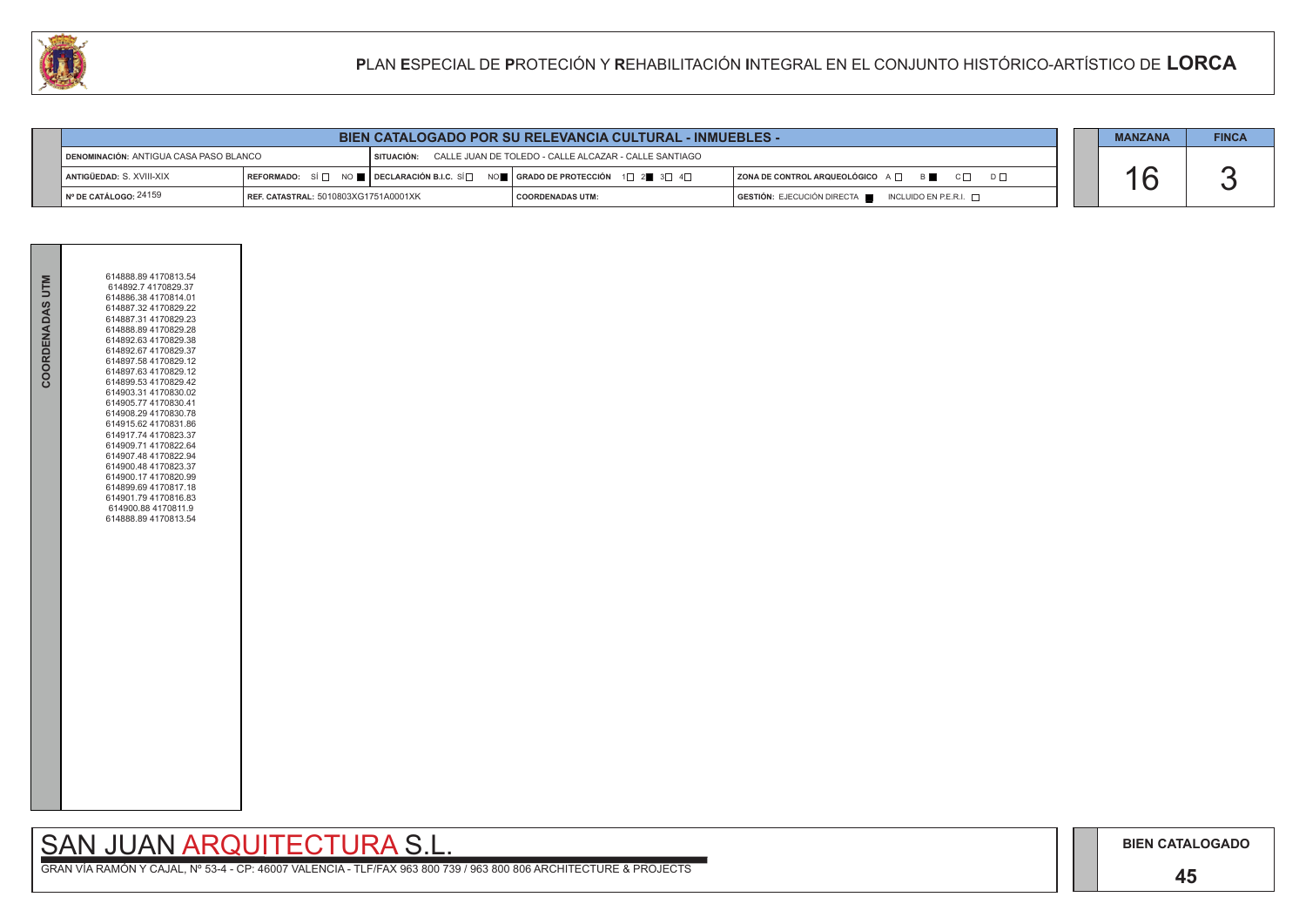### **45**

# SAN JUAN ARQUITECTURA S.L.

|  | <b>MANZANA</b> | <b>FINCA</b> |
|--|----------------|--------------|
|  |                |              |
|  |                |              |
|  |                |              |

|                 | 614888.89 4170813.54                         |  |
|-----------------|----------------------------------------------|--|
| COORDENADAS UTM | 614892.7 4170829.37                          |  |
|                 | 614886.38 4170814.01                         |  |
|                 | 614887.32 4170829.22<br>614887.31 4170829.23 |  |
|                 | 614888.89 4170829.28                         |  |
|                 | 614892.63 4170829.38                         |  |
|                 | 614892.67 4170829.37                         |  |
|                 | 614897.58 4170829.12                         |  |
|                 | 614897.63 4170829.12<br>614899.53 4170829.42 |  |
|                 | 614903.31 4170830.02                         |  |
|                 | 614905.77 4170830.41                         |  |
|                 | 614908.29 4170830.78                         |  |
|                 | 614915.62 4170831.86                         |  |
|                 | 614917.74 4170823.37<br>614909.71 4170822.64 |  |
|                 | 614907.48 4170822.94                         |  |
|                 | 614900.48 4170823.37                         |  |
|                 | 614900.17 4170820.99                         |  |
|                 | 614899.69 4170817.18                         |  |
|                 | 614901.79 4170816.83<br>614900.88 4170811.9  |  |
|                 | 614888.89 4170813.54                         |  |
|                 |                                              |  |
|                 |                                              |  |
|                 |                                              |  |
|                 |                                              |  |
|                 |                                              |  |
|                 |                                              |  |
|                 |                                              |  |
|                 |                                              |  |
|                 |                                              |  |
|                 |                                              |  |
|                 |                                              |  |
|                 |                                              |  |
|                 |                                              |  |
|                 |                                              |  |
|                 |                                              |  |
|                 |                                              |  |
|                 |                                              |  |
|                 |                                              |  |
|                 |                                              |  |
|                 |                                              |  |
|                 |                                              |  |
|                 |                                              |  |

| <b>I DENOMINACIÓN: ANTIGUA CASA PASO BLANCO</b>                   |  | SITUACIÓN: CALLE JUAN DE TOLEDO - CALLE ALCAZAR - CALLE SANTIAGO |                                                                                                                                                            |                                                                                                                |  |  |
|-------------------------------------------------------------------|--|------------------------------------------------------------------|------------------------------------------------------------------------------------------------------------------------------------------------------------|----------------------------------------------------------------------------------------------------------------|--|--|
| " ANTIGÜEDAD: S. XVIII-XIX                                        |  |                                                                  | $\mid$ REFORMADO: $\mid$ SI $\mid$ $\mid$ $\mid$ Declaración B.I.C. SI $\mid$ $\mid$ $\mid$ orado de protección $\mid$ 1 $\mid$ 2 $\mid$ 3 $\mid$ 4 $\mid$ | $\overline{B}$<br>$C \Box$<br>$\overline{\phantom{a}}$ ZONA DE CONTROL ARQUEOLÓGICO A $\overline{\phantom{a}}$ |  |  |
| ¶ Nº DE CATÁLOGO: 24159<br>  REF. CATASTRAL: 5010803XG1751A0001XK |  |                                                                  | I COORDENADAS UTM:                                                                                                                                         | $\overline{S}$ GESTIÓN: EJECUCIÓN DIRECTA $\overline{S}$ INCLUIDO EN P.E.R.I. $\overline{S}$                   |  |  |

| <b>BIEN CATALOGADO POR SU RELEVANCIA CULTURAL - INMUEBLES -</b> |  |  | <b>MANZANA</b> | <b>FINCA</b> |
|-----------------------------------------------------------------|--|--|----------------|--------------|
|-----------------------------------------------------------------|--|--|----------------|--------------|

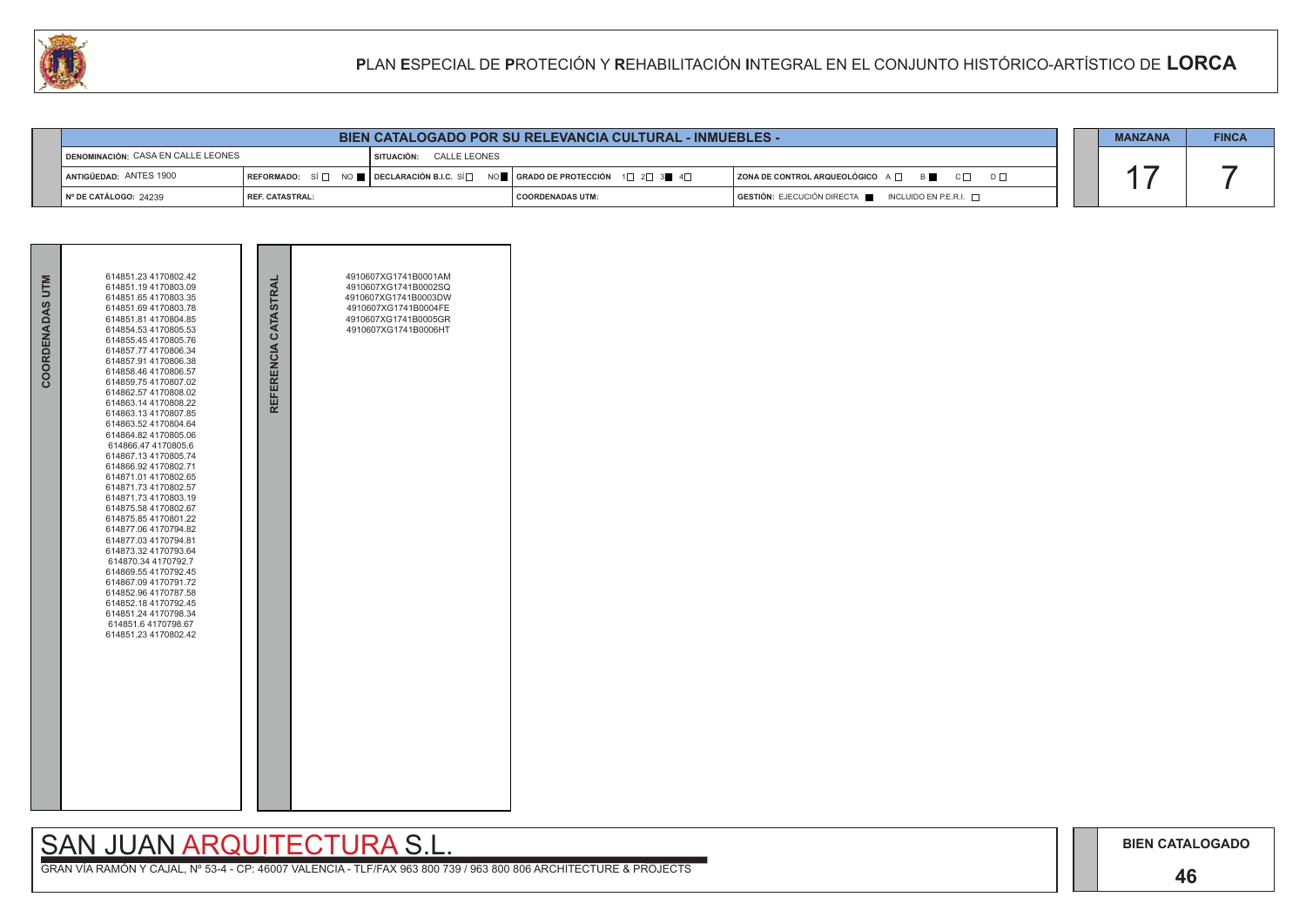### **46**

## SAN JUAN ARQUITECTURA S.L.



| 44                                                                   |                                                                 | PLAN ESPECIAL DE PROTECIÓN Y REHABILITACIÓN INTEGRAL EN EL CONJUNTO HISTÓRICO-ARTÍSTICO DE LORCA |                                                                                                                                                                   |                                                           |  |  |  |  |
|----------------------------------------------------------------------|-----------------------------------------------------------------|--------------------------------------------------------------------------------------------------|-------------------------------------------------------------------------------------------------------------------------------------------------------------------|-----------------------------------------------------------|--|--|--|--|
|                                                                      |                                                                 |                                                                                                  |                                                                                                                                                                   |                                                           |  |  |  |  |
|                                                                      | <b>BIEN CATALOGADO POR SU RELEVANCIA CULTURAL - INMUEBLES -</b> |                                                                                                  |                                                                                                                                                                   |                                                           |  |  |  |  |
| DENOMINACIÓN: CASA EN CALLE LEONES<br><b>SITUACIÓN: CALLE LEONES</b> |                                                                 |                                                                                                  |                                                                                                                                                                   |                                                           |  |  |  |  |
| ANTIGÜEDAD: ANTES 1900                                               |                                                                 |                                                                                                  | $\mid$ REFORMADO: $\mid$ SÍ $\mid$ $\mid$ $\mid$ $\mid$ Declaración B.I.C. SÍ $\mid$ $\mid$ $\mid$ orado de protección $\mid$ 1 $\mid$ 2 $\mid$ 3 $\mid$ 4 $\mid$ | <b>ZONA DE CONTROL ARQUEOLÓGICO</b> A □ B C □ D □         |  |  |  |  |
| Nº DE CATÁLOGO: 24239                                                | REF. CATASTRAL:                                                 |                                                                                                  | <b>COORDENADAS UTM:</b>                                                                                                                                           | GESTIÓN: EJECUCIÓN DIRECTA<br>INCLUIDO EN P.E.R.I. $\Box$ |  |  |  |  |

| COORDENADAS UTM | 614851.23 4170802.42<br>614851.194170803.09<br>614851.65 4170803.35<br>614851.69 4170803.78<br>614851.81 4170804.85<br>614854.53 4170805.53<br>614855.45 4170805.76<br>614857.77 4170806.34<br>614857.91 4170806.38<br>614858.46 4170806.57<br>614859.754170807.02<br>614862.57 4170808.02<br>614863.14 4170808.22<br>614863.134170807.85<br>614863.52 4170804.64<br>614864.82 4170805.06<br>614866.47 4170805.6<br>614867.134170805.74<br>614866.92 4170802.71<br>614871.01 4170802.65<br>614871.73 4170802.57<br>614871.73 4170803.19<br>614875.58 4170802.67<br>614875.85 4170801.22<br>614877.06 4170794.82<br>614877.03 4170794.81<br>614873.32 4170793.64<br>614870.34 4170792.7<br>614869.55 4170792.45<br>614867.09 4170791.72<br>614852.96 4170787.58<br>614852.18 4170792.45<br>614851.24 4170798.34<br>614851.6 4170798.67<br>614851.23 4170802.42 | REFERENCIA CATASTRAI | 4910607XG1741B0001AM<br>4910607XG1741B0002SQ<br>4910607XG1741B0003DW<br>4910607XG1741B0004FE<br>4910607XG1741B0005GR<br>4910607XG1741B0006HT |  |
|-----------------|---------------------------------------------------------------------------------------------------------------------------------------------------------------------------------------------------------------------------------------------------------------------------------------------------------------------------------------------------------------------------------------------------------------------------------------------------------------------------------------------------------------------------------------------------------------------------------------------------------------------------------------------------------------------------------------------------------------------------------------------------------------------------------------------------------------------------------------------------------------|----------------------|----------------------------------------------------------------------------------------------------------------------------------------------|--|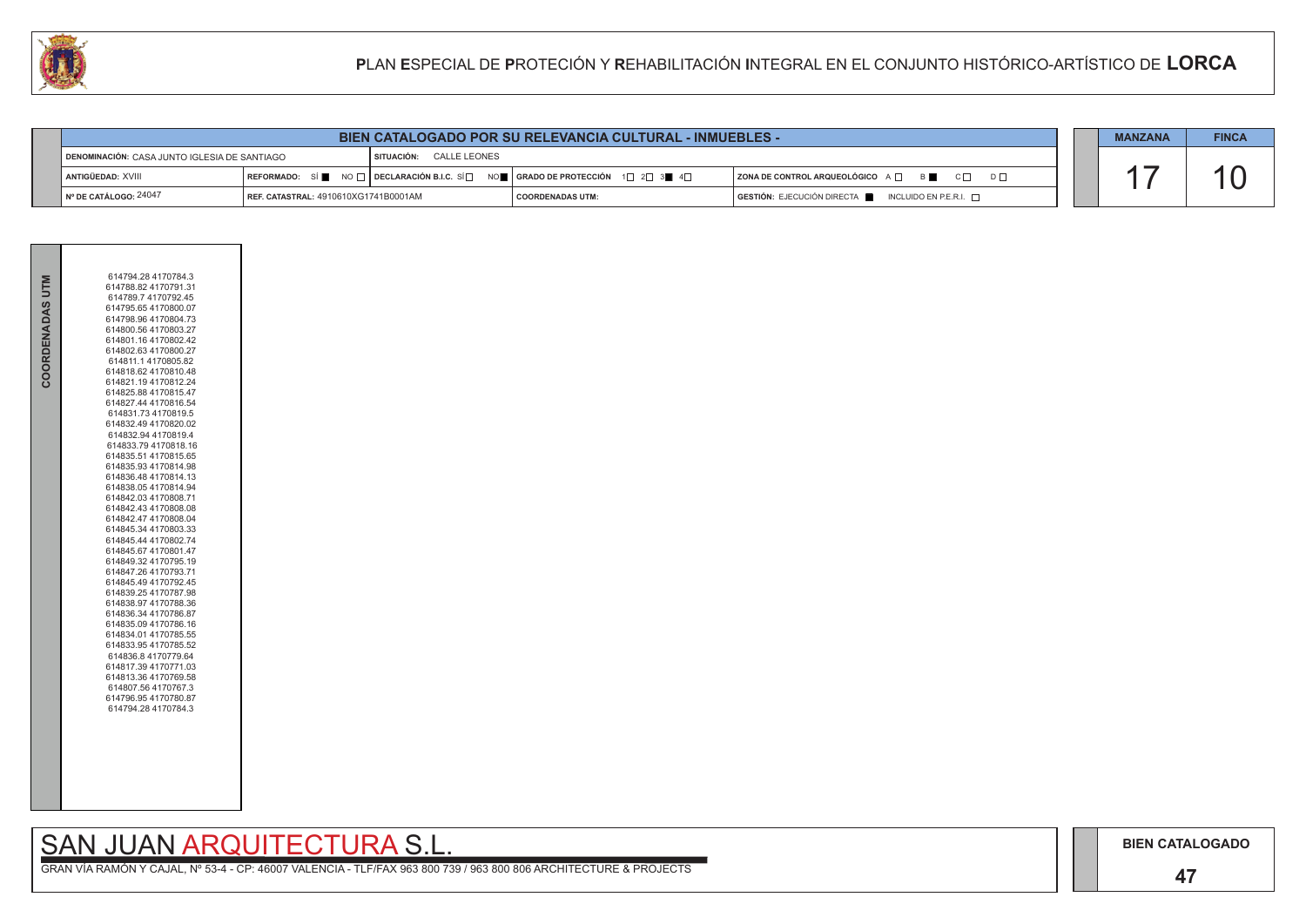### **47**

# SAN JUAN ARQUITECTURA S.L.

| COORDENADAS UTM | 614794.28 4170784.3<br>614788.82 4170791.31<br>614789.7 4170792.45<br>614795.65 4170800.07<br>614798.96 4170804.73<br>614800.56 4170803.27<br>614801.16 4170802.42<br>614802.63 4170800.27<br>614811.1 4170805.82<br>614818.62 4170810.48<br>614821.19 4170812.24<br>614825.88 4170815.47<br>614827.44 4170816.54<br>614831.73 4170819.5<br>614832.49 4170820.02<br>614832.94 4170819.4<br>614833.794170818.16<br>614835.51 4170815.65<br>614835.93 4170814.98<br>614836.48 4170814.13<br>614838.05 4170814.94<br>614842.03 4170808.71<br>614842.43 4170808.08<br>614842.47 4170808.04<br>614845.34 4170803.33<br>614845.44 4170802.74<br>614845.67 4170801.47<br>614849.32 4170795.19<br>614847.26 4170793.71<br>614845.49 4170792.45<br>614839.25 4170787.98<br>614838.97 4170788.36<br>614836.34 4170786.87<br>614835.09 4170786.16<br>614834.01 4170785.55<br>614833.95 4170785.52<br>614836.8 4170779.64<br>614817.39 4170771.03<br>614813.36 4170769.58<br>614807.564170767.3<br>614796.95 4170780.87<br>614794.28 4170784.3 |
|-----------------|------------------------------------------------------------------------------------------------------------------------------------------------------------------------------------------------------------------------------------------------------------------------------------------------------------------------------------------------------------------------------------------------------------------------------------------------------------------------------------------------------------------------------------------------------------------------------------------------------------------------------------------------------------------------------------------------------------------------------------------------------------------------------------------------------------------------------------------------------------------------------------------------------------------------------------------------------------------------------------------------------------------------------------|
|                 |                                                                                                                                                                                                                                                                                                                                                                                                                                                                                                                                                                                                                                                                                                                                                                                                                                                                                                                                                                                                                                    |



|                                                                         | PLAN ESPECIAL DE PROTECIÓN Y REHABILITACIÓN INTEGRAL EN EL CONJUNTO HISTÓRICO-ARTÍSTICO DE LORCA |  |                                                                                                                                                                                   |                                                                |                |              |
|-------------------------------------------------------------------------|--------------------------------------------------------------------------------------------------|--|-----------------------------------------------------------------------------------------------------------------------------------------------------------------------------------|----------------------------------------------------------------|----------------|--------------|
|                                                                         |                                                                                                  |  |                                                                                                                                                                                   |                                                                |                |              |
|                                                                         |                                                                                                  |  | <b>BIEN CATALOGADO POR SU RELEVANCIA CULTURAL - INMUEBLES -</b>                                                                                                                   |                                                                | <b>MANZANA</b> | <b>FINCA</b> |
| DENOMINACIÓN: CASA JUNTO IGLESIA DE SANTIAGO<br>SITUACIÓN: CALLE LEONES |                                                                                                  |  |                                                                                                                                                                                   |                                                                |                |              |
| ANTIGÜEDAD: XVIII                                                       |                                                                                                  |  | $\mid$ REFORMADO: SÍ $\blacksquare$ NO $\Box$ $\mid$ DECLARACIÓN B.I.C. SÍ $\Box$ NO $\blacksquare$ $\mid$ GRADO DE PROTECCIÓN $\mid$ 1 $\Box$ 2 $\Box$ 3 $\blacksquare$ 4 $\Box$ | $ZONA$ DE CONTROL ARQUEOLÓGICO $A \Box$ B<br>$C \Box$ $D \Box$ |                |              |
| Nº DE CATÁLOGO: 24047                                                   | <b>REF. CATASTRAL: 4910610XG1741B0001AM</b>                                                      |  | <b>COORDENADAS UTM:</b>                                                                                                                                                           | GESTIÓN: EJECUCIÓN DIRECTA<br>INCLUIDO EN P.E.R.I. $\Box$      |                |              |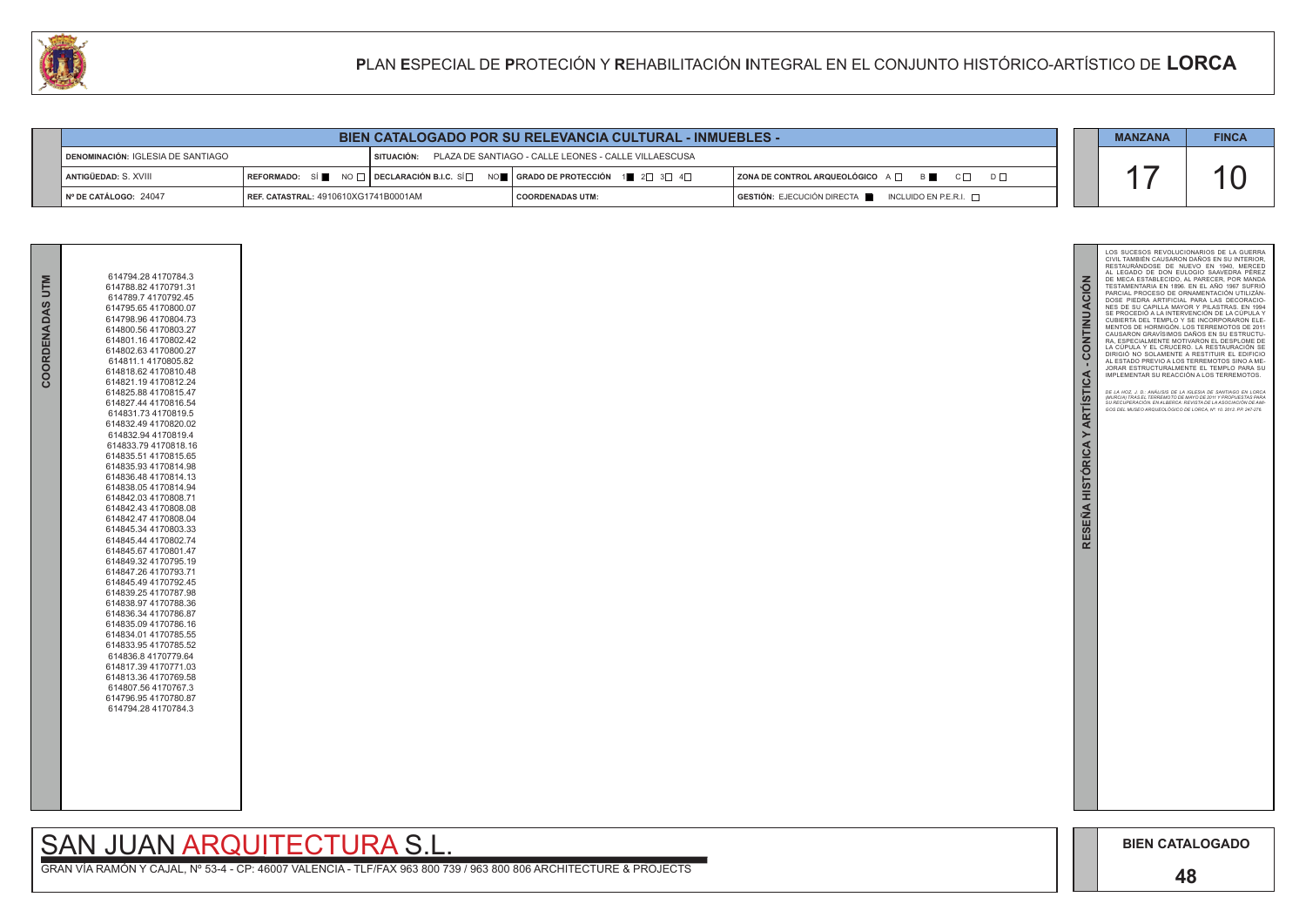

GRAN VÍA RAMÓN Y CAJAL, Nº 53-4 - CP: 46007 VALENCIA - TLF/FAX 963 800 739 / 963 800 806 ARCHITECTURE & PROJECTS

| 614794.28 4170784.3  |
|----------------------|
| 614788.82 4170791.31 |
| 614789.7 4170792.45  |
| 614795.65 4170800.07 |
| 614798.96 4170804.73 |
| 614800.56 4170803.27 |
| 614801.16 4170802.42 |
| 614802.63 4170800.27 |
| 614811.1 4170805.82  |
| 614818.62 4170810.48 |
| 614821.19 4170812.24 |
| 614825.88 4170815.47 |
| 614827.44 4170816.54 |
| 614831.73 4170819.5  |
| 614832.49 4170820.02 |
| 614832.94 4170819.4  |
| 614833.794170818.16  |
| 614835.51 4170815.65 |
| 614835.93 4170814.98 |
| 614836.48 4170814.13 |
| 614838.054170814.94  |
| 614842.03 4170808.71 |
| 614842.43 4170808.08 |
| 614842.47 4170808.04 |
| 614845.34 4170803.33 |
| 614845.44 4170802.74 |
| 614845.67 4170801.47 |
| 614849.32 4170795.19 |
| 614847.26 4170793.71 |
| 614845.49 4170792.45 |
| 614839.25 4170787.98 |
| 614838.97 4170788.36 |
| 614836.34 4170786.87 |
| 614835.09 4170786.16 |
| 614834.01 4170785.55 |
| 614833.95 4170785.52 |
| 614836.84170779.64   |
| 614817.39 4170771.03 |
| 614813.36 4170769.58 |
| 614807.56 4170767.3  |
| 614796.95 4170780.87 |
| 614794.28 4170784.3  |
|                      |
|                      |

# SAN JUAN ARQUITECTURA S.L.

|                                            |                                              | <b>BIEN CATALOGADO POR SU RELEVANCIA CULTURAL - INMUEBLES -</b>                                                                                                      |                                                                                              | <b>MANZANA</b> | <b>FINCA</b> |
|--------------------------------------------|----------------------------------------------|----------------------------------------------------------------------------------------------------------------------------------------------------------------------|----------------------------------------------------------------------------------------------|----------------|--------------|
| <b>I DENOMINACIÓN: IGLESIA DE SANTIAGO</b> |                                              | SITUACIÓN: PLAZA DE SANTIAGO - CALLE LEONES - CALLE VILLAESCUSA                                                                                                      |                                                                                              |                |              |
| I ANTIGÜEDAD: S. XVIII                     |                                              | $\mathsf{I}$ REFORMADO: SÍ $\blacksquare$ NO $\Box$ DECLARACIÓN B.I.C. SÍ $\Box$ NO $\blacksquare$   GRADO DE PROTECCIÓN 1 $\blacksquare$ 2 $\Box$ 3 $\Box$ 4 $\Box$ | $ $ ZONA DE CONTROL ARQUEOLÓGICO $A \Box$ $B \Box$ $C \Box$<br>$D \Box$                      |                |              |
| N° DE CATÁLOGO: 24047                      | <b>FREE. CATASTRAL: 4910610XG1741B0001AM</b> | COORDENADAS UTM:                                                                                                                                                     | $\overline{S}$ GESTIÓN: EJECUCIÓN DIRECTA $\overline{S}$ INCLUIDO EN P.E.R.I. $\overline{S}$ |                |              |



**COORDENADAS UTM**

COORDENADAS UTM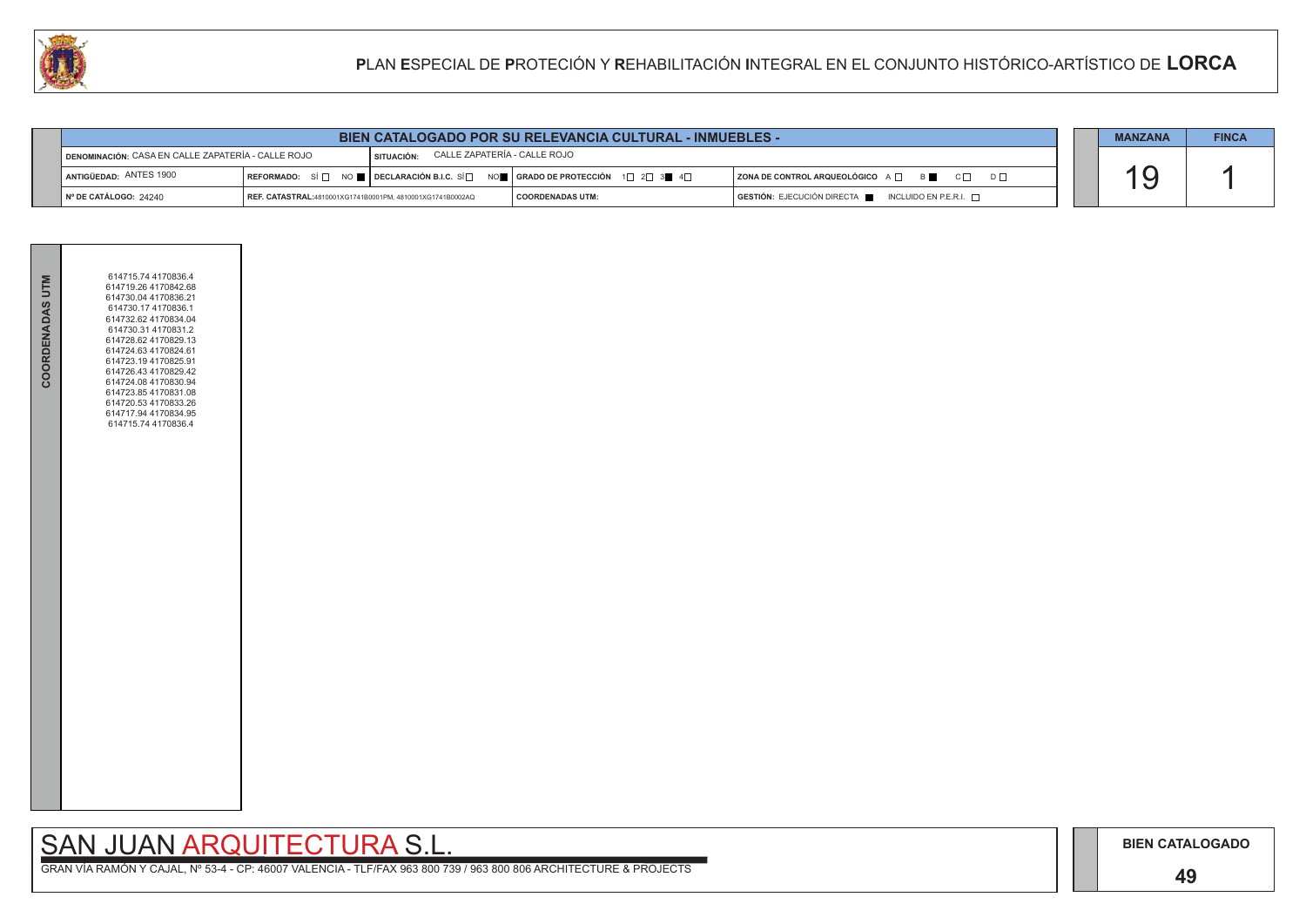### **49**

# SAN JUAN ARQUITECTURA S.L.

|                                                    | <b>BIEN CATALOGADO POR SU RELEVANCIA CULTURAL - INMUEBLES -</b> |                                              |                                                                                                                                   |                                                                                      |  |  |  |
|----------------------------------------------------|-----------------------------------------------------------------|----------------------------------------------|-----------------------------------------------------------------------------------------------------------------------------------|--------------------------------------------------------------------------------------|--|--|--|
| DENOMINACIÓN: CASA EN CALLE ZAPATERÍA - CALLE ROJO |                                                                 | CALLE ZAPATERÍA - CALLE ROJO<br>I SITUACIÓN: |                                                                                                                                   |                                                                                      |  |  |  |
| ANTIGÜEDAD: ANTES 1900                             |                                                                 |                                              | REFORMADO: SÍ $\square$ NO $\square$ DECLARACIÓN B.I.C. SÍ $\square$ NO $\square$   GRADO DE PROTECCIÓN 1 $\square$ 2 $\square$ 3 | $ $ ZONA DE CONTROL ARQUEOLÓGICO $A \Box$ B $ \Box$ C $ \Box$ D $ \Box$              |  |  |  |
| N° DE CATÁLOGO: 24240                              | REF. CATASTRAL:4810001XG1741B0001PM, 4810001XG1741B0002AQ       |                                              | I COORDENADAS UTM:                                                                                                                | $\overline{)}$ GESTIÓN: EJECUCIÓN DIRECTA $\overline{)}$ INCLUIDO EN P.E.R.I. $\Box$ |  |  |  |



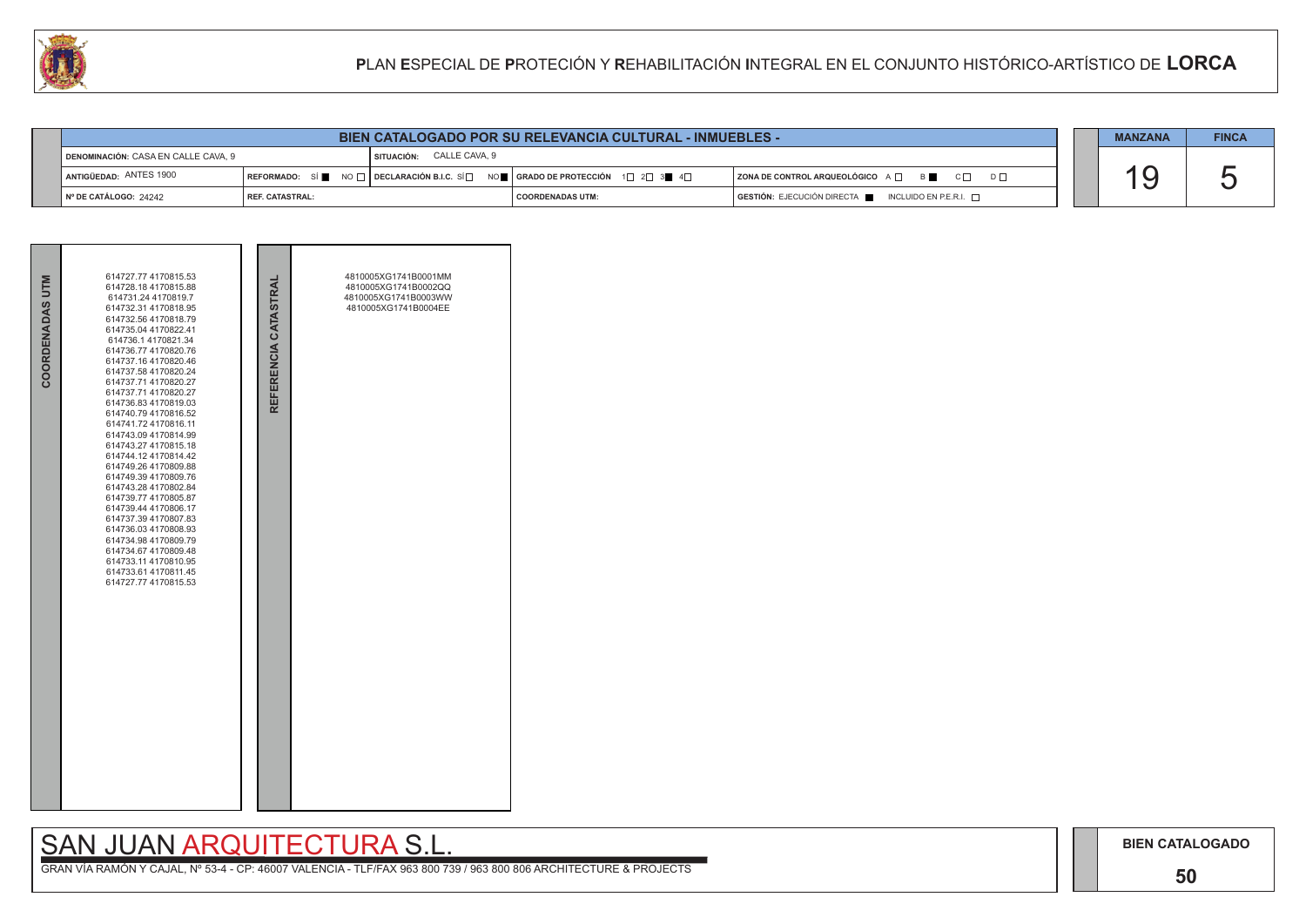### **50**

## SAN JUAN ARQUITECTURA S.L.



| LU |                                     |                                                                 |  |                                 |  |                                                                                                                                                                                                    | PLAN ESPECIAL DE PROTECIÓN Y REHABILITACIÓN INTEGRAL EN EL CONJUNTO HISTÓRICO-ARTÍSTICO DE LORCA |  |                |                       |  |
|----|-------------------------------------|-----------------------------------------------------------------|--|---------------------------------|--|----------------------------------------------------------------------------------------------------------------------------------------------------------------------------------------------------|--------------------------------------------------------------------------------------------------|--|----------------|-----------------------|--|
|    |                                     |                                                                 |  |                                 |  |                                                                                                                                                                                                    |                                                                                                  |  |                |                       |  |
|    |                                     | <b>BIEN CATALOGADO POR SU RELEVANCIA CULTURAL - INMUEBLES -</b> |  |                                 |  |                                                                                                                                                                                                    |                                                                                                  |  | <b>MANZANA</b> | <b>FINCA</b>          |  |
|    | DENOMINACIÓN: CASA EN CALLE CAVA. 9 |                                                                 |  | <b>SITUACIÓN: CALLE CAVA, 9</b> |  |                                                                                                                                                                                                    |                                                                                                  |  |                |                       |  |
|    | ANTIGÜEDAD: ANTES 1900              |                                                                 |  |                                 |  | $\mid$ REFORMADO: $\mid$ Si $\parallel$ $\parallel$ NO $\mid$ $\mid$ DECLARACIÓN B.I.C. Si $\mid$ $\mid$ nO $\parallel$ $\mid$ GRADO DE PROTECCIÓN $\mid$ 1 $\mid$ 2 $\mid$ 3 $\parallel$ 4 $\mid$ | $ $ ZONA DE CONTROL ARQUEOLÓGICO $A \Box$ B $\Box$ C $\Box$ D $\Box$                             |  |                | $\blacktriangleright$ |  |
|    | Nº DE CATÁLOGO: 24242               | <b>REF. CATASTRAL:</b>                                          |  |                                 |  | <b>COORDENADAS UTM:</b>                                                                                                                                                                            | GESTIÓN: EJECUCIÓN DIRECTA   INCLUIDO EN P.E.R.I.                                                |  |                |                       |  |

| COORDENADAS UTM | 614727.77 4170815.53<br>614728.18 4170815.88<br>614731.24 4170819.7<br>614732.31 4170818.95<br>614732.56 4170818.79<br>614735.04 4170822.41<br>614736.1 4170821.34<br>614736.77 4170820.76<br>614737.16 4170820.46<br>614737.58 4170820.24<br>614737.71 4170820.27<br>614737.71 4170820.27<br>614736.83 4170819.03<br>614740.79 4170816.52<br>614741.72 4170816.11<br>614743.09 4170814.99<br>614743.27 4170815.18<br>614744.12 4170814.42<br>614749.26 4170809.88<br>614749.39 4170809.76<br>614743.28 4170802.84<br>614739.77 4170805.87<br>614739.44 4170806.17<br>614737.39 4170807.83<br>614736.03 4170808.93<br>614734.98 4170809.79<br>614734.67 4170809.48<br>614733.11 4170810.95<br>614733.61 4170811.45<br>614727.77 4170815.53 | REFERENCIA CATASTRAL | 4810005XG1741B0001MM<br>4810005XG1741B0002QQ<br>4810005XG1741B0003WW<br>4810005XG1741B0004EE |  |
|-----------------|--------------------------------------------------------------------------------------------------------------------------------------------------------------------------------------------------------------------------------------------------------------------------------------------------------------------------------------------------------------------------------------------------------------------------------------------------------------------------------------------------------------------------------------------------------------------------------------------------------------------------------------------------------------------------------------------------------------------------------------------|----------------------|----------------------------------------------------------------------------------------------|--|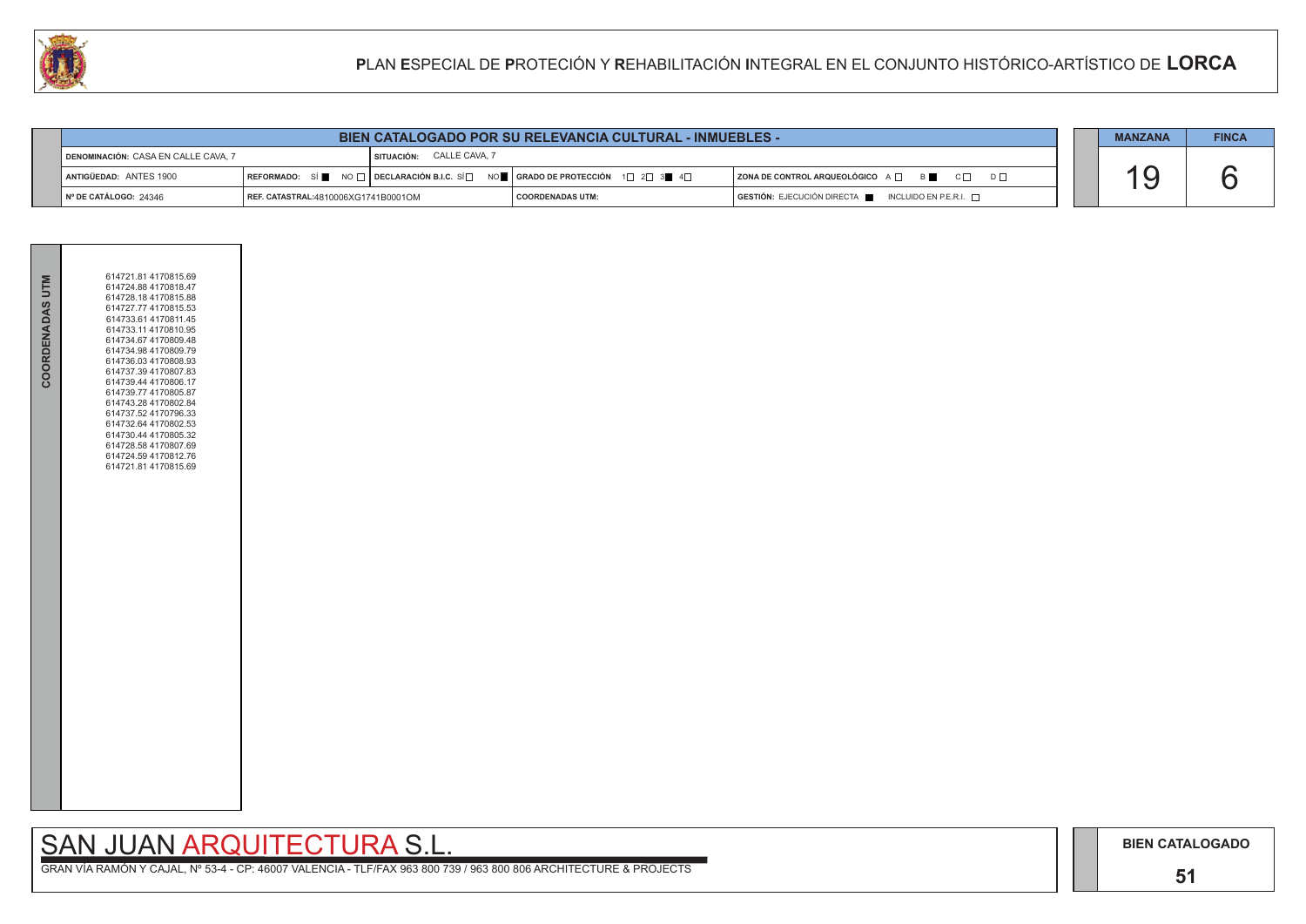### **51**

## SAN JUAN ARQUITECTURA S.L.

|                                     | <b>BIEN CATALOGADO POR SU RELEVANCIA CULTURAL - INMUEBLES -</b> |                                 |                                                                                                                                                       |                                                                                      |  |  |  |  |
|-------------------------------------|-----------------------------------------------------------------|---------------------------------|-------------------------------------------------------------------------------------------------------------------------------------------------------|--------------------------------------------------------------------------------------|--|--|--|--|
| DENOMINACIÓN: CASA EN CALLE CAVA, 7 |                                                                 | <b>SITUACIÓN: CALLE CAVA, 7</b> |                                                                                                                                                       |                                                                                      |  |  |  |  |
| ANTIGÜEDAD: ANTES 1900              |                                                                 |                                 | REFORMADO: SÍ $\blacksquare$ NO $\Box$ DECLARACIÓN B.I.C. SÍ $\Box$ NO $\blacksquare$ GRADO DE PROTECCIÓN 1 $\Box$ 2 $\Box$ 3 $\blacksquare$ 4 $\Box$ | $ $ ZONA DE CONTROL ARQUEOLÓGICO A $\Box$ B $\Box$ C $\Box$ D $\Box$                 |  |  |  |  |
| ∥ № DE CATÁLOGO: 24346              | <b>REF. CATASTRAL:</b> 4810006XG1741B0001OM                     |                                 | I COORDENADAS UTM:                                                                                                                                    | $\overline{)}$ GESTIÓN: EJECUCIÓN DIRECTA $\overline{)}$ INCLUIDO EN P.E.R.I. $\Box$ |  |  |  |  |



| COORDENADAS UTM | 614721.81 4170815.69<br>614724.88 4170818.47<br>614728.18 4170815.88<br>614727.77 4170815.53<br>614733.61 4170811.45<br>614733.11 4170810.95<br>614734.67 4170809.48<br>614734.98 4170809.79<br>614736.03 4170808.93<br>614737.39 4170807.83<br>614739.44 4170806.17<br>614739.77 4170805.87<br>614743.28 4170802.84<br>614737.52 4170796.33<br>614732.64 4170802.53<br>614730.44 4170805.32<br>614728.58 4170807.69<br>614724.59 4170812.76<br>614721.81 4170815.69 |  |
|-----------------|----------------------------------------------------------------------------------------------------------------------------------------------------------------------------------------------------------------------------------------------------------------------------------------------------------------------------------------------------------------------------------------------------------------------------------------------------------------------|--|
|                 |                                                                                                                                                                                                                                                                                                                                                                                                                                                                      |  |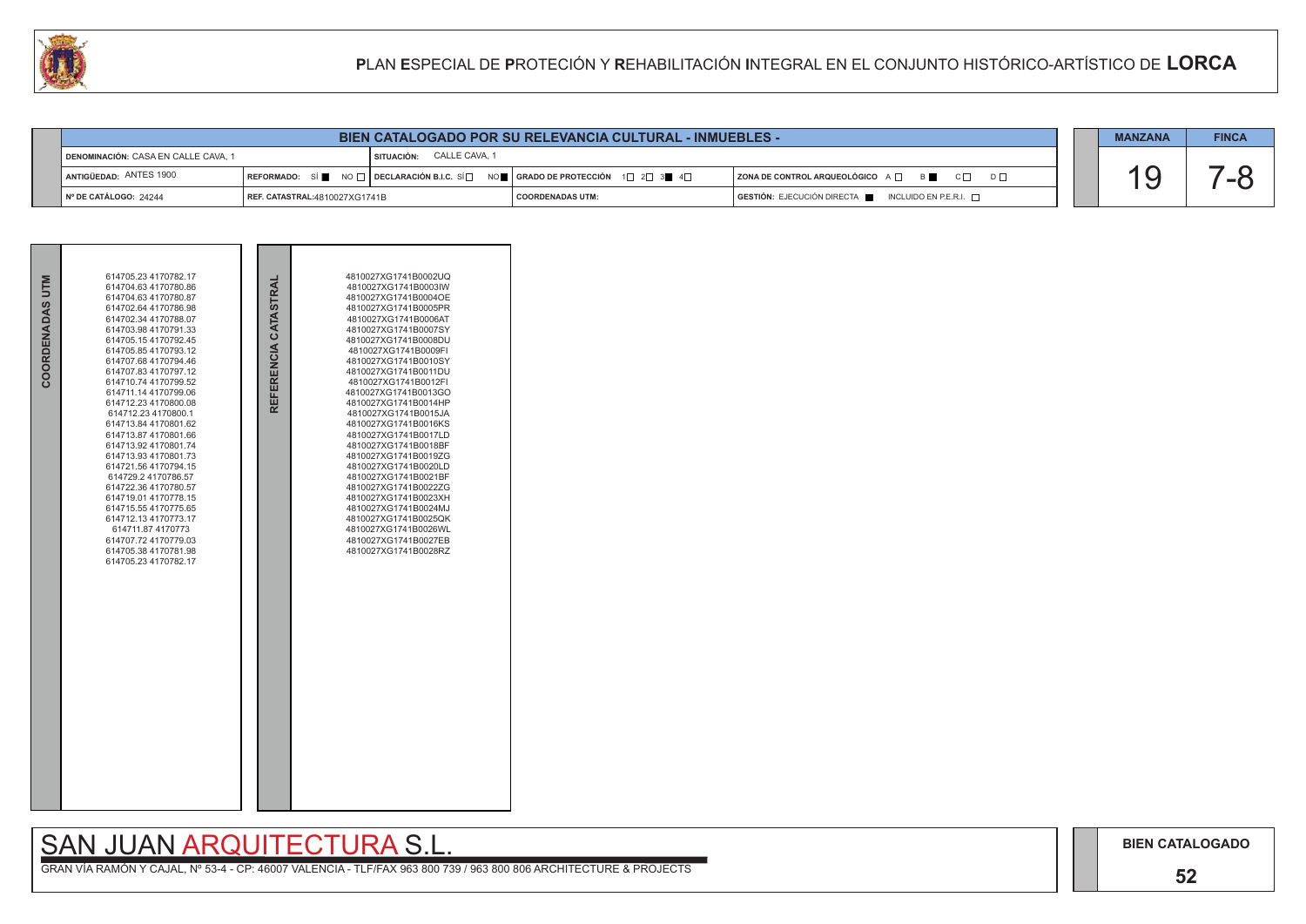### **52**

## SAN JUAN ARQUITECTURA S.L.

| COORDENADAS UTM | 614705.23 4170782.17<br>614704.63 4170780.86<br>614704.63 4170780.87<br>614702.64 4170786.98<br>614702.34 4170788.07<br>614703.98 4170791.33<br>614705.154170792.45<br>614705.85 4170793.12<br>614707.68 4170794.46<br>614707.83 4170797.12<br>614710.74 4170799.52<br>614711.14 4170799.06<br>614712.23 4170800.08<br>614712.23 4170800.1<br>614713.84 4170801.62<br>614713.87 4170801.66<br>614713.92 4170801.74<br>614713.93 4170801.73<br>614721.56 4170794.15<br>614729.2 4170786.57<br>614722.36 4170780.57<br>614719.01 4170778.15<br>614715.55 4170775.65<br>614712.13 4170773.17<br>614711.87 4170773<br>614707.72 4170779.03<br>614705.38 4170781.98<br>614705.23 4170782.17 | REFERENCIA CATASTRAL | 4810027XG1741B0002UQ<br>4810027XG1741B0003IW<br>4810027XG1741B0004OE<br>4810027XG1741B0005PR<br>4810027XG1741B0006AT<br>4810027XG1741B0007SY<br>4810027XG1741B0008DU<br>4810027XG1741B0009FI<br>4810027XG1741B0010SY<br>4810027XG1741B0011DU<br>4810027XG1741B0012FI<br>4810027XG1741B0013GO<br>4810027XG1741B0014HP<br>4810027XG1741B0015JA<br>4810027XG1741B0016KS<br>4810027XG1741B0017LD<br>4810027XG1741B0018BF<br>4810027XG1741B0019ZG<br>4810027XG1741B0020LD<br>4810027XG1741B0021BF<br>4810027XG1741B0022ZG<br>4810027XG1741B0023XH<br>4810027XG1741B0024MJ<br>4810027XG1741B0025QK<br>4810027XG1741B0026WL<br>4810027XG1741B0027EB<br>4810027XG1741B0028RZ |  |
|-----------------|----------------------------------------------------------------------------------------------------------------------------------------------------------------------------------------------------------------------------------------------------------------------------------------------------------------------------------------------------------------------------------------------------------------------------------------------------------------------------------------------------------------------------------------------------------------------------------------------------------------------------------------------------------------------------------------|----------------------|----------------------------------------------------------------------------------------------------------------------------------------------------------------------------------------------------------------------------------------------------------------------------------------------------------------------------------------------------------------------------------------------------------------------------------------------------------------------------------------------------------------------------------------------------------------------------------------------------------------------------------------------------------------------|--|

|                                     | <b>BIEN CATALOGADO POR SU RELEVANCIA CULTURAL - INMUEBLES -</b> |  |                          |  |                                                                             |                                                                        |  | <b>MANZANA</b> | <b>FINCA</b> |
|-------------------------------------|-----------------------------------------------------------------|--|--------------------------|--|-----------------------------------------------------------------------------|------------------------------------------------------------------------|--|----------------|--------------|
| DENOMINACIÓN: CASA EN CALLE CAVA, 1 |                                                                 |  | SITUACIÓN: CALLE CAVA, 1 |  |                                                                             |                                                                        |  |                |              |
| ANTIGÜEDAD: ANTES 1900              |                                                                 |  |                          |  | REFORMADO: SÍ NO I DECLARACIÓN B.I.C. SÍ NO I GRADO DE PROTECCIÓN 1 2 3 4 4 | ZONA DE CONTROL ARQUEOLÓGICO A Q B C Q D D Q                           |  |                |              |
| Nº DE CATÁLOGO: 24244               | <b>REF. CATASTRAL: 4810027XG1741B</b>                           |  |                          |  | COORDENADAS UTM:                                                            | $GESTIÓN: EJECUCIÓN DIRECTA \blacksquare INCLUIDO EN P.E.R.I. \square$ |  |                |              |

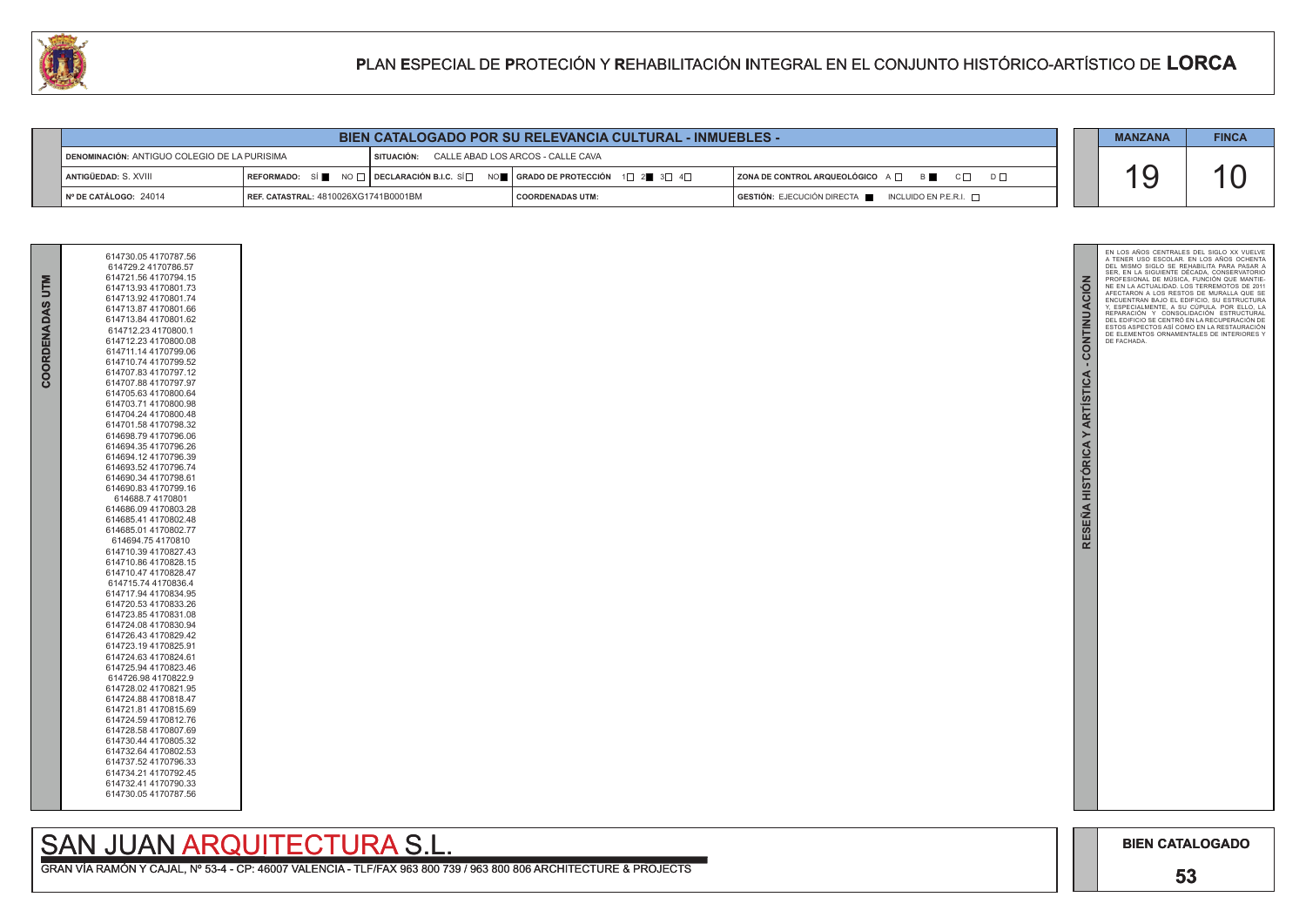

C Е



GRAN VÍA RAMÓN Y CAJAL, Nº 53-4 - CP: 46007 VALENCIA - TLF/FAX 963 800 739 / 963 800 806 ARCHITECTURE & PROJECTS

| COORDENADAS UTI | 614730.05 4170787.56<br>614729.2 4170786.57<br>614721.56 4170794.15<br>614713.93 4170801.73<br>614713.92 4170801.74<br>614713.87 4170801.66<br>614713.84 4170801.62<br>614712.23 4170800.1<br>614712.23 4170800.08<br>614711.14 4170799.06<br>614710.74 4170799.52<br>614707.83 4170797.12<br>614707.88 4170797.97<br>614705.63 4170800.64<br>614703.71 4170800.98<br>614704.24 4170800.48<br>614701.58 4170798.32<br>614698.79 4170796.06<br>614694.354170796.26<br>614694.12 4170796.39<br>614693.52 4170796.74<br>614690.34 4170798.61<br>614690.83 4170799.16<br>614688.74170801<br>614686.09 4170803.28<br>614685.41 4170802.48<br>614685.01 4170802.77<br>614694.754170810 |
|-----------------|----------------------------------------------------------------------------------------------------------------------------------------------------------------------------------------------------------------------------------------------------------------------------------------------------------------------------------------------------------------------------------------------------------------------------------------------------------------------------------------------------------------------------------------------------------------------------------------------------------------------------------------------------------------------------------|
|                 | 614710.47 4170828.47<br>614715.74 4170836.4<br>614717.94 4170834.95<br>614720.53 4170833.26<br>614723.85 4170831.08<br>614724.08 4170830.94<br>614726.43 4170829.42<br>614723.194170825.91<br>614724.63 4170824.61<br>614725.94 4170823.46<br>614726.98 4170822.9<br>614728.02 4170821.95<br>614724.88 4170818.47<br>614721.81 4170815.69<br>614724.59 4170812.76<br>614728.58 4170807.69<br>614730.44 4170805.32<br>614732.64 4170802.53<br>614737.52 4170796.33<br>614734.21 4170792.45<br>614732.41 4170790.33<br>614730.05 4170787.56                                                                                                                                        |

## SAN JUAN ARQUITECTURA S.L.

|                                              |                                      |                                              | <b>BIEN CATALOGADO POR SU RELEVANCIA CULTURAL - INMUEBLES -</b>                                                 |                                                                   | <b>MANZANA</b> | <b>FINCA</b> |
|----------------------------------------------|--------------------------------------|----------------------------------------------|-----------------------------------------------------------------------------------------------------------------|-------------------------------------------------------------------|----------------|--------------|
| DENOMINACIÓN: ANTIGUO COLEGIO DE LA PURISIMA |                                      | SITUACIÓN: CALLE ABAD LOS ARCOS - CALLE CAVA |                                                                                                                 |                                                                   |                |              |
| I ANTIGÜEDAD: S. XVIII                       |                                      |                                              | REFORMADO: SÍ NO $\Box$ DECLARACIÓN B.I.C. SÍ $\Box$ NO $\Box$ GRADO DE PROTECCIÓN 1 $\Box$ 2 3 $\Box$ 4 $\Box$ | $ $ ZONA DE CONTROL ARQUEOLÓGICO $A \Box$ $B \Box$ $C \Box$<br>D⊓ |                |              |
| $N°$ DE CATÁLOGO: 24014                      | REF. CATASTRAL: 4810026XG1741B0001BM |                                              | I COORDENADAS UTM:                                                                                              | $GESTIÓN: EJECUCIÓN DIRECTA$ INCLUIDO EN P.E.R.I. $\Box$          |                |              |

### **PP**LAN **EE**SPECIAL DE **PP**ROTECIÓN Y **RR**EHABILITACIÓN **II**NTEGRAL EN EL CONJUNTO HISTÓRICO-ARTÍSTICO DE **LORCA**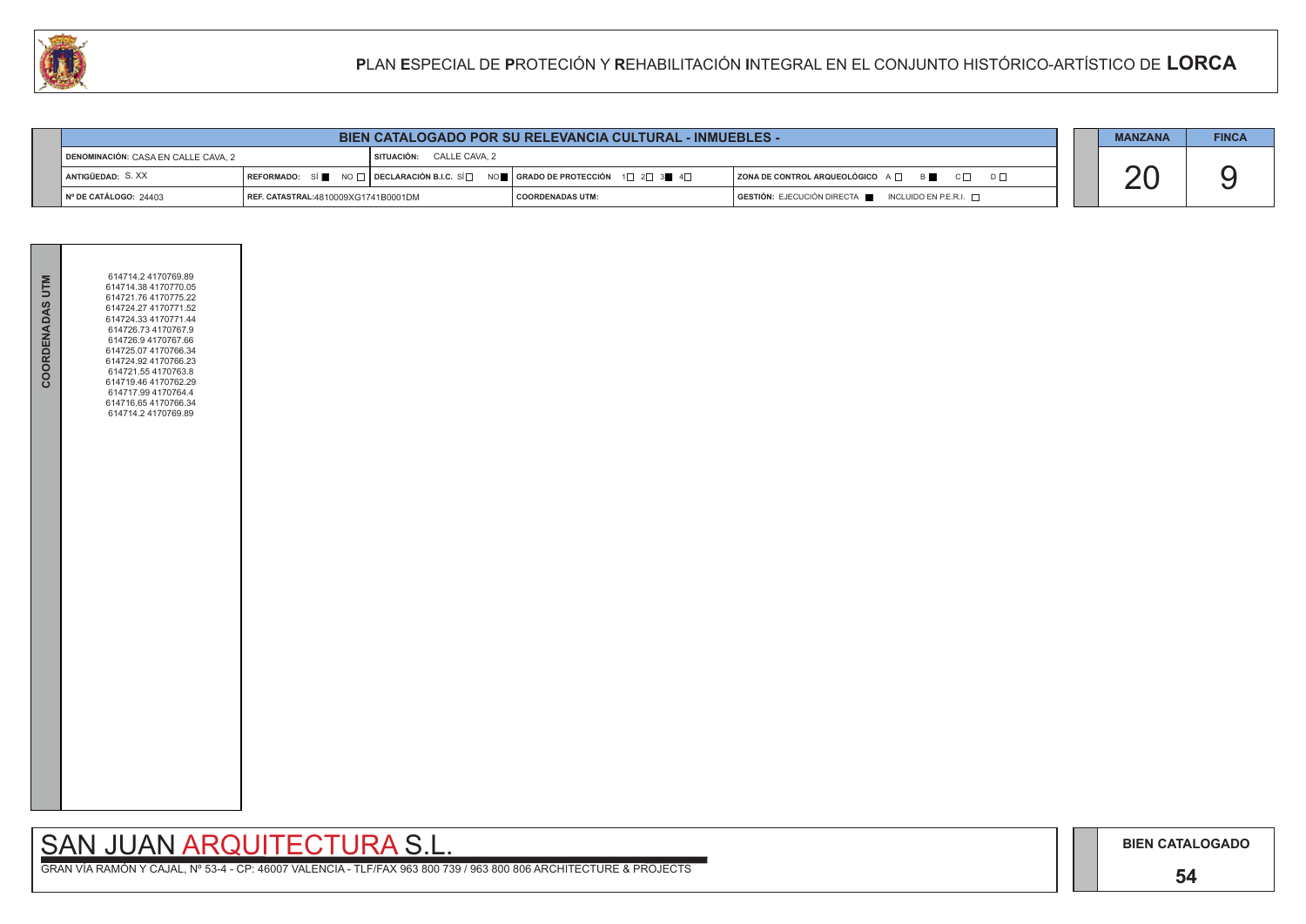### **54**

## SAN JUAN ARQUITECTURA S.L.

|                                     | <b>BIEN CATALOGADO POR SU RELEVANCIA CULTURAL - INMUEBLES -</b> |                               |                                                                                                                                                       |  |                                                                                      |  |  | <b>FINCA</b> |
|-------------------------------------|-----------------------------------------------------------------|-------------------------------|-------------------------------------------------------------------------------------------------------------------------------------------------------|--|--------------------------------------------------------------------------------------|--|--|--------------|
| DENOMINACIÓN: CASA EN CALLE CAVA, 2 |                                                                 | CALLE CAVA. 2<br>l SITUACIÓN: |                                                                                                                                                       |  |                                                                                      |  |  |              |
| ANTIGÜEDAD: S. XX                   |                                                                 |                               | REFORMADO: SÍ $\blacksquare$ NO $\Box$ DECLARACIÓN B.I.C. SÍ $\Box$ NO $\blacksquare$ GRADO DE PROTECCIÓN 1 $\Box$ 2 $\Box$ 3 $\blacksquare$ 4 $\Box$ |  | ZONA DE CONTROL ARQUEOLÓGICO A $\Box$ B<br>$C \Box$<br>$D \Box$                      |  |  |              |
| Nº DE CATÁLOGO: 24403               | REF. CATASTRAL:4810009XG1741B0001DM                             |                               | <b>COORDENADAS UTM:</b>                                                                                                                               |  | $\overline{)}$ GESTIÓN: EJECUCIÓN DIRECTA $\overline{)}$ INCLUIDO EN P.E.R.I. $\Box$ |  |  |              |



| COORDENADAS UTM | 614714.2 4170769.89<br>614714.38 4170770.05<br>614721.76 4170775.22<br>614724.27 4170771.52<br>614724.33 4170771.44<br>614726.73 4170767.9<br>614726.9 4170767.66<br>614725.07 4170766.34<br>614724.92 4170766.23<br>614721.55 4170763.8<br>614719.46 4170762.29<br>614717.99 4170764.4<br>614716.65 4170766.34<br>614714.2 4170769.89 |  |
|-----------------|----------------------------------------------------------------------------------------------------------------------------------------------------------------------------------------------------------------------------------------------------------------------------------------------------------------------------------------|--|
|                 |                                                                                                                                                                                                                                                                                                                                        |  |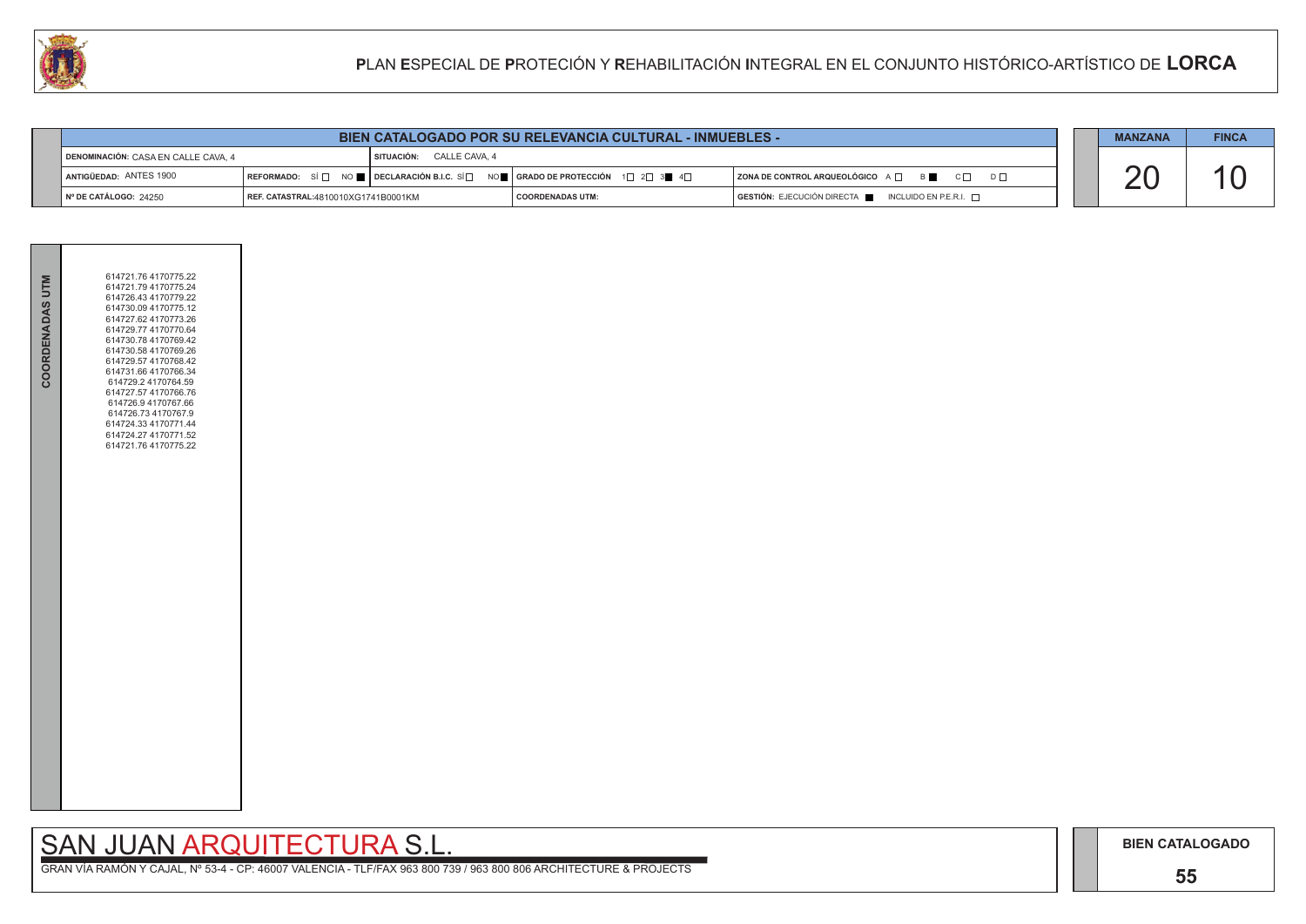### **55**

# SAN JUAN ARQUITECTURA S.L.

|                                                                 | <b>BIEN CATALOGADO POR SU RELEVANCIA CULTURAL - INMUEBLES -</b> |  |                                                                                                                                                       |                                                          |  | <b>MANZANA</b> | <b>FINCA</b> |
|-----------------------------------------------------------------|-----------------------------------------------------------------|--|-------------------------------------------------------------------------------------------------------------------------------------------------------|----------------------------------------------------------|--|----------------|--------------|
| SITUACIÓN: CALLE CAVA, 4<br>DENOMINACIÓN: CASA EN CALLE CAVA. 4 |                                                                 |  |                                                                                                                                                       |                                                          |  |                |              |
| ANTIGÜEDAD: ANTES 1900                                          |                                                                 |  | REFORMADO: SÍ $\Box$ NO $\blacksquare$ DECLARACIÓN B.I.C. SÍ $\Box$ NO $\blacksquare$ GRADO DE PROTECCIÓN 1 $\Box$ 2 $\Box$ 3 $\blacksquare$ 4 $\Box$ | ZONA DE CONTROL ARQUEOLÓGICO A □ B C □ D □               |  |                |              |
| ∣Nº DE CATÁLOGO: 24250                                          | REF. CATASTRAL:4810010XG1741B0001KM                             |  | I COORDENADAS UTM:                                                                                                                                    | $GESTIÓN: EJECUCIÓN DIRECTA$ INCLUIDO EN P.E.R.I. $\Box$ |  |                |              |



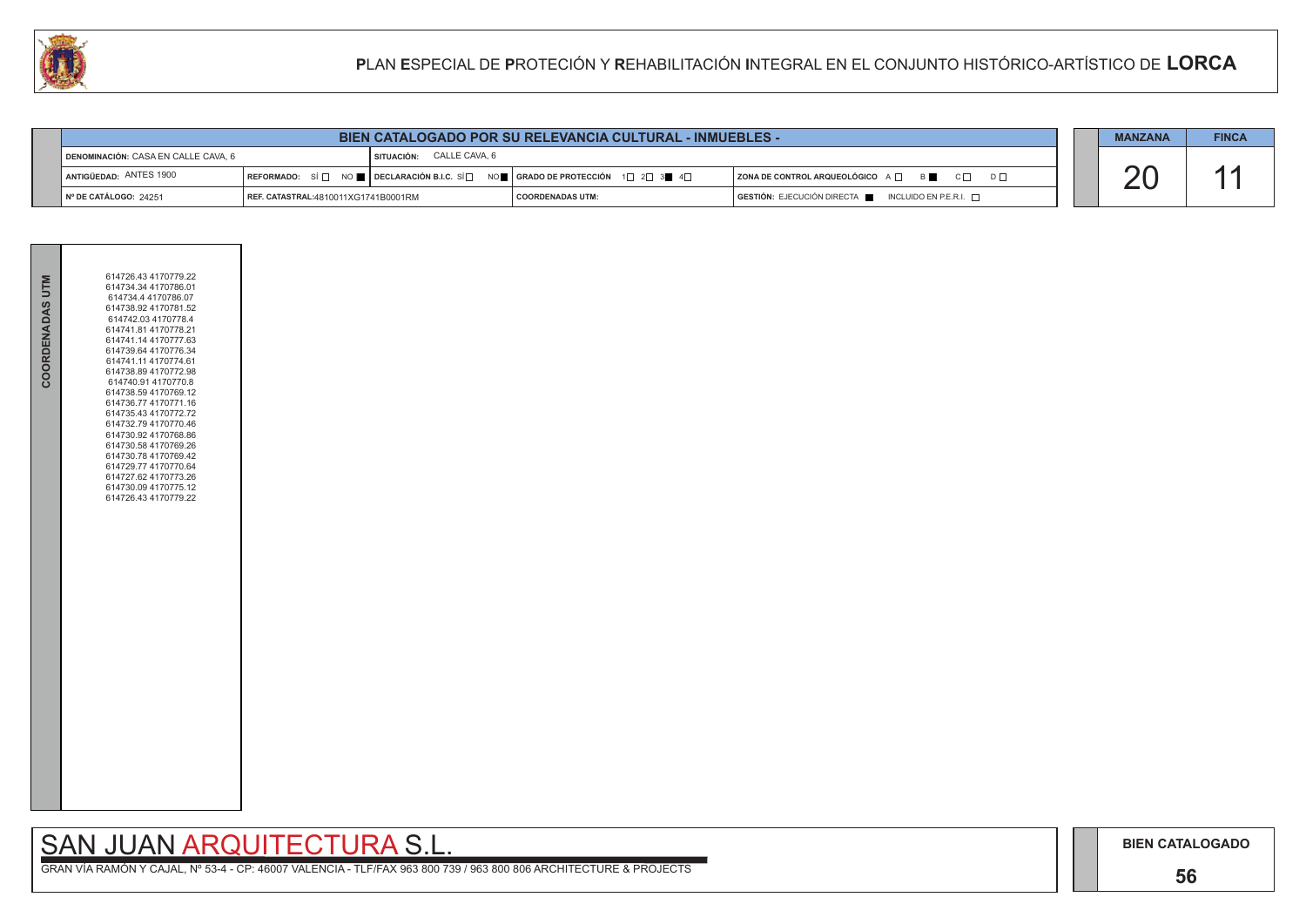## **56**

## SAN JUAN ARQUITECTURA S.L.

|                                                                 | <b>BIEN CATALOGADO POR SU RELEVANCIA CULTURAL - INMUEBLES -</b> |  |                                         |  |                                                 | <b>MANZANA</b> | <b>FINCA</b> |
|-----------------------------------------------------------------|-----------------------------------------------------------------|--|-----------------------------------------|--|-------------------------------------------------|----------------|--------------|
| SITUACIÓN: CALLE CAVA, 6<br>DENOMINACIÓN: CASA EN CALLE CAVA, 6 |                                                                 |  |                                         |  |                                                 |                |              |
| ANTIGÜEDAD: ANTES 1900                                          | REFORMADO: SÍ $\Box$ NO <b>Declaración B.I.C.</b> SÍ $\Box$     |  | NO█▌GRADO DE PROTECCIÓN  1d  2d  3   4d |  | ZONA DE CONTROL ARQUEOLÓGICO A □ B C □ D □      |                |              |
| $\parallel$ N° DE CATÁLOGO: 24251                               | REF. CATASTRAL:4810011XG1741B0001RM                             |  | I COORDENADAS UTM:                      |  | GESTIÓN: EJECUCIÓN DIRECTA NICLUIDO EN P.E.R.I. |                |              |



| COORDENADAS UTM | 614726.43 4170779.22<br>614734.34 4170786.01<br>614734.4 4170786.07<br>614738.92 4170781.52<br>614742.03 4170778.4<br>614741.81 4170778.21<br>614741.14 4170777.63<br>614739.64 4170776.34<br>614741.11 4170774.61<br>614738.894170772.98<br>614740.91 4170770.8<br>614738.59 4170769.12<br>614736.77 4170771.16<br>614735.43 4170772.72<br>614732.79 4170770.46<br>614730.92 4170768.86<br>614730.58 4170769.26<br>614730.78 4170769.42<br>614729.77 4170770.64<br>614727.62 4170773.26<br>614730.09 4170775.12<br>614726.43 4170779.22 |  |
|-----------------|------------------------------------------------------------------------------------------------------------------------------------------------------------------------------------------------------------------------------------------------------------------------------------------------------------------------------------------------------------------------------------------------------------------------------------------------------------------------------------------------------------------------------------------|--|
|                 |                                                                                                                                                                                                                                                                                                                                                                                                                                                                                                                                          |  |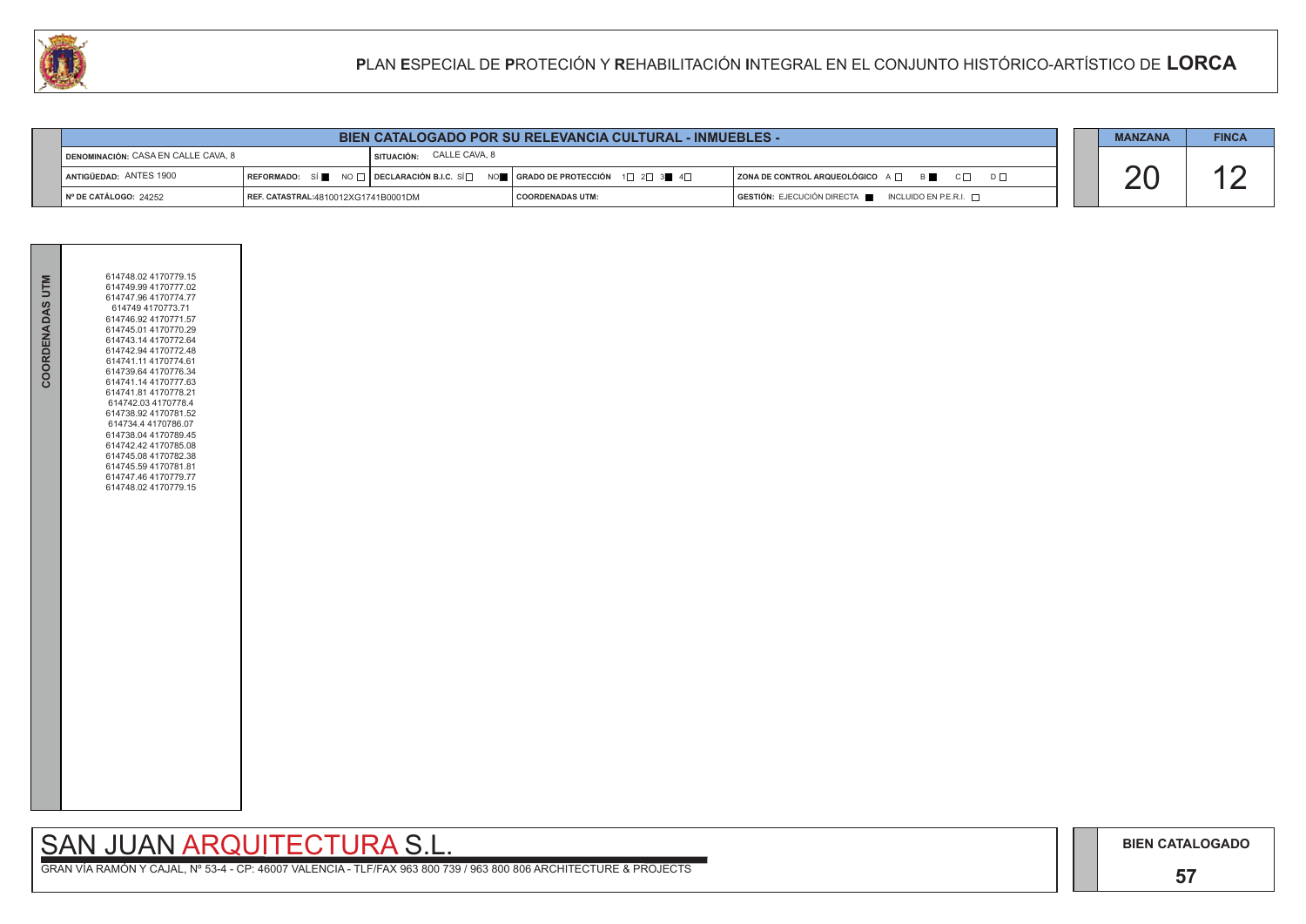### **57**

## SAN JUAN ARQUITECTURA S.L.

|                                                                 | <b>BIEN CATALOGADO POR SU RELEVANCIA CULTURAL - INMUEBLES -</b> |  |                                                                                                                        |                                                                                      |  | <b>MANZANA</b> | <b>FINCA</b> |
|-----------------------------------------------------------------|-----------------------------------------------------------------|--|------------------------------------------------------------------------------------------------------------------------|--------------------------------------------------------------------------------------|--|----------------|--------------|
| SITUACIÓN: CALLE CAVA, 8<br>DENOMINACIÓN: CASA EN CALLE CAVA, 8 |                                                                 |  |                                                                                                                        |                                                                                      |  |                |              |
| ANTIGÜEDAD: ANTES 1900                                          | REFORMADO: SÍ                                                   |  | NO $\Box$ DECLARACIÓN B.I.C. SÍ $\Box$ NO $\blacksquare$ GRADO DE PROTECCIÓN $\Box$ 2 $\Box$ 3 $\blacksquare$ 4 $\Box$ | ZONA DE CONTROL ARQUEOLÓGICO A D B<br>$C\Box$ $D\Box$                                |  |                |              |
| N° DE CATÁLOGO: 24252                                           | REF. CATASTRAL:4810012XG1741B0001DM                             |  | <b>COORDENADAS UTM:</b>                                                                                                | $\overline{)}$ GESTIÓN: EJECUCIÓN DIRECTA $\overline{)}$ INCLUIDO EN P.E.R.I. $\Box$ |  |                |              |



| 614748.02 4170779.15<br>614749.99 4170777.02<br>614747.96 4170774.77<br>614749 4170773.71<br>614746.92 4170771.57<br>614745.01 4170770.29<br>614743.14 4170772.64<br>614742.94 4170772.48<br>614741.11 4170774.61<br>614739.64 4170776.34<br>614741.14 4170777.63<br>614741.81 4170778.21<br>614742.03 4170778.4<br>614738.92 4170781.52<br>614734.4 4170786.07<br>614738.04 4170789.45<br>614742.42 4170785.08<br>614745.08 4170782.38<br>614745.59 4170781.81<br>614747.46 4170779.77<br>614748.02 4170779.15 |
|-----------------------------------------------------------------------------------------------------------------------------------------------------------------------------------------------------------------------------------------------------------------------------------------------------------------------------------------------------------------------------------------------------------------------------------------------------------------------------------------------------------------|
|                                                                                                                                                                                                                                                                                                                                                                                                                                                                                                                 |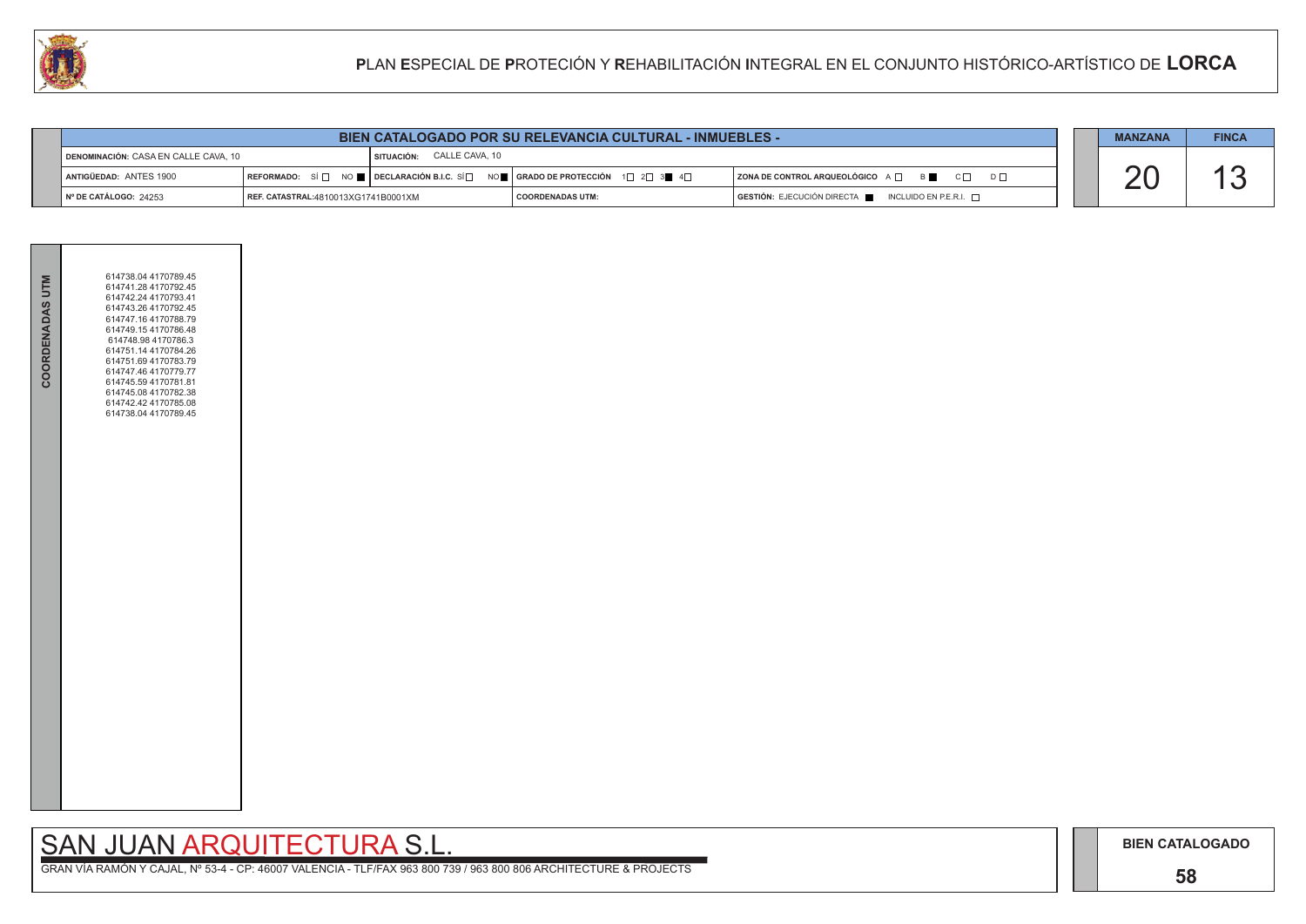### **58**

GRAN VÍA RAMÓN Y CAJAL, Nº 53-4 - CP: 46007 VALENCIA - TLF/FAX 963 800 739 / 963 800 806 ARCHITECTURE & PROJECTS

|                | <b>MANZANA</b> | <b>FINCA</b> |
|----------------|----------------|--------------|
| D <sub>L</sub> |                |              |
|                |                |              |

| <b>BIEN CATALOGADO POR SU RELEVANCIA CULTURAL - INMUEBLES -</b> |                                          |                                    |                                                                                                                                                                   |                                                                                         |  | <b>MANZANA</b> | <b>FINCA</b> |
|-----------------------------------------------------------------|------------------------------------------|------------------------------------|-------------------------------------------------------------------------------------------------------------------------------------------------------------------|-----------------------------------------------------------------------------------------|--|----------------|--------------|
| DENOMINACIÓN: CASA EN CALLE CAVA, 10                            |                                          | <b>I SITUACIÓN: CALLE CAVA, 10</b> |                                                                                                                                                                   |                                                                                         |  |                |              |
| ANTIGÜEDAD: ANTES 1900                                          |                                          |                                    | $\vert$ REFORMADO: SÍ $\Box$ NO $\blacksquare$   DECLARACIÓN B.I.C. SÍ $\Box$ NO $\blacksquare$   GRADO DE PROTECCIÓN 1 $\Box$ 2 $\Box$ 3 $\blacksquare$ 4 $\Box$ | $\blacksquare$ ZONA DE CONTROL ARQUEOLÓGICO A $\Box$ B $\blacksquare$ C $\Box$ D $\Box$ |  |                |              |
| NO DE CATÁLOCO: 24252                                           | $I$ DEE CATASTONI (4040049VC4744D0004VM) |                                    | $\Gamma$ COODDENADAS LITM-                                                                                                                                        | $C$ <b>CESTIÓN:</b> E IECHCIÓN DIPECTA $\blacksquare$ INCLITING EN DE DI $\sqcap$       |  |                |              |



**COORDENADAS UTM:**  $\overline{G}$  **GESTIÓN:** EJECUCIÓN DIRECTA ■ INCLUIDO EN P.E.R.I. □

| <b>COORDENADAS UTM</b> | 614738.04 4170789.45<br>614741.28 4170792.45<br>614742.24 4170793.41<br>614743.26 4170792.45<br>614747.16 4170788.79<br>614749.154170786.48<br>614748.98 4170786.3<br>614751.14 4170784.26<br>614751.69 4170783.79<br>614747.46 4170779.77<br>614745.59 4170781.81<br>614745.08 4170782.38<br>614742.42 4170785.08<br>614738.04 4170789.45 |  |
|------------------------|--------------------------------------------------------------------------------------------------------------------------------------------------------------------------------------------------------------------------------------------------------------------------------------------------------------------------------------------|--|
|                        |                                                                                                                                                                                                                                                                                                                                            |  |

N° DE CATÁLOGO: 24253 **| REF. CATASTRAL:**4810013XG1741B0001XM

## SAN JUAN ARQUITECTURA S.L.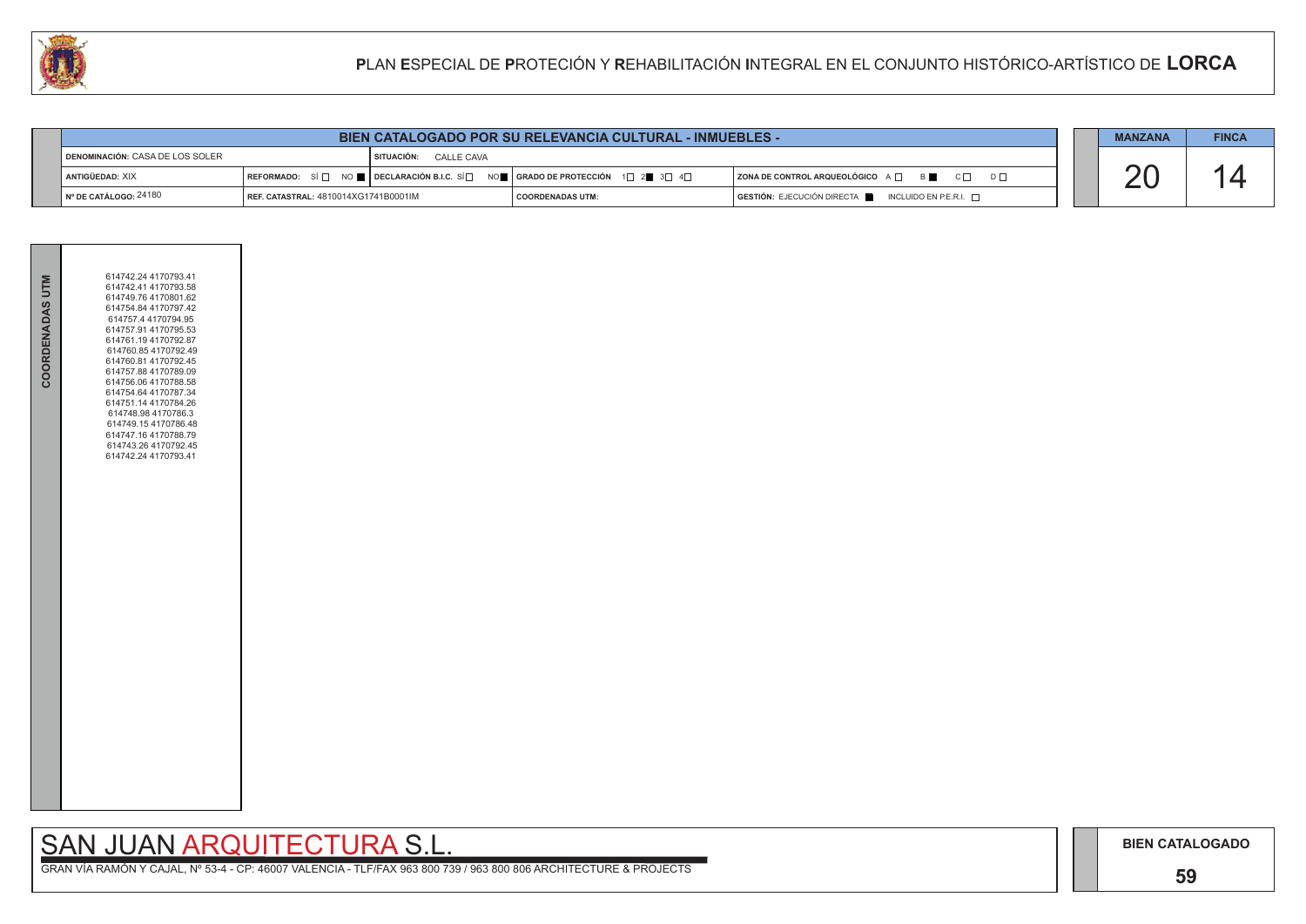### **59**

## SAN JUAN ARQUITECTURA S.L.

|                                                          | <b>BIEN CATALOGADO POR SU RELEVANCIA CULTURAL - INMUEBLES -</b> |  |                                                                                                       |                                                                        |  | <b>MANZANA</b> | <b>FINCA</b> |
|----------------------------------------------------------|-----------------------------------------------------------------|--|-------------------------------------------------------------------------------------------------------|------------------------------------------------------------------------|--|----------------|--------------|
| SITUACIÓN: CALLE CAVA<br>DENOMINACIÓN: CASA DE LOS SOLER |                                                                 |  |                                                                                                       |                                                                        |  |                |              |
| ANTIGÜEDAD: XIX                                          |                                                                 |  | REFORMADO: SÍ NO $\blacksquare$ DECLARACIÓN B.I.C. SÍ NO $\blacksquare$ GRADO DE PROTECCIÓN 1 2 3 3 4 | ZONA DE CONTROL ARQUEOLÓGICO A □ B B C □ D □                           |  |                |              |
| $\mathsf{\mathsf{N}}^\circ$ DE CATÁLOGO: 24180           | <b>FREE. CATASTRAL: 4810014XG1741B0001IM</b>                    |  | <b>COORDENADAS UTM:</b>                                                                               | $GESTIÓN: EJECUCIÓN DIRECTA \blacksquare INCLUIDO EN P.E.R.I. \square$ |  |                |              |

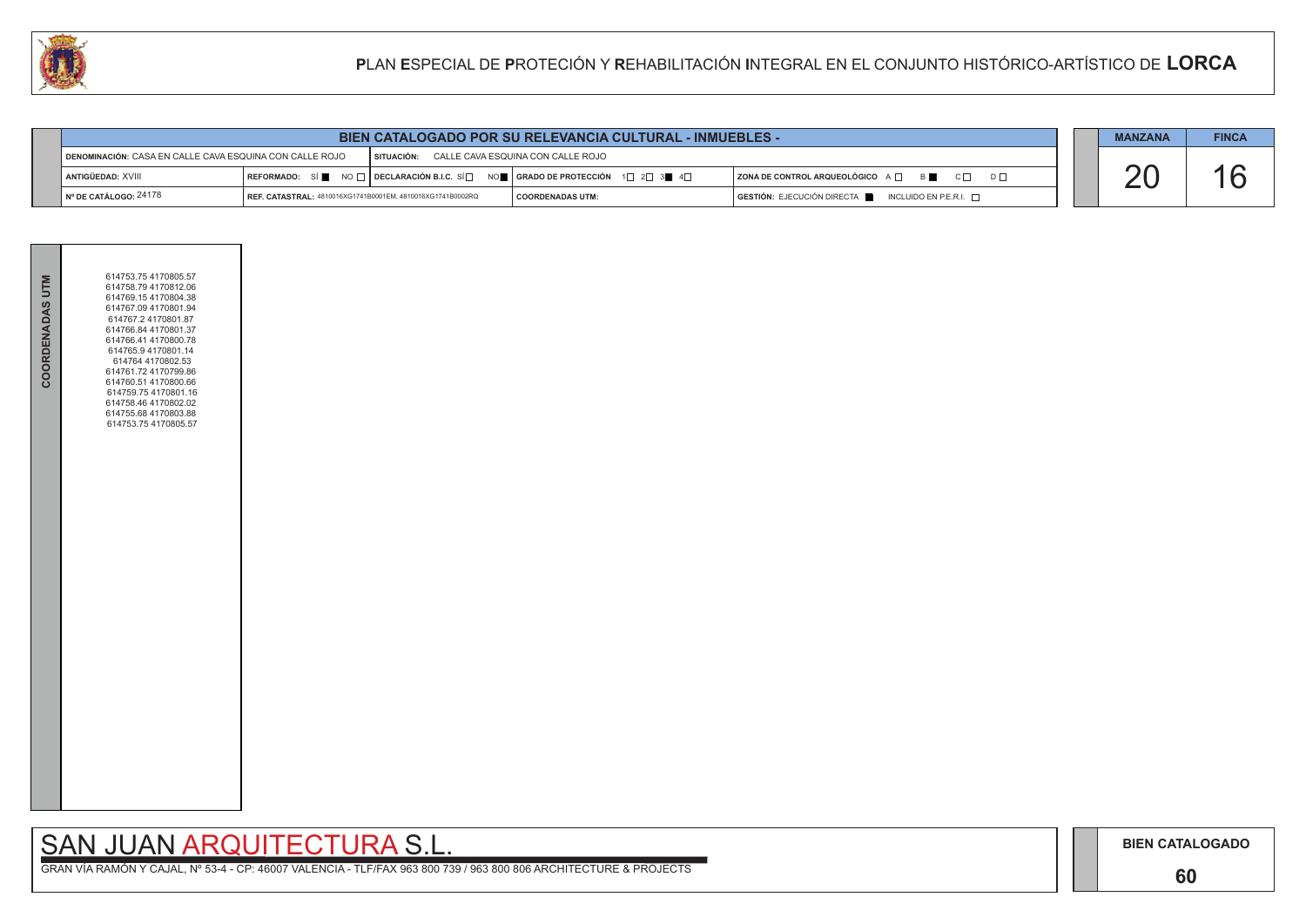## **60**

# SAN JUAN ARQUITECTURA S.L.



|                                 | <b>BIEN CATALOGADO POR SU RELEVANCIA CULTURAL - INMUEBLES -</b>                                         |  |                                                                                                                                                                       |                                                                                                                            |  |  |  |
|---------------------------------|---------------------------------------------------------------------------------------------------------|--|-----------------------------------------------------------------------------------------------------------------------------------------------------------------------|----------------------------------------------------------------------------------------------------------------------------|--|--|--|
|                                 | DENOMINACIÓN: CASA EN CALLE CAVA ESQUINA CON CALLE ROJO<br>SITUACIÓN: CALLE CAVA ESQUINA CON CALLE ROJO |  |                                                                                                                                                                       |                                                                                                                            |  |  |  |
| <b>LANTIGÜEDAD: XVIII</b>       |                                                                                                         |  | REFORMADO: SÍ $\blacksquare$ NO $\square$ DECLARACIÓN B.I.C. SÍ $\square$ NO $\blacksquare$ SERADO DE PROTECCIÓN 1 $\square$ 2 $\square$ 3 $\blacksquare$ 4 $\square$ | $ $ ZONA DE CONTROL ARQUEOLÓGICO $A \Box$ B<br>$C\Box$ $D\Box$                                                             |  |  |  |
| $\vert$ N° DE CATÁLOGO: $24178$ | <b>REF. CATASTRAL: 4810016XG1741B0001EM. 4810016XG1741B0002RQ</b>                                       |  | I COORDENADAS UTM:                                                                                                                                                    | $\overline{\phantom{a}}$ GESTIÓN: EJECUCIÓN DIRECTA $\overline{\phantom{a}}$ INCLUIDO EN P.E.R.I. $\overline{\phantom{a}}$ |  |  |  |

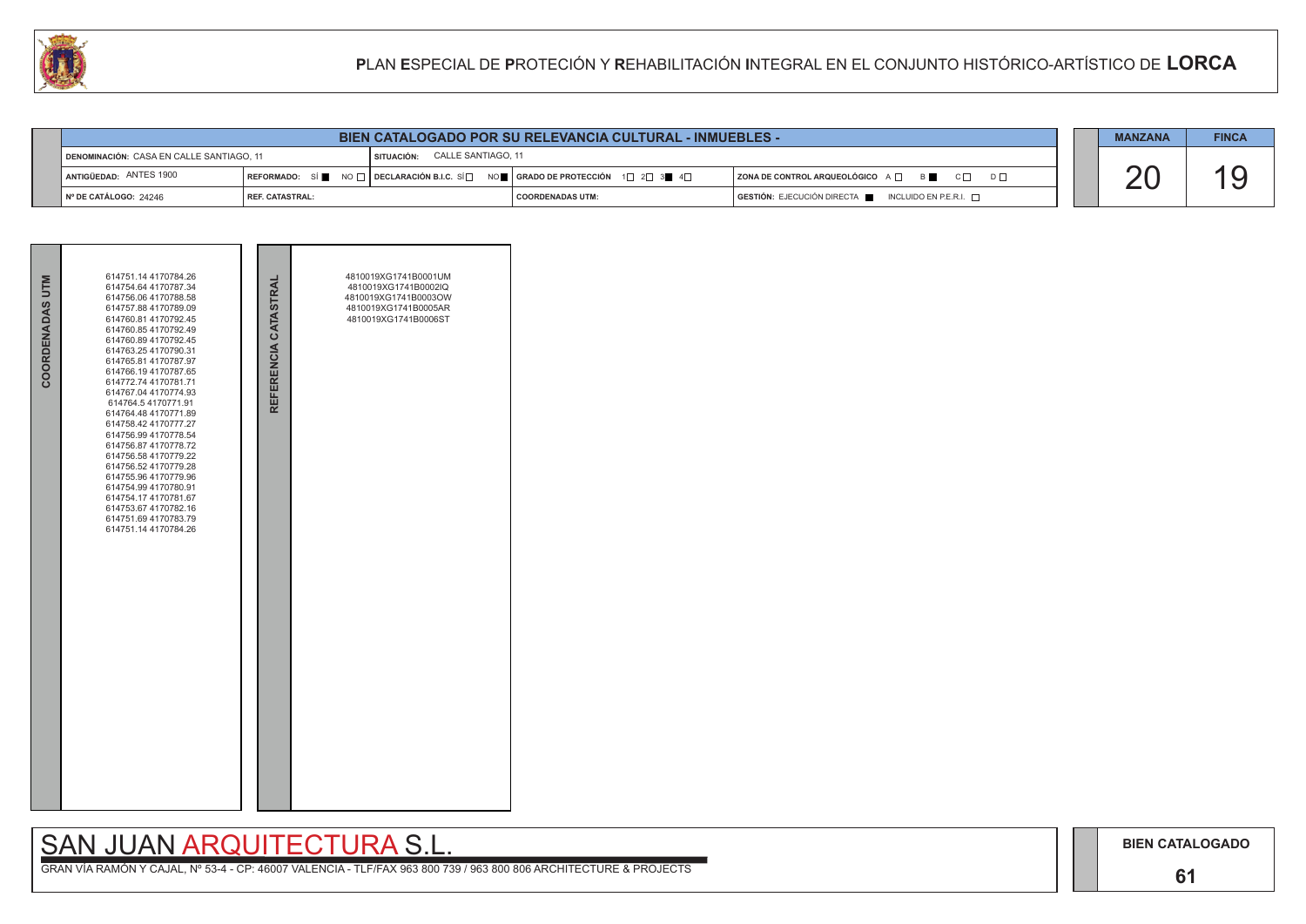### **61**

## SAN JUAN ARQUITECTURA S.L.

| <b>BIEN CATALOGADO POR SU RELEVANCIA CULTURAL - INMUEBLES -</b>                |                   |  |                                                                             |                                                                             |  |  | <b>FINCA</b> |
|--------------------------------------------------------------------------------|-------------------|--|-----------------------------------------------------------------------------|-----------------------------------------------------------------------------|--|--|--------------|
| CALLE SANTIAGO, 11<br>DENOMINACIÓN: CASA EN CALLE SANTIAGO, 11<br>I SITUACIÓN: |                   |  |                                                                             |                                                                             |  |  |              |
| ANTIGÜEDAD: ANTES 1900                                                         |                   |  | REFORMADO: SÍ NO □ DECLARACIÓN B.I.C. SÍ NO SE RADO DE PROTECCIÓN 1 2 3 4 4 | ZONA DE CONTROL ARQUEOLÓGICO A □ B C □ D □                                  |  |  |              |
| Nº DE CATÁLOGO: 24246                                                          | l REF. CATASTRAL: |  | <b>COORDENADAS UTM:</b>                                                     | $\overline{)}$ GESTIÓN: EJECUCIÓN DIRECTA NORTA INCLUIDO EN P.E.R.I. $\Box$ |  |  |              |

| COORDENADAS UTM | 614751.14 4170784.26<br>614754.64 4170787.34<br>614756.06 4170788.58<br>614757.88 4170789.09<br>614760.81 4170792.45<br>614760.85 4170792.49<br>614760.89 4170792.45<br>614763.25 4170790.31<br>614765.81 4170787.97<br>614766.19 4170787.65<br>614772.74 4170781.71<br>614767.04 4170774.93<br>614764.5 4170771.91<br>614764.48 4170771.89<br>614758.42 4170777.27<br>614756.99 4170778.54<br>614756.87 4170778.72<br>614756.58 4170779.22<br>614756.52 4170779.28<br>614755.96 4170779.96<br>614754.99 4170780.91<br>614754.17 4170781.67<br>614753.67 4170782.16<br>614751.69 4170783.79<br>614751.14 4170784.26 | REFERENCIA CATASTRAL | 4810019XG1741B0001UM<br>4810019XG1741B0002IQ<br>4810019XG1741B0003OW<br>4810019XG1741B0005AR<br>4810019XG1741B0006ST |  |
|-----------------|---------------------------------------------------------------------------------------------------------------------------------------------------------------------------------------------------------------------------------------------------------------------------------------------------------------------------------------------------------------------------------------------------------------------------------------------------------------------------------------------------------------------------------------------------------------------------------------------------------------------|----------------------|----------------------------------------------------------------------------------------------------------------------|--|

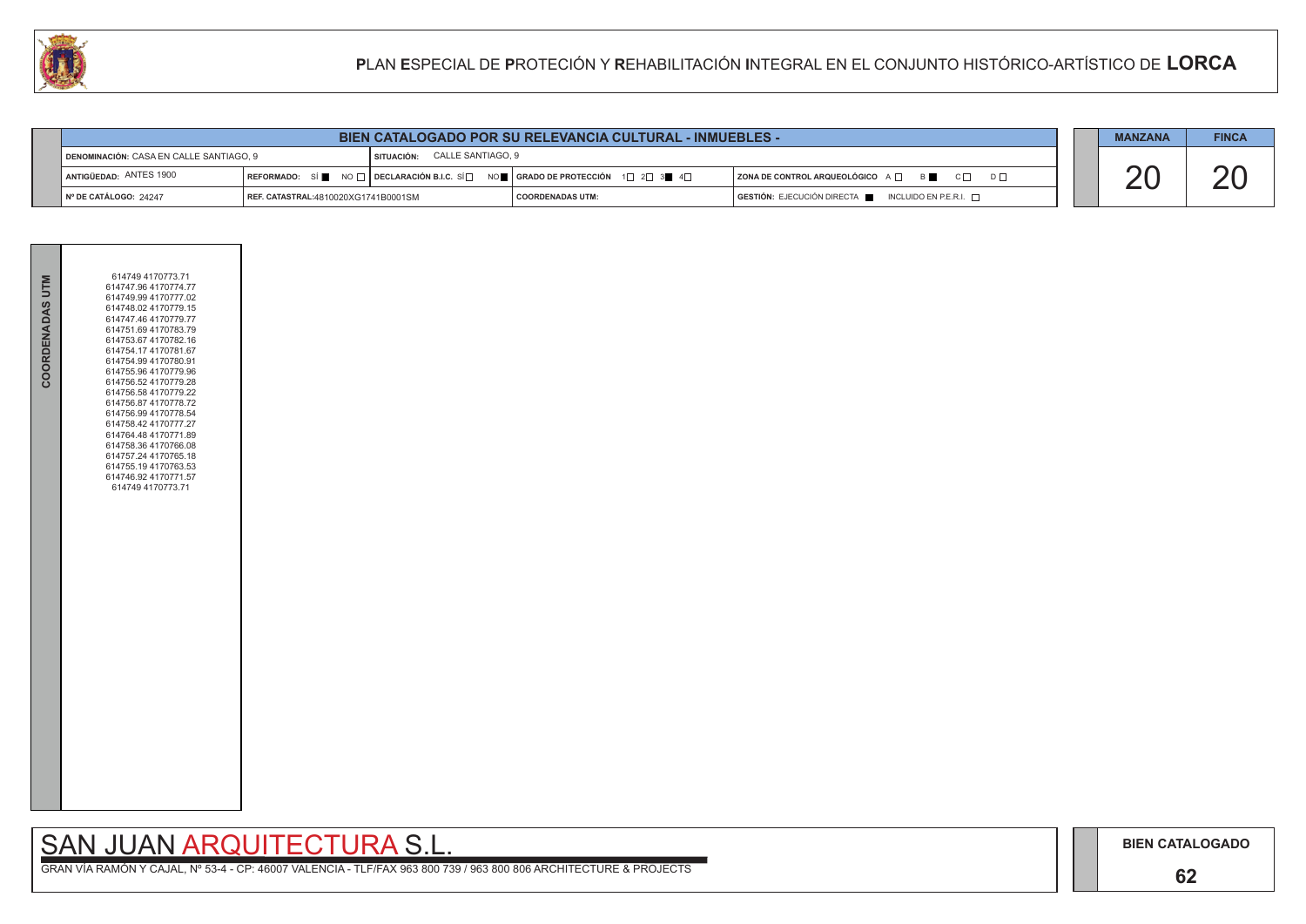## **62**

## SAN JUAN ARQUITECTURA S.L.

|                        | <b>BIEN CATALOGADO POR SU RELEVANCIA CULTURAL - INMUEBLES -</b>            |                                                                                              |                    |  |                                                              |  | <b>MANZANA</b> | <b>FINCA</b> |
|------------------------|----------------------------------------------------------------------------|----------------------------------------------------------------------------------------------|--------------------|--|--------------------------------------------------------------|--|----------------|--------------|
|                        | CALLE SANTIAGO, 9<br>DENOMINACIÓN: CASA EN CALLE SANTIAGO, 9<br>SITUACIÓN: |                                                                                              |                    |  |                                                              |  |                |              |
| ANTIGÜEDAD: ANTES 1900 |                                                                            | REFORMADO: SÍ NO $\Box$ DECLARACIÓN B.I.C. SÍ NO $\Box$ GRADO DE PROTECCIÓN 1 2 3 4 4 $\Box$ |                    |  | ZONA DE CONTROL ARQUEOLÓGICO A $\Box$ B<br>$C \Box$ $D \Box$ |  |                |              |
| N° DE CATÁLOGO: 24247  | REF. CATASTRAL:4810020XG1741B0001SM                                        |                                                                                              | I COORDENADAS UTM: |  | $GESTIÓN: EJECUCIÓN DIRECTA$ INCLUIDO EN P.E.R.I. $\Box$     |  |                |              |



| COORDENADAS UTM | 614749 4170773.71<br>614747.96 4170774.77<br>614749.99 4170777.02<br>614748.02 4170779.15<br>614747.46 4170779.77<br>614751.69 4170783.79<br>614753.67 4170782.16<br>614754.17 4170781.67<br>614754.99 4170780.91<br>614755.96 4170779.96<br>614756.52 4170779.28<br>614756.58 4170779.22<br>614756.87 4170778.72<br>614756.99 4170778.54<br>614758.42 4170777.27<br>614764.48 4170771.89<br>614758.36 4170766.08<br>614757.24 4170765.18<br>614755.19 4170763.53<br>614746.92 4170771.57<br>614749 4170773.71 |  |
|-----------------|----------------------------------------------------------------------------------------------------------------------------------------------------------------------------------------------------------------------------------------------------------------------------------------------------------------------------------------------------------------------------------------------------------------------------------------------------------------------------------------------------------------|--|
|                 |                                                                                                                                                                                                                                                                                                                                                                                                                                                                                                                |  |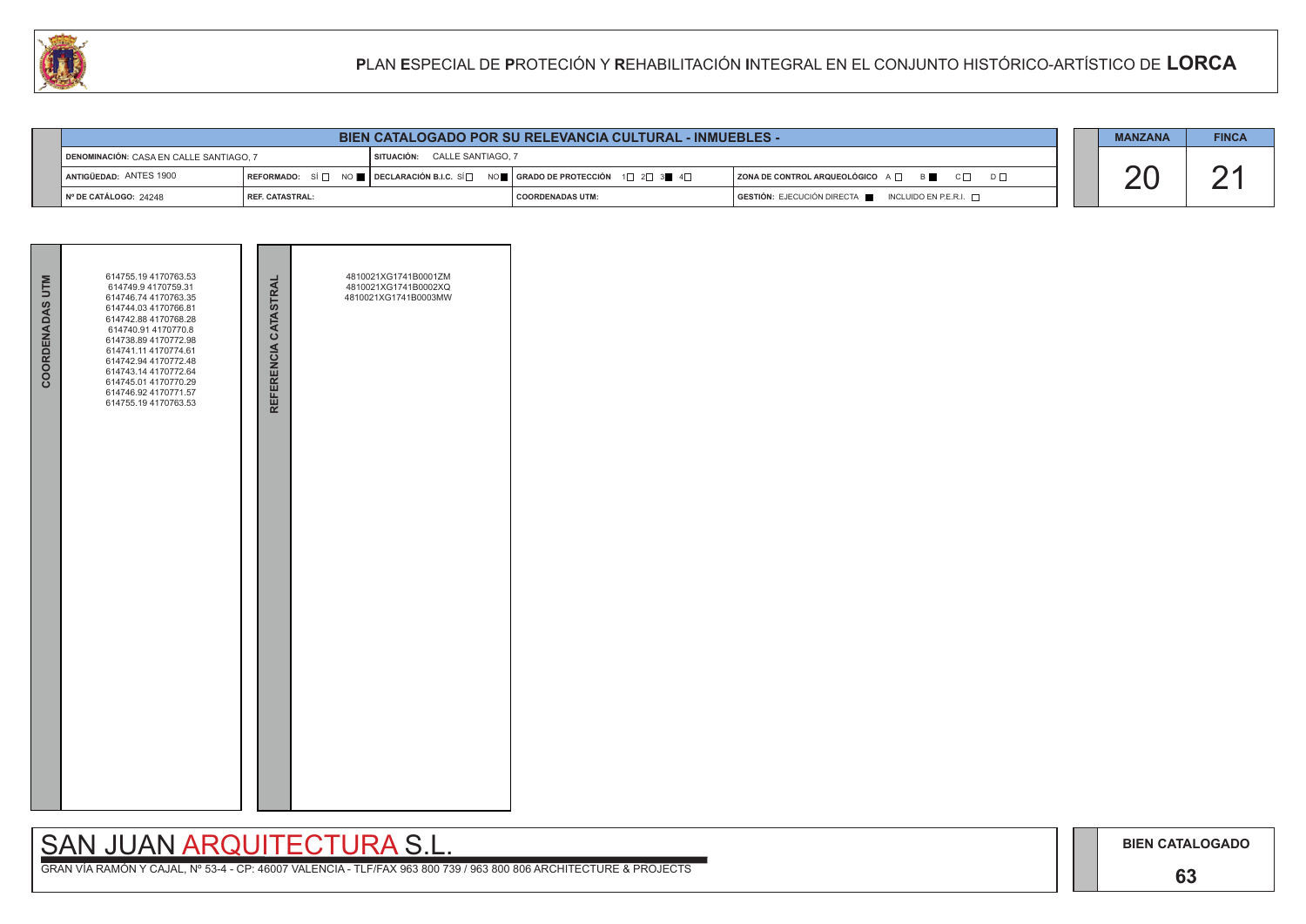**63**

# SAN JUAN ARQUITECTURA S.L.

|                                         | <b>BIEN CATALOGADO POR SU RELEVANCIA CULTURAL - INMUEBLES -</b> |                                                                                                                                                       |                         |  |                                                                        |  |  | <b>FINCA</b> |
|-----------------------------------------|-----------------------------------------------------------------|-------------------------------------------------------------------------------------------------------------------------------------------------------|-------------------------|--|------------------------------------------------------------------------|--|--|--------------|
| DENOMINACIÓN: CASA EN CALLE SANTIAGO. 7 | SITUACIÓN: CALLE SANTIAGO, 7                                    |                                                                                                                                                       |                         |  |                                                                        |  |  |              |
| ANTIGÜEDAD: ANTES 1900                  |                                                                 | REFORMADO: SÍ $\Box$ NO $\blacksquare$ DECLARACIÓN B.I.C. SÍ $\Box$ NO $\blacksquare$ GRADO DE PROTECCIÓN 1 $\Box$ 2 $\Box$ 3 $\blacksquare$ 4 $\Box$ |                         |  | ZONA DE CONTROL ARQUEOLÓGICO A □ B C □ D □                             |  |  |              |
| Nº DE CATÁLOGO: 24248                   | I REF. CATASTRAL:                                               |                                                                                                                                                       | <b>COORDENADAS UTM:</b> |  | $GESTIÓN: EJECUCIÓN DIRECTA \blacksquare INCLUIDO EN P.E.R.I. \square$ |  |  |              |



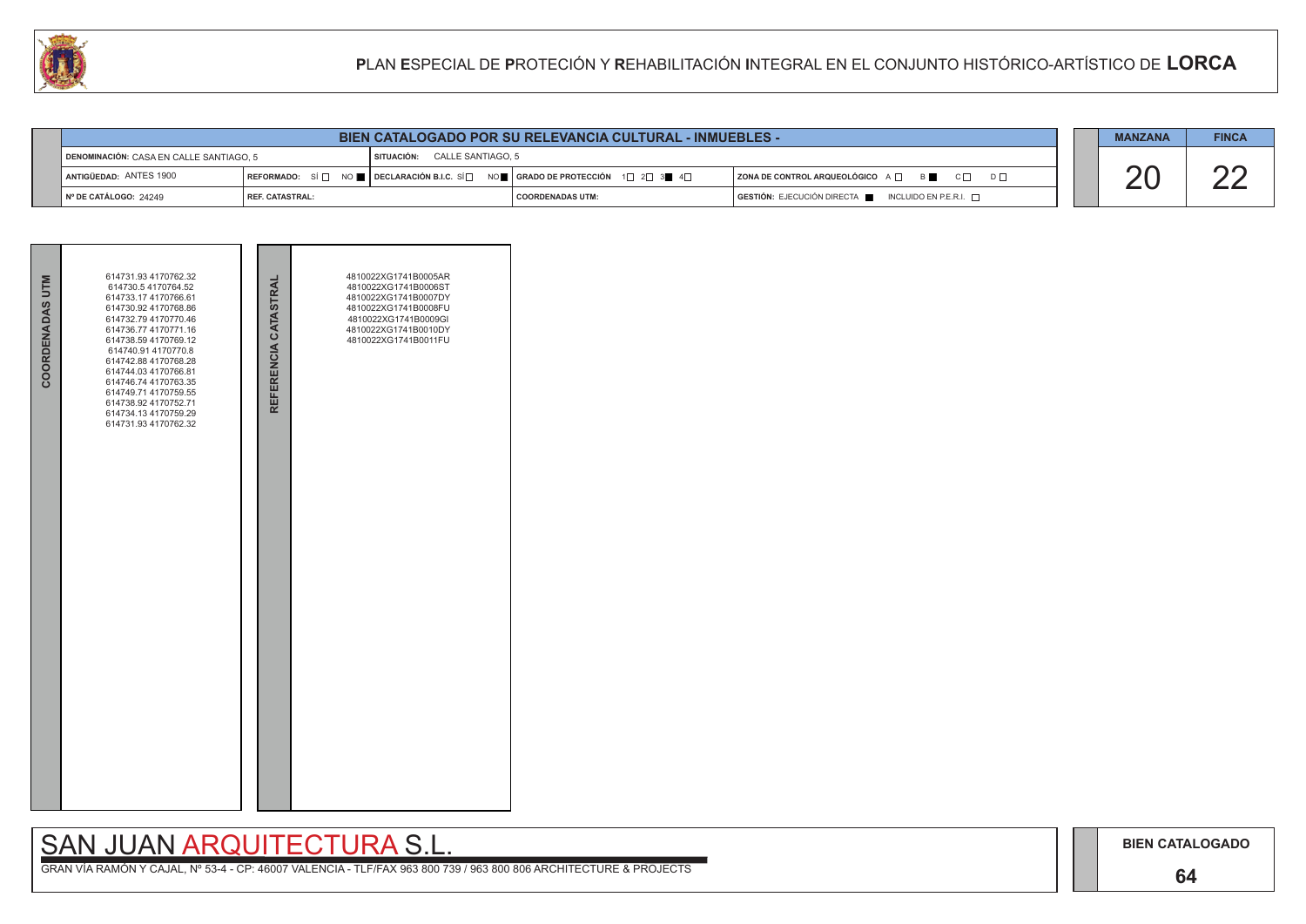### **64**

# SAN JUAN ARQUITECTURA S.L.

|                                                                         |                   | <b>MANZANA</b> | <b>FINCA</b>                                                                                                                                          |                                                          |  |  |  |
|-------------------------------------------------------------------------|-------------------|----------------|-------------------------------------------------------------------------------------------------------------------------------------------------------|----------------------------------------------------------|--|--|--|
| SITUACIÓN: CALLE SANTIAGO, 5<br>DENOMINACIÓN: CASA EN CALLE SANTIAGO. 5 |                   |                |                                                                                                                                                       |                                                          |  |  |  |
| ANTIGÜEDAD: ANTES 1900                                                  |                   |                | REFORMADO: SÍ $\Box$ NO $\blacksquare$ DECLARACIÓN B.I.C. SÍ $\Box$ NO $\blacksquare$ GRADO DE PROTECCIÓN 1 $\Box$ 2 $\Box$ 3 $\blacksquare$ 4 $\Box$ | ZONA DE CONTROL ARQUEOLÓGICO A □ B C □ D □               |  |  |  |
| I Nº DE CATÁLOGO: 24249                                                 | I REF. CATASTRAL: |                | I COORDENADAS UTM:                                                                                                                                    | $GESTIÓN: EJECUCIÓN DIRECTA$ INCLUIDO EN P.E.R.I. $\Box$ |  |  |  |



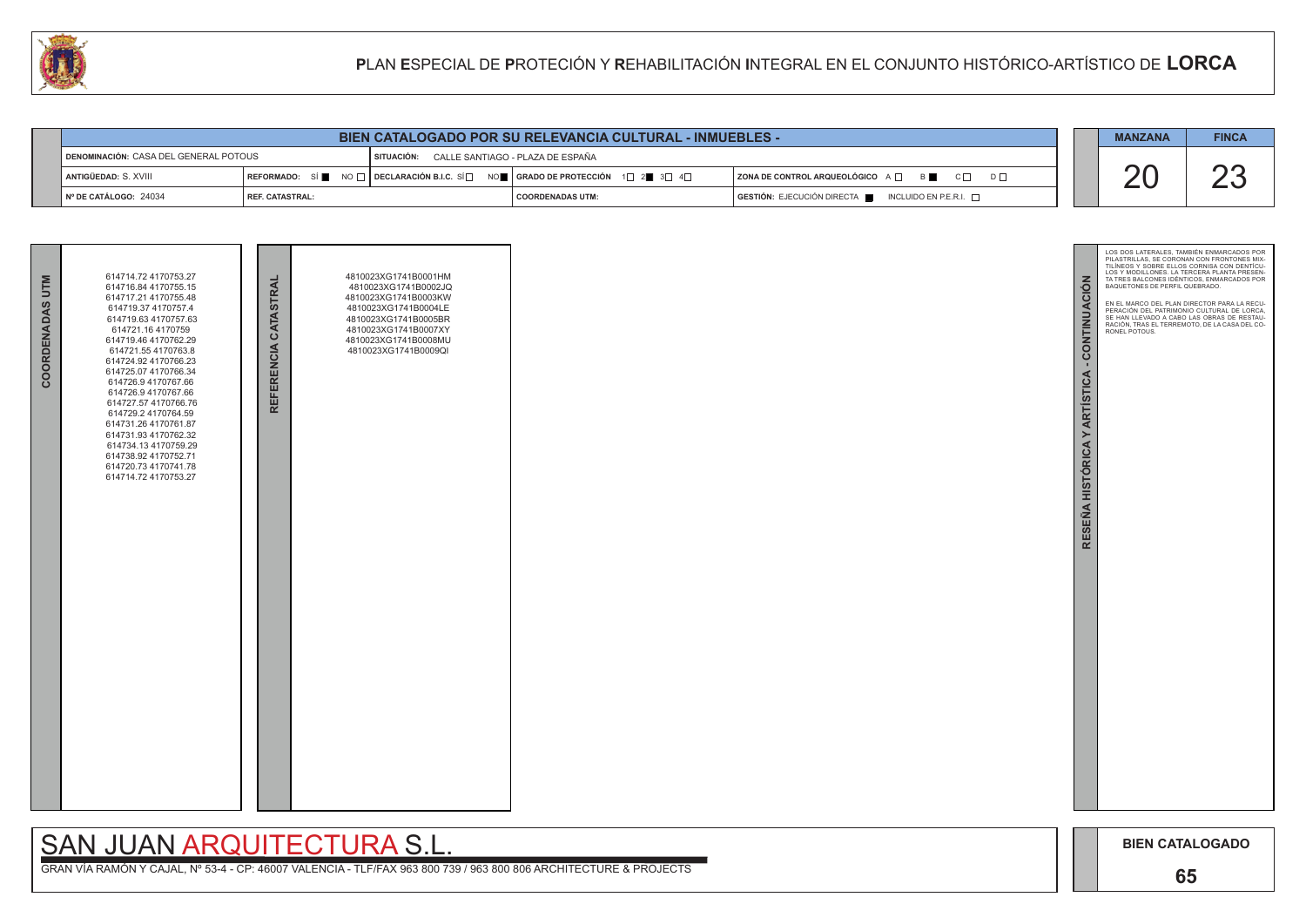

|                 | 614714.72 4170753.27                                                                                                                                                                                                                                                                                                                                                                                                                                         |                      | 4810023XG1741B0001HM                                                                                                                                                 |  |
|-----------------|--------------------------------------------------------------------------------------------------------------------------------------------------------------------------------------------------------------------------------------------------------------------------------------------------------------------------------------------------------------------------------------------------------------------------------------------------------------|----------------------|----------------------------------------------------------------------------------------------------------------------------------------------------------------------|--|
| COORDENADAS UTM | 614716.84 4170755.15<br>614717.21 4170755.48<br>614719.37 4170757.4<br>614719.63 4170757.63<br>614721.16 4170759<br>614719.46 4170762.29<br>614721.55 4170763.8<br>614724.92 4170766.23<br>614725.07 4170766.34<br>614726.9 4170767.66<br>614726.9 4170767.66<br>614727.57 4170766.76<br>614729.2 4170764.59<br>614731.26 4170761.87<br>614731.93 4170762.32<br>614734.13 4170759.29<br>614738.92 4170752.71<br>614720.73 4170741.78<br>614714.72 4170753.27 | REFERENCIA CATASTRAL | 4810023XG1741B0002JQ<br>4810023XG1741B0003KW<br>4810023XG1741B0004LE<br>4810023XG1741B0005BR<br>4810023XG1741B0007XY<br>4810023XG1741B0008MU<br>4810023XG1741B0009QI |  |

| <b>BIEN CATALOGADO POR SU RELEVANCIA CULTURAL - INMUEBLES -</b>                      |                          |  |                                                                                                                                                         |                                                                            |  |  |    |
|--------------------------------------------------------------------------------------|--------------------------|--|---------------------------------------------------------------------------------------------------------------------------------------------------------|----------------------------------------------------------------------------|--|--|----|
| DENOMINACIÓN: CASA DEL GENERAL POTOUS<br>SITUACIÓN: CALLE SANTIAGO - PLAZA DE ESPAÑA |                          |  |                                                                                                                                                         |                                                                            |  |  |    |
| I ANTIGÜEDAD: S. XVIII                                                               |                          |  | REFORMADO: SÍ $\blacksquare$ NO $\Box$ DECLARACIÓN B.I.C. SÍ $\Box$ NO $\blacksquare$   GRADO DE PROTECCIÓN 1 $\Box$ 2 $\blacksquare$ 3 $\Box$ 4 $\Box$ | $ $ ZONA DE CONTROL ARQUEOLÓGICO $A \Box$ $B \Box$<br>$C \Box$<br>$D \Box$ |  |  | ∩∩ |
| $\blacksquare$ N° DE CATÁLOGO: 24034                                                 | <b>I REF. CATASTRAL:</b> |  | I COORDENADAS UTM:                                                                                                                                      | GESTIÓN: EJECUCIÓN DIRECTA   INCLUIDO EN P.E.R.I.                          |  |  |    |

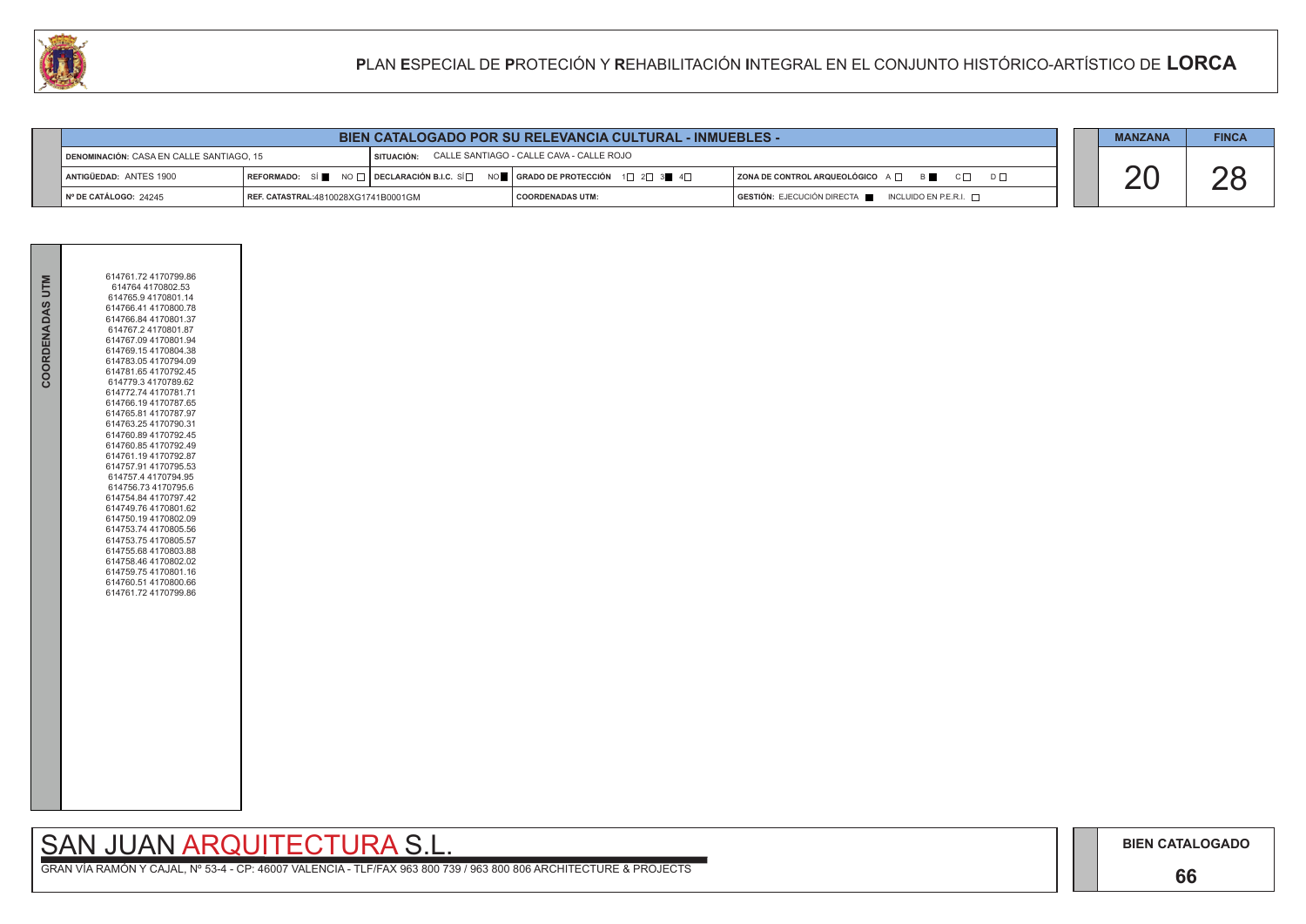## **66**

# SAN JUAN ARQUITECTURA S.L.

|                        | <b>BIEN CATALOGADO POR SU RELEVANCIA CULTURAL - INMUEBLES -</b>                                 |  |                                                                                                                        |                                                                                                                                                                                                                                                                                                                                                                                                                            |  |  | <b>FINCA</b> |
|------------------------|-------------------------------------------------------------------------------------------------|--|------------------------------------------------------------------------------------------------------------------------|----------------------------------------------------------------------------------------------------------------------------------------------------------------------------------------------------------------------------------------------------------------------------------------------------------------------------------------------------------------------------------------------------------------------------|--|--|--------------|
|                        | SITUACIÓN: CALLE SANTIAGO - CALLE CAVA - CALLE ROJO<br>DENOMINACIÓN: CASA EN CALLE SANTIAGO, 15 |  |                                                                                                                        |                                                                                                                                                                                                                                                                                                                                                                                                                            |  |  |              |
| ANTIGÜEDAD: ANTES 1900 |                                                                                                 |  | REFORMADO: SÍ NO $\Box$ DECLARACIÓN B.I.C. SÍ $\Box$ NO $\Box$ GRADO DE PROTECCIÓN 1 $\Box$ 2 $\Box$ 3 $\Box$ 4 $\Box$ | ZONA DE CONTROL ARQUEOLÓGICO A D B<br>$\overline{C}$ $\overline{C}$ $\overline{C}$ $\overline{C}$ $\overline{C}$ $\overline{C}$ $\overline{C}$ $\overline{C}$ $\overline{C}$ $\overline{C}$ $\overline{C}$ $\overline{C}$ $\overline{C}$ $\overline{C}$ $\overline{C}$ $\overline{C}$ $\overline{C}$ $\overline{C}$ $\overline{C}$ $\overline{C}$ $\overline{C}$ $\overline{C}$ $\overline{C}$ $\overline{C}$ $\overline{$ |  |  |              |
| N° DE CATÁLOGO: 24245  | REF. CATASTRAL:4810028XG1741B0001GM                                                             |  | I COORDENADAS UTM:                                                                                                     | $\overline{G}$ <b>GESTIÓN:</b> EJECUCIÓN DIRECTA $\overline{F}$ INCLUIDO EN P.E.R.I. $\overline{F}$                                                                                                                                                                                                                                                                                                                        |  |  |              |



| COORDENADAS UTM | 614761.72 4170799.86<br>614764 4170802.53<br>614765.9 4170801.14<br>614766.41 4170800.78<br>614766.84 4170801.37<br>614767.2 4170801.87<br>614767.09 4170801.94<br>614769.154170804.38<br>614783.054170794.09<br>614781.654170792.45<br>614779.3 4170789.62<br>614772.74 4170781.71<br>614766.19 4170787.65<br>614765.81 4170787.97<br>614763.25 4170790.31<br>614760.89 4170792.45<br>614760.854170792.49<br>614761.19 4170792.87<br>614757.91 4170795.53<br>614757.4 4170794.95<br>614756.73 4170795.6<br>614754.84 4170797.42<br>614749.76 4170801.62<br>614750.19 4170802.09<br>614753.74 4170805.56<br>614753.75 4170805.57<br>614755.68 4170803.88<br>614758.46 4170802.02<br>614759.75 4170801.16<br>614760.51 4170800.66<br>614761.72 4170799.86 |  |
|-----------------|----------------------------------------------------------------------------------------------------------------------------------------------------------------------------------------------------------------------------------------------------------------------------------------------------------------------------------------------------------------------------------------------------------------------------------------------------------------------------------------------------------------------------------------------------------------------------------------------------------------------------------------------------------------------------------------------------------------------------------------------------------|--|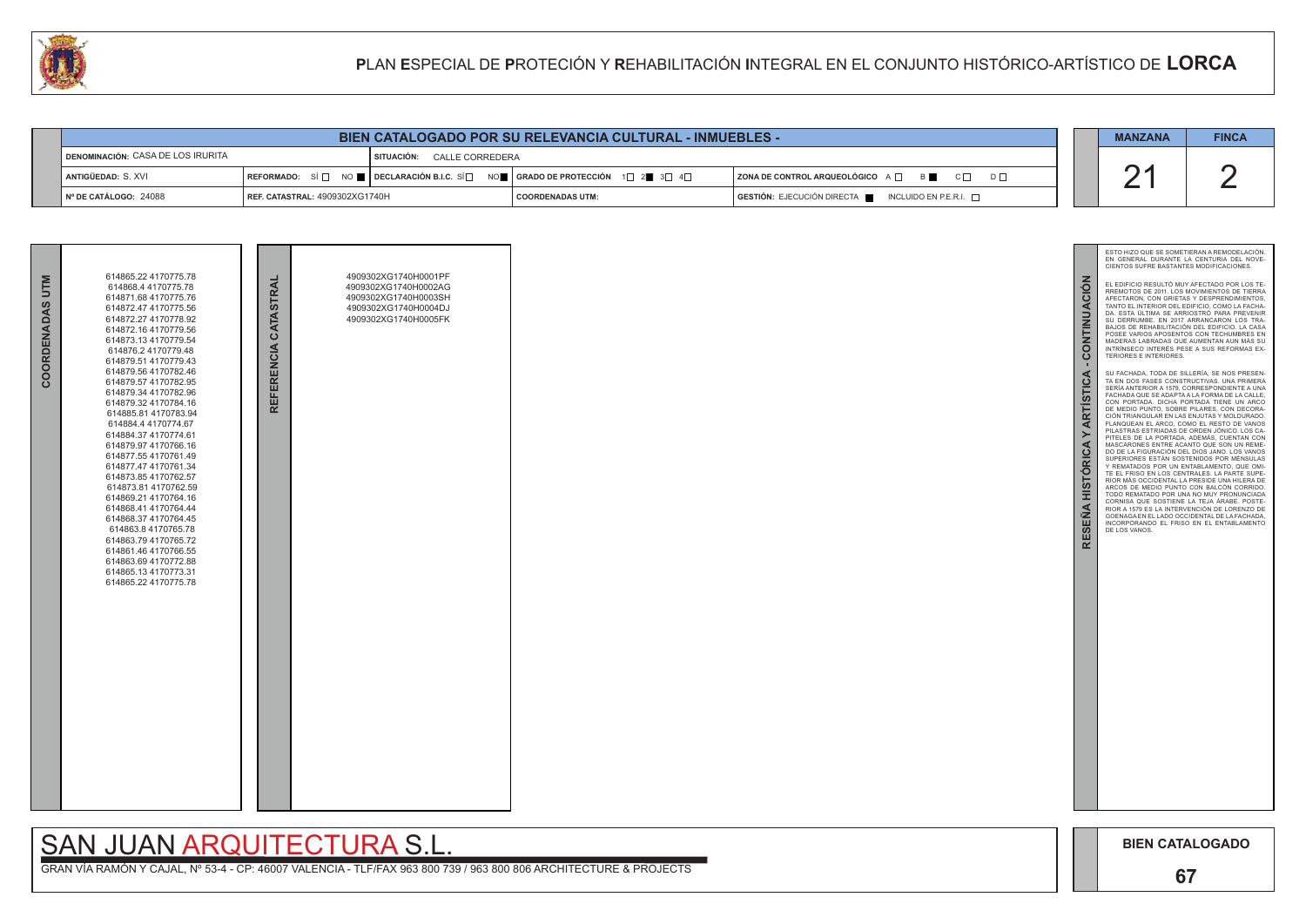**67**

| COORDENADAS UTM | 614865.22 4170775.78<br>614868.4 4170775.78<br>614871.68 4170775.76<br>614872.47 4170775.56<br>614872.27 4170778.92<br>614872.16 4170779.56<br>614873.13 4170779.54<br>614876.2 4170779.48<br>614879.51 4170779.43<br>614879.56 4170782.46<br>614879.57 4170782.95<br>614879.34 4170782.96<br>614879.32 4170784.16<br>614885.81 4170783.94<br>614884.4 4170774.67<br>614884.37 4170774.61<br>614879.97 4170766.16<br>614877.55 4170761.49<br>614877.47 4170761.34<br>614873.85 4170762.57<br>614873.81 4170762.59<br>614869.21 4170764.16<br>614868.41 4170764.44<br>614868.37 4170764.45<br>614863.8 4170765.78<br>614863.79 4170765.72<br>614861.46 4170766.55<br>614863.69 4170772.88<br>614865.134170773.31<br>614865.22 4170775.78 | REFERENCIA CATASTRAL | 4909302XG1740H0001PF<br>4909302XG1740H0002AG<br>4909302XG1740H0003SH<br>4909302XG1740H0004DJ<br>4909302XG1740H0005FK |  |
|-----------------|-----------------------------------------------------------------------------------------------------------------------------------------------------------------------------------------------------------------------------------------------------------------------------------------------------------------------------------------------------------------------------------------------------------------------------------------------------------------------------------------------------------------------------------------------------------------------------------------------------------------------------------------------------------------------------------------------------------------------------------------|----------------------|----------------------------------------------------------------------------------------------------------------------|--|

# SAN JUAN ARQUITECTURA S.L.

2 21 ESTO HIZO QUE SE SOMETIERAN A REMODELACIÓN. EN GENERAL DURANTE LA CENTURIA DEL NOVE - CIENTOS SUFRE BASTANTES MODIFICACIONES. CONTINUACIÓN **RESEÑA HISTÓRICA Y ARTÍSTICA - CONTINUACIÓN** EL EDIFICIO RESULTO MUY AFECTADO POR LOS TE-RREMOTOS DE 2011. LOS MOVIMIENTOS DE TIERRA AFECTARON, CON GRIETAS Y DESPRENDIMIENTOS, TANTO EL INTERIOR DEL EDIFICIO, COMO LA FACHA - DA. ESTA ÚLTIMA SE ARRIOSTRÓ PARA PREVENIR SU DERRUMBE. EN 2017 ARRANCARON LOS TRA - BAJOS DE REHABILITACIÓN DEL EDIFICIO. LA CASA<br>POSEE VARIOS APOSENTOS CON TECHUMBRES EN<br>MADERAS LABRADAS QUE AUMENTAN AUN MÁS SU<br>INTRÍNSECO INTERÉS PESE A SUS REFORMAS EX-TERIORES E INTERIORES. **ARTÍSTICA** SU FACHADA, TODA DE SILLERÍA, SE NOS PRESEN - TA EN DOS FASES CONSTRUCTIVAS. UNA PRIMERA SERÍA ANTERIOR A 1579, CORRESPONDIENTE A UNA FACHADA QUE SE ADAPTA A LA FORMA DE LA CALLE, CON PORTADA. DICHA PORTADA TIENE UN ARCO DE MEDIO PUNTO, SOBRE PILARES, CON DECORA - CIÓN TRIANGULAR EN LAS ENJUTAS Y MOLDURADO. FLANQUEAN EL ARCO, COMO EL RESTO DE VANOS PILASTRAS ESTRIADAS DE ORDEN JÓNICO. LOS CA - PITELES DE LA PORTADA, ADEMÁS, CUENTAN CON  $\geq$ **HISTÓRICA** MASCARONES ENTRE ACANTO QUE SON UN REME - DO DE LA FIGURACIÓN DEL DIOS JANO. LOS VANOS SUPERIORES ESTÁN SOSTENIDOS POR MÉNSULAS Y REMATADOS POR UN ENTABLAMENTO, QUE OMI - TE EL FRISO EN LOS CENTRALES. LA PARTE SUPE - RIOR MÁS OCCIDENTAL LA PRESIDE UNA HILERA DE ARCOS DE MEDIO PUNTO CON BALCÓN CORRIDO. TODO REMATADO POR UNA NO MUY PRONUNCIADA CORNISA QUE SOSTIENE LA TEJA ÁRABE. POSTE-**RESEÑA** RIOR A 1579 ES LA INTERVENCIÓN DE LORENZO DE GOENAGA EN EL LADO OCCIDENTAL DE LA FACHADA, INCORPORANDO EL FRISO EN EL ENTABLAMENTO DE LOS VANOS.



| W                                                               |                                       | PLAN ESPECIAL DE PROTECIÓN Y REHABILITACIÓN INTEGRAL EN EL CONJUNTO HISTÓRICO-ARTÍSTICO DE LORCA |                                                                                                                                                       |                                                           |  |  |              |
|-----------------------------------------------------------------|---------------------------------------|--------------------------------------------------------------------------------------------------|-------------------------------------------------------------------------------------------------------------------------------------------------------|-----------------------------------------------------------|--|--|--------------|
|                                                                 |                                       |                                                                                                  |                                                                                                                                                       |                                                           |  |  |              |
| <b>BIEN CATALOGADO POR SU RELEVANCIA CULTURAL - INMUEBLES -</b> |                                       |                                                                                                  |                                                                                                                                                       |                                                           |  |  | <b>FINCA</b> |
| <b>DENOMINACIÓN: CASA DE LOS IRURITA</b>                        |                                       | SITUACIÓN: CALLE CORREDERA                                                                       |                                                                                                                                                       |                                                           |  |  |              |
| ANTIGÜEDAD: S. XVI                                              |                                       |                                                                                                  | REFORMADO: SÍ $\Box$ NO $\blacksquare$ DECLARACIÓN B.I.C. SÍ $\Box$ NO $\blacksquare$ GRADO DE PROTECCIÓN 1 $\Box$ 2 $\blacksquare$ 3 $\Box$ 4 $\Box$ | ZONA DE CONTROL ARQUEOLÓGICO A □ B ■ C □ D □              |  |  |              |
| Nº DE CATÁLOGO: 24088                                           | <b>REF. CATASTRAL: 4909302XG1740H</b> |                                                                                                  | <b>COORDENADAS UTM:</b>                                                                                                                               | GESTIÓN: EJECUCIÓN DIRECTA<br>INCLUIDO EN P.E.R.I. $\Box$ |  |  |              |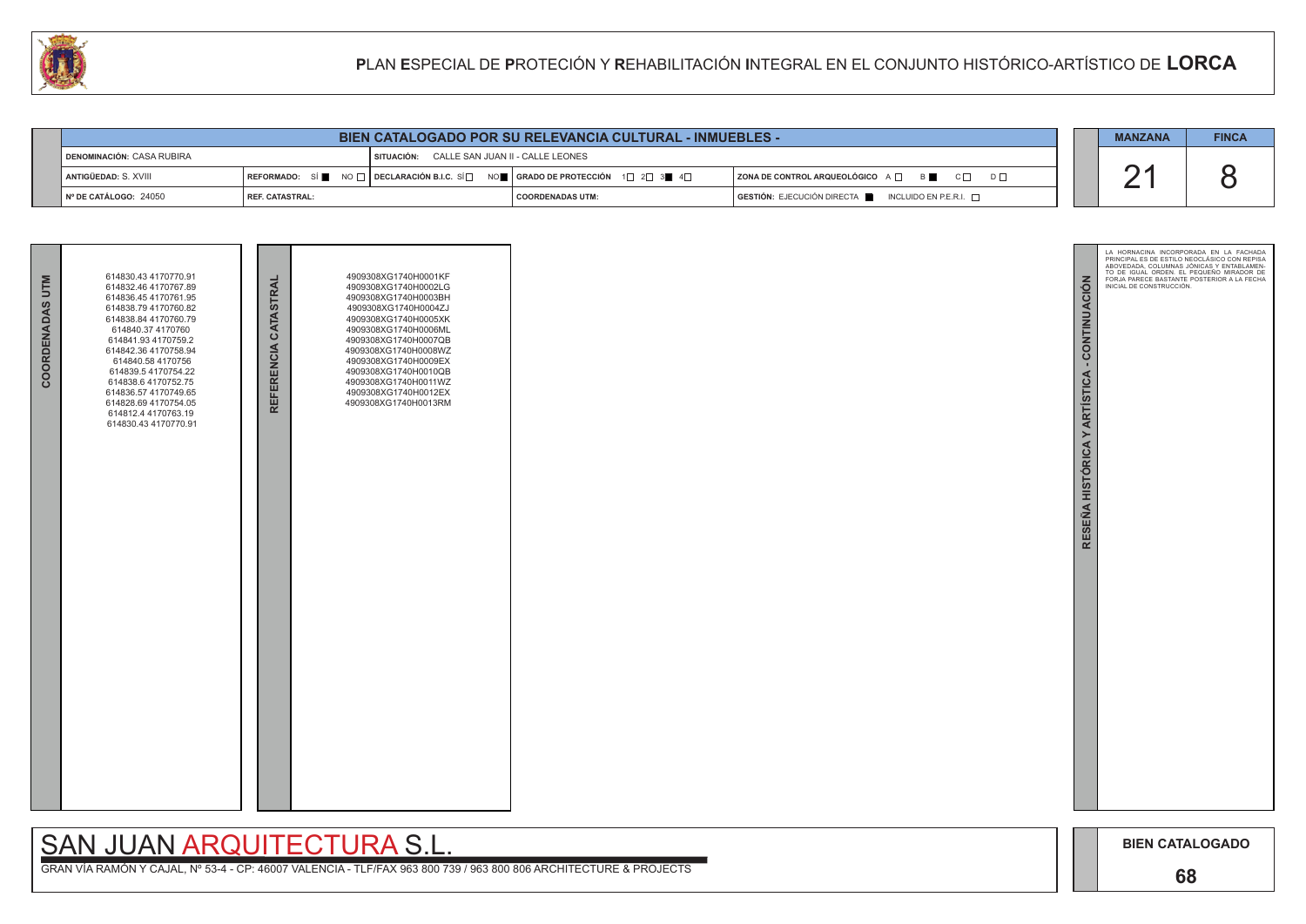



|                             |                 | <b>MANZANA</b>                                                                                                                                                                                 | <b>FINCA</b>                                                        |  |  |  |
|-----------------------------|-----------------|------------------------------------------------------------------------------------------------------------------------------------------------------------------------------------------------|---------------------------------------------------------------------|--|--|--|
| I DENOMINACIÓN: CASA RUBIRA |                 | SITUACIÓN: CALLE SAN JUAN II - CALLE LEONES                                                                                                                                                    |                                                                     |  |  |  |
| ANTIGÜEDAD: S. XVIII        |                 | $\mid$ REFORMADO: $\;$ SI $\blacksquare$ $\;$ NO $\Box$ $\mid$ DECLARACIÓN B.I.C. SÍ $\Box$ $\;$ NO $\blacksquare$ $\mid$ GRADO DE PROTECCIÓN $\;$ 1 $\Box$ 2 $\Box$ 3 $\blacksquare$ 4 $\Box$ | $ $ ZONA DE CONTROL ARQUEOLÓGICO $A \Box$ B<br>$C \Box$<br>$D \Box$ |  |  |  |
| Nº DE CATÁLOGO: 24050       | REF. CATASTRAL: | I COORDENADAS UTM:                                                                                                                                                                             | GESTIÓN: EJECUCIÓN DIRECTA NEUNCLUIDO EN P.E.R.I.                   |  |  |  |

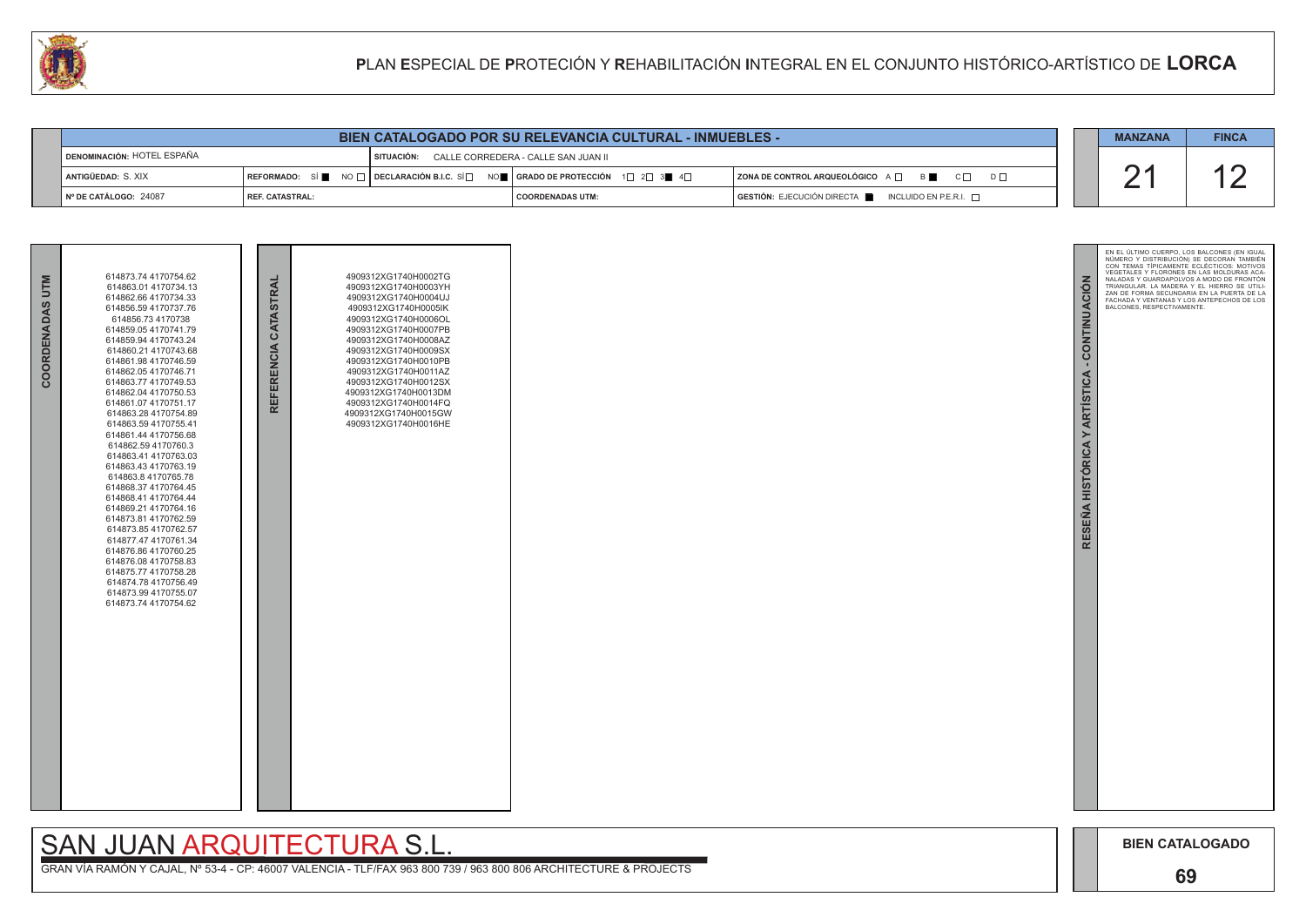

| COORDENADAS UTM | 614873.74 4170754.62<br>614863.01 4170734.13<br>614862.66 4170734.33<br>614856.59 4170737.76<br>614856.73 4170738<br>614859.054170741.79<br>614859.94 4170743.24<br>614860.21 4170743.68<br>614861.98 4170746.59<br>614862.054170746.71<br>614863.77 4170749.53<br>614862.04 4170750.53<br>614861.07 4170751.17<br>614863.28 4170754.89<br>614863.59 4170755.41<br>614861.44 4170756.68<br>614862.59 4170760.3<br>614863 41 4170763 03<br>614863.43 4170763.19<br>614863.8 4170765.78<br>614868.37 4170764.45<br>614868.41 4170764.44<br>614869.21 4170764.16<br>614873.81 4170762.59<br>614873.85 4170762.57<br>614877.47 4170761.34<br>614876.86 4170760.25<br>614876.08 4170758.83<br>614875.77 4170758.28<br>614874.78 4170756.49<br>614873.99 4170755.07<br>614873.74 4170754.62 | REFERENCIA CATASTRAI | 4909312XG1740H0002TG<br>4909312XG1740H0003YH<br>4909312XG1740H0004UJ<br>4909312XG1740H0005lK<br>4909312XG1740H0006OL<br>4909312XG1740H0007PB<br>4909312XG1740H0008AZ<br>4909312XG1740H0009SX<br>4909312XG1740H0010PB<br>4909312XG1740H0011AZ<br>4909312XG1740H0012SX<br>4909312XG1740H0013DM<br>4909312XG1740H0014FQ<br>4909312XG1740H0015GW<br>4909312XG1740H0016HE |  |
|-----------------|---------------------------------------------------------------------------------------------------------------------------------------------------------------------------------------------------------------------------------------------------------------------------------------------------------------------------------------------------------------------------------------------------------------------------------------------------------------------------------------------------------------------------------------------------------------------------------------------------------------------------------------------------------------------------------------------------------------------------------------------------------------------------------------|----------------------|----------------------------------------------------------------------------------------------------------------------------------------------------------------------------------------------------------------------------------------------------------------------------------------------------------------------------------------------------------------------|--|

|                            | <b>BIEN CATALOGADO POR SU RELEVANCIA CULTURAL - INMUEBLES -</b> |                                                                                                                                    |                         |  |                                                                         |  |  |  |
|----------------------------|-----------------------------------------------------------------|------------------------------------------------------------------------------------------------------------------------------------|-------------------------|--|-------------------------------------------------------------------------|--|--|--|
| DENOMINACIÓN: HOTEL ESPAÑA |                                                                 | SITUACIÓN: CALLE CORREDERA - CALLE SAN JUAN II                                                                                     |                         |  |                                                                         |  |  |  |
| ANTIGÜEDAD: S. XIX         |                                                                 | $\mid$ REFORMADO: SÍ █ NO $\Box$ DECLARACIÓN B.I.C. SÍ $\Box$ NO █ $\mid$ GRADO DE PROTECCIÓN $\mid$ 1 $\Box$ 2 $\Box$ 3■ 4 $\Box$ |                         |  | $ $ ZONA DE CONTROL ARQUEOLÓGICO $A \Box$ $B \Box$ $C \Box$<br>$D \Box$ |  |  |  |
| N° DE CATÁLOGO: 24087      | l REF. CATASTRAL:                                               |                                                                                                                                    | <b>COORDENADAS UTM:</b> |  | $GESTIÓN: EJECUCIÓN DIRECTA \blacksquare INCLUIDO EN P.E.R.I. \square$  |  |  |  |

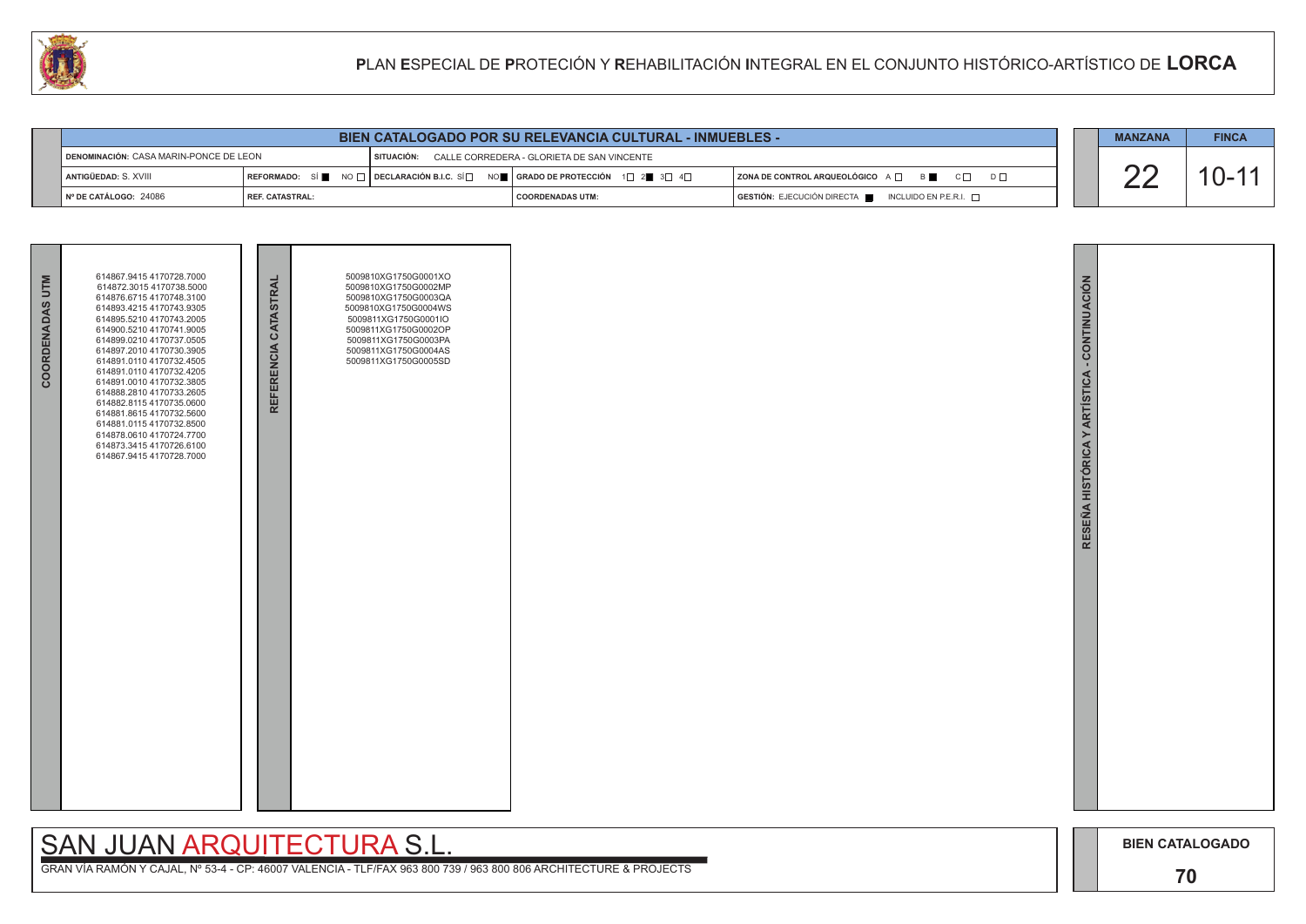

| COORDENADAS UTM | 614867.9415 4170728.7000<br>614872.3015 4170738.5000<br>614876.6715 4170748.3100<br>614893.4215 4170743.9305<br>614895.5210 4170743.2005<br>614900.5210 4170741.9005<br>614899.0210 4170737.0505<br>614897.2010 4170730.3905<br>614891.0110 4170732.4505<br>614891.0110 4170732.4205<br>614891.0010 4170732.3805<br>614888.2810 4170733.2605<br>614882.8115 4170735.0600<br>614881.8615 4170732.5600<br>614881.0115 4170732.8500<br>614878.0610 4170724.7700<br>614873.3415 4170726.6100<br>614867.9415 4170728.7000 | REFERENCIA CATASTRAL | 5009810XG1750G0001XO<br>5009810XG1750G0002MP<br>5009810XG1750G0003QA<br>5009810XG1750G0004WS<br>5009811XG1750G0001IO<br>5009811XG1750G0002OP<br>5009811XG1750G0003PA<br>5009811XG1750G0004AS<br>5009811XG1750G0005SD |  |
|-----------------|----------------------------------------------------------------------------------------------------------------------------------------------------------------------------------------------------------------------------------------------------------------------------------------------------------------------------------------------------------------------------------------------------------------------------------------------------------------------------------------------------------------------|----------------------|----------------------------------------------------------------------------------------------------------------------------------------------------------------------------------------------------------------------|--|
|                 |                                                                                                                                                                                                                                                                                                                                                                                                                                                                                                                      |                      |                                                                                                                                                                                                                      |  |

| <b>BIEN CATALOGADO POR SU RELEVANCIA CULTURAL - INMUEBLES -</b> |                          |  |                                                                               |                                                                            |  |  | <b>FINCA</b> |
|-----------------------------------------------------------------|--------------------------|--|-------------------------------------------------------------------------------|----------------------------------------------------------------------------|--|--|--------------|
| DENOMINACIÓN: CASA MARIN-PONCE DE LEON                          |                          |  | SITUACIÓN: CALLE CORREDERA - GLORIETA DE SAN VINCENTE                         |                                                                            |  |  |              |
| l antigüedad: S. XVIII                                          |                          |  | REFORMADO: SÍ NO □ DECLARACIÓN B.I.C. SÍ NO   GRADO DE PROTECCIÓN 1□ 2■ 3□ 4□ | $ $ ZONA DE CONTROL ARQUEOLÓGICO $A \Box$ $B \Box$<br>$C \Box$<br>$D \Box$ |  |  | $U^-$        |
| $\blacksquare$ N° DE CATÁLOGO: 24086                            | <b>I REF. CATASTRAL:</b> |  | I COORDENADAS UTM:                                                            | GESTIÓN: EJECUCIÓN DIRECTA   INCLUIDO EN P.E.R.I. O                        |  |  |              |

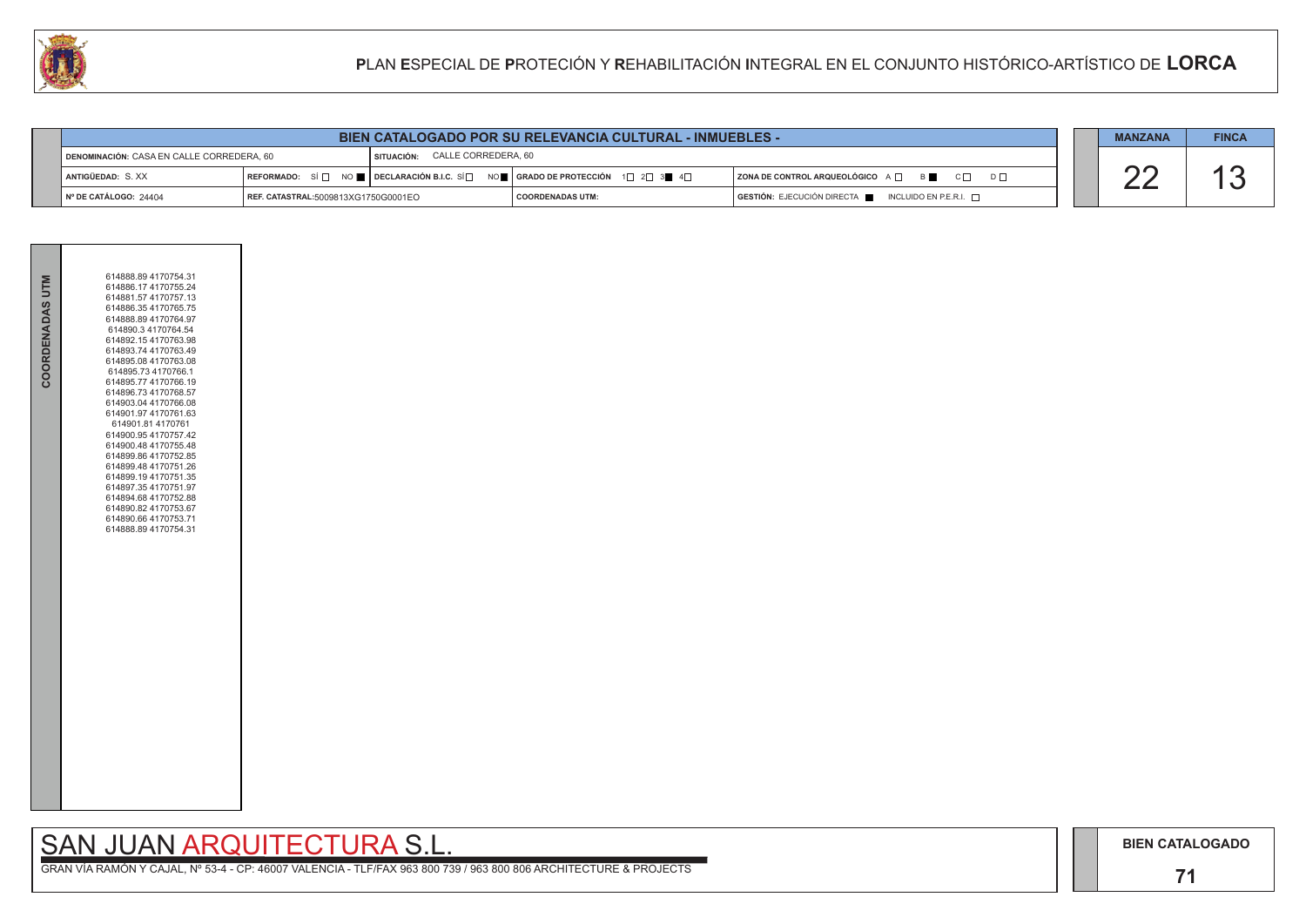## SAN JUAN ARQUITECTURA S.L.

|                                           | <b>BIEN CATALOGADO POR SU RELEVANCIA CULTURAL - INMUEBLES -</b> |                                |                                                                                                                                                       |                                                 |  |  |  |
|-------------------------------------------|-----------------------------------------------------------------|--------------------------------|-------------------------------------------------------------------------------------------------------------------------------------------------------|-------------------------------------------------|--|--|--|
| DENOMINACIÓN: CASA EN CALLE CORREDERA, 60 |                                                                 | SITUACIÓN: CALLE CORREDERA, 60 |                                                                                                                                                       |                                                 |  |  |  |
| ANTIGÜEDAD: S.XX                          |                                                                 |                                | REFORMADO: SÍ $\Box$ NO $\blacksquare$ DECLARACIÓN B.I.C. SÍ $\Box$ NO $\blacksquare$ GRADO DE PROTECCIÓN 1 $\Box$ 2 $\Box$ 3 $\blacksquare$ 4 $\Box$ | ZONA DE CONTROL ARQUEOLÓGICO A □ B B C □ D □    |  |  |  |
| $\parallel$ N° DE CATÁLOGO: 24404         | REF. CATASTRAL:5009813XG1750G0001EO                             |                                | I COORDENADAS UTM:                                                                                                                                    | GESTIÓN: EJECUCIÓN DIRECTA NICLUIDO EN P.E.R.I. |  |  |  |



| COORDENADAS UTM | 614888.89 4170754.31<br>614886.17 4170755.24<br>614881.57 4170757.13<br>614886.354170765.75<br>614888.89 4170764.97<br>614890.3 4170764.54<br>614892.15 4170763.98<br>614893.74 4170763.49<br>614895.08 4170763.08<br>614895.73 4170766.1<br>614895.77 4170766.19<br>614896.73 4170768.57<br>614903.04 4170766.08<br>614901.97 4170761.63<br>614901.81 4170761<br>614900.95 4170757.42<br>614900.48 4170755.48<br>614899.86 4170752.85<br>614899.48 4170751.26<br>614899.19 4170751.35<br>614897.354170751.97<br>614894.68 4170752.88<br>614890.82 4170753.67<br>614890.66 4170753.71<br>614888.89 4170754.31 |  |
|-----------------|---------------------------------------------------------------------------------------------------------------------------------------------------------------------------------------------------------------------------------------------------------------------------------------------------------------------------------------------------------------------------------------------------------------------------------------------------------------------------------------------------------------------------------------------------------------------------------------------------------------|--|
|                 |                                                                                                                                                                                                                                                                                                                                                                                                                                                                                                                                                                                                               |  |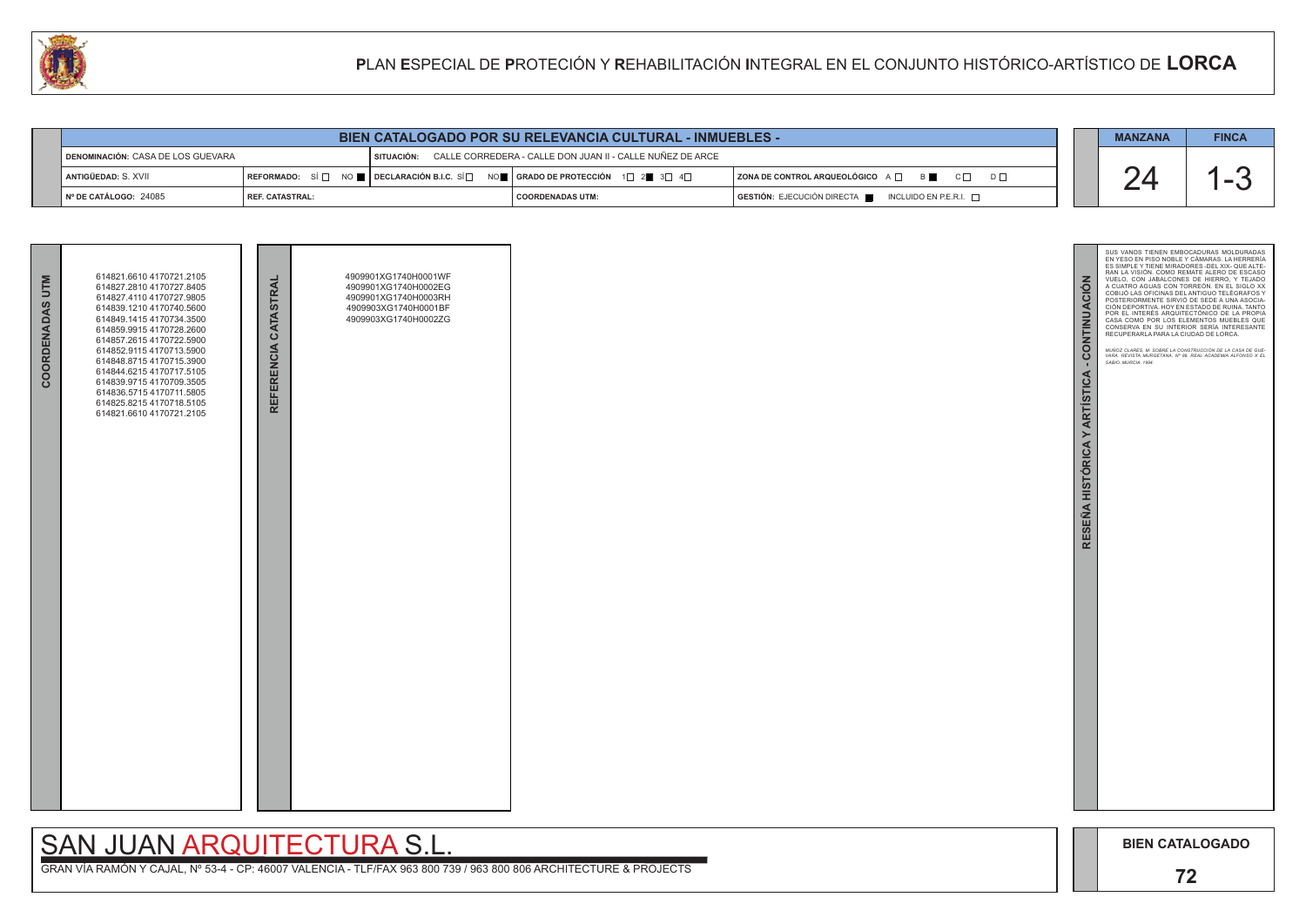

GRAN VÍA RAMÓN Y CAJAL, Nº 53-4 - CP: 46007 VALENCIA - TLF/FAX 963 800 739 / 963 800 806 ARCHITECTURE & PROJECTS



# SAN JUAN ARQUITECTURA S.L.

| BIEN CATALOGADO POR SU RELEVANCIA CULTURAL - INMUEBLES - |                          |                                                                                                                                                                                                                                                              |                                                           |  |                                                                            |  |  | <b>FINCA</b> |
|----------------------------------------------------------|--------------------------|--------------------------------------------------------------------------------------------------------------------------------------------------------------------------------------------------------------------------------------------------------------|-----------------------------------------------------------|--|----------------------------------------------------------------------------|--|--|--------------|
| ¶ DENOMINACIÓN: CASA DE LOS GUEVARA                      |                          | I SITUACIÓN:                                                                                                                                                                                                                                                 | CALLE CORREDERA - CALLE DON JUAN II - CALLE NUÑEZ DE ARCE |  |                                                                            |  |  |              |
| ANTIGÜEDAD: S. XVII                                      |                          | $\overline{\phantom{a}}$ Reformado: $\phantom{a}$ Si $\Box$ No $\blacksquare$ $\overline{\phantom{a}}$ Declaración b.i.c. Si $\Box$ No $\blacksquare$ $\overline{\phantom{a}}$ Grado de protección $\phantom{a}$ 1 $\Box$ 2 $\blacksquare$ 3 $\Box$ 4 $\Box$ |                                                           |  | $ $ ZONA DE CONTROL ARQUEOLÓGICO $A \Box$ $B \Box$<br>$C \Box$<br>$D \Box$ |  |  |              |
| ∥Nº DE CATÁLOGO: 24085                                   | <b>I REF. CATASTRAL:</b> |                                                                                                                                                                                                                                                              | <b>COORDENADAS UTM:</b>                                   |  | GESTIÓN: EJECUCIÓN DIRECTA ██ INCLUIDO EN P.E.R.I. □                       |  |  |              |

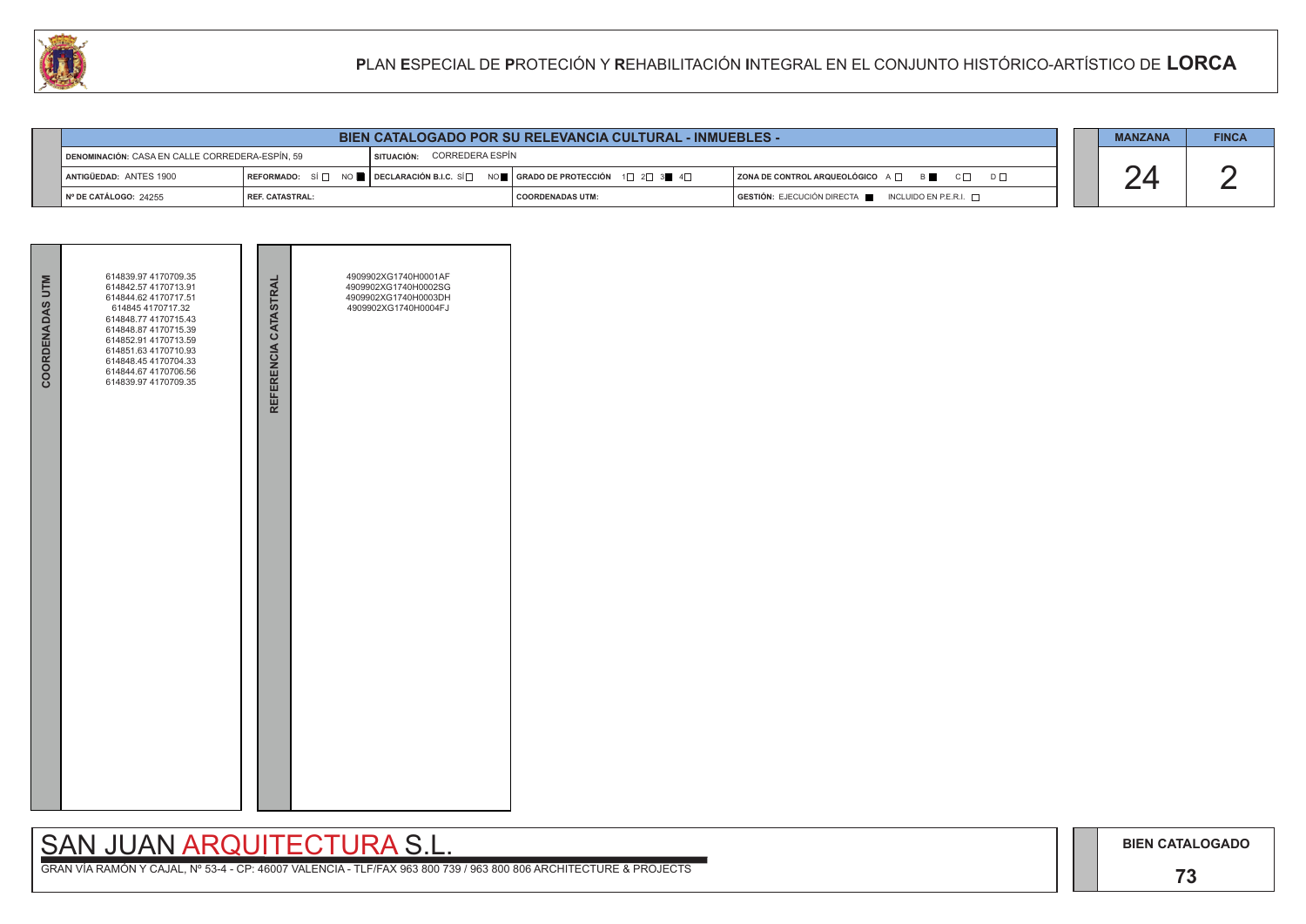# SAN JUAN ARQUITECTURA S.L.

|  | <b>MANZANA</b> | <b>FINCA</b> |
|--|----------------|--------------|
|  |                |              |
|  |                |              |

|                                                 |                        |                            | <b>BIEN CATALOGADO POR SU RELEVANCIA CULTURAL - INMUEBLES -</b>                           |                                                                                                                                                                                                            | <b>MANZANA</b> | <b>FINCA</b> |
|-------------------------------------------------|------------------------|----------------------------|-------------------------------------------------------------------------------------------|------------------------------------------------------------------------------------------------------------------------------------------------------------------------------------------------------------|----------------|--------------|
| DENOMINACIÓN: CASA EN CALLE CORREDERA-ESPÍN, 59 |                        | SITUACIÓN: CORREDERA ESPÍN |                                                                                           |                                                                                                                                                                                                            |                |              |
| <b>I ANTIGÜEDAD: ANTES 1900</b>                 | <b>IREFORMADO:</b> SÍ⊟ |                            | NO █ │ DECLARACIÓN B.I.C. SÍ $\Box$ NO █ │ GRADO DE PROTECCIÓN $\Box$ 2 $\Box$ 3 █ $\Box$ | $\overline{\phantom{a}}$ ZONA DE CONTROL ARQUEOLÓGICO $\overline{\phantom{a}}$ $\overline{\phantom{a}}$ $\overline{\phantom{a}}$ $\overline{\phantom{a}}$ $\overline{\phantom{a}}$<br>$C \Box$<br>$D \Box$ |                |              |
| INº DE CATÁLOGO: 24255                          | l REF. CATASTRAL:      |                            | <b>COORDENADAS UTM:</b>                                                                   | $GESTIÓN: EJECUCIÓN DIRECTA$ INCLUIDO EN P.E.R.I. $\Box$                                                                                                                                                   |                |              |

| <b>COORDENADAS UTM</b> | 614839.97 4170709.35<br>614842.57 4170713.91<br>614844.62 4170717.51<br>614845 4170717.32<br>614848.77 4170715.43<br>614848.87 4170715.39<br>614852.91 4170713.59<br>614851.63 4170710.93<br>614848.45 4170704.33<br>614844.67 4170706.56<br>614839.97 4170709.35 | REFERENCIA CATASTRAL | 4909902XG1740H0001AF<br>4909902XG1740H0002SG<br>4909902XG1740H0003DH<br>4909902XG1740H0004FJ |  |
|------------------------|-------------------------------------------------------------------------------------------------------------------------------------------------------------------------------------------------------------------------------------------------------------------|----------------------|----------------------------------------------------------------------------------------------|--|
|                        |                                                                                                                                                                                                                                                                   |                      |                                                                                              |  |

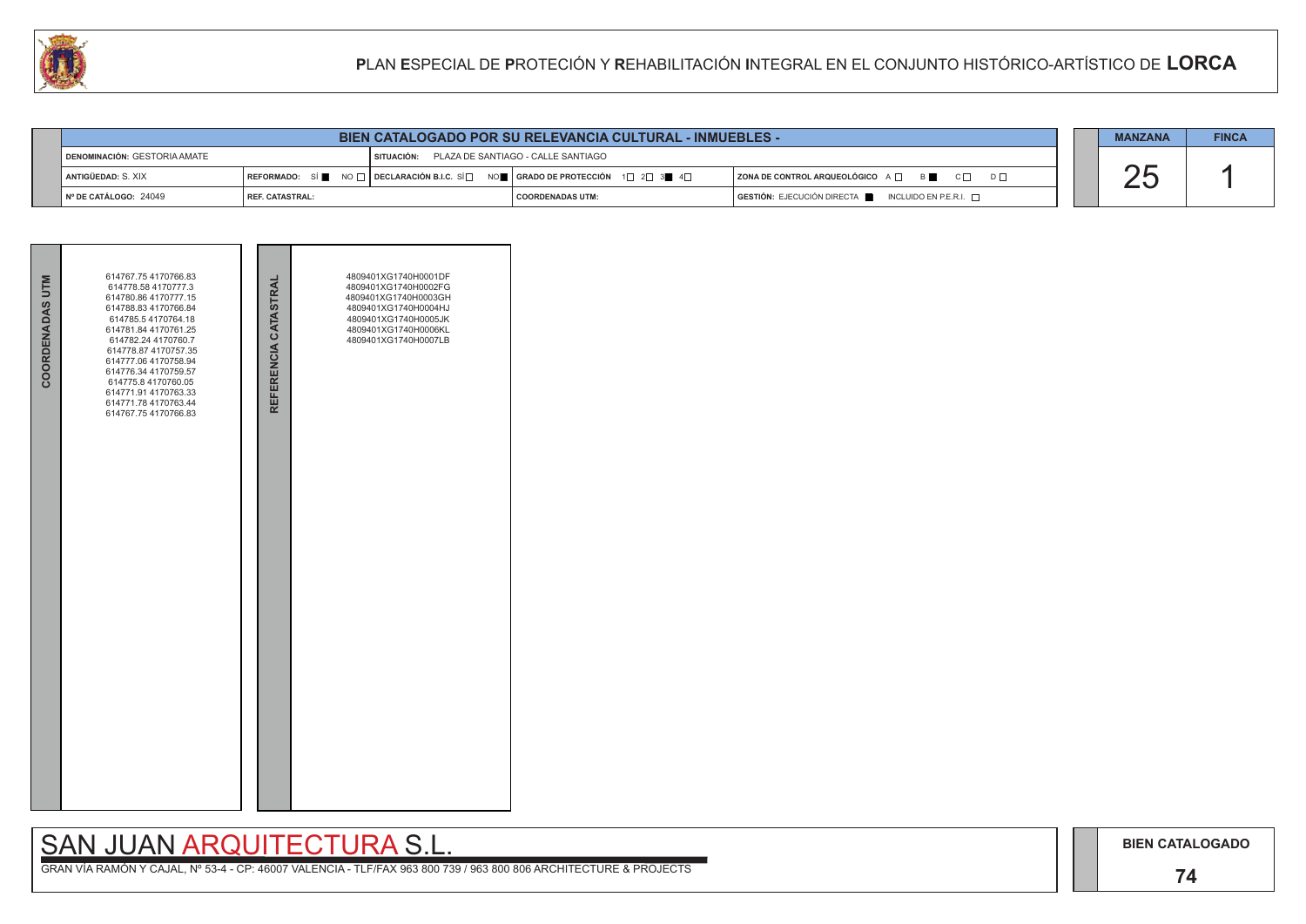## **74**

# SAN JUAN ARQUITECTURA S.L.

|  | <b>MANZANA</b> | <b>FINCA</b> |
|--|----------------|--------------|
|  |                |              |



|                                |                 |                                               | <b>BIEN CATALOGADO POR SU RELEVANCIA CULTURAL - INMUEBLES -</b>                                                                                                           |                                                                                                                                                                                     | <b>MANZANA</b> | <b>FINCA</b> |
|--------------------------------|-----------------|-----------------------------------------------|---------------------------------------------------------------------------------------------------------------------------------------------------------------------------|-------------------------------------------------------------------------------------------------------------------------------------------------------------------------------------|----------------|--------------|
| ¶ DENOMINACIÓN: GESTORIA AMATE |                 | SITUACIÓN: PLAZA DE SANTIAGO - CALLE SANTIAGO |                                                                                                                                                                           |                                                                                                                                                                                     |                |              |
| ANTIGÜEDAD: S. XIX             |                 |                                               | $\mid$ REFORMADO: $\mid$ SÍ $\parallel$ NO $\sqcap$ $\mid$ DECLARACIÓN B.I.C. SÍ $\sqcap$ NO $\parallel$ GRADO DE PROTECCIÓN 1 $\sqcap$ 2 $\sqcap$ 3 $\parallel$ 4 $\Box$ | $\overline{\phantom{a}}$ ZONA DE CONTROL ARQUEOLÓGICO $\overline{\phantom{a}}$ $\overline{\phantom{a}}$ $\overline{\phantom{a}}$ $\overline{\phantom{a}}$ B<br>$C \Box$<br>$D \Box$ |                |              |
| Nº DE CATÁLOGO: 24049          | REF. CATASTRAL: |                                               | I COORDENADAS UTM:                                                                                                                                                        | $GESTIÓN: EJECUCIÓN DIRECTA$ INCLUIDO EN P.E.R.I. $\Box$                                                                                                                            |                |              |

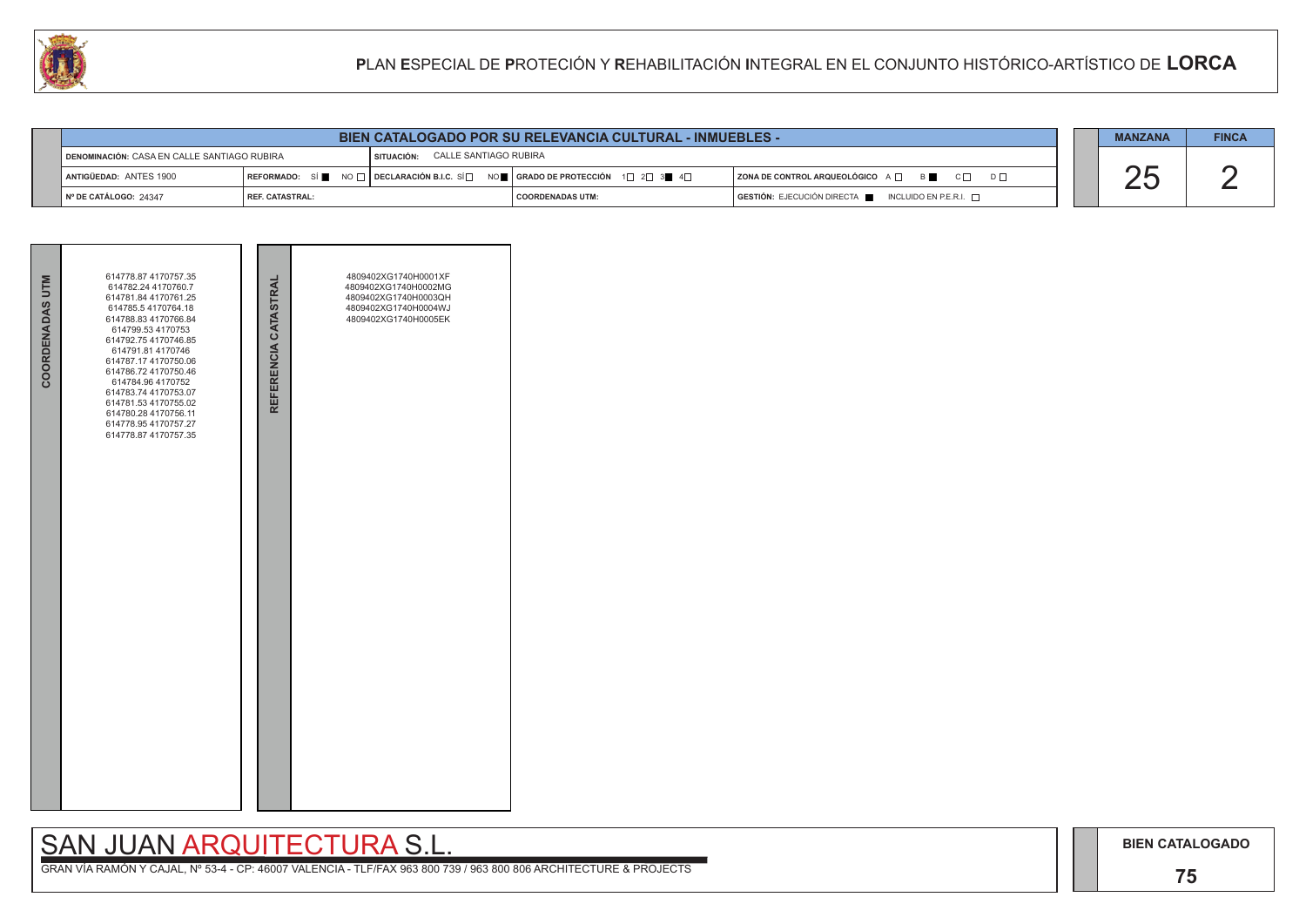## **75**

# SAN JUAN ARQUITECTURA S.L.

|     | <b>MANZANA</b> | <b>FINCA</b> |
|-----|----------------|--------------|
| ו ח |                |              |
|     |                |              |

|                                             |                          | <b>BIEN CATALOGADO POR SU RELEVANCIA CULTURAL - INMUEBLES -</b>                                                   |                    |                                                                     | <b>MANZANA</b> | <b>FINCA</b> |
|---------------------------------------------|--------------------------|-------------------------------------------------------------------------------------------------------------------|--------------------|---------------------------------------------------------------------|----------------|--------------|
| DENOMINACIÓN: CASA EN CALLE SANTIAGO RUBIRA |                          | CALLE SANTIAGO RUBIRA<br>SITUACIÓN:                                                                               |                    |                                                                     |                |              |
| ANTIGÜEDAD: ANTES 1900                      |                          | REFORMADO: SÍ NO $\Box$ DECLARACIÓN B.I.C. SÍ $\Box$ NO $\Box$ GRADO DE PROTECCIÓN 1 $\Box$ 2 $\Box$ 3 4 4 $\Box$ |                    | $ $ ZONA DE CONTROL ARQUEOLÓGICO $A \Box$ B<br>$C \Box$<br>$D \Box$ |                |              |
| $\blacksquare$ N° DE CATÁLOGO: 24347        | <b>I REF. CATASTRAL:</b> |                                                                                                                   | I COORDENADAS UTM: | GESTIÓN: EJECUCIÓN DIRECTA NEL INCLUIDO EN P.E.R.I.                 |                |              |



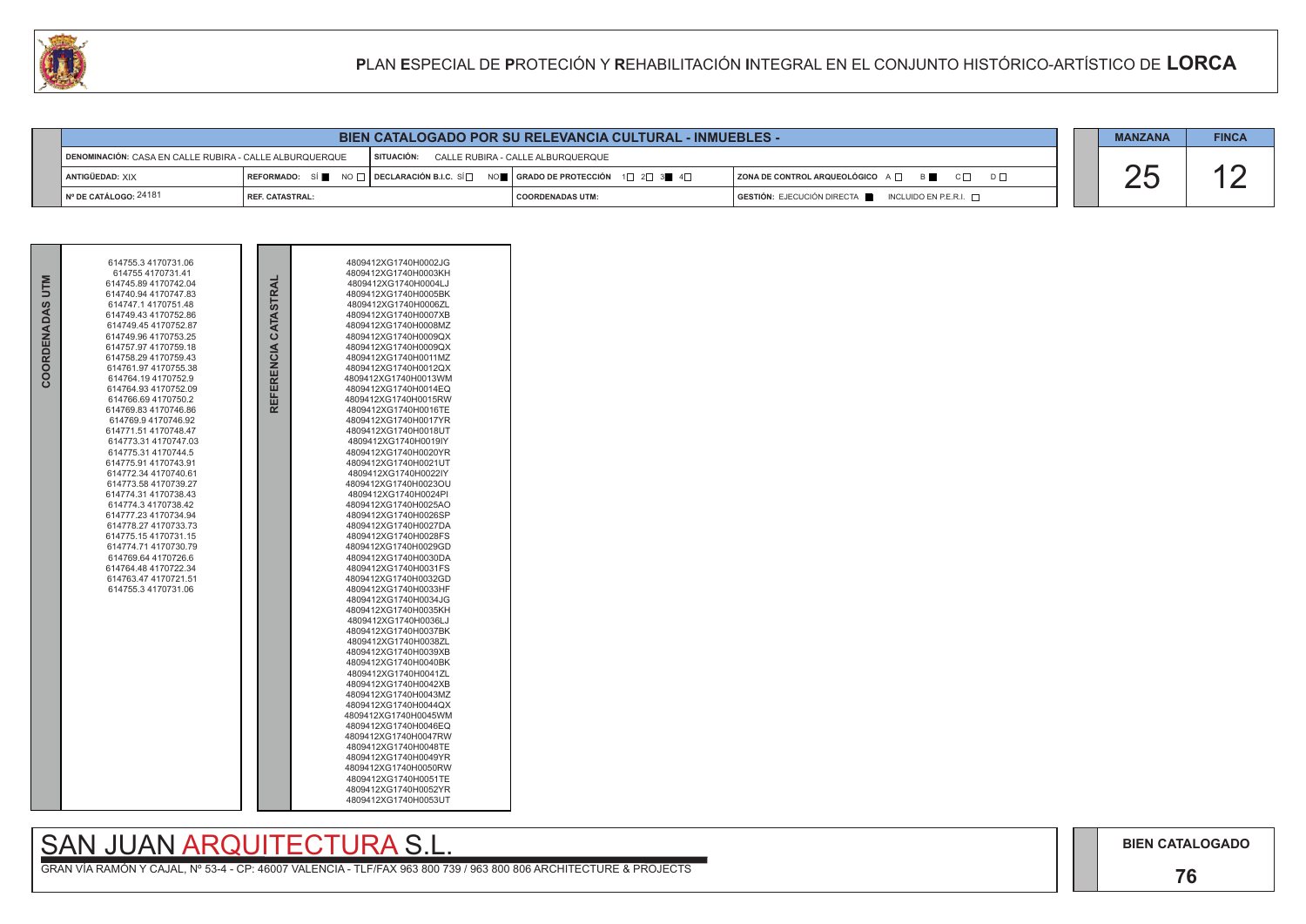

|                                                         |                        |              | <b>BIEN CATALOGADO POR SU RELEVANCIA CULTURAL - INMUEBLES -</b>                     |                                                           |
|---------------------------------------------------------|------------------------|--------------|-------------------------------------------------------------------------------------|-----------------------------------------------------------|
| DENOMINACIÓN: CASA EN CALLE RUBIRA - CALLE ALBURQUERQUE |                        | I SITUACION: | CALLE RUBIRA - CALLE ALBURQUERQUE                                                   |                                                           |
| ANTIGÜEDAD: XIX                                         |                        |              | │REFORMADO: SÍ █ NO □ │DECLARACIÓN B.I.C. SÍ□ NO █ │GRADO DE PROTECCIÓN 1□ 2□ 3■ 4□ | <b>  ZONA DE CONTROL ARQUEOLÓGICO</b> A □<br>B <b>B</b>   |
| ¶ Nº DE CATÁLOGO: 24181                                 | <b>REF. CATASTRAL:</b> |              | I COORDENADAS UTM:                                                                  | GESTIÓN: EJECUCIÓN DIRECTA<br>INCLUIDO EN P.E.R.I. $\Box$ |

| <b>NLN</b><br>COORDENADAS | 614755.3 4170731.06<br>614755 4170731.41<br>614745.89 4170742.04<br>614740.94 4170747.83<br>614747.14170751.48<br>614749.43 4170752.86<br>614749.45 4170752.87<br>614749.96 4170753.25<br>614757.97 4170759.18<br>614758.29 4170759.43<br>614761.97 4170755.38<br>614764.194170752.9<br>614764.93 4170752.09<br>614766.69 4170750.2<br>614769.83 4170746.86<br>614769.9 4170746.92<br>614771.51 4170748.47<br>614773.31 4170747.03<br>614775.31 4170744.5<br>614775.91 4170743.91<br>614772.34 4170740.61<br>614773.58 4170739.27<br>614774.31 4170738.43<br>614774.3 4170738.42<br>614777.23 4170734.94<br>614778.27 4170733.73<br>614775.15 4170731.15<br>614774.71 4170730.79<br>614769.64 4170726.6<br>614764.48 4170722.34<br>614763.47 4170721.51<br>614755.3 4170731.06 |  | CATASTRAL<br><b>REFERENCIA</b> | 4809412XG1740H0002JG<br>4809412XG1740H0003KH<br>4809412XG1740H0004LJ<br>4809412XG1740H0005BK<br>4809412XG1740H0006ZL<br>4809412XG1740H0007XB<br>4809412XG1740H0008MZ<br>4809412XG1740H0009QX<br>4809412XG1740H0009QX<br>4809412XG1740H0011MZ<br>4809412XG1740H0012QX<br>4809412XG1740H0013WM<br>4809412XG1740H0014EQ<br>4809412XG1740H0015RW<br>4809412XG1740H0016TE<br>4809412XG1740H0017YR<br>4809412XG1740H0018UT<br>4809412XG1740H0019IY<br>4809412XG1740H0020YR<br>4809412XG1740H0021UT<br>4809412XG1740H0022IY<br>4809412XG1740H0023OU<br>4809412XG1740H0024PI<br>4809412XG1740H0025AO<br>4809412XG1740H0026SP<br>4809412XG1740H0027DA<br>4809412XG1740H0028FS<br>4809412XG1740H0029GD<br>4809412XG1740H0030DA<br>4809412XG1740H0031FS<br>4809412XG1740H0032GD<br>4809412XG1740H0033HF<br>4809412XG1740H0034JG<br>4809412XG1740H0035KH<br>4809412XG1740H0036LJ<br>4809412XG1740H0037BK<br>4809412XG1740H0038ZL<br>4809412XG1740H0039XB<br>4809412XG1740H0040BK<br>4809412XG1740H0041ZL<br>4809412XG1740H0042XB<br>4809412XG1740H0043MZ<br>4809412XG1740H0044QX<br>4809412XG1740H0045WM<br>4809412XG1740H0046EQ<br>4809412XG1740H0047RW<br>4809412XG1740H0048TE<br>4809412XG1740H0049YR<br>4809412XG1740H0050RW<br>4809412XG1740H0051TE<br>4809412XG1740H0052YR<br>4809412XG1740H0053UT |  |
|---------------------------|--------------------------------------------------------------------------------------------------------------------------------------------------------------------------------------------------------------------------------------------------------------------------------------------------------------------------------------------------------------------------------------------------------------------------------------------------------------------------------------------------------------------------------------------------------------------------------------------------------------------------------------------------------------------------------------------------------------------------------------------------------------------------------|--|--------------------------------|----------------------------------------------------------------------------------------------------------------------------------------------------------------------------------------------------------------------------------------------------------------------------------------------------------------------------------------------------------------------------------------------------------------------------------------------------------------------------------------------------------------------------------------------------------------------------------------------------------------------------------------------------------------------------------------------------------------------------------------------------------------------------------------------------------------------------------------------------------------------------------------------------------------------------------------------------------------------------------------------------------------------------------------------------------------------------------------------------------------------------------------------------------------------------------------------------------------------------------------------------------------------------------------------|--|
|---------------------------|--------------------------------------------------------------------------------------------------------------------------------------------------------------------------------------------------------------------------------------------------------------------------------------------------------------------------------------------------------------------------------------------------------------------------------------------------------------------------------------------------------------------------------------------------------------------------------------------------------------------------------------------------------------------------------------------------------------------------------------------------------------------------------|--|--------------------------------|----------------------------------------------------------------------------------------------------------------------------------------------------------------------------------------------------------------------------------------------------------------------------------------------------------------------------------------------------------------------------------------------------------------------------------------------------------------------------------------------------------------------------------------------------------------------------------------------------------------------------------------------------------------------------------------------------------------------------------------------------------------------------------------------------------------------------------------------------------------------------------------------------------------------------------------------------------------------------------------------------------------------------------------------------------------------------------------------------------------------------------------------------------------------------------------------------------------------------------------------------------------------------------------------|--|

# SAN JUAN ARQUITECTURA S.L.<br>GRAN VÍA RAMÓN Y CAJAL, Nº 53-4 - CP: 46007 VALENCIA - TLF/FAX 963 800 739 / 963 800 806 ARCHITECTURE & PROJECTS

|  | <b>MANZANA</b> | <b>FINCA</b> |
|--|----------------|--------------|
|  |                |              |

**BIEN CATALOGADO** 

## 76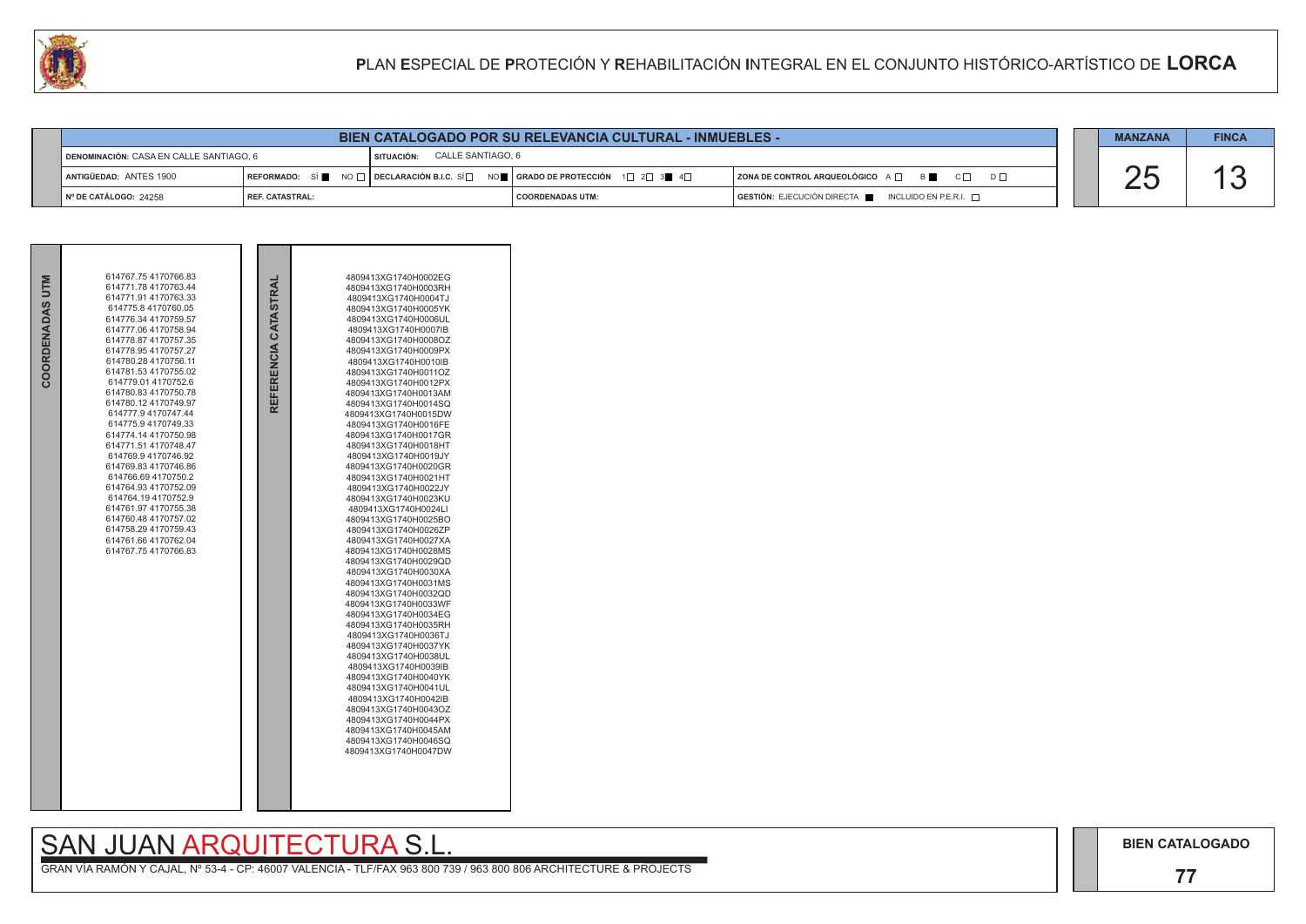

|                                         |                 |                                 | <b>BIEN CATALOGADO POR SU RELEVANCIA CULTURAL - INMUEBLES -</b>                                                                                                                               |                                                          |          |  |
|-----------------------------------------|-----------------|---------------------------------|-----------------------------------------------------------------------------------------------------------------------------------------------------------------------------------------------|----------------------------------------------------------|----------|--|
| DENOMINACIÓN: CASA EN CALLE SANTIAGO, 6 |                 | CALLE SANTIAGO, 6<br>SITUACIÓN: |                                                                                                                                                                                               |                                                          |          |  |
| ANTIGÜEDAD: ANTES 1900                  |                 |                                 | $\mid$ REFORMADO: $\mid$ Si $\parallel$ $\mid$ NO $\mid$ $\mid$ DECLARACIÓN B.I.C. Si $\mid$ $\mid$ nO $\parallel$ $\mid$ grado de protección $\mid$ 1 $\mid$ 2 $\mid$ 3 $\parallel$ 4 $\mid$ | ZONA DE CONTROL ARQUEOLÓGICO A $\Box$                    | <b>B</b> |  |
| I № DE CATÁLOGO: 24258                  | REF. CATASTRAL: |                                 | I COORDENADAS UTM:                                                                                                                                                                            | $GESTIÓN: EJECUCIÓN DIRECTA$ INCLUIDO EN P.E.R.I. $\Box$ |          |  |

| COORDENADAS UTM | 614767.75 4170766.83<br>614771.78 4170763.44<br>614771.91 4170763.33<br>614775.8 4170760.05<br>614776.34 4170759.57<br>614777.06 4170758.94<br>614778.87 4170757.35<br>614778.95 4170757.27<br>614780.28 4170756.11<br>614781.53 4170755.02<br>614779.01 4170752.6<br>614780.83 4170750.78<br>614780.12 4170749.97<br>614777.9 4170747.44<br>614775.94170749.33<br>614774.14 4170750.98<br>614771.51 4170748.47<br>614769.94170746.92<br>614769.83 4170746.86<br>614766.69 4170750.2<br>614764.93 4170752.09<br>614764.194170752.9<br>614761.97 4170755.38<br>614760.48 4170757.02<br>614758.29 4170759.43<br>614761.66 4170762.04<br>614767.75 4170766.83 | REFERENCIA CATASTRAL | 4809413XG1740H0002EG<br>4809413XG1740H0003RH<br>4809413XG1740H0004TJ<br>4809413XG1740H0005YK<br>4809413XG1740H0006UL<br>4809413XG1740H0007IB<br>4809413XG1740H0008OZ<br>4809413XG1740H0009PX<br>4809413XG1740H0010IB<br>4809413XG1740H0011OZ<br>4809413XG1740H0012PX<br>4809413XG1740H0013AM<br>4809413XG1740H0014SQ<br>4809413XG1740H0015DW<br>4809413XG1740H0016FE<br>4809413XG1740H0017GR<br>4809413XG1740H0018HT<br>4809413XG1740H0019JY<br>4809413XG1740H0020GR<br>4809413XG1740H0021HT<br>4809413XG1740H0022JY<br>4809413XG1740H0023KU<br>4809413XG1740H0024LI<br>4809413XG1740H0025BO<br>4809413XG1740H0026ZP<br>4809413XG1740H0027XA<br>4809413XG1740H0028MS<br>4809413XG1740H0029QD<br>4809413XG1740H0030XA<br>4809413XG1740H0031MS<br>4809413XG1740H0032QD<br>4809413XG1740H0033WF<br>4809413XG1740H0034EG<br>4809413XG1740H0035RH<br>4809413XG1740H0036TJ<br>4809413XG1740H0037YK<br>4809413XG1740H0038UL<br>4809413XG1740H0039IB<br>4809413XG1740H0040YK<br>4809413XG1740H0041UL<br>4809413XG1740H0042IB<br>4809413XG1740H0043OZ<br>4809413XG1740H0044PX<br>4809413XG1740H0045AM<br>4809413XG1740H0046SQ<br>4809413XG1740H0047DW |  |
|-----------------|------------------------------------------------------------------------------------------------------------------------------------------------------------------------------------------------------------------------------------------------------------------------------------------------------------------------------------------------------------------------------------------------------------------------------------------------------------------------------------------------------------------------------------------------------------------------------------------------------------------------------------------------------------|----------------------|----------------------------------------------------------------------------------------------------------------------------------------------------------------------------------------------------------------------------------------------------------------------------------------------------------------------------------------------------------------------------------------------------------------------------------------------------------------------------------------------------------------------------------------------------------------------------------------------------------------------------------------------------------------------------------------------------------------------------------------------------------------------------------------------------------------------------------------------------------------------------------------------------------------------------------------------------------------------------------------------------------------------------------------------------------------------------------------------------------------------------------------------|--|

# SAN JUAN ARQUITECTURA S.L.<br>GRAN VÍA RAMÓN Y CAJAL, Nº 53-4 - CP: 46007 VALENCIA - TLF/FAX 963 800 739 / 963 800 806 ARCHITECTURE & PROJECTS

|                | <b>MANZANA</b> | <b>FINCA</b> |
|----------------|----------------|--------------|
|                |                |              |
| D <sub>D</sub> |                |              |
|                |                |              |

**BIEN CATALOGADO** 

## 77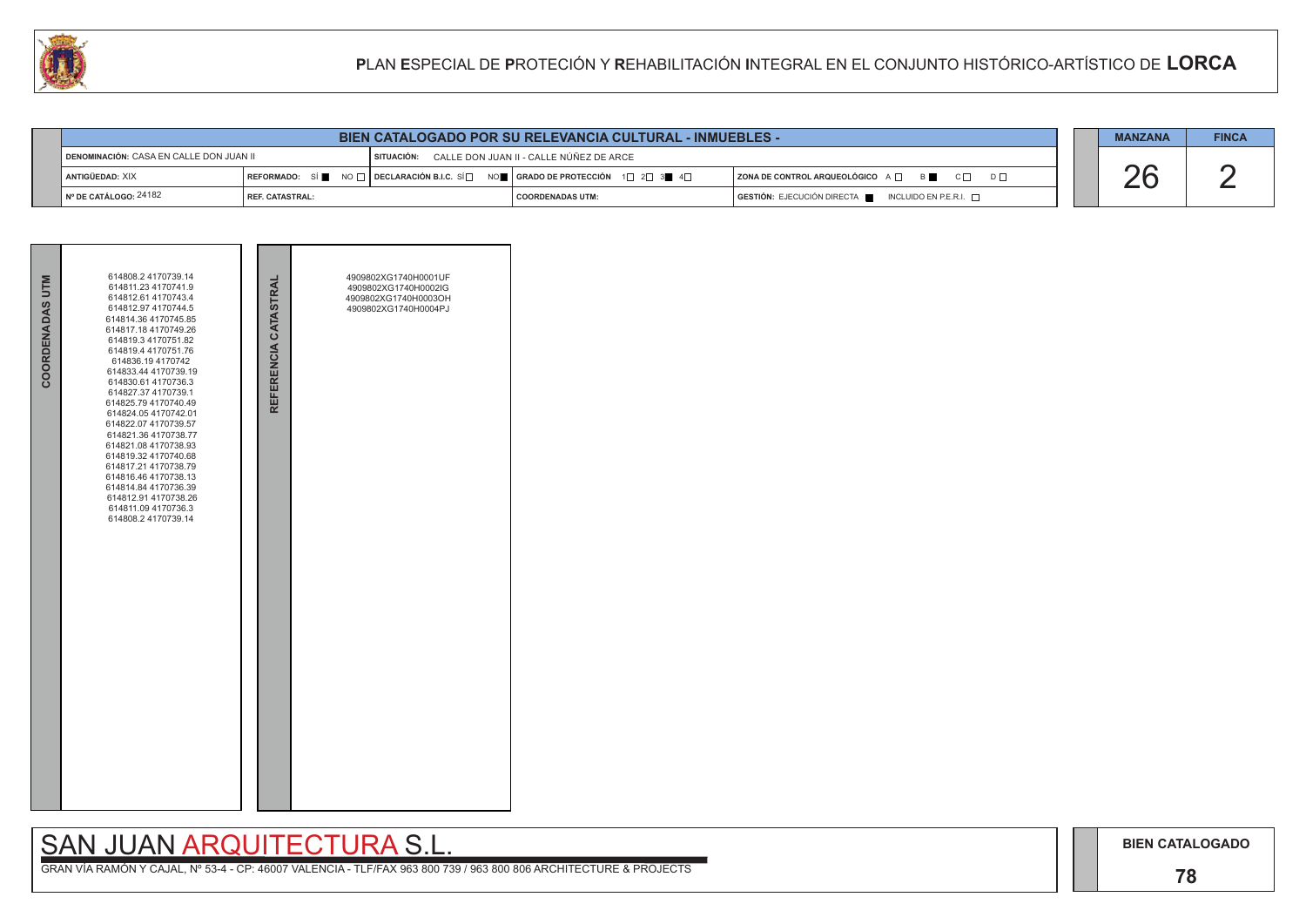# SAN JUAN ARQUITECTURA S.L.

|     | <b>MANZANA</b> | <b>FINCA</b> |
|-----|----------------|--------------|
| ו ח |                |              |

| COORDENADAS UTM | 614808.2 4170739.14<br>614811.23 4170741.9<br>614812.61 4170743.4<br>614812.97 4170744.5<br>614814.36 4170745.85<br>614817.18 4170749.26<br>614819.3 4170751.82<br>614819.4 4170751.76<br>614836.194170742<br>614833.44 4170739.19<br>614830.61 4170736.3<br>614827.37 4170739.1<br>614825.79 4170740.49<br>614824.05 4170742.01<br>614822.07 4170739.57<br>614821.36 4170738.77<br>614821.08 4170738.93<br>614819.32 4170740.68<br>614817.21 4170738.79<br>614816.46 4170738.13<br>614814.84 4170736.39<br>614812.91 4170738.26<br>614811.09 4170736.3<br>614808.2 4170739.14 | REFERENCIA CATASTRAL | 4909802XG1740H0001UF<br>4909802XG1740H0002IG<br>4909802XG1740H0003OH<br>4909802XG1740H0004PJ |  |
|-----------------|--------------------------------------------------------------------------------------------------------------------------------------------------------------------------------------------------------------------------------------------------------------------------------------------------------------------------------------------------------------------------------------------------------------------------------------------------------------------------------------------------------------------------------------------------------------------------------|----------------------|----------------------------------------------------------------------------------------------|--|
|                 |                                                                                                                                                                                                                                                                                                                                                                                                                                                                                                                                                                                |                      |                                                                                              |  |

|                                         | <b>BIEN CATALOGADO POR SU RELEVANCIA CULTURAL - INMUEBLES -</b> |                                                    |  |                                                                                                                                                                      |                                                                                                                            |  | <b>MANZANA</b> | <b>FINCA</b> |
|-----------------------------------------|-----------------------------------------------------------------|----------------------------------------------------|--|----------------------------------------------------------------------------------------------------------------------------------------------------------------------|----------------------------------------------------------------------------------------------------------------------------|--|----------------|--------------|
| DENOMINACIÓN: CASA EN CALLE DON JUAN II |                                                                 | SITUACIÓN: CALLE DON JUAN II - CALLE NÚÑEZ DE ARCE |  |                                                                                                                                                                      |                                                                                                                            |  |                |              |
|                                         | I ANTIGÜEDAD: XIX                                               |                                                    |  | REFORMADO: SÍ $\blacksquare$ NO $\square$ DECLARACIÓN B.I.C. SÍ $\square$ NO $\blacksquare$ GRADO DE PROTECCIÓN 1 $\square$ 2 $\square$ 3 $\blacksquare$ 4 $\square$ | $ $ ZONA DE CONTROL ARQUEOLÓGICO $A \Box$ $B \Box$ $C \Box$<br>$D \Box$                                                    |  |                |              |
|                                         | ¶ Nº DE CATÁLOGO: 24182                                         | REF. CATASTRAL:                                    |  | I COORDENADAS UTM:                                                                                                                                                   | $\overline{\phantom{a}}$ GESTIÓN: EJECUCIÓN DIRECTA $\overline{\phantom{a}}$ INCLUIDO EN P.E.R.I. $\overline{\phantom{a}}$ |  |                |              |

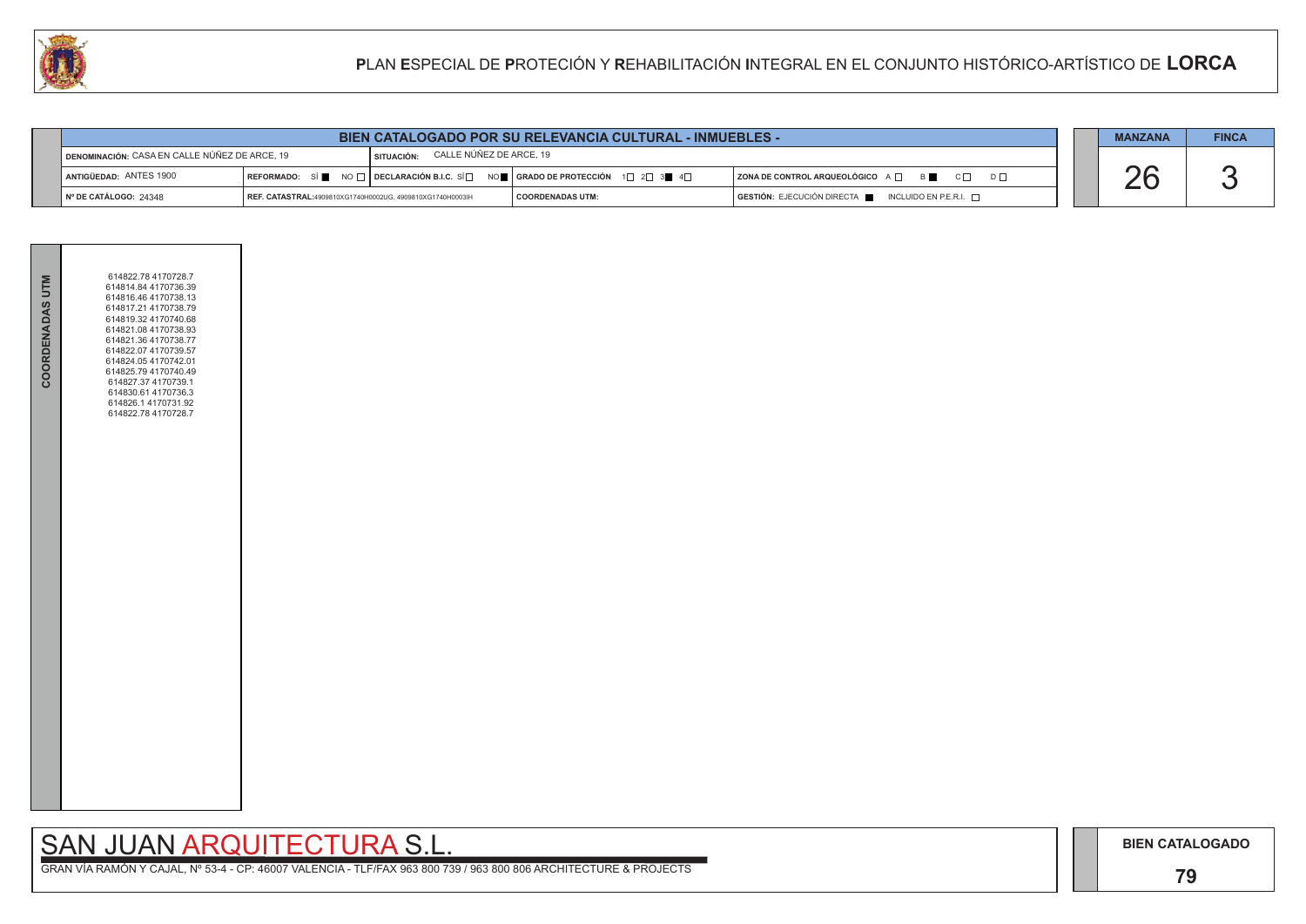## **79**

# SAN JUAN ARQUITECTURA S.L.

|  | <b>MANZANA</b> | <b>FINCA</b> |
|--|----------------|--------------|
|  |                |              |

| <b>BIEN CATALOGADO POR SU RELEVANCIA CULTURAL - INMUEBLES -</b> |                                                           |            |                                                                                                                 |                                                                                      |  | <b>MANZANA</b> | <b>FINCA</b> |
|-----------------------------------------------------------------|-----------------------------------------------------------|------------|-----------------------------------------------------------------------------------------------------------------|--------------------------------------------------------------------------------------|--|----------------|--------------|
| <b>∐ DENOMINACIÓN: CASA EN CALLE NÚÑEZ DE ARCE, 19</b>          |                                                           | SITUACIÓN: | CALLE NÚÑEZ DE ARCE, 19                                                                                         |                                                                                      |  |                |              |
| ANTIGÜEDAD: ANTES 1900                                          |                                                           |            | REFORMADO: SÍ NO $\Box$ DECLARACIÓN B.I.C. SÍ $\Box$ NO $\Box$ GRADO DE PROTECCIÓN 1 $\Box$ 2 $\Box$ 3 4 $\Box$ | $ $ ZONA DE CONTROL ARQUEOLÓGICO $A \Box$ B<br>$D \Box$                              |  |                |              |
| ∣N° DE CATÁLOGO: 24348                                          | REF. CATASTRAL:4909810XG1740H0002UG, 4909810XG1740H0003lH |            | <b>COORDENADAS UTM:</b>                                                                                         | $\overline{S}$ GESTIÓN: EJECUCIÓN DIRECTA $\overline{S}$ INCLUIDO EN P.E.R.I. $\Box$ |  |                |              |



| COORDENADAS UTM | 614822.78 4170728.7<br>614814.84 4170736.39<br>614816.46 4170738.13<br>614817.21 4170738.79<br>614819.32 4170740.68<br>614821.08 4170738.93<br>614821.36 4170738.77<br>614822.07 4170739.57<br>614824.05 4170742.01<br>614825.79 4170740.49<br>614827.37 4170739.1<br>614830.61 4170736.3<br>614826.1 4170731.92<br>614822.78 4170728.7 |  |
|-----------------|-----------------------------------------------------------------------------------------------------------------------------------------------------------------------------------------------------------------------------------------------------------------------------------------------------------------------------------------|--|
|                 |                                                                                                                                                                                                                                                                                                                                         |  |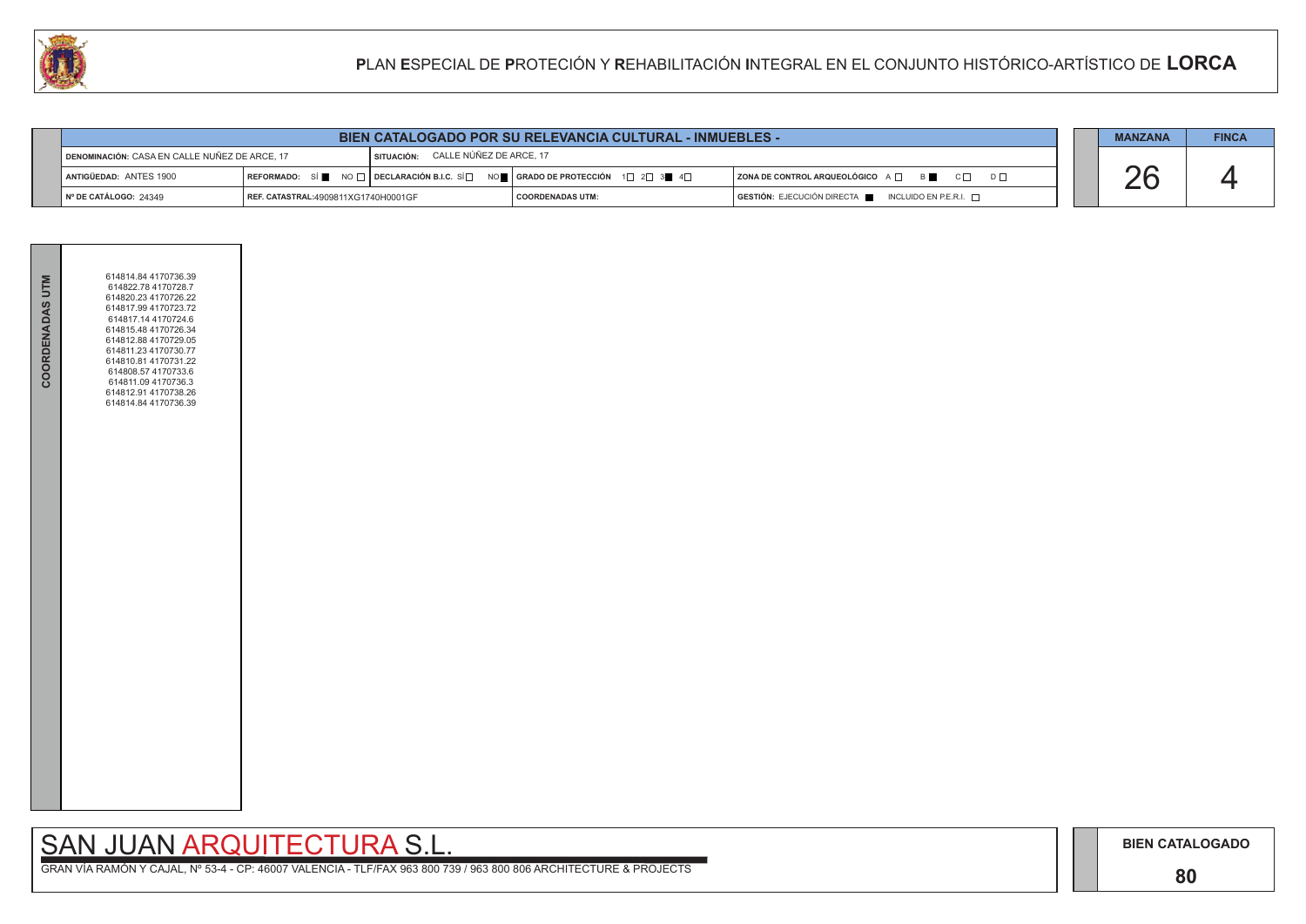## **80**

# SAN JUAN ARQUITECTURA S.L.

|  | <b>MANZANA</b> | <b>FINCA</b> |
|--|----------------|--------------|
|  |                |              |
|  |                |              |
|  |                |              |

| <b>BIEN CATALOGADO POR SU RELEVANCIA CULTURAL - INMUEBLES -</b>                     |                                            |  |                                                                               |                                                    |  | <b>MANZANA</b> | <b>FINCA</b> |
|-------------------------------------------------------------------------------------|--------------------------------------------|--|-------------------------------------------------------------------------------|----------------------------------------------------|--|----------------|--------------|
| SITUACIÓN: CALLE NÚÑEZ DE ARCE, 17<br>DENOMINACIÓN: CASA EN CALLE NUÑEZ DE ARCE, 17 |                                            |  |                                                                               |                                                    |  |                |              |
| ANTIGÜEDAD: ANTES 1900                                                              |                                            |  | REFORMADO: SÍ NO I DECLARACIÓN B.I.C. SÍ NO I GRADO DE PROTECCIÓN 1 $2$ 3 4 4 | ZONA DE CONTROL ARQUEOLÓGICO A QUE BILLE CO        |  |                |              |
| $\vert$ N° DE CATÁLOGO: 24349                                                       | <b>REF. CATASTRAL:4909811XG1740H0001GF</b> |  | <b>COORDENADAS UTM:</b>                                                       | GESTIÓN: EJECUCIÓN DIRECTA NO INCLUIDO EN P.E.R.I. |  |                |              |



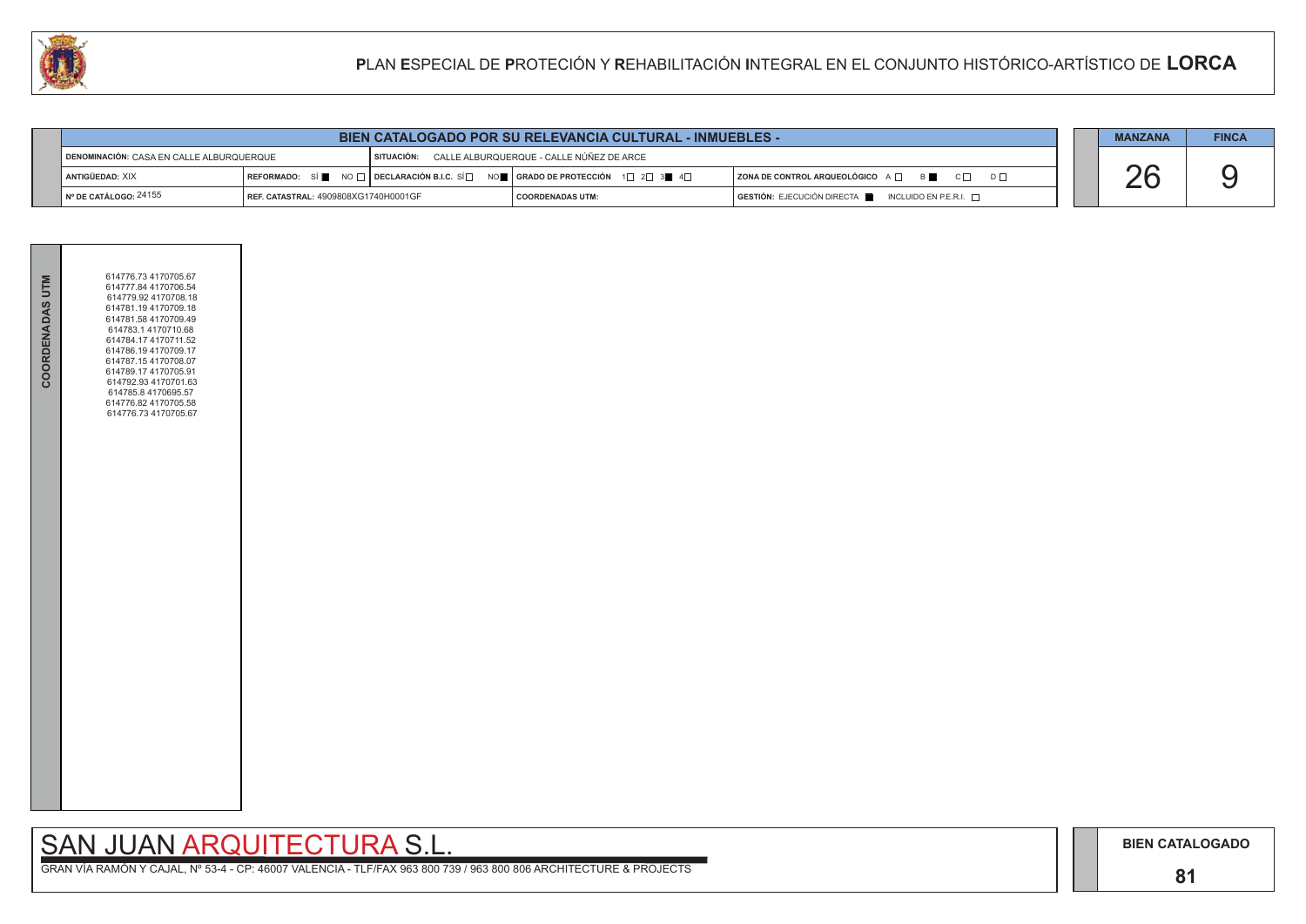# SAN JUAN ARQUITECTURA S.L.

|  | <b>MANZANA</b> | <b>FINCA</b> |
|--|----------------|--------------|
|  |                |              |
|  |                |              |

| COORDENADAS UTM | 614776.73 4170705.67<br>614777.84 4170706.54<br>614779.92 4170708.18<br>614781.19 4170709.18<br>614781.58 4170709.49<br>614783.1 4170710.68<br>614784.17 4170711.52<br>614786.19 4170709.17<br>614787.154170708.07<br>614789.17 4170705.91<br>614792.93 4170701.63<br>614785.8 4170695.57<br>614776.82 4170705.58<br>614776.73 4170705.67 |  |
|-----------------|-------------------------------------------------------------------------------------------------------------------------------------------------------------------------------------------------------------------------------------------------------------------------------------------------------------------------------------------|--|
|                 |                                                                                                                                                                                                                                                                                                                                           |  |

| <b>BIEN CATALOGADO POR SU RELEVANCIA CULTURAL - INMUEBLES -</b> |                                      |  |                                                                                                                   |                                                             |  | <b>MANZANA</b> | <b>FINCA</b> |
|-----------------------------------------------------------------|--------------------------------------|--|-------------------------------------------------------------------------------------------------------------------|-------------------------------------------------------------|--|----------------|--------------|
| DENOMINACIÓN: CASA EN CALLE ALBURQUERQUE                        |                                      |  | SITUACIÓN: CALLE ALBURQUERQUE - CALLE NÚÑEZ DE ARCE                                                               |                                                             |  |                |              |
| I ANTIGÜEDAD: XIX                                               |                                      |  | REFORMADO: SÍ NO $\Box$ DECLARACIÓN B.I.C. SÍ $\Box$ NO $\Box$ GRADO DE PROTECCIÓN 1 $\Box$ 2 $\Box$ 3 4 4 $\Box$ | $ $ ZONA DE CONTROL ARQUEOLÓGICO $A \Box$ $B \Box$ $C \Box$ |  |                |              |
| I Nº DE CATÁLOGO: 24155                                         | REF. CATASTRAL: 4909808XG1740H0001GF |  | <b>COORDENADAS UTM:</b>                                                                                           | GESTIÓN: EJECUCIÓN DIRECTA NEUNICLUIDO EN P.E.R.I.          |  |                |              |

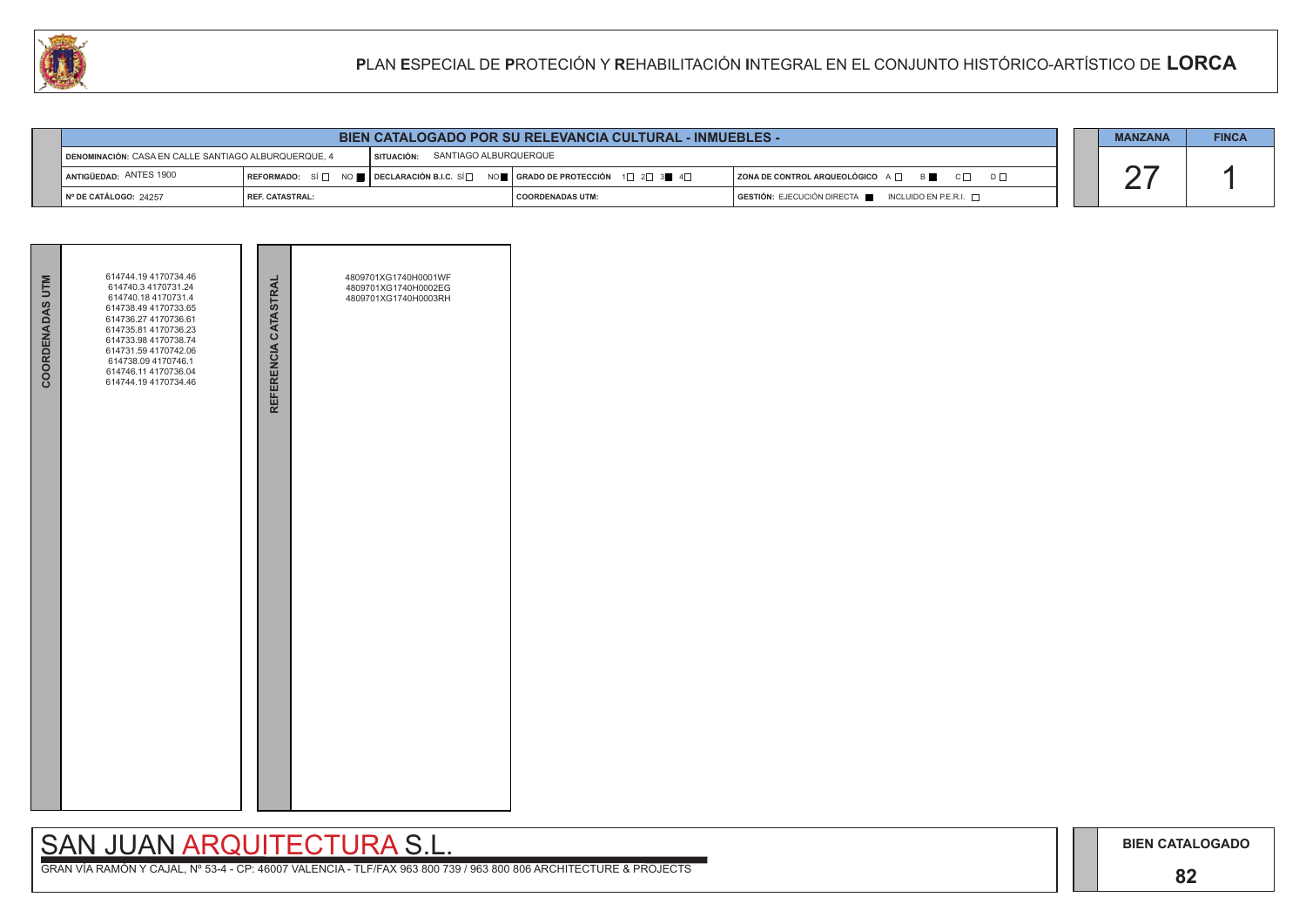## **82**

# SAN JUAN ARQUITECTURA S.L.

|                                                                                          | <b>BIEN CATALOGADO POR SU RELEVANCIA CULTURAL - INMUEBLES -</b> |  |                                                                                                                                                        |                                                                      |  |  |  |
|------------------------------------------------------------------------------------------|-----------------------------------------------------------------|--|--------------------------------------------------------------------------------------------------------------------------------------------------------|----------------------------------------------------------------------|--|--|--|
| SITUACIÓN: SANTIAGO ALBURQUERQUE<br>DENOMINACIÓN: CASA EN CALLE SANTIAGO ALBURQUERQUE, 4 |                                                                 |  |                                                                                                                                                        |                                                                      |  |  |  |
| ANTIGÜEDAD: ANTES 1900                                                                   |                                                                 |  | REFORMADO: SÍ $\square$ NO $\square$ DECLARACIÓN B.I.C. SÍ $\square$ NO $\square$   GRADO DE PROTECCIÓN $1\square$ 2 $\square$ 3 $\square$ 4 $\square$ | $ $ ZONA DE CONTROL ARQUEOLÓGICO A $\Box$ B $\Box$ C $\Box$ D $\Box$ |  |  |  |
| $\blacksquare$ N° DE CATÁLOGO: 24257                                                     | l REF. CATASTRAL:                                               |  | I COORDENADAS UTM:                                                                                                                                     | GESTIÓN: EJECUCIÓN DIRECTA NEL INCLUIDO EN P.E.R.I.                  |  |  |  |



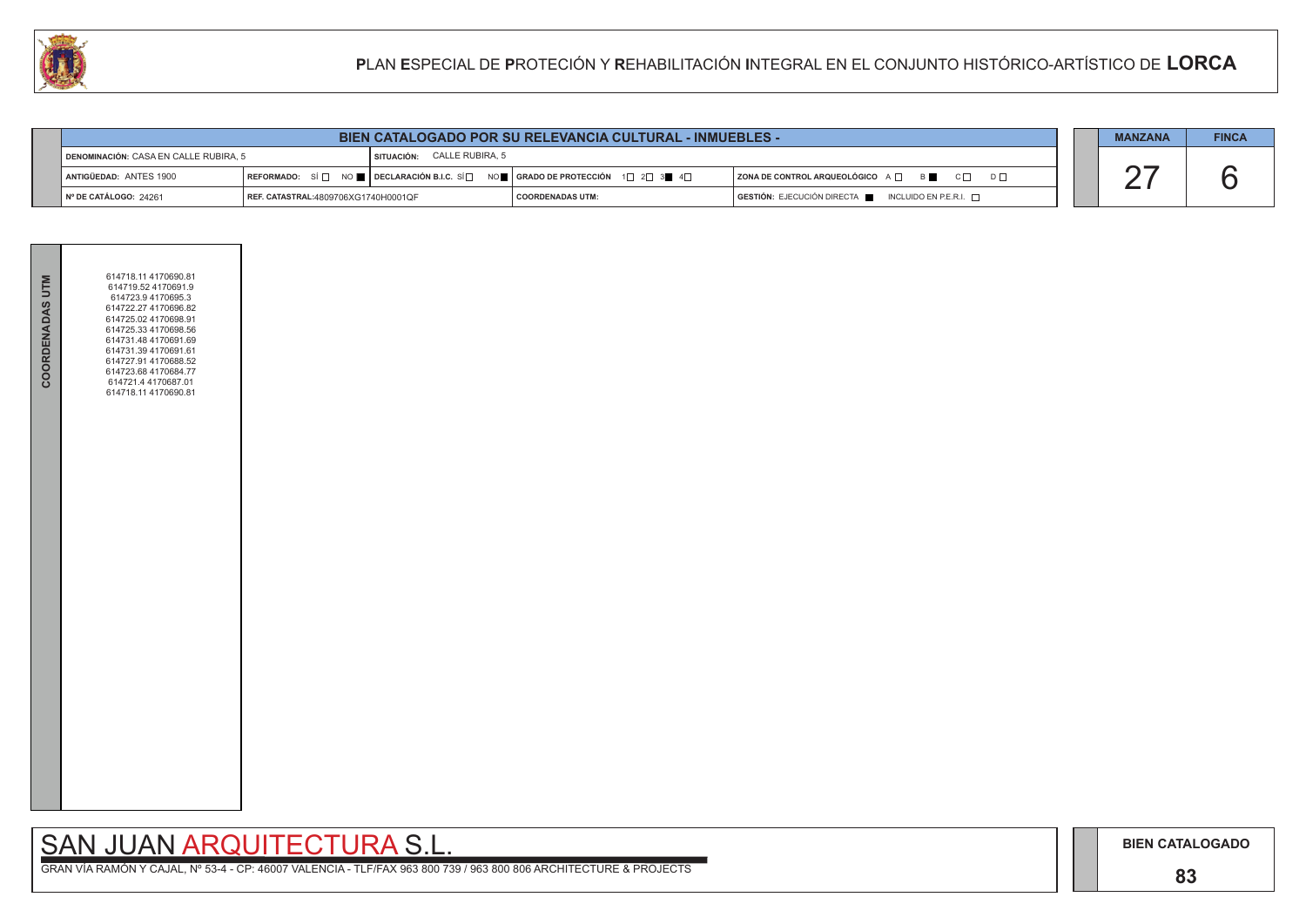## **83**

# SAN JUAN ARQUITECTURA S.L.

|                                       | <b>BIEN CATALOGADO POR SU RELEVANCIA CULTURAL - INMUEBLES -</b> |                                   |                                                                                                                                                                      |                                                                                      |  |  | <b>FINCA</b> |
|---------------------------------------|-----------------------------------------------------------------|-----------------------------------|----------------------------------------------------------------------------------------------------------------------------------------------------------------------|--------------------------------------------------------------------------------------|--|--|--------------|
| DENOMINACIÓN: CASA EN CALLE RUBIRA, 5 |                                                                 | <b>SITUACIÓN: CALLE RUBIRA, 5</b> |                                                                                                                                                                      |                                                                                      |  |  |              |
| ANTIGÜEDAD: ANTES 1900                |                                                                 |                                   | REFORMADO: SÍ $\square$ NO $\blacksquare$ DECLARACIÓN B.I.C. SÍ $\square$ NO $\blacksquare$ GRADO DE PROTECCIÓN 1 $\square$ 2 $\square$ 3 $\blacksquare$ 4 $\square$ | $ $ ZONA DE CONTROL ARQUEOLÓGICO A $\Box$ B $\Box$ C $\Box$ D $\Box$                 |  |  |              |
| I Nº DE CATÁLOGO: 24261               | REF. CATASTRAL:4809706XG1740H0001QF                             |                                   | <b>COORDENADAS UTM:</b>                                                                                                                                              | $\overline{)}$ GESTIÓN: EJECUCIÓN DIRECTA $\overline{)}$ INCLUIDO EN P.E.R.I. $\Box$ |  |  |              |



|  | <b>BIEN CATALOGADO POR SU RELEVANCIA CULTURAL - INMUEBLES -</b> |
|--|-----------------------------------------------------------------|
|  |                                                                 |

| COORDENADAS UTM | 614718.11 4170690.81<br>614719.52 4170691.9<br>614723.9 4170695.3<br>614722.27 4170696.82<br>614725.02 4170698.91<br>614725.33 4170698.56<br>614731.48 4170691.69<br>614731.39 4170691.61<br>614727.91 4170688.52<br>614723.68 4170684.77<br>614721.4 4170687.01<br>614718.11 4170690.81 |  |  |
|-----------------|------------------------------------------------------------------------------------------------------------------------------------------------------------------------------------------------------------------------------------------------------------------------------------------|--|--|
|                 |                                                                                                                                                                                                                                                                                          |  |  |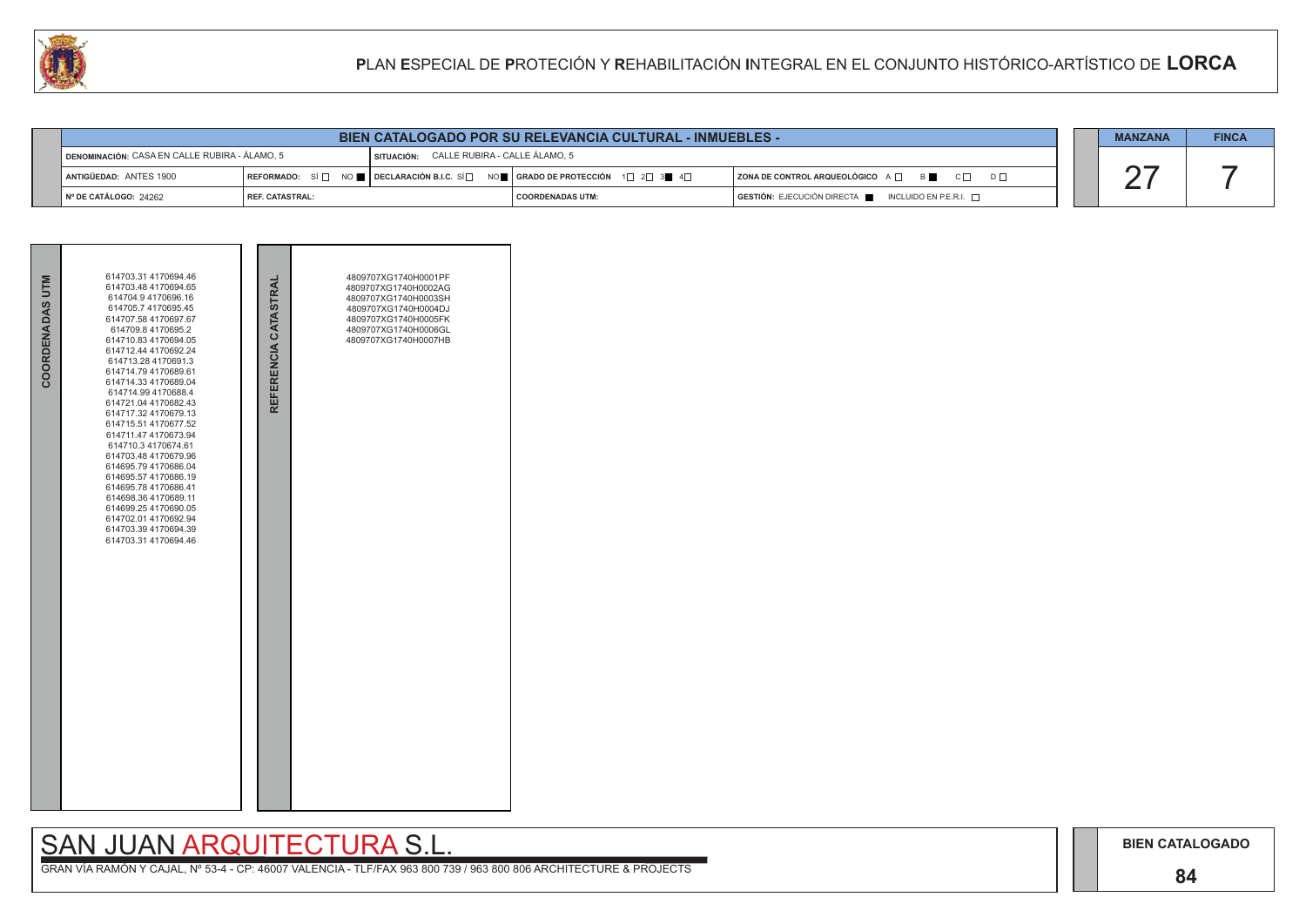## **84**

## SAN JUAN ARQUITECTURA S.L.

|                                                                                                     | <b>BIEN CATALOGADO POR SU RELEVANCIA CULTURAL - INMUEBLES -</b> |  |                                                                                                                                                         |                                                          |  |  |  |
|-----------------------------------------------------------------------------------------------------|-----------------------------------------------------------------|--|---------------------------------------------------------------------------------------------------------------------------------------------------------|----------------------------------------------------------|--|--|--|
| SITUACIÓN: CALLE RUBIRA - CALLE ÁLAMO, 5<br><u> I DENOMINACIÓN: CASA EN CALLE RUBIRA - ÁLAMO, 5</u> |                                                                 |  |                                                                                                                                                         |                                                          |  |  |  |
| <sup>1</sup> Antigüedad: ANTES 1900                                                                 |                                                                 |  | REFORMADO: SÍ $\Box$ NO $\blacksquare$ DECLARACIÓN B.I.C. SÍ $\Box$ NO $\blacksquare$   GRADO DE PROTECCIÓN 1 $\Box$ 2 $\Box$ 3 $\blacksquare$ 4 $\Box$ | ZONA DE CONTROL ARQUEOLÓGICO A □ B ■ C □ D □             |  |  |  |
| № DE CATÁLOGO: 24262                                                                                | l REF. CATASTRAL:                                               |  | <b>COORDENADAS UTM:</b>                                                                                                                                 | $GESTIÓN: EJECUCIÓN DIRECTA$ INCLUIDO EN P.E.R.I. $\Box$ |  |  |  |

|                 | 614703.31 4170694.46<br>614703.48 4170694.65                                                                                                                                                                                                                                                                                                                                                                                                                                                                                                                                          |                      | 4809707XG1740H0001PF<br>4809707XG1740H0002AG                                                                         |  |
|-----------------|---------------------------------------------------------------------------------------------------------------------------------------------------------------------------------------------------------------------------------------------------------------------------------------------------------------------------------------------------------------------------------------------------------------------------------------------------------------------------------------------------------------------------------------------------------------------------------------|----------------------|----------------------------------------------------------------------------------------------------------------------|--|
| COORDENADAS UTM | 614704.9 4170696.16<br>614705.7 4170695.45<br>614707.58 4170697.67<br>614709.8 4170695.2<br>614710.83 4170694.05<br>614712.44 4170692.24<br>614713.28 4170691.3<br>614714.79 4170689.61<br>614714.33 4170689.04<br>614714.99 4170688.4<br>614721.04 4170682.43<br>614717.32 4170679.13<br>614715.51 4170677.52<br>614711.47 4170673.94<br>614710.3 4170674.61<br>614703.48 4170679.96<br>614695.79 4170686.04<br>614695.57 4170686.19<br>614695.78 4170686.41<br>614698.36 4170689.11<br>614699.25 4170690.05<br>614702.01 4170692.94<br>614703.39 4170694.39<br>614703.31 4170694.46 | REFERENCIA CATASTRAL | 4809707XG1740H0003SH<br>4809707XG1740H0004DJ<br>4809707XG1740H0005FK<br>4809707XG1740H0006GL<br>4809707XG1740H0007HB |  |

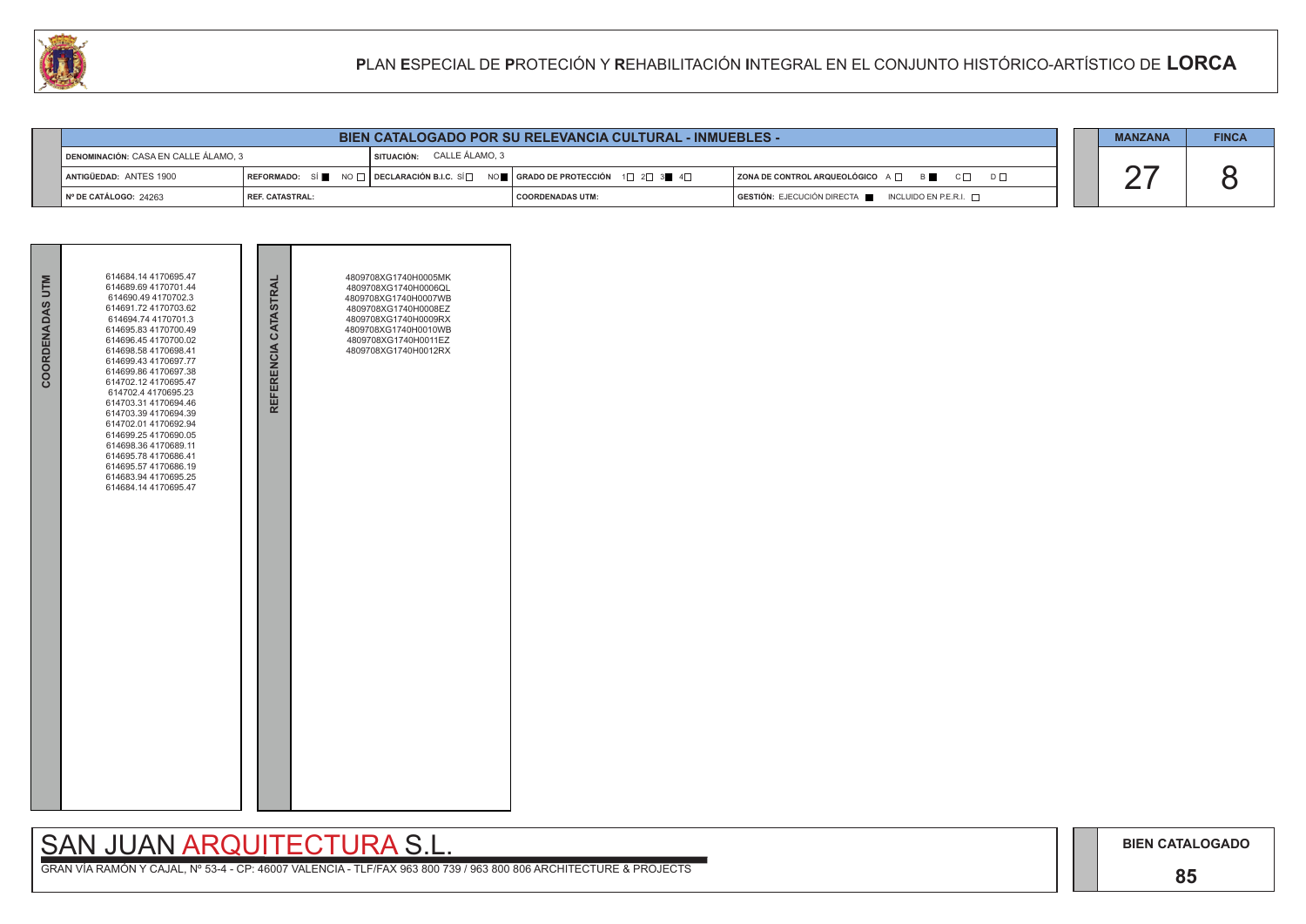## **85**

# SAN JUAN ARQUITECTURA S.L.

|                                                                        | <b>BIEN CATALOGADO POR SU RELEVANCIA CULTURAL - INMUEBLES -</b> |  |                                                                                                                   |                                                          |  |  |  |
|------------------------------------------------------------------------|-----------------------------------------------------------------|--|-------------------------------------------------------------------------------------------------------------------|----------------------------------------------------------|--|--|--|
| CALLE ÁLAMO, 3<br>DENOMINACIÓN: CASA EN CALLE ÁLAMO, 3<br>l situación: |                                                                 |  |                                                                                                                   |                                                          |  |  |  |
| ANTIGÜEDAD: ANTES 1900                                                 |                                                                 |  | REFORMADO: SÍ NO $\Box$ DECLARACIÓN B.I.C. SÍ $\Box$ NO $\Box$ GRADO DE PROTECCIÓN 1 $\Box$ 2 $\Box$ 3 4 4 $\Box$ | ZONA DE CONTROL ARQUEOLÓGICO A □ B C □ D □               |  |  |  |
| $\parallel$ N° DE CATÁLOGO: 24263                                      | l REF. CATASTRAL:                                               |  | I COORDENADAS UTM:                                                                                                | $GESTIÓN: EJECUCIÓN DIRECTA$ INCLUIDO EN P.E.R.I. $\Box$ |  |  |  |



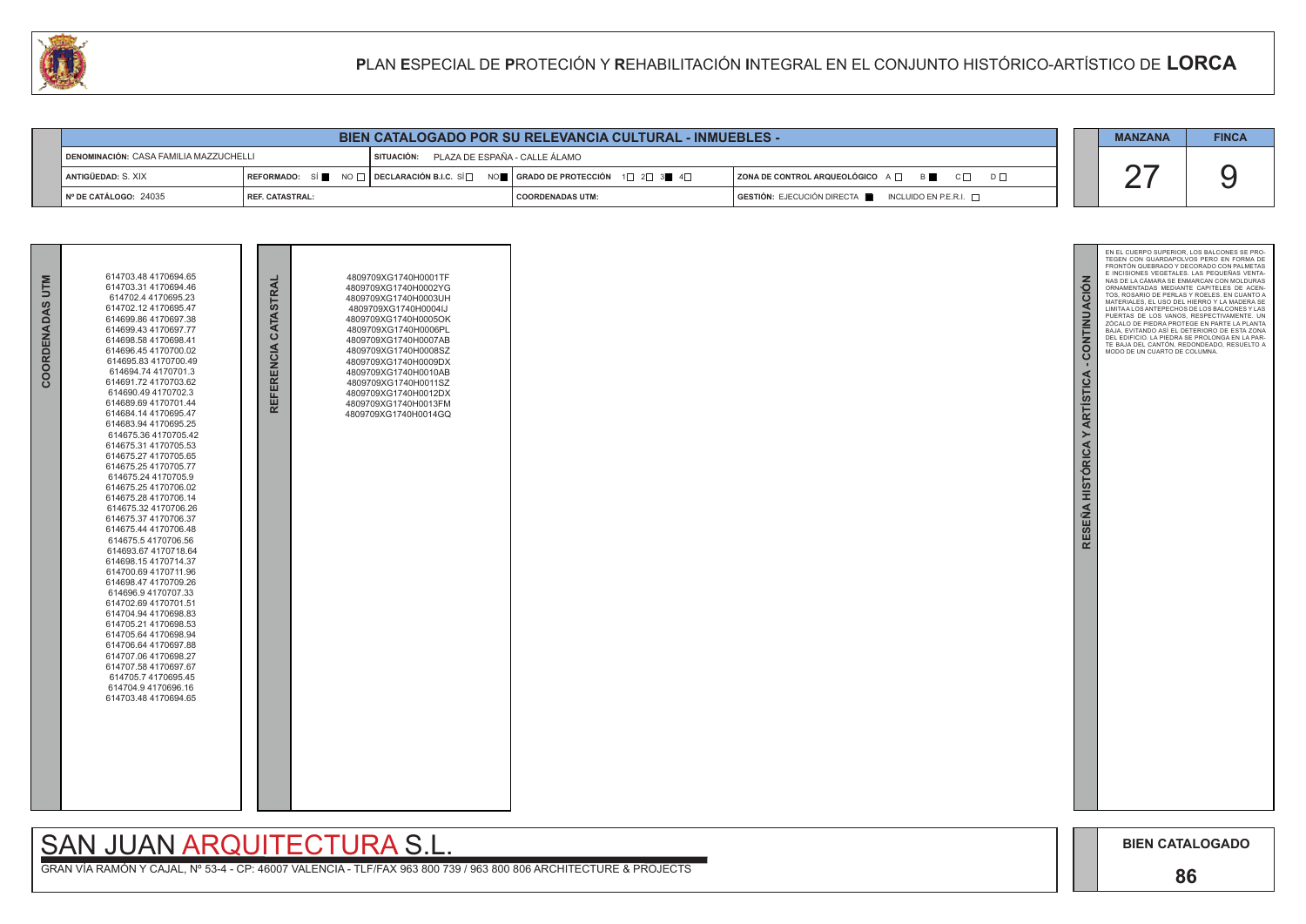

| BIEN CATALOGADO POR SU RELEVANCIA CULTURAL - INMUEBLES - |                   |            |                                                                                                                   |                                                                        |  |  |
|----------------------------------------------------------|-------------------|------------|-------------------------------------------------------------------------------------------------------------------|------------------------------------------------------------------------|--|--|
| DENOMINACIÓN: CASA FAMILIA MAZZUCHELLI                   |                   | SITUACIÓN: | PLAZA DE ESPAÑA - CALLE ÁLAMO                                                                                     |                                                                        |  |  |
| ANTIGÜEDAD: S. XIX                                       |                   |            | REFORMADO: SÍ NO $\Box$ DECLARACIÓN B.I.C. SÍ $\Box$ NO $\Box$ GRADO DE PROTECCIÓN 1 $\Box$ 2 $\Box$ 3 4 4 $\Box$ | $\overline{ }$ ZONA DE CONTROL ARQUEOLÓGICO $A \Box$ B                 |  |  |
| Nº DE CATÁLOGO: 24035                                    | I REF. CATASTRAL: |            | I COORDENADAS UTM:                                                                                                | $GESTIÓN: EJECUCIÓN DIRECTA \blacksquare INCLUIDO EN P.E.R.I. \square$ |  |  |

# **SAN JUAN ARQUITECTURA S.I**

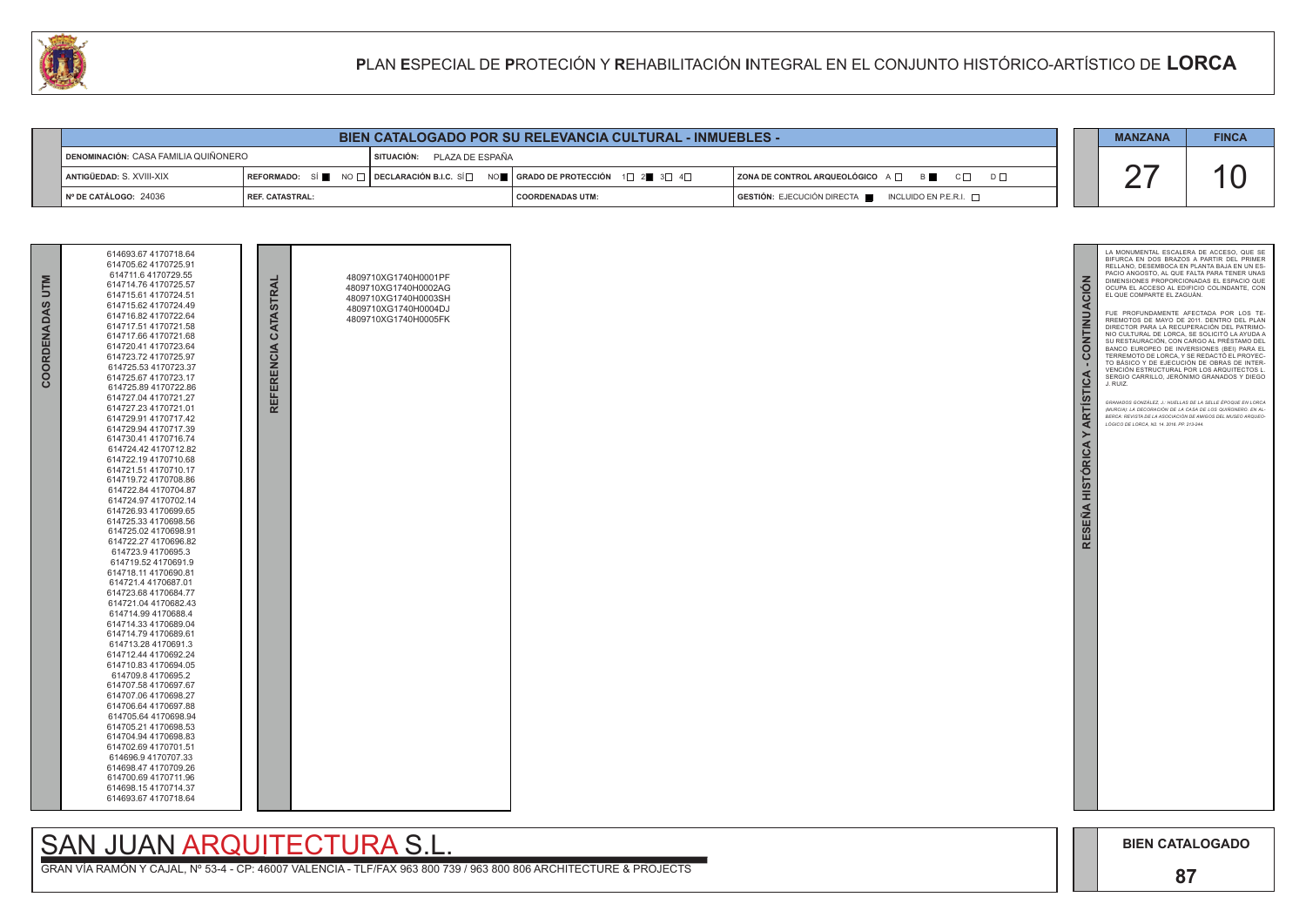

GRAN VÍA RAMÓN Y CAJAL, Nº 53-4 - CP: 46007 VALENCIA - TLF/FAX 963 800 739 / 963 800 806 ARCHITECTURE & PROJECTS

| <b>NTM</b><br>COORDENADAS | 614693.67 4170718.64<br>614705.62 4170725.91<br>614711.6 4170729.55<br>614714.76 4170725.57<br>614715.61 4170724.51<br>614715.62 4170724.49<br>614716.82 4170722.64<br>614717.51 4170721.58<br>614717.66 4170721.68<br>614720.41 4170723.64<br>614723.72 4170725.97<br>614725.53 4170723.37<br>614725.67 4170723.17<br>614725.89 4170722.86<br>614727.04 4170721.27<br>614727.23 4170721.01<br>614729.91 4170717.42<br>614729.94 4170717.39<br>614730.41 4170716.74<br>614724.42 4170712.82<br>614722.19 4170710.68<br>614721.51 4170710.17<br>614719.72 4170708.86<br>614722.84 4170704.87<br>614724.97 4170702.14<br>614726.93 4170699.65<br>614725.33 4170698.56<br>614725.02 4170698.91<br>614722.27 4170696.82<br>614723.9 4170695.3<br>614719.52 4170691.9<br>614718.11 4170690.81<br>614721.4 4170687.01<br>614723.68 4170684.77<br>614721.04 4170682.43<br>614714.99 4170688.4<br>614714.33 4170689.04<br>614714.79 4170689.61<br>614713.28 4170691.3<br>614712.44 4170692.24<br>614710.83 4170694.05<br>614709.8 4170695.2<br>614707.58 4170697.67<br>614707.06 4170698.27<br>614706.64 4170697.88<br>614705.64 4170698.94<br>614705.21 4170698.53<br>614704.94 4170698.83<br>614702.69 4170701.51<br>614696.9 4170707.33<br>614698.47 4170709.26<br>614700.69 4170711.96<br>614698.154170714.37<br>614693.67 4170718.64 |  | REFERENCIA CATASTRAL | 4809710XG1740H0001PF<br>4809710XG1740H0002AG<br>4809710XG1740H0003SH<br>4809710XG1740H0004DJ<br>4809710XG1740H0005FK |  |
|---------------------------|-----------------------------------------------------------------------------------------------------------------------------------------------------------------------------------------------------------------------------------------------------------------------------------------------------------------------------------------------------------------------------------------------------------------------------------------------------------------------------------------------------------------------------------------------------------------------------------------------------------------------------------------------------------------------------------------------------------------------------------------------------------------------------------------------------------------------------------------------------------------------------------------------------------------------------------------------------------------------------------------------------------------------------------------------------------------------------------------------------------------------------------------------------------------------------------------------------------------------------------------------------------------------------------------------------------------------------------|--|----------------------|----------------------------------------------------------------------------------------------------------------------|--|
|---------------------------|-----------------------------------------------------------------------------------------------------------------------------------------------------------------------------------------------------------------------------------------------------------------------------------------------------------------------------------------------------------------------------------------------------------------------------------------------------------------------------------------------------------------------------------------------------------------------------------------------------------------------------------------------------------------------------------------------------------------------------------------------------------------------------------------------------------------------------------------------------------------------------------------------------------------------------------------------------------------------------------------------------------------------------------------------------------------------------------------------------------------------------------------------------------------------------------------------------------------------------------------------------------------------------------------------------------------------------------|--|----------------------|----------------------------------------------------------------------------------------------------------------------|--|

# SAN JUAN ARQUITECTURA S.L.



| LU |                                      |                        |                            |                                                                              | PLAN ESPECIAL DE PROTECIÓN Y REHABILITACIÓN INTEGRAL EN EL CONJUNTO HISTÓRICO-ARTÍSTICO DE LORCA |                |              |
|----|--------------------------------------|------------------------|----------------------------|------------------------------------------------------------------------------|--------------------------------------------------------------------------------------------------|----------------|--------------|
|    |                                      |                        |                            |                                                                              |                                                                                                  |                |              |
|    |                                      |                        |                            | <b>BIEN CATALOGADO POR SU RELEVANCIA CULTURAL - INMUEBLES -</b>              |                                                                                                  | <b>MANZANA</b> | <b>FINCA</b> |
|    | DENOMINACIÓN: CASA FAMILIA QUIÑONERO |                        | SITUACIÓN: PLAZA DE ESPAÑA |                                                                              |                                                                                                  |                |              |
|    | ANTIGÜEDAD: S. XVIII-XIX             |                        |                            | REFORMADO: SÍ NO DECLARACIÓN B.I.C. SÍ NO SE GRADO DE PROTECCIÓN 1 2 3 3 4 D | ZONA DE CONTROL ARQUEOLÓGICO A $\Box$ B C $\Box$<br>$D \Box$                                     |                |              |
|    | Nº DE CATÁLOGO: 24036                | <b>REF. CATASTRAL:</b> |                            | <b>COORDENADAS UTM:</b>                                                      | GESTIÓN: EJECUCIÓN DIRECTA<br>INCLUIDO EN P.E.R.I. $\Box$                                        |                |              |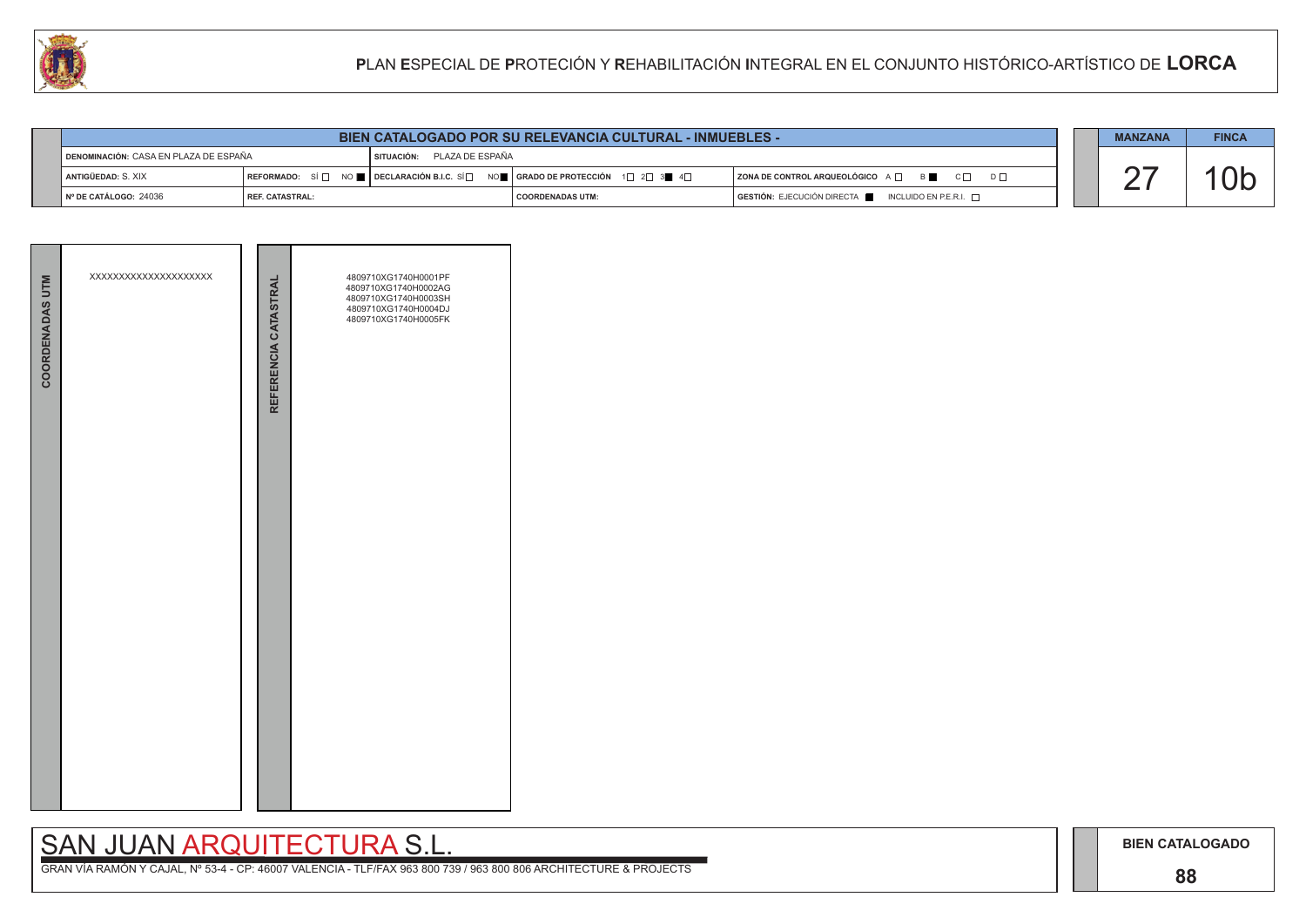## **88**

# SAN JUAN ARQUITECTURA S.L.

| <b>COORDENADAS UTM</b> | XXXXXXXXXXXXXXXXXXXX | REFERENCIA CATASTRAL | 4809710XG1740H0001PF<br>4809710XG1740H0002AG<br>4809710XG1740H0003SH<br>4809710XG1740H0004DJ<br>4809710XG1740H0005FK |
|------------------------|----------------------|----------------------|----------------------------------------------------------------------------------------------------------------------|
|                        |                      |                      |                                                                                                                      |

|                                                | <b>BIEN CATALOGADO POR SU RELEVANCIA CULTURAL - INMUEBLES -</b> |                            |                                                                                                                                   |                                                                               |  |  |  |  |
|------------------------------------------------|-----------------------------------------------------------------|----------------------------|-----------------------------------------------------------------------------------------------------------------------------------|-------------------------------------------------------------------------------|--|--|--|--|
| <b>I DENOMINACIÓN: CASA EN PLAZA DE ESPAÑA</b> |                                                                 | SITUACIÓN: PLAZA DE ESPAÑA |                                                                                                                                   |                                                                               |  |  |  |  |
| I ANTIGÜEDAD: S. XIX                           |                                                                 |                            | REFORMADO: SÍ $\square$ NO $\square$ DECLARACIÓN B.I.C. SÍ $\square$ NO $\square$   GRADO DE PROTECCIÓN 1 $\square$ 2 $\square$ 3 | $ $ ZONA DE CONTROL ARQUEOLÓGICO $A \Box$ B $\Box$ C $\Box$ D $\Box$          |  |  |  |  |
| $N°$ DE CATÁLOGO: 24036                        | <b>I REF. CATASTRAL:</b>                                        |                            | COORDENADAS UTM:                                                                                                                  | $\overline{)}$ GESTIÓN: EJECUCIÓN DIRECTA NORECTA INCLUIDO EN P.E.R.I. $\Box$ |  |  |  |  |

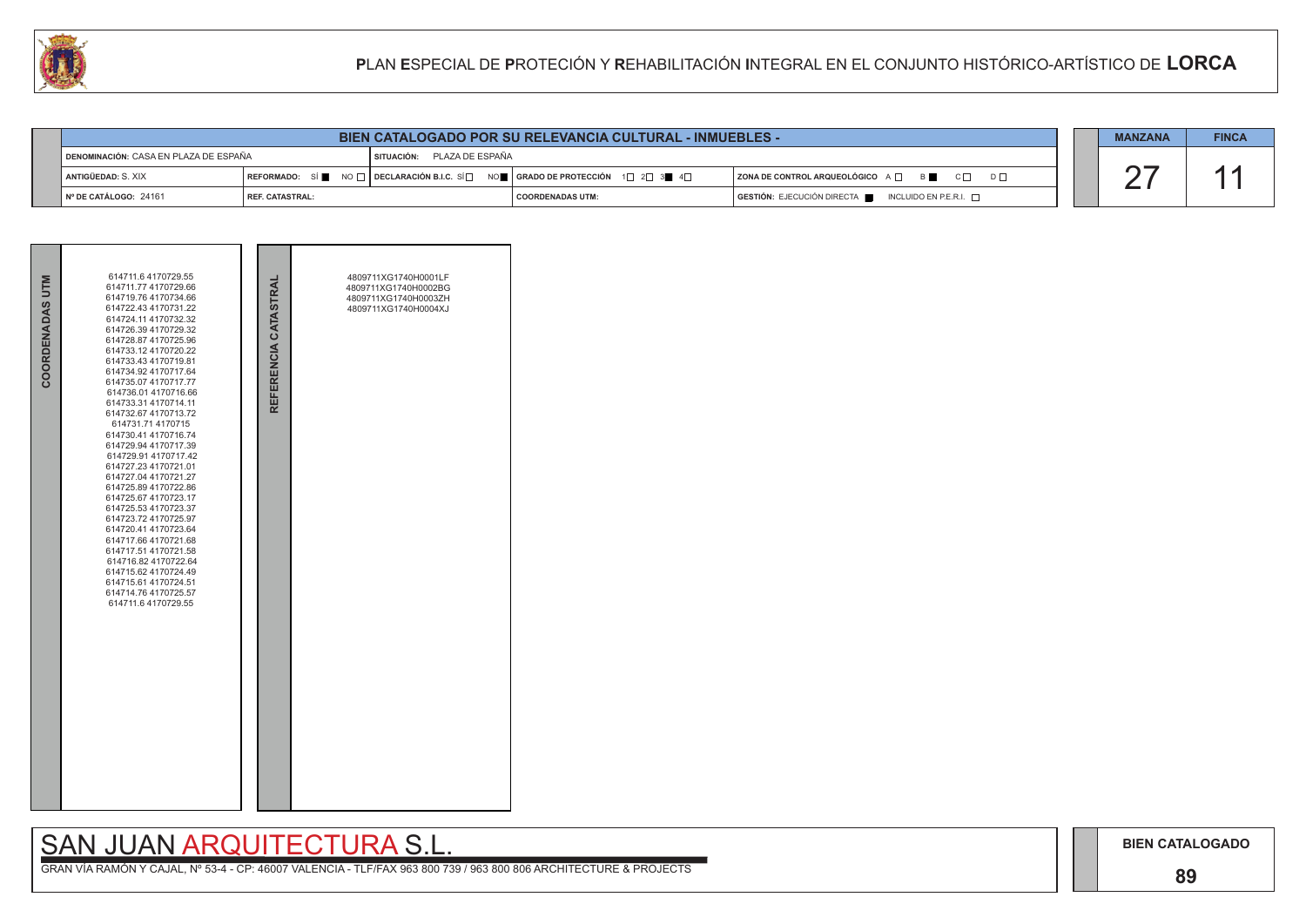## **89**

# SAN JUAN ARQUITECTURA S.L.

| COORDENADAS UTM | 614711.6 4170729.55<br>614711.77 4170729.66<br>614719.76 4170734.66<br>614722.43 4170731.22<br>614724.11 4170732.32<br>614726.39 4170729.32<br>614728.87 4170725.96<br>614733.12 4170720.22<br>614733.43 4170719.81<br>614734.92 4170717.64<br>614735.07 4170717.77<br>614736.01 4170716.66<br>614733.31 4170714.11<br>614732.67 4170713.72<br>614731.71 4170715<br>614730.41 4170716.74<br>614729.94 4170717.39<br>614729.91 4170717.42<br>614727.23 4170721.01<br>614727.04 4170721.27<br>614725.89 4170722.86<br>614725.67 4170723.17<br>614725.53 4170723.37<br>614723.72 4170725.97<br>614720.41 4170723.64<br>614717.66 4170721.68<br>614717.51 4170721.58<br>614716.82 4170722.64<br>614715.62 4170724.49<br>614715.61 4170724.51<br>614714.76 4170725.57<br>614711.6 4170729.55 | REFERENCIA CATASTRAL | 4809711XG1740H0001LF<br>4809711XG1740H0002BG<br>4809711XG1740H0003ZH<br>4809711XG1740H0004XJ |  |
|-----------------|-----------------------------------------------------------------------------------------------------------------------------------------------------------------------------------------------------------------------------------------------------------------------------------------------------------------------------------------------------------------------------------------------------------------------------------------------------------------------------------------------------------------------------------------------------------------------------------------------------------------------------------------------------------------------------------------------------------------------------------------------------------------------------------------|----------------------|----------------------------------------------------------------------------------------------|--|



| LU |                                       | PLAN ESPECIAL DE PROTECIÓN Y REHABILITACIÓN INTEGRAL EN EL CONJUNTO HISTÓRICO-ARTÍSTICO DE LORCA |                            |                                                                                                                                                                                                    |                                                                      |                |              |
|----|---------------------------------------|--------------------------------------------------------------------------------------------------|----------------------------|----------------------------------------------------------------------------------------------------------------------------------------------------------------------------------------------------|----------------------------------------------------------------------|----------------|--------------|
|    |                                       |                                                                                                  |                            |                                                                                                                                                                                                    |                                                                      |                |              |
|    |                                       |                                                                                                  |                            | <b>BIEN CATALOGADO POR SU RELEVANCIA CULTURAL - INMUEBLES -</b>                                                                                                                                    |                                                                      | <b>MANZANA</b> | <b>FINCA</b> |
|    | DENOMINACIÓN: CASA EN PLAZA DE ESPAÑA |                                                                                                  | SITUACIÓN: PLAZA DE ESPAÑA |                                                                                                                                                                                                    |                                                                      |                |              |
|    | ANTIGÜEDAD: S. XIX                    |                                                                                                  |                            | $\mid$ REFORMADO: $\mid$ Si $\parallel$ $\parallel$ NO $\mid$ $\mid$ Declaración B.I.C. Si $\mid$ $\mid$ no $\parallel$ $\mid$ grado de protección $\mid$ 1 $\mid$ 2 $\mid$ 3 $\parallel$ 4 $\mid$ | $ $ ZONA DE CONTROL ARQUEOLÓGICO $A \Box$ B $\Box$ C $\Box$ D $\Box$ |                |              |
|    | Nº DE CATÁLOGO: 24161                 | <b>REF. CATASTRAL:</b>                                                                           |                            | <b>COORDENADAS UTM:</b>                                                                                                                                                                            | GESTIÓN: EJECUCIÓN DIRECTA NEL INCLUIDO EN P.E.R.I.                  |                |              |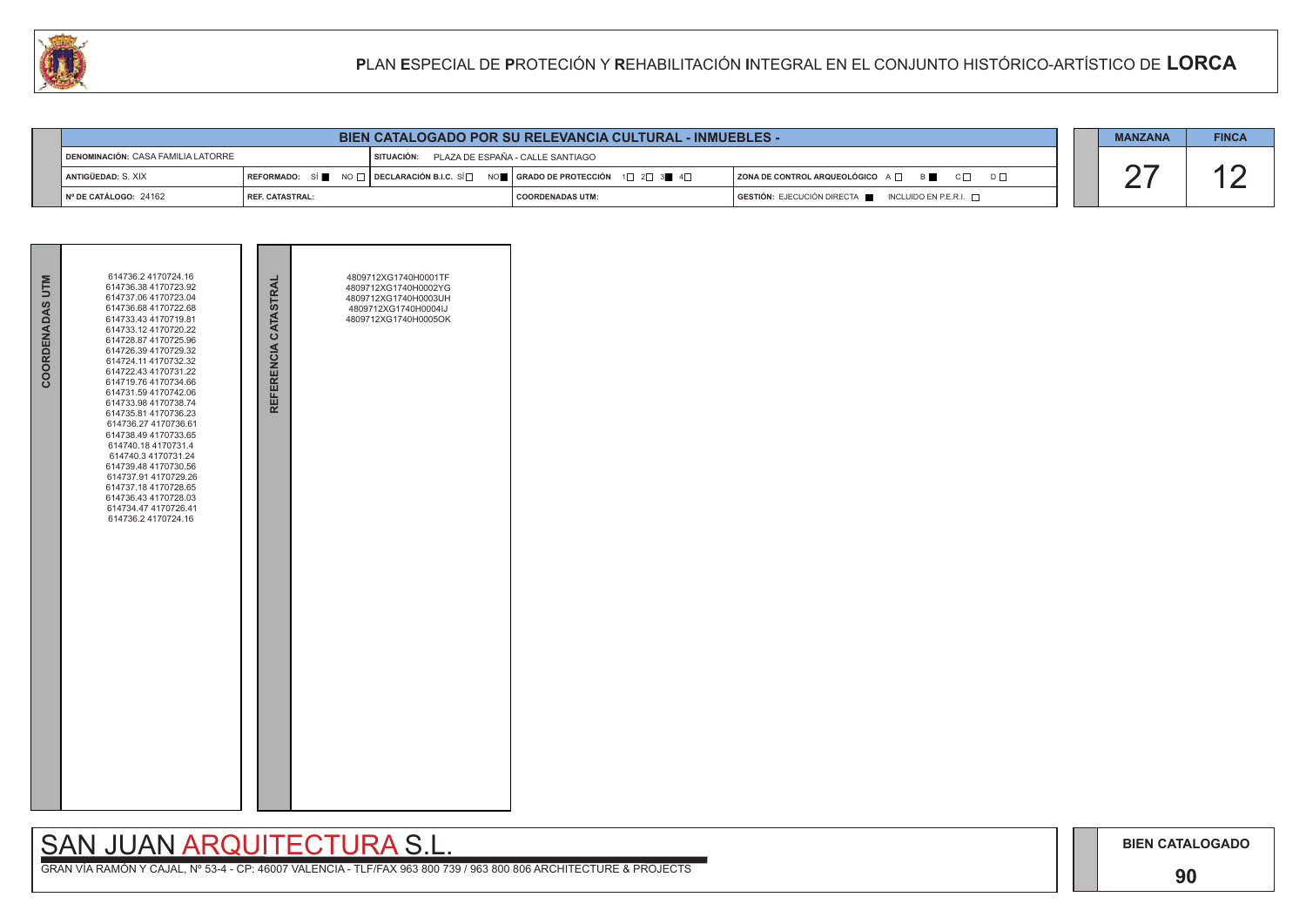## **90**

# SAN JUAN ARQUITECTURA S.L.

| COORDENADAS UTM | 614736.2 4170724.16<br>614736.38 4170723.92<br>614737.06 4170723.04<br>614736.68 4170722.68<br>614733.43 4170719.81<br>614733.12 4170720.22<br>614728.87 4170725.96<br>614726.39 4170729.32<br>614724.11 4170732.32<br>614722.43 4170731.22<br>614719.76 4170734.66<br>614731.59 4170742.06<br>614733.98 4170738.74<br>614735.81 4170736.23<br>614736.27 4170736.61<br>614738.49 4170733.65<br>614740.18 4170731.4<br>614740.3 4170731.24<br>614739.48 4170730.56<br>614737.91 4170729.26<br>614737.18 4170728.65<br>614736.43 4170728.03<br>614734.47 4170726.41<br>614736.2 4170724.16 | REFERENCIA CATASTRAL | 4809712XG1740H0001TF<br>4809712XG1740H0002YG<br>4809712XG1740H0003UH<br>4809712XG1740H0004IJ<br>4809712XG1740H0005OK |  |
|-----------------|------------------------------------------------------------------------------------------------------------------------------------------------------------------------------------------------------------------------------------------------------------------------------------------------------------------------------------------------------------------------------------------------------------------------------------------------------------------------------------------------------------------------------------------------------------------------------------------|----------------------|----------------------------------------------------------------------------------------------------------------------|--|

|                                                                                                 |                        | <b>MANZANA</b> | <b>FINCA</b>                                                                                                                                                                                                              |                                                                                      |  |  |  |
|-------------------------------------------------------------------------------------------------|------------------------|----------------|---------------------------------------------------------------------------------------------------------------------------------------------------------------------------------------------------------------------------|--------------------------------------------------------------------------------------|--|--|--|
| <b>I DENOMINACIÓN: CASA FAMILIA LATORRE</b><br>PLAZA DE ESPAÑA - CALLE SANTIAGO<br>I SITUACIÓN: |                        |                |                                                                                                                                                                                                                           |                                                                                      |  |  |  |
| ANTIGÜEDAD: S. XIX                                                                              |                        |                | $\mid$ REFORMADO: SÍ $\blacksquare$ NO $\Box$ $\mid$ DECLARACIÓN B.I.C. SÍ $\Box$ NO $\blacksquare$   GRADO DE PROTECCIÓN $\Box$ 2 $\Box$ 3 $\blacksquare$ 4 $\Box$<br>ZONA DE CONTROL ARQUEOLÓGICO A □ B C □<br>$D \Box$ |                                                                                      |  |  |  |
| ¶ Nº DE CATÁLOGO: 24162                                                                         | <b>REF. CATASTRAL:</b> |                | I COORDENADAS UTM:                                                                                                                                                                                                        | $\overline{)}$ GESTIÓN: EJECUCIÓN DIRECTA $\blacksquare$ INCLUIDO EN P.E.R.I. $\Box$ |  |  |  |

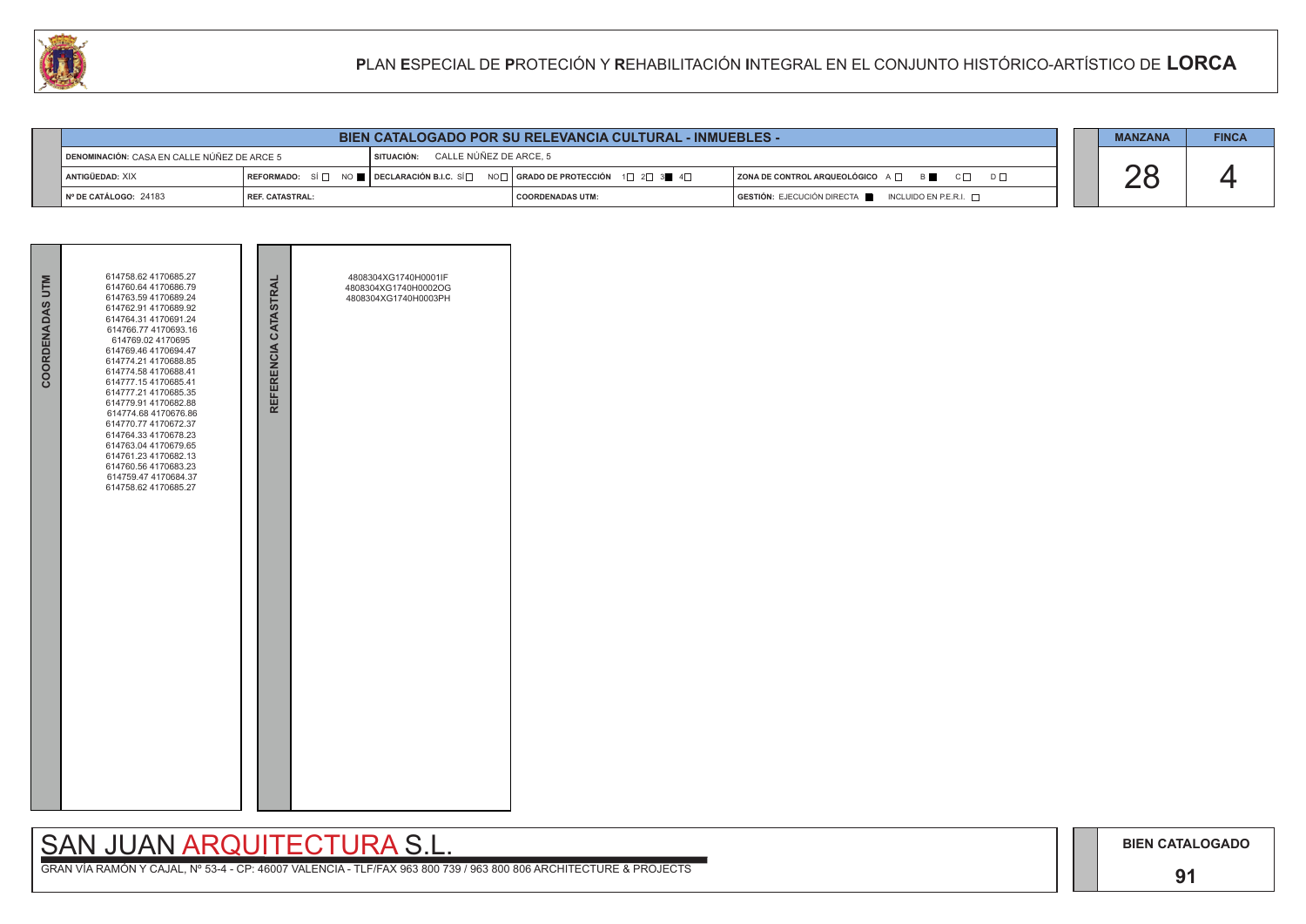# SAN JUAN ARQUITECTURA S.L.

|  | <b>MANZANA</b> | <b>FINCA</b> |
|--|----------------|--------------|
|  |                |              |
|  |                |              |

| COORDENADAS UTM | 614758.62 4170685.27<br>614760.64 4170686.79<br>614763.59 4170689.24<br>614762.91 4170689.92<br>614764.31 4170691.24<br>614766.77 4170693.16<br>614769.02 4170695<br>614769.46 4170694.47<br>614774.21 4170688.85<br>614774.58 4170688.41<br>614777.15 4170685.41<br>614777.21 4170685.35<br>614779.91 4170682.88<br>614774.68 4170676.86<br>614770.77 4170672.37<br>614764.33 4170678.23<br>614763.04 4170679.65<br>614761.23 4170682.13<br>614760.56 4170683.23<br>614759.47 4170684.37<br>614758.62 4170685.27 | REFERENCIA CATASTRAL | 4808304XG1740H0001IF<br>4808304XG1740H0002OG<br>4808304XG1740H0003PH |
|-----------------|-------------------------------------------------------------------------------------------------------------------------------------------------------------------------------------------------------------------------------------------------------------------------------------------------------------------------------------------------------------------------------------------------------------------------------------------------------------------------------------------------------------------|----------------------|----------------------------------------------------------------------|
|                 |                                                                                                                                                                                                                                                                                                                                                                                                                                                                                                                   |                      |                                                                      |

|                                             |                        | <b>BIEN CATALOGADO POR SU RELEVANCIA CULTURAL - INMUEBLES -</b>                                                                                                 |                  |                                                                                              | <b>MANZANA</b> | <b>FINCA</b> |
|---------------------------------------------|------------------------|-----------------------------------------------------------------------------------------------------------------------------------------------------------------|------------------|----------------------------------------------------------------------------------------------|----------------|--------------|
| DENOMINACIÓN: CASA EN CALLE NÚÑEZ DE ARCE 5 |                        | SITUACIÓN: CALLE NÚÑEZ DE ARCE. 5                                                                                                                               |                  |                                                                                              |                |              |
| <b>ANTIGÜEDAD: XIX</b>                      |                        | REFORMADO: SÍ $\square$ NO $\blacksquare$ DECLARACIÓN B.I.C. SÍ $\square$ NO $\square$   GRADO DE PROTECCIÓN $\square$ 2 $\square$ 3 $\blacksquare$ 4 $\square$ |                  | $ $ ZONA DE CONTROL ARQUEOLÓGICO A $\Box$ B C $\Box$<br>$D \Box$                             |                |              |
| Nº DE CATÁLOGO: 24183                       | <b>REF. CATASTRAL:</b> |                                                                                                                                                                 | COORDENADAS UTM: | $\overline{S}$ GESTIÓN: EJECUCIÓN DIRECTA $\overline{S}$ INCLUIDO EN P.E.R.I. $\overline{S}$ |                |              |

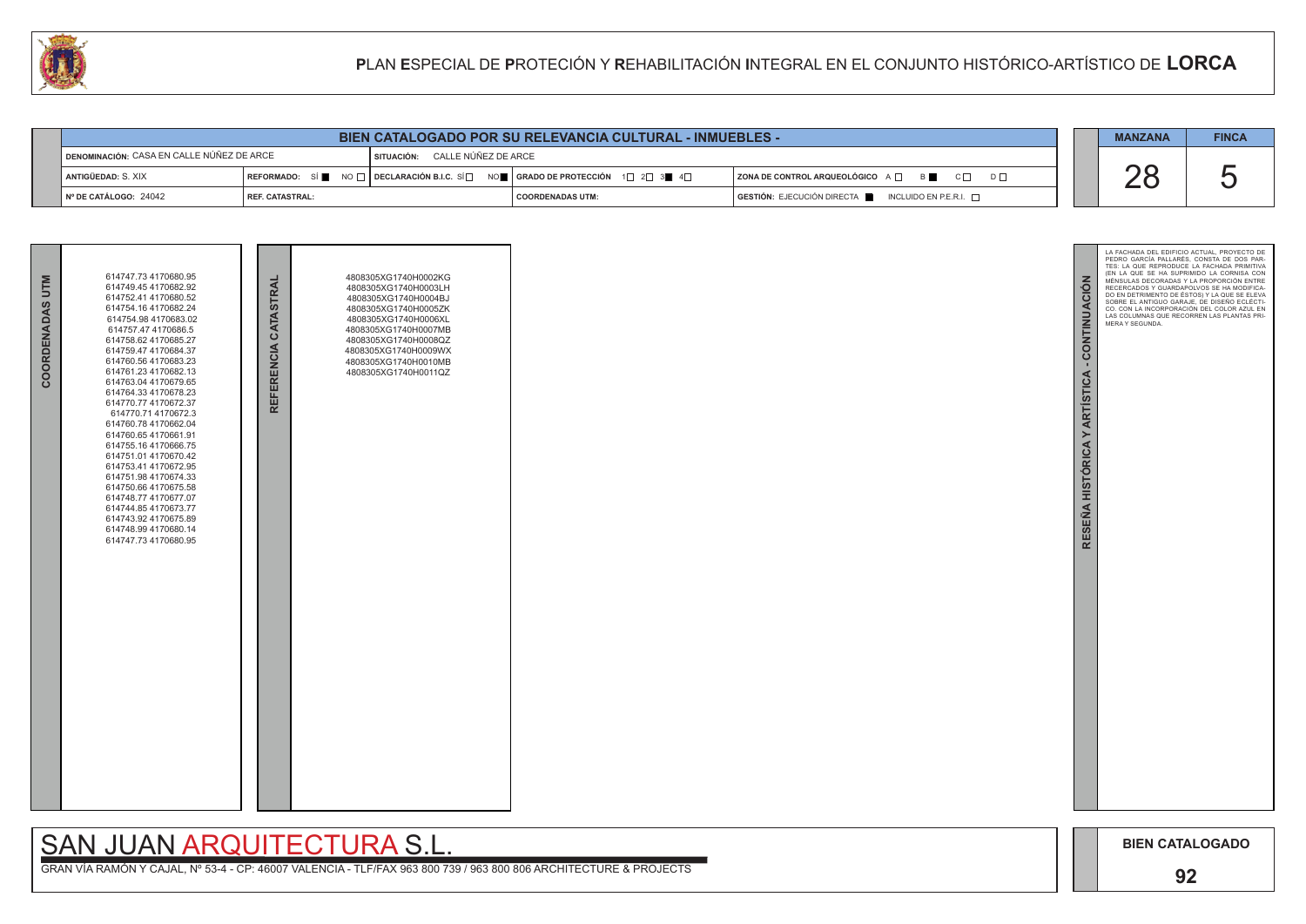

| <b>BIEN CATALOGADO POR SU RELEVANCIA CULTURAL - INMUEBLES -</b> |                   |            |                                                                                                                                                                       |                                                                        |  |  |  |  |
|-----------------------------------------------------------------|-------------------|------------|-----------------------------------------------------------------------------------------------------------------------------------------------------------------------|------------------------------------------------------------------------|--|--|--|--|
| <b>IDENOMINACIÓN: CASA EN CALLE NÚÑEZ DE ARCE</b>               |                   | SITUACIÓN: | CALLE NÚÑEZ DE ARCE                                                                                                                                                   |                                                                        |  |  |  |  |
| ANTIGÜEDAD: S. XIX                                              |                   |            | REFORMADO: SÍ $\blacksquare$ NO $\square$ DECLARACIÓN B.I.C. SÍ $\square$ NO $\blacksquare$ SERADO DE PROTECCIÓN 1 $\square$ 2 $\square$ 3 $\blacksquare$ 4 $\square$ | ZONA DE CONTROL ARQUEOLÓGICO A QUE B                                   |  |  |  |  |
| Nº DE CATÁLOGO: 24042                                           | l REF. CATASTRAL: |            | I COORDENADAS UTM:                                                                                                                                                    | $GESTIÓN: EJECUCIÓN DIRECTA \blacksquare INCLUIDO EN P.E.R.I. \square$ |  |  |  |  |

| COORDENADAS UTM | 614747.73 4170680.95<br>614749.45 4170682.92<br>614752.41 4170680.52<br>614754.16 4170682.24<br>614754.98 4170683.02<br>614757.47 4170686.5<br>614758.62 4170685.27<br>614759.47 4170684.37<br>614760.56 4170683.23<br>614761.23 4170682.13<br>614763.04 4170679.65<br>614764.33 4170678.23<br>614770.77 4170672.37<br>614770.71 4170672.3<br>614760.78 4170662.04<br>614760.65 4170661.91<br>614755.16 4170666.75<br>614751.01 4170670.42<br>614753.41 4170672.95<br>614751.98 4170674.33<br>614750.66 4170675.58<br>614748.77 4170677.07<br>614744.85 4170673.77<br>614743.92 4170675.89<br>614748.99 4170680.14<br>614747.73 4170680.95 | REFERENCIA CATASTRAL | 4808305XG1740H0002KG<br>4808305XG1740H0003LH<br>4808305XG1740H0004BJ<br>4808305XG1740H0005ZK<br>4808305XG1740H0006XL<br>4808305XG1740H0007MB<br>4808305XG1740H0008QZ<br>4808305XG1740H0009WX<br>4808305XG1740H0010MB<br>4808305XG1740H0011QZ |  |
|-----------------|--------------------------------------------------------------------------------------------------------------------------------------------------------------------------------------------------------------------------------------------------------------------------------------------------------------------------------------------------------------------------------------------------------------------------------------------------------------------------------------------------------------------------------------------------------------------------------------------------------------------------------------------|----------------------|----------------------------------------------------------------------------------------------------------------------------------------------------------------------------------------------------------------------------------------------|--|

# **SAN JUAN ARQUITECTURA S.L**

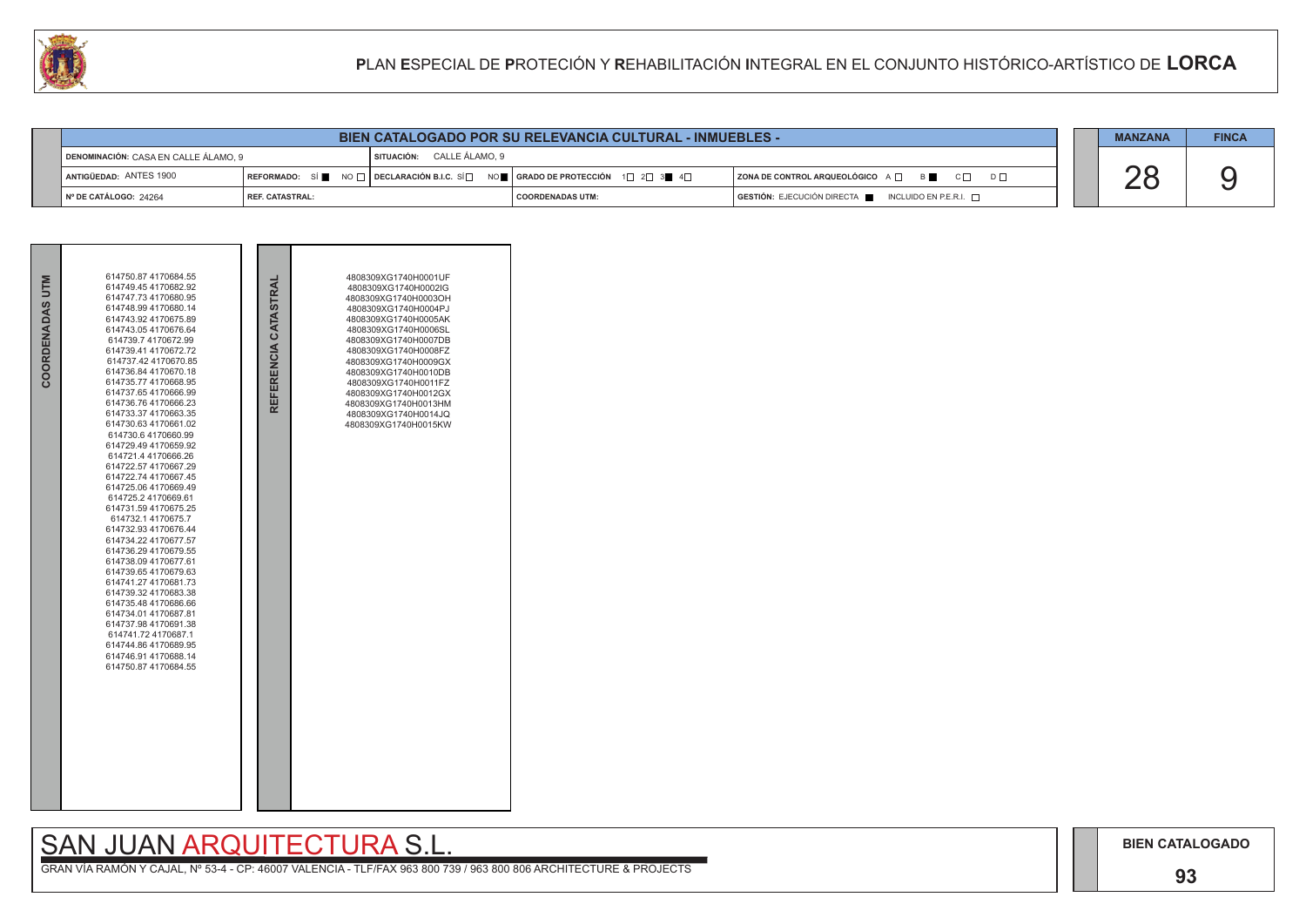

|                                      | <b>BIEN CATALOGADO POR SU RELEVANCIA CULTURAL - INMUEBLES -</b> |  |                           |                                                                                                                 |                                                                                      |  |  |  |  |  |
|--------------------------------------|-----------------------------------------------------------------|--|---------------------------|-----------------------------------------------------------------------------------------------------------------|--------------------------------------------------------------------------------------|--|--|--|--|--|
| DENOMINACIÓN: CASA EN CALLE ÁLAMO. 9 |                                                                 |  | SITUACIÓN: CALLE ÁLAMO, 9 |                                                                                                                 |                                                                                      |  |  |  |  |  |
| ANTIGÜEDAD: ANTES 1900               |                                                                 |  |                           | REFORMADO: SÍ NO $\Box$ DECLARACIÓN B.I.C. SÍ $\Box$ NO $\Box$ GRADO DE PROTECCIÓN 1 $\Box$ 2 $\Box$ 3 4 $\Box$ | <b>ZONA DE CONTROL ARQUEOLÓGICO</b> A □ B B C □                                      |  |  |  |  |  |
| │ Nº DE CATÁLOGO: 24264              | I REF. CATASTRAL:                                               |  |                           | <b>COORDENADAS UTM:</b>                                                                                         | $\overline{S}$ GESTIÓN: EJECUCIÓN DIRECTA $\overline{S}$ INCLUIDO EN P.E.R.I. $\Box$ |  |  |  |  |  |

# SAN JUAN ARQUITECTURA S.L.<br>GRAN VÍA RAMÓN Y CAJAL, Nº 53-4 - CP: 46007 VALENCIA - TLF/FAX 963 800 739 / 963 800 806 ARCHITECTURE & PROJECTS

|  | <b>MANZANA</b> | <b>FINCA</b> |
|--|----------------|--------------|
|  |                |              |

**BIEN CATALOGADO** 

## 93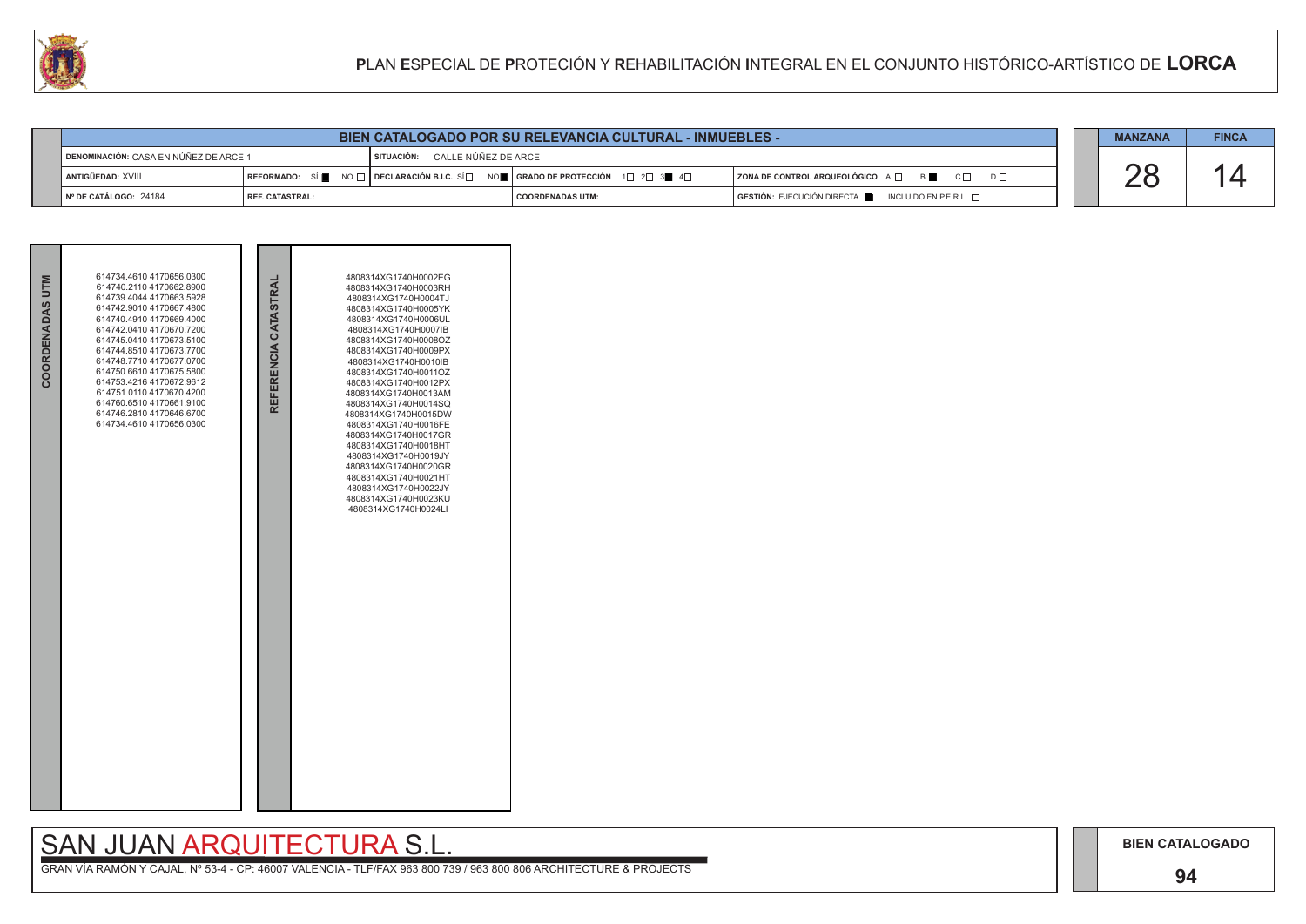## **94**

# SAN JUAN ARQUITECTURA S.L.



|  | <b>MANZANA</b> | <b>FINCA</b> |
|--|----------------|--------------|
|  |                |              |
|  |                |              |
|  |                |              |

| <b>BIEN CATALOGADO POR SU RELEVANCIA CULTURAL - INMUEBLES -</b> |                          |  |                                                                                                                        |                                                                     |  |  |  |
|-----------------------------------------------------------------|--------------------------|--|------------------------------------------------------------------------------------------------------------------------|---------------------------------------------------------------------|--|--|--|
| <b>IDENOMINACIÓN: CASA EN NÚÑEZ DE ARCE 1</b>                   |                          |  | SITUACIÓN: CALLE NÚÑEZ DE ARCE                                                                                         |                                                                     |  |  |  |
| İ ANTIGÜEDAD: XVIII                                             |                          |  | REFORMADO: SÍ NO $\Box$ DECLARACIÓN B.I.C. SÍ $\Box$ NO $\Box$ GRADO DE PROTECCIÓN 1 $\Box$ 2 $\Box$ 3 $\Box$ 4 $\Box$ | $ $ ZONA DE CONTROL ARQUEOLÓGICO $A \Box$ B<br>$C \Box$<br>$D \Box$ |  |  |  |
| $\blacksquare$ N° DE CATÁLOGO: 24184                            | <b>I REF. CATASTRAL:</b> |  | I COORDENADAS UTM:                                                                                                     | GESTIÓN: EJECUCIÓN DIRECTA NEURO EN P.E.R.I.                        |  |  |  |

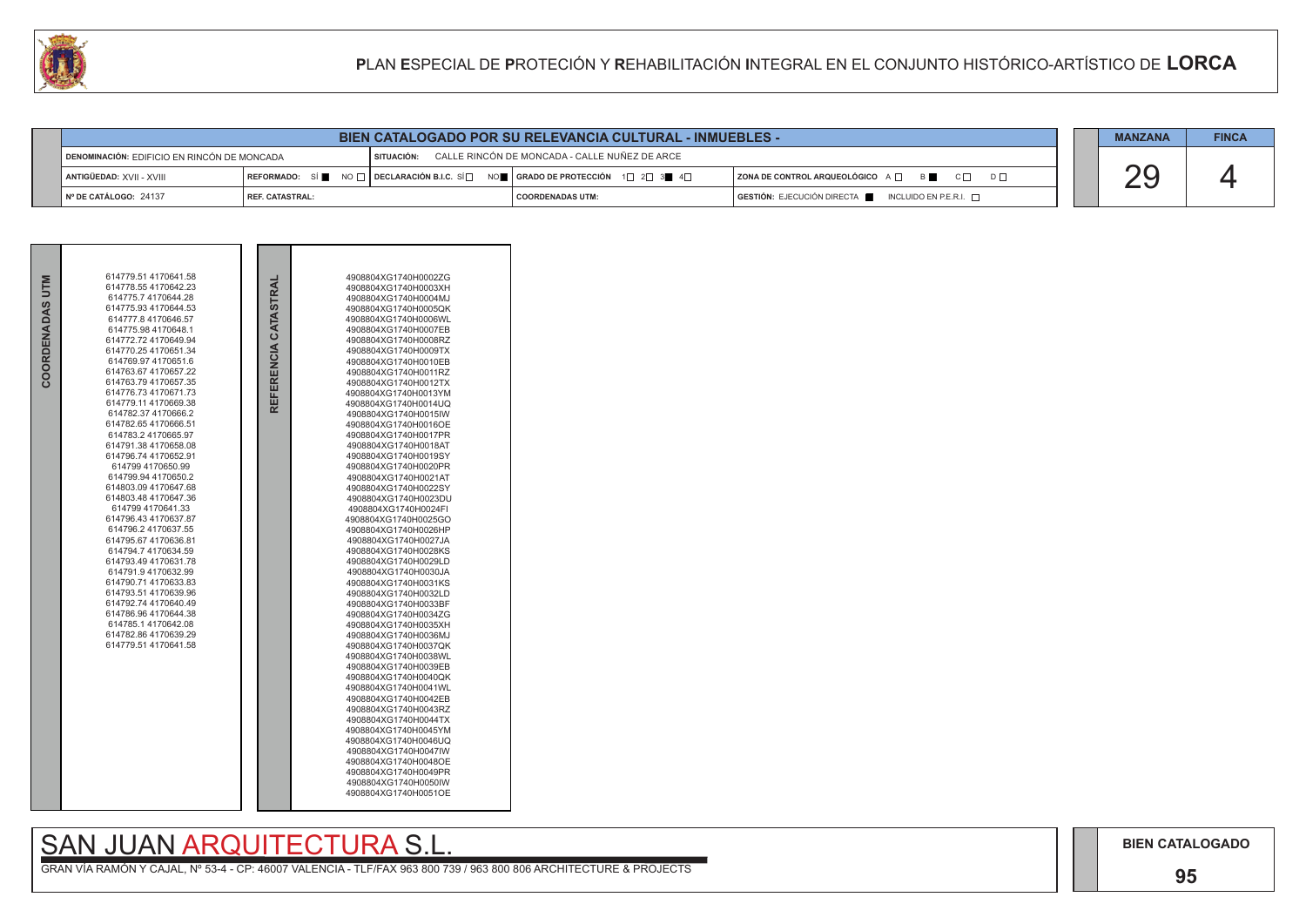

|                                             |                   |            | <b>BIEN CATALOGADO POR SU RELEVANCIA CULTURAL - INMUEBLES -</b>                                                                                       |                                                 |  |
|---------------------------------------------|-------------------|------------|-------------------------------------------------------------------------------------------------------------------------------------------------------|-------------------------------------------------|--|
| DENOMINACIÓN: EDIFICIO EN RINCÓN DE MONCADA |                   | SITUACIÓN: | CALLE RINCÓN DE MONCADA - CALLE NUÑEZ DE ARCE                                                                                                         |                                                 |  |
| ANTIGÜEDAD: XVII - XVIII                    |                   |            | REFORMADO: SÍ $\blacksquare$ NO $\Box$ DECLARACIÓN B.I.C. SÍ $\Box$ NO $\blacksquare$ GRADO DE PROTECCIÓN 1 $\Box$ 2 $\Box$ 3 $\blacksquare$ 4 $\Box$ | ZONA DE CONTROL ARQUEOLÓGICO A D B              |  |
| Nº DE CATÁLOGO: 24137                       | I REF. CATASTRAL: |            | I COORDENADAS UTM:                                                                                                                                    | GESTIÓN: EJECUCIÓN DIRECTA NICLUIDO EN P.E.R.I. |  |

|             | 614779.51 4170641.58                        |                   | 4908804XG1740H0002ZG                         |  |
|-------------|---------------------------------------------|-------------------|----------------------------------------------|--|
| <b>NILD</b> | 614778.554170642.23                         | CATASTRAL         | 4908804XG1740H0003XH                         |  |
|             | 614775.7 4170644.28                         |                   | 4908804XG1740H0004MJ                         |  |
|             | 614775.93 4170644.53                        |                   | 4908804XG1740H0005QK                         |  |
|             | 614777.8 4170646.57                         |                   | 4908804XG1740H0006WL                         |  |
|             | 614775.98 4170648.1                         |                   | 4908804XG1740H0007EB                         |  |
|             | 614772.72 4170649.94                        |                   | 4908804XG1740H0008RZ                         |  |
|             | 614770.25 4170651.34                        |                   | 4908804XG1740H0009TX                         |  |
|             | 614769.97 4170651.6<br>614763.67 4170657.22 |                   | 4908804XG1740H0010EB<br>4908804XG1740H0011RZ |  |
| COORDENADAS | 614763.79 4170657.35                        |                   | 4908804XG1740H0012TX                         |  |
|             | 614776.73 4170671.73                        |                   | 4908804XG1740H0013YM                         |  |
|             | 614779.11 4170669.38                        | <b>REFERENCIA</b> | 4908804XG1740H0014UQ                         |  |
|             | 614782.37 4170666.2                         |                   | 4908804XG1740H0015IW                         |  |
|             | 614782.65 4170666.51                        |                   | 4908804XG1740H0016OE                         |  |
|             | 614783.2 4170665.97                         |                   | 4908804XG1740H0017PR                         |  |
|             | 614791.38 4170658.08                        |                   | 4908804XG1740H0018AT                         |  |
|             | 614796.74 4170652.91                        |                   | 4908804XG1740H0019SY                         |  |
|             | 614799 4170650.99                           |                   | 4908804XG1740H0020PR                         |  |
|             | 614799.94 4170650.2                         |                   | 4908804XG1740H0021AT                         |  |
|             | 614803.09 4170647.68                        |                   | 4908804XG1740H0022SY                         |  |
|             | 614803.48 4170647.36<br>614799 4170641.33   |                   | 4908804XG1740H0023DU<br>4908804XG1740H0024FI |  |
|             | 614796.43 4170637.87                        |                   | 4908804XG1740H0025GO                         |  |
|             | 614796.2 4170637.55                         |                   | 4908804XG1740H0026HP                         |  |
|             | 614795.67 4170636.81                        |                   | 4908804XG1740H0027JA                         |  |
|             | 614794.7 4170634.59                         |                   | 4908804XG1740H0028KS                         |  |
|             | 614793.49 4170631.78                        |                   | 4908804XG1740H0029LD                         |  |
|             | 614791.9 4170632.99                         |                   | 4908804XG1740H0030JA                         |  |
|             | 614790.71 4170633.83                        |                   | 4908804XG1740H0031KS                         |  |
|             | 614793.51 4170639.96                        |                   | 4908804XG1740H0032LD                         |  |
|             | 614792.74 4170640.49                        |                   | 4908804XG1740H0033BF                         |  |
|             | 614786.96 4170644.38                        |                   | 4908804XG1740H0034ZG                         |  |
|             | 614785.1 4170642.08<br>614782.86 4170639.29 |                   | 4908804XG1740H0035XH                         |  |
|             | 614779.51 4170641.58                        |                   | 4908804XG1740H0036MJ<br>4908804XG1740H0037QK |  |
|             |                                             |                   | 4908804XG1740H0038WL                         |  |
|             |                                             |                   | 4908804XG1740H0039EB                         |  |
|             |                                             |                   | 4908804XG1740H0040QK                         |  |
|             |                                             |                   | 4908804XG1740H0041WL                         |  |
|             |                                             |                   | 4908804XG1740H0042EB                         |  |
|             |                                             |                   | 4908804XG1740H0043RZ                         |  |
|             |                                             |                   | 4908804XG1740H0044TX                         |  |
|             |                                             |                   | 4908804XG1740H0045YM                         |  |
|             |                                             |                   | 4908804XG1740H0046UQ                         |  |
|             |                                             |                   | 4908804XG1740H0047IW                         |  |
|             |                                             |                   | 4908804XG1740H0048OE                         |  |
|             |                                             |                   | 4908804XG1740H0049PR<br>4908804XG1740H0050IW |  |
|             |                                             |                   | 4908804XG1740H0051OE                         |  |
|             |                                             |                   |                                              |  |

# SAN JUAN ARQUITECTURA S.L.<br>GRAN VÍA RAMÓN Y CAJAL, Nº 53-4 - CP: 46007 VALENCIA - TLF/FAX 963 800 739 / 963 800 806 ARCHITECTURE & PROJECTS

|  | <b>MANZANA</b> | <b>FINCA</b> |
|--|----------------|--------------|
|  |                |              |
|  |                |              |

**BIEN CATALOGADO** 

## 95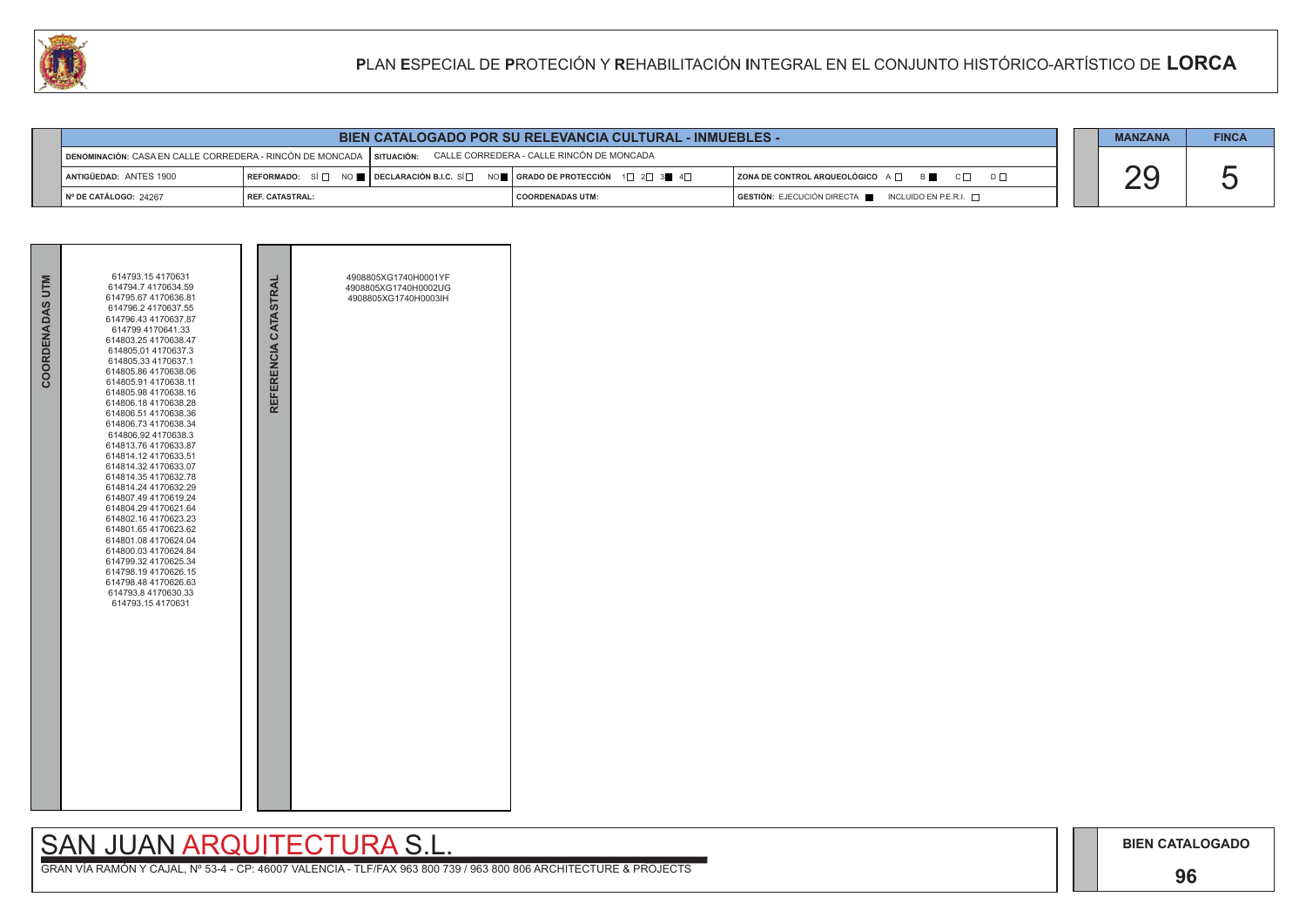## **96**

# SAN JUAN ARQUITECTURA S.L.

|     | <b>MANZANA</b> | <b>FINCA</b> |
|-----|----------------|--------------|
| ו ח |                |              |
|     |                |              |

|                                   | <b>BIEN CATALOGADO POR SU RELEVANCIA CULTURAL - INMUEBLES -</b>                                                     |                                                                                                                                                         |                         |  |                                                                                      |  |  |  | <b>FINCA</b> |
|-----------------------------------|---------------------------------------------------------------------------------------------------------------------|---------------------------------------------------------------------------------------------------------------------------------------------------------|-------------------------|--|--------------------------------------------------------------------------------------|--|--|--|--------------|
|                                   | CALLE CORREDERA - CALLE RINCÓN DE MONCADA<br>DENOMINACIÓN: CASA EN CALLE CORREDERA - RINCÓN DE MONCADA   SITUACIÓN: |                                                                                                                                                         |                         |  |                                                                                      |  |  |  |              |
| ANTIGÜEDAD: ANTES 1900            |                                                                                                                     | REFORMADO: SÍ $\square$ NO $\square$ DECLARACIÓN B.I.C. SÍ $\square$ NO $\square$   GRADO DE PROTECCIÓN 1 $\square$ 2 $\square$ 3 $\square$ 4 $\square$ |                         |  | $ $ ZONA DE CONTROL ARQUEOLÓGICO $A \Box$ $B \Box$ $C \Box$                          |  |  |  |              |
| $\parallel$ N° DE CATÁLOGO: 24267 | <b>REF. CATASTRAL:</b>                                                                                              |                                                                                                                                                         | <b>COORDENADAS UTM:</b> |  | $\overline{)}$ GESTIÓN: EJECUCIÓN DIRECTA $\overline{)}$ INCLUIDO EN P.E.R.I. $\Box$ |  |  |  |              |



| 614793.154170631<br>614794.7 4170634.59<br>614795.67 4170636.81                                                                                                                                                                                                                                                                                                                                                                                                                                                                                                                                                                                                                                         |  |                      | 4908805XG1740H0001YF<br>4908805XG1740H0002UG |  |  |
|---------------------------------------------------------------------------------------------------------------------------------------------------------------------------------------------------------------------------------------------------------------------------------------------------------------------------------------------------------------------------------------------------------------------------------------------------------------------------------------------------------------------------------------------------------------------------------------------------------------------------------------------------------------------------------------------------------|--|----------------------|----------------------------------------------|--|--|
| 614796.2 4170637.55<br>614796.43 4170637.87<br>614799 4170641.33<br>614803.25 4170638.47<br>614805.01 4170637.3<br>614805.33 4170637.1<br>614805.86 4170638.06<br>614805.91 4170638.11<br>614805.98 4170638.16<br>614806.18 4170638.28<br>614806.51 4170638.36<br>614806.73 4170638.34<br>614806.92 4170638.3<br>614813.76 4170633.87<br>614814.12 4170633.51<br>614814.32 4170633.07<br>614814.35 4170632.78<br>614814.24 4170632.29<br>614807.49 4170619.24<br>614804.29 4170621.64<br>614802.16 4170623.23<br>614801.65 4170623.62<br>614801.08 4170624.04<br>614800.03 4170624.84<br>614799.32 4170625.34<br>614798.194170626.15<br>614798.48 4170626.63<br>614793.8 4170630.33<br>614793.154170631 |  | REFERENCIA CATASTRAL | 4908805XG1740H0003lH                         |  |  |
|                                                                                                                                                                                                                                                                                                                                                                                                                                                                                                                                                                                                                                                                                                         |  |                      |                                              |  |  |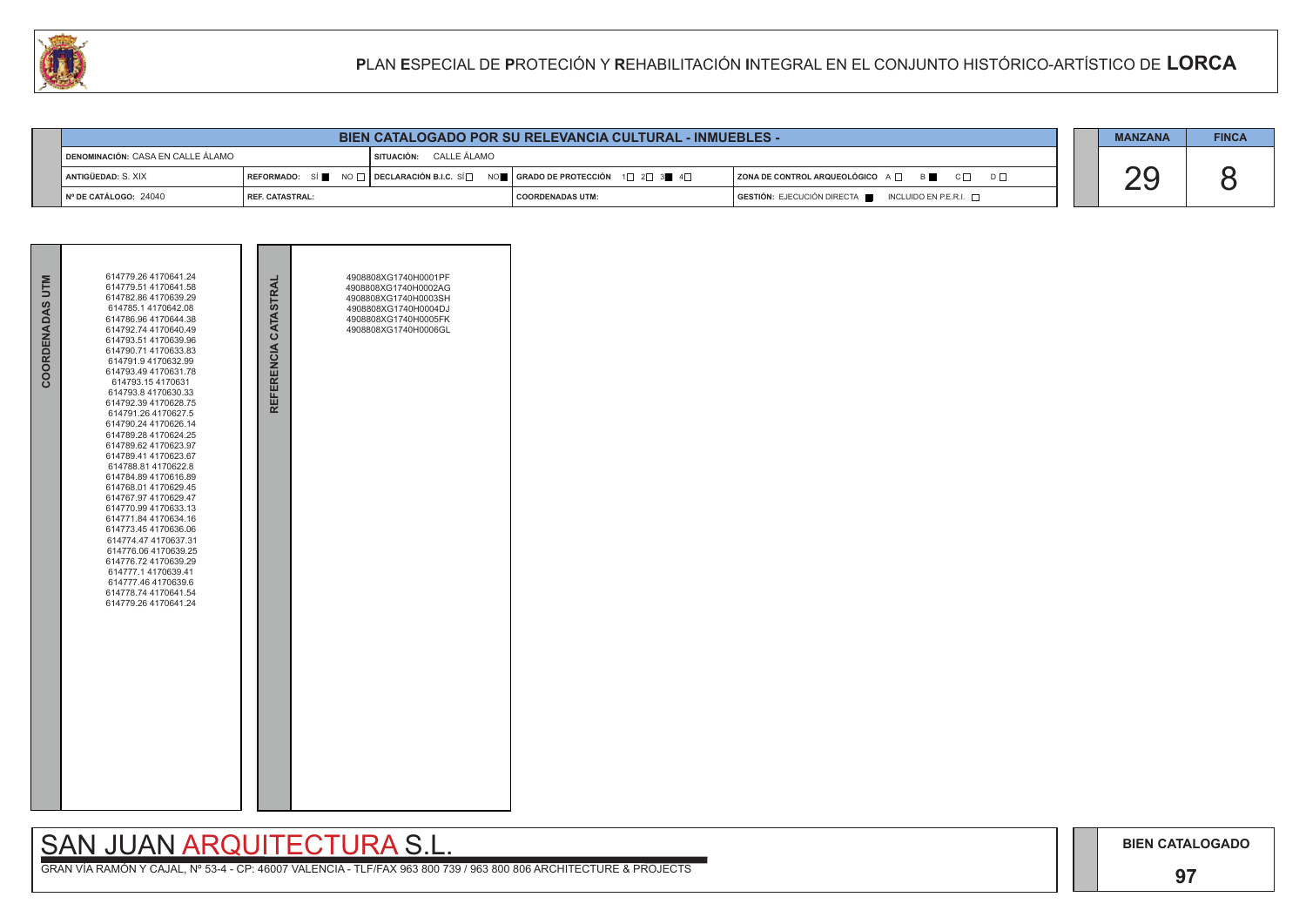## **97**

# SAN JUAN ARQUITECTURA S.L.

|  | <b>MANZANA</b> | <b>FINCA</b> |
|--|----------------|--------------|
|  |                |              |
|  |                |              |

| COORDENADAS UTM | 614779.26 4170641.24<br>614779.51 4170641.58<br>614782.86 4170639.29<br>614785.1 4170642.08<br>614786.96 4170644.38<br>614792.74 4170640.49<br>614793.51 4170639.96<br>614790.71 4170633.83<br>614791.9 4170632.99<br>614793.49 4170631.78<br>614793.154170631<br>614793.8 4170630.33<br>614792.39 4170628.75<br>614791.26 4170627.5<br>614790.24 4170626.14<br>614789.28 4170624.25<br>614789.62 4170623.97<br>614789.41 4170623.67<br>614788.81 4170622.8<br>614784.89 4170616.89<br>614768.01 4170629.45<br>614767.97 4170629.47<br>614770.99 4170633.13<br>614771.84 4170634.16<br>614773.45 4170636.06<br>614774.47 4170637.31<br>614776.06 4170639.25<br>614776.72 4170639.29<br>614777.1 4170639.41<br>614777.46 4170639.6<br>614778.74 4170641.54<br>614779.26 4170641.24 | REFERENCIA CATASTRAL | 4908808XG1740H0001PF<br>4908808XG1740H0002AG<br>4908808XG1740H0003SH<br>4908808XG1740H0004DJ<br>4908808XG1740H0005FK<br>4908808XG1740H0006GL |  |
|-----------------|-----------------------------------------------------------------------------------------------------------------------------------------------------------------------------------------------------------------------------------------------------------------------------------------------------------------------------------------------------------------------------------------------------------------------------------------------------------------------------------------------------------------------------------------------------------------------------------------------------------------------------------------------------------------------------------------------------------------------------------------------------------------------------------|----------------------|----------------------------------------------------------------------------------------------------------------------------------------------|--|



|                                   | <b>CALL</b><br>PLAN ESPECIAL DE PROTECIÓN Y REHABILITACIÓN INTEGRAL EN EL CONJUNTO HISTÓRICO-ARTÍSTICO DE LORCA |  |                        |                                                                                                                                                                                   |  |                                                                  |  |                |              |
|-----------------------------------|-----------------------------------------------------------------------------------------------------------------|--|------------------------|-----------------------------------------------------------------------------------------------------------------------------------------------------------------------------------|--|------------------------------------------------------------------|--|----------------|--------------|
|                                   |                                                                                                                 |  |                        |                                                                                                                                                                                   |  |                                                                  |  |                |              |
|                                   | <b>BIEN CATALOGADO POR SU RELEVANCIA CULTURAL - INMUEBLES -</b>                                                 |  |                        |                                                                                                                                                                                   |  |                                                                  |  | <b>MANZANA</b> | <b>FINCA</b> |
| DENOMINACIÓN: CASA EN CALLE ÁLAMO |                                                                                                                 |  | SITUACIÓN: CALLE ÁLAMO |                                                                                                                                                                                   |  |                                                                  |  |                |              |
|                                   | ANTIGÜEDAD: S. XIX                                                                                              |  |                        | $\mid$ REFORMADO: $\mid$ Si $\parallel$ NO $\sqcap$ $\mid$ DECLARACIÓN B.I.C. Si $\Box$ NO $\parallel$ $\mid$ GRADO DE PROTECCIÓN $\mid$ 1 $\Box$ 2 $\Box$ 3 $\parallel$ 4 $\Box$ |  | <b>ZONA DE CONTROL ARQUEOLÓGICO</b> A □ B B C □<br>$D \Box$      |  |                |              |
|                                   | INº DE CATÁLOGO: 24040<br><b>REF. CATASTRAL:</b>                                                                |  |                        | <b>COORDENADAS UTM:</b>                                                                                                                                                           |  | <b>GESTIÓN: EJECUCIÓN DIRECTA</b><br>INCLUIDO EN P.E.R.I. $\Box$ |  |                |              |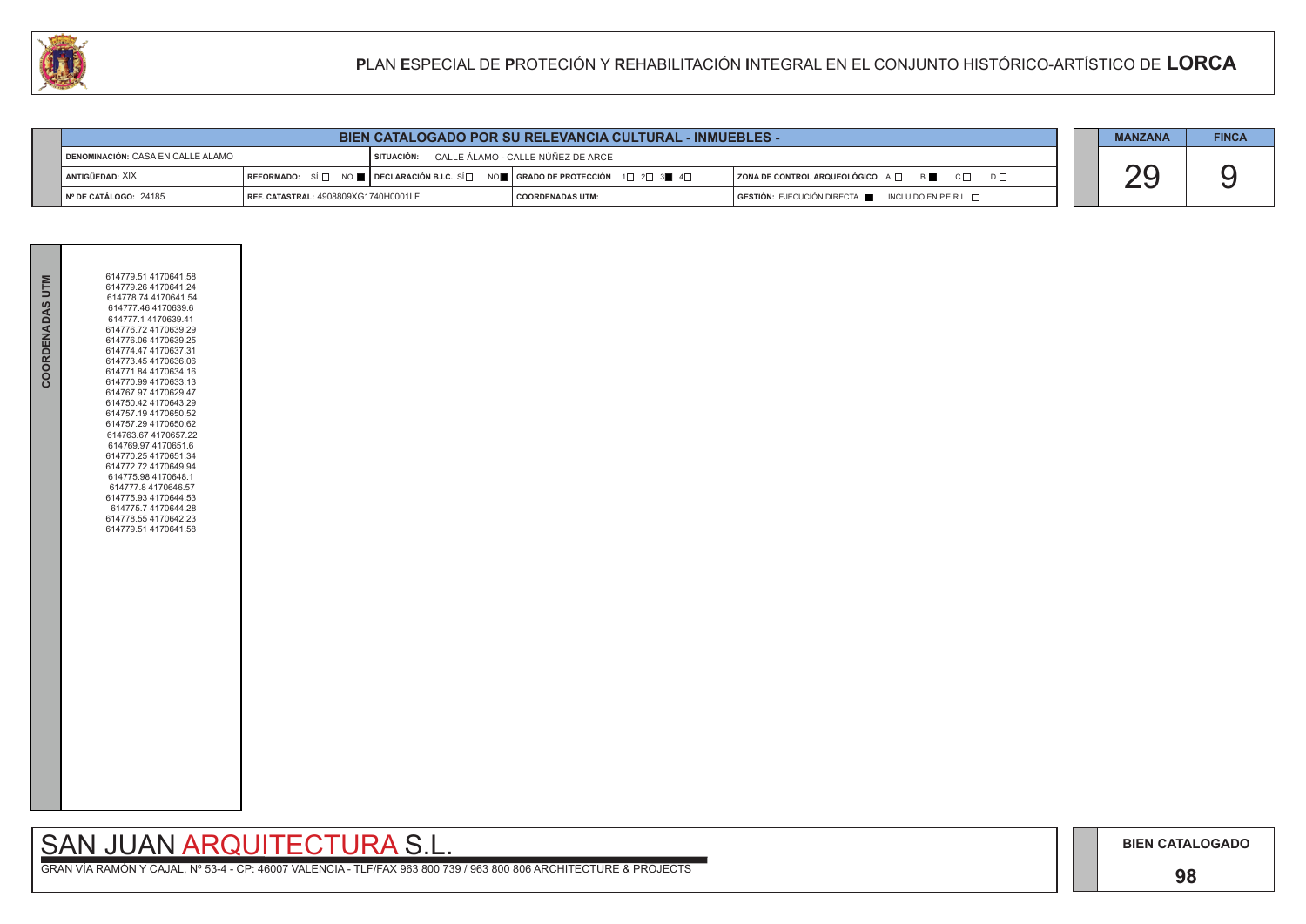## **98**

# SAN JUAN ARQUITECTURA S.L.

|  | <b>MANZANA</b> | <b>FINCA</b> |
|--|----------------|--------------|
|  |                |              |
|  |                |              |

| COORDENADAS UTM | 614779.51 4170641.58<br>614779.26 4170641.24<br>614778.74 4170641.54<br>614777.46 4170639.6<br>614777.1 4170639.41<br>614776.72 4170639.29                                                                           |
|-----------------|----------------------------------------------------------------------------------------------------------------------------------------------------------------------------------------------------------------------|
|                 | 614776.06 4170639.25<br>614774.47 4170637.31<br>614773.45 4170636.06<br>614771.84 4170634.16<br>614770.99 4170633.13<br>614767.97 4170629.47<br>614750.42 4170643.29<br>614757.19 4170650.52<br>614757.29 4170650.62 |
|                 | 614763.67 4170657.22<br>614769.97 4170651.6<br>614770.25 4170651.34<br>614772.72 4170649.94<br>614775.98 4170648.1<br>614777.8 4170646.57<br>614775.93 4170644.53<br>614775.7 4170644.28<br>614778.55 4170642.23     |
|                 | 614779.51 4170641.58                                                                                                                                                                                                 |
|                 |                                                                                                                                                                                                                      |
|                 |                                                                                                                                                                                                                      |

|                                            |                                             | <b>BIEN CATALOGADO POR SU RELEVANCIA CULTURAL - INMUEBLES -</b>                                                                                       |                                   |                                                            | <b>MANZANA</b> | <b>FINCA</b> |
|--------------------------------------------|---------------------------------------------|-------------------------------------------------------------------------------------------------------------------------------------------------------|-----------------------------------|------------------------------------------------------------|----------------|--------------|
| <b>す denominación: CASA EN CALLE ALAMO</b> |                                             | SITUACIÓN:                                                                                                                                            | CALLE ÁLAMO - CALLE NÚÑEZ DE ARCE |                                                            |                |              |
| I ANTIGÜEDAD: XIX                          |                                             | REFORMADO: SÍ $\square$ No $\square$ DECLARACIÓN B.I.C. SÍ $\square$ No $\square$ GRADO DE PROTECCIÓN 1 $\square$ 2 $\square$ 3 $\square$ 4 $\square$ |                                   | ZONA DE CONTROL ARQUEOLÓGICO A $\Box$<br>B C<br>$D$ $\Box$ |                |              |
| $\vert$ N° DE CATÁLOGO: 24185              | <b>REF. CATASTRAL: 4908809XG1740H0001LF</b> |                                                                                                                                                       | I COORDENADAS UTM:                | $GESTIÓN: EJECUCIÓN DIRECTA$ INCLUIDO EN P.E.R.I. $\Box$   |                |              |

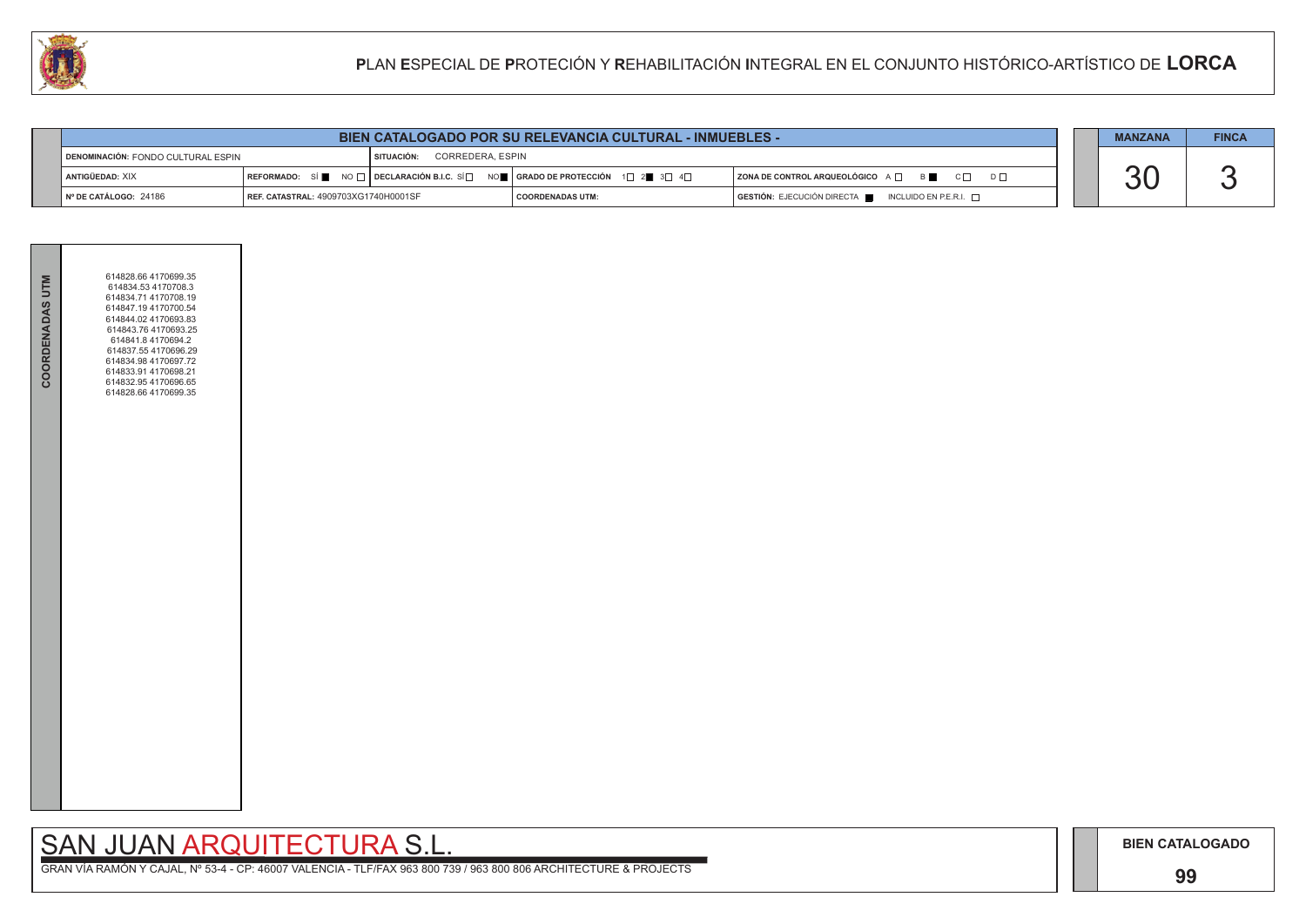## **99**

# SAN JUAN ARQUITECTURA S.L.

| <b>COORDENADAS UTM</b> | 614828.66 4170699.35<br>614834.53 4170708.3<br>614834.71 4170708.19<br>614847.19 4170700.54<br>614844.02 4170693.83<br>614843.76 4170693.25<br>614841.84170694.2<br>614837.55 4170696.29<br>614834.98 4170697.72<br>614833.91 4170698.21<br>614832.95 4170696.65<br>614828.66 4170699.35 |  |
|------------------------|------------------------------------------------------------------------------------------------------------------------------------------------------------------------------------------------------------------------------------------------------------------------------------------|--|
|                        |                                                                                                                                                                                                                                                                                          |  |

|                                           |                                      |                                  | <b>BIEN CATALOGADO POR SU RELEVANCIA CULTURAL - INMUEBLES -</b>    |                                                                        | <b>MANZANA</b> | <b>FINCA</b> |
|-------------------------------------------|--------------------------------------|----------------------------------|--------------------------------------------------------------------|------------------------------------------------------------------------|----------------|--------------|
| <b>DENOMINACIÓN: FONDO CULTURAL ESPIN</b> |                                      | CORREDERA. ESPIN<br>I SITUACIÓN: |                                                                    |                                                                        |                |              |
| ANTIGÜEDAD: XIX                           | l REFORMADO:                         |                                  | SÍ NO □ DECLARACIÓN B.I.C. SÍ NO ■ GRADO DE PROTECCIÓN 1□ 2■ 3□ 4□ | ZONA DE CONTROL ARQUEOLÓGICO A O<br>$C \Box$ $D \Box$                  |                |              |
| $N°$ DE CATÁLOGO: 24186                   | REF. CATASTRAL: 4909703XG1740H0001SF |                                  | <b>COORDENADAS UTM:</b>                                            | $GESTIÓN: EJECUCIÓN DIRECTA \blacksquare INCLUIDO EN P.E.R.I. \square$ |                |              |

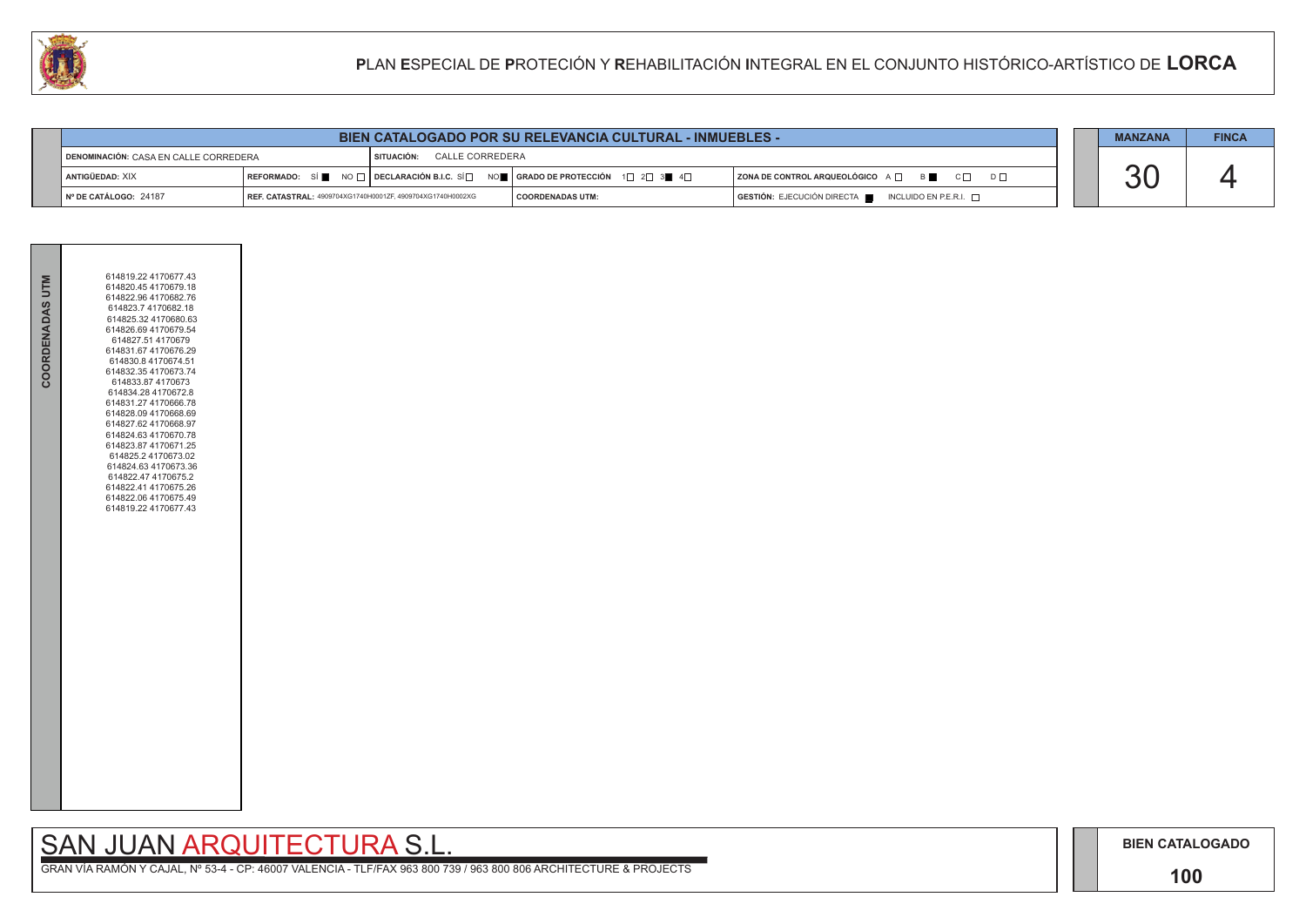## **100**

# SAN JUAN ARQUITECTURA S.L.

| COORDENADAS UTM | 614819.22 4170677.43<br>614820.45 4170679.18<br>614822.96 4170682.76<br>614823.7 4170682.18<br>614825.32 4170680.63<br>614826.69 4170679.54<br>614827.51 4170679<br>614831.67 4170676.29<br>614830.8 4170674.51<br>614832.35 4170673.74<br>614833.874170673<br>614834.28 4170672.8<br>614831.27 4170666.78<br>614828.09 4170668.69<br>614827.62 4170668.97<br>614824.63 4170670.78<br>614823.87 4170671.25<br>614825.2 4170673.02<br>614824.63 4170673.36<br>614822.47 4170675.2<br>614822.41 4170675.26<br>614822.06 4170675.49<br>614819.22 4170677.43 |  |
|-----------------|----------------------------------------------------------------------------------------------------------------------------------------------------------------------------------------------------------------------------------------------------------------------------------------------------------------------------------------------------------------------------------------------------------------------------------------------------------------------------------------------------------------------------------------------------------|--|
|                 |                                                                                                                                                                                                                                                                                                                                                                                                                                                                                                                                                          |  |

|                                       |                                                            | <b>BIEN CATALOGADO POR SU RELEVANCIA CULTURAL - INMUEBLES -</b>                                        |                    |                                                      | <b>MANZANA</b> | <b>FINCA</b> |
|---------------------------------------|------------------------------------------------------------|--------------------------------------------------------------------------------------------------------|--------------------|------------------------------------------------------|----------------|--------------|
| DENOMINACIÓN: CASA EN CALLE CORREDERA |                                                            | CALLE CORREDERA<br>SITUACIÓN:                                                                          |                    |                                                      |                |              |
| ANTIGÜEDAD: XIX                       |                                                            | REFORMADO: SÍ NO $\Box$ DECLARACIÓN B.I.C. SÍ $\Box$ NO $\Box$ GRADO DE PROTECCIÓN 1 $\Box$ 2 $\Box$ 3 |                    | ZONA DE CONTROL ARQUEOLÓGICO A □ B B C □ D □         |                |              |
| $\blacksquare$ N° DE CATÁLOGO: 24187  | REF. CATASTRAL: 4909704XG1740H0001ZF, 4909704XG1740H0002XG |                                                                                                        | I COORDENADAS UTM: | GESTIÓN: EJECUCIÓN DIRECTA ██ INCLUIDO EN P.E.R.I. □ |                |              |

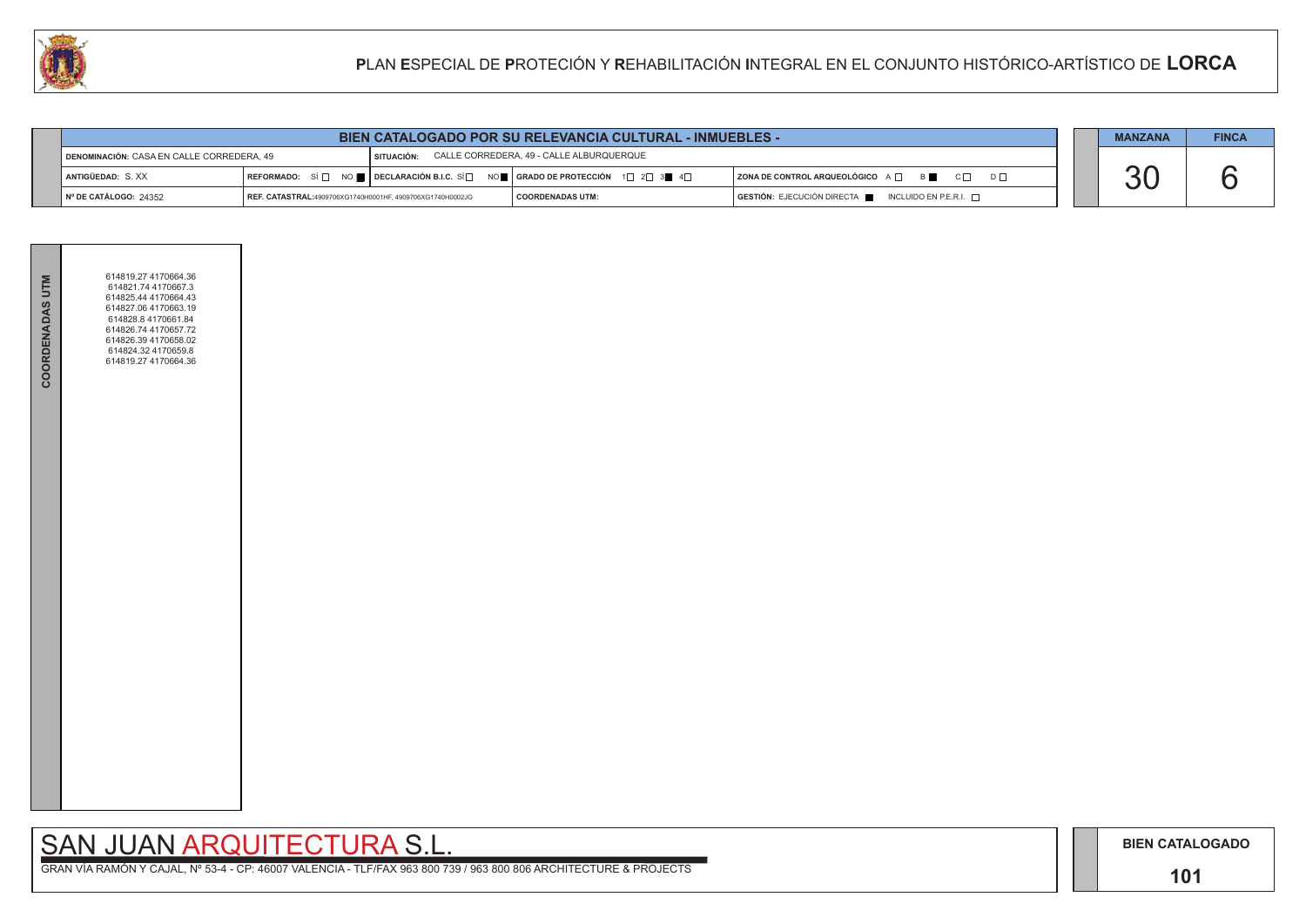## **101**

# SAN JUAN ARQUITECTURA S.L.

|                                           |                                                           | <b>BIEN CATALOGADO POR SU RELEVANCIA CULTURAL - INMUEBLES -</b>                                                                                         |                                                                                      | <b>MANZANA</b> | <b>FINCA</b> |
|-------------------------------------------|-----------------------------------------------------------|---------------------------------------------------------------------------------------------------------------------------------------------------------|--------------------------------------------------------------------------------------|----------------|--------------|
| DENOMINACIÓN: CASA EN CALLE CORREDERA, 49 |                                                           | SITUACIÓN: CALLE CORREDERA, 49 - CALLE ALBURQUERQUE                                                                                                     |                                                                                      |                |              |
| <sup>1</sup> Antigüedad: S. XX            |                                                           | REFORMADO: SÍ $\Box$ NO $\blacksquare$ DECLARACIÓN B.I.C. SÍ $\Box$ NO $\blacksquare$   GRADO DE PROTECCIÓN 1 $\Box$ 2 $\Box$ 3 $\blacksquare$ 4 $\Box$ | ZONA DE CONTROL ARQUEOLÓGICO A □ B B C □ D □                                         |                |              |
| Nº DE CATÁLOGO: 24352                     | REF. CATASTRAL:4909706XG1740H0001HF, 4909706XG1740H0002JG | <b>COORDENADAS UTM:</b>                                                                                                                                 | $\overline{)}$ GESTIÓN: EJECUCIÓN DIRECTA $\overline{)}$ INCLUIDO EN P.E.R.I. $\Box$ |                |              |



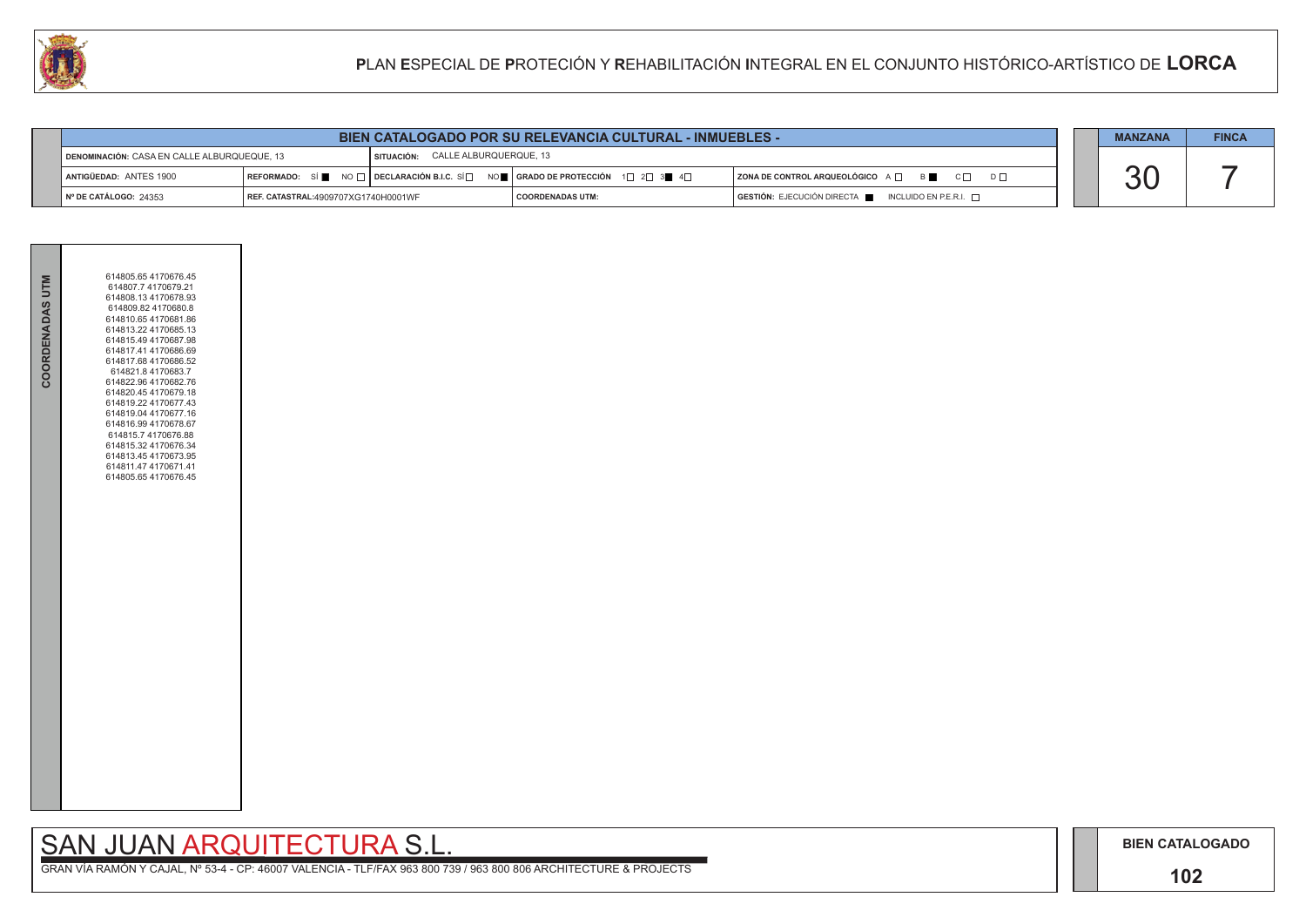## **102**

# SAN JUAN ARQUITECTURA S.L.

|                                             |                                     |                                          | <b>BIEN CATALOGADO POR SU RELEVANCIA CULTURAL - INMUEBLES -</b>                                     |                                                                                              | <b>MANZANA</b>          | <b>FINCA</b> |
|---------------------------------------------|-------------------------------------|------------------------------------------|-----------------------------------------------------------------------------------------------------|----------------------------------------------------------------------------------------------|-------------------------|--------------|
| DENOMINACIÓN: CASA EN CALLE ALBURQUEQUE. 13 |                                     | <b>SITUACIÓN: CALLE ALBURQUERQUE, 13</b> |                                                                                                     |                                                                                              |                         |              |
| ANTIGÜEDAD: ANTES 1900                      |                                     |                                          | REFORMADO: SÍ NO $\Box$ DECLARACIÓN B.I.C. SÍ NO REGRADO DE PROTECCIÓN 1 $\Box$ 2 $\Box$ 3 4 $\Box$ | ZONA DE CONTROL ARQUEOLÓGICO A □ B C □ D □                                                   |                         |              |
| $\parallel$ N° DE CATÁLOGO: 24353           | REF. CATASTRAL:4909707XG1740H0001WF |                                          | <b>COORDENADAS UTM:</b>                                                                             | $\overline{S}$ GESTIÓN: EJECUCIÓN DIRECTA $\overline{S}$ INCLUIDO EN P.E.R.I. $\overline{S}$ | $\overline{\mathbf{v}}$ |              |



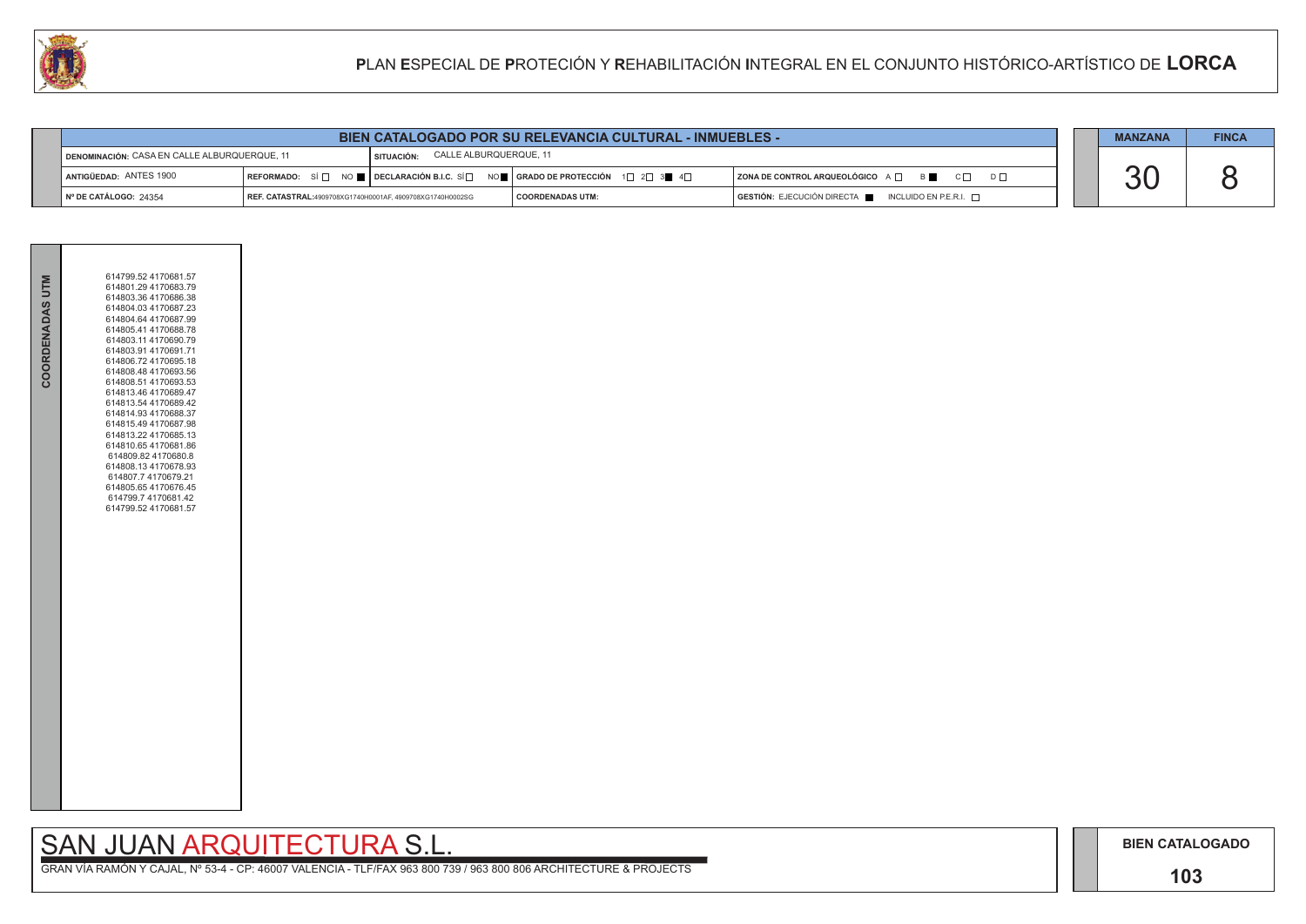## **103**

## SAN JUAN ARQUITECTURA S.L.

|                                              |                                                           |                                      | <b>BIEN CATALOGADO POR SU RELEVANCIA CULTURAL - INMUEBLES -</b>                                                                   |                                                                                      | <b>MANZANA</b> | <b>FINCA</b> |
|----------------------------------------------|-----------------------------------------------------------|--------------------------------------|-----------------------------------------------------------------------------------------------------------------------------------|--------------------------------------------------------------------------------------|----------------|--------------|
| DENOMINACIÓN: CASA EN CALLE ALBURQUERQUE, 11 |                                                           | CALLE ALBURQUERQUE, 11<br>SITUACIÓN: |                                                                                                                                   |                                                                                      |                |              |
| ANTIGÜEDAD: ANTES 1900                       |                                                           |                                      | REFORMADO: SÍ $\square$ NO $\square$ DECLARACIÓN B.I.C. SÍ $\square$ NO $\square$   GRADO DE PROTECCIÓN 1 $\square$ 2 $\square$ 3 | ZONA DE CONTROL ARQUEOLÓGICO A □ B B C □ D □                                         |                |              |
| Nº DE CATÁLOGO: 24354                        | REF. CATASTRAL:4909708XG1740H0001AF, 4909708XG1740H0002SG |                                      | I COORDENADAS UTM:                                                                                                                | $\overline{)}$ GESTIÓN: EJECUCIÓN DIRECTA $\overline{)}$ INCLUIDO EN P.E.R.I. $\Box$ |                |              |



| 614799.52 4170681.57<br>COORDENADAS UTM<br>614801.29 4170683.79<br>614803.36 4170686.38<br>614804.03 4170687.23<br>614804.64 4170687.99<br>614805.41 4170688.78<br>614803.114170690.79<br>614803.91 4170691.71<br>614806.72 4170695.18<br>614808.48 4170693.56<br>614808.51 4170693.53<br>614813.46 4170689.47<br>614813.54 4170689.42<br>614814.93 4170688.37<br>614815.49 4170687.98<br>614813.22 4170685.13<br>614810.65 4170681.86<br>614809.82 4170680.8<br>614808.134170678.93<br>614807.7 4170679.21<br>614805.654170676.45<br>614799.7 4170681.42<br>614799.52 4170681.57 |  |  |
|-----------------------------------------------------------------------------------------------------------------------------------------------------------------------------------------------------------------------------------------------------------------------------------------------------------------------------------------------------------------------------------------------------------------------------------------------------------------------------------------------------------------------------------------------------------------------------------|--|--|
|                                                                                                                                                                                                                                                                                                                                                                                                                                                                                                                                                                                   |  |  |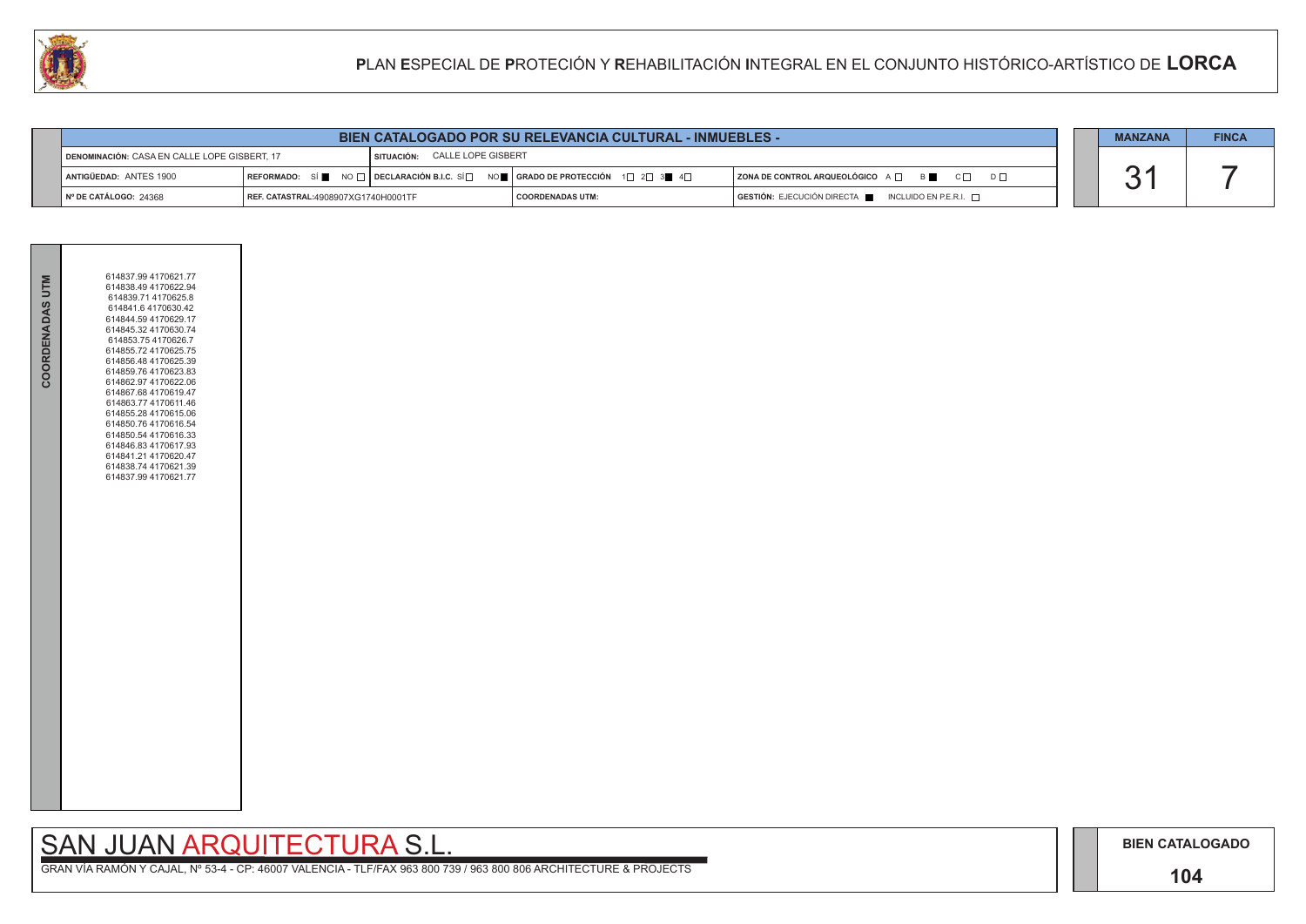## **104**

# SAN JUAN ARQUITECTURA S.L.

| $D \square$ |  |
|-------------|--|
|             |  |

| <b>MANZANA</b> | <b>FINCA</b> |
|----------------|--------------|
|                |              |

| <b>BIEN CATALOGADO POR SU RELEVANCIA CULTURAL - INMUEBLES -</b> |                                                                               |  |                                                                                                                                                       |                                                                             | <b>MANZANA</b> | <b>FINCA</b> |
|-----------------------------------------------------------------|-------------------------------------------------------------------------------|--|-------------------------------------------------------------------------------------------------------------------------------------------------------|-----------------------------------------------------------------------------|----------------|--------------|
|                                                                 | SITUACIÓN: CALLE LOPE GISBERT<br>DENOMINACIÓN: CASA EN CALLE LOPE GISBERT, 17 |  |                                                                                                                                                       |                                                                             |                |              |
| ANTIGÜEDAD: ANTES 1900                                          |                                                                               |  | REFORMADO: SÍ $\blacksquare$ NO $\Box$ DECLARACIÓN B.I.C. SÍ $\Box$ NO $\blacksquare$ SRADO DE PROTECCIÓN 1 $\Box$ 2 $\Box$ 3 $\blacksquare$ 4 $\Box$ | $ $ ZONA DE CONTROL ARQUEOLÓGICO $A \Box$ B                                 |                |              |
| $\blacksquare$ N° DE CATÁLOGO: 24368                            | <b>REF. CATASTRAL:4908907XG1740H0001TF</b>                                    |  | <b>COORDENADAS UTM:</b>                                                                                                                               | $\overline{)}$ GESTIÓN: EJECUCIÓN DIRECTA NORTA INCLUIDO EN P.E.R.I. $\Box$ |                |              |



| COORDENADAS UTM | 614837.99 4170621.77<br>614838.49 4170622.94<br>614839.71 4170625.8<br>614841.6 4170630.42<br>614844.59 4170629.17<br>614845.32 4170630.74<br>614853.75 4170626.7<br>614855.72 4170625.75<br>614856.48 4170625.39<br>614859.76 4170623.83<br>614862.97 4170622.06<br>614867.68 4170619.47<br>614863.77 4170611.46<br>614855.28 4170615.06<br>614850.76 4170616.54<br>614850.54 4170616.33<br>614846.83 4170617.93<br>614841.21 4170620.47<br>614838.74 4170621.39<br>614837.99 4170621.77 |  |
|-----------------|-------------------------------------------------------------------------------------------------------------------------------------------------------------------------------------------------------------------------------------------------------------------------------------------------------------------------------------------------------------------------------------------------------------------------------------------------------------------------------------------|--|
|                 |                                                                                                                                                                                                                                                                                                                                                                                                                                                                                           |  |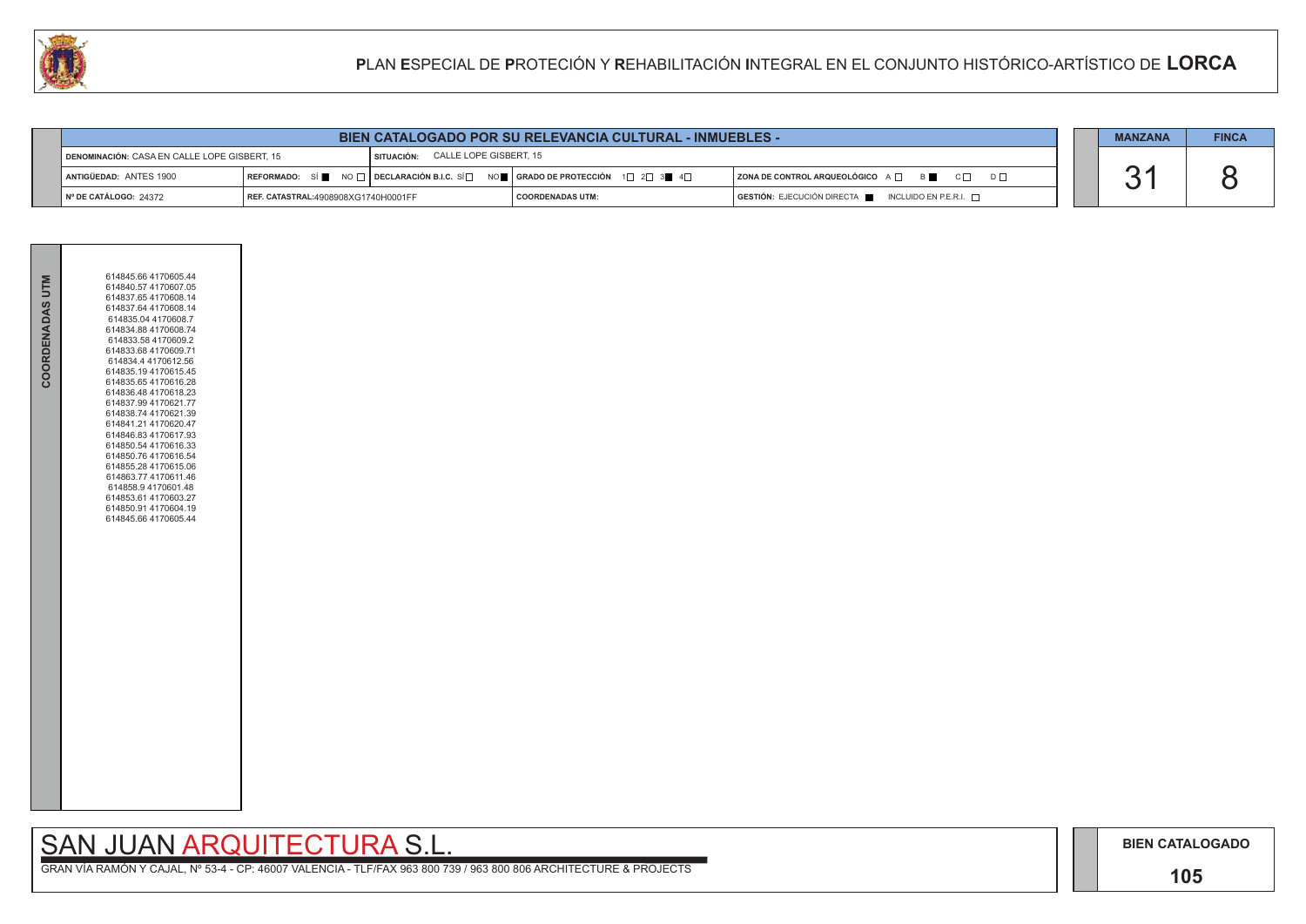## **105**

# SAN JUAN ARQUITECTURA S.L.

| $\mathsf{D}\ \Box$ |  |
|--------------------|--|
|                    |  |

| <b>MANZANA</b> | <b>FINCA</b> |
|----------------|--------------|
|                |              |

| <b>BIEN CATALOGADO POR SU RELEVANCIA CULTURAL - INMUEBLES -</b> |                                     |                                   |                                                                                                                                                       |                                                             | <b>MANZANA</b> | <b>FINCA</b> |
|-----------------------------------------------------------------|-------------------------------------|-----------------------------------|-------------------------------------------------------------------------------------------------------------------------------------------------------|-------------------------------------------------------------|----------------|--------------|
| DENOMINACIÓN: CASA EN CALLE LOPE GISBERT, 15                    |                                     | SITUACIÓN: CALLE LOPE GISBERT, 15 |                                                                                                                                                       |                                                             |                |              |
| <b>I ANTIGÜEDAD: ANTES 1900</b>                                 |                                     |                                   | REFORMADO: SÍ $\blacksquare$ NO $\Box$ DECLARACIÓN B.I.C. SÍ $\Box$ NO $\blacksquare$ GRADO DE PROTECCIÓN 1 $\Box$ 2 $\Box$ 3 $\blacksquare$ 4 $\Box$ | $ $ ZONA DE CONTROL ARQUEOLÓGICO $A \Box$ $B \Box$ $C \Box$ |                |              |
| $\vert$ N° DE CATÁLOGO: 24372                                   | REF. CATASTRAL:4908908XG1740H0001FF |                                   | <b>COORDENADAS UTM:</b>                                                                                                                               | GESTIÓN: EJECUCIÓN DIRECTA NE INCLUIDO EN P.E.R.I.          |                |              |



| COORDENADAS UTM | 614845.66 4170605.44<br>614840.57 4170607.05<br>614837.65 4170608.14<br>614837.64 4170608.14<br>614835.04 4170608.7<br>614834.88 4170608.74<br>614833.58 4170609.2<br>614833.68 4170609.71<br>614834.4 4170612.56<br>614835.19 4170615.45<br>614835.65 4170616.28<br>614836.48 4170618.23<br>614837.99 4170621.77<br>614838.74 4170621.39<br>614841.21 4170620.47<br>614846.83 4170617.93<br>614850.54 4170616.33<br>614850.76 4170616.54<br>614855.28 4170615.06<br>614863.77 4170611.46<br>614858.9 4170601.48<br>614853.61 4170603.27<br>614850.91 4170604.19<br>614845.66 4170605.44 |  |
|-----------------|------------------------------------------------------------------------------------------------------------------------------------------------------------------------------------------------------------------------------------------------------------------------------------------------------------------------------------------------------------------------------------------------------------------------------------------------------------------------------------------------------------------------------------------------------------------------------------------|--|
|                 |                                                                                                                                                                                                                                                                                                                                                                                                                                                                                                                                                                                          |  |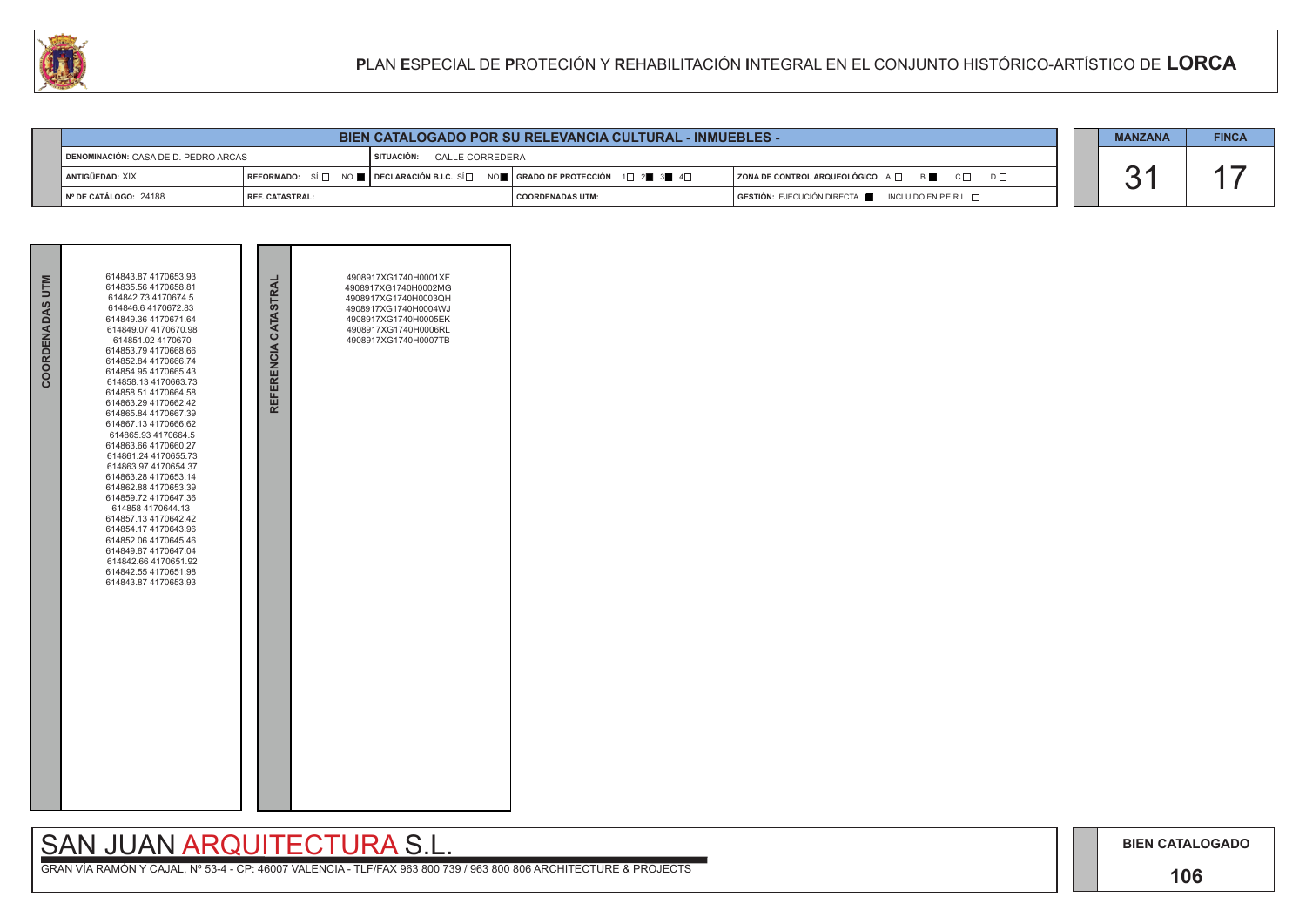## **106**

# SAN JUAN ARQUITECTURA S.L.

| <b>MANZANA</b> | <b>FINCA</b> |
|----------------|--------------|
|                |              |

| COORDENADAS UTM | 614843.87 4170653.93<br>614835.56 4170658.81<br>614842.73 4170674.5<br>614846.64170672.83<br>614849.36 4170671.64<br>614849.07 4170670.98<br>614851.02 4170670<br>614853.794170668.66<br>614852.84 4170666.74<br>614854.95 4170665.43<br>614858.13 4170663.73<br>614858.51 4170664.58<br>614863.29 4170662.42<br>614865.84 4170667.39<br>614867.13 4170666.62<br>614865.93 4170664.5<br>614863.66 4170660.27<br>614861.24 4170655.73<br>614863.97 4170654.37<br>614863.28 4170653.14<br>614862.88 4170653.39<br>614859.72 4170647.36<br>614858 4170644.13<br>614857.134170642.42<br>614854.17 4170643.96<br>614852.06 4170645.46<br>614849.87 4170647.04<br>614842.66 4170651.92<br>614842.55 4170651.98<br>614843.87 4170653.93 | REFERENCIA CATASTRAL | 4908917XG1740H0001XF<br>4908917XG1740H0002MG<br>4908917XG1740H0003QH<br>4908917XG1740H0004WJ<br>4908917XG1740H0005EK<br>4908917XG1740H0006RL<br>4908917XG1740H0007TB |  |
|-----------------|----------------------------------------------------------------------------------------------------------------------------------------------------------------------------------------------------------------------------------------------------------------------------------------------------------------------------------------------------------------------------------------------------------------------------------------------------------------------------------------------------------------------------------------------------------------------------------------------------------------------------------------------------------------------------------------------------------------------------------|----------------------|----------------------------------------------------------------------------------------------------------------------------------------------------------------------|--|

|                                      |                                      |                          |                 | <b>BIEN CATALOGADO POR SU RELEVANCIA CULTURAL - INMUEBLES -</b>                                                                                                 |                                                              |  | <b>MANZANA</b> | <b>FINCA</b> |
|--------------------------------------|--------------------------------------|--------------------------|-----------------|-----------------------------------------------------------------------------------------------------------------------------------------------------------------|--------------------------------------------------------------|--|----------------|--------------|
| DENOMINACIÓN: CASA DE D. PEDRO ARCAS |                                      | <b>SITUACIÓN:</b>        | CALLE CORREDERA |                                                                                                                                                                 |                                                              |  |                |              |
|                                      | ANTIGÜEDAD: XIX                      |                          |                 | REFORMADO: SÍ $\Box$ NO $\blacksquare$ DECLARACIÓN B.I.C. SÍ $\Box$ NO $\blacksquare$   GRADO DE PROTECCIÓN 1 $\Box$ 2 $\blacksquare$ 3 $\blacksquare$ 4 $\Box$ | ZONA DE CONTROL ARQUEOLÓGICO A QUE B<br>$C \Box$<br>$D \Box$ |  |                |              |
|                                      | $\blacksquare$ N° DE CATÁLOGO: 24188 | <b>I REF. CATASTRAL:</b> |                 | I COORDENADAS UTM:                                                                                                                                              | GESTIÓN: EJECUCIÓN DIRECTA NEUROLUIDO EN P.E.R.I.            |  |                |              |

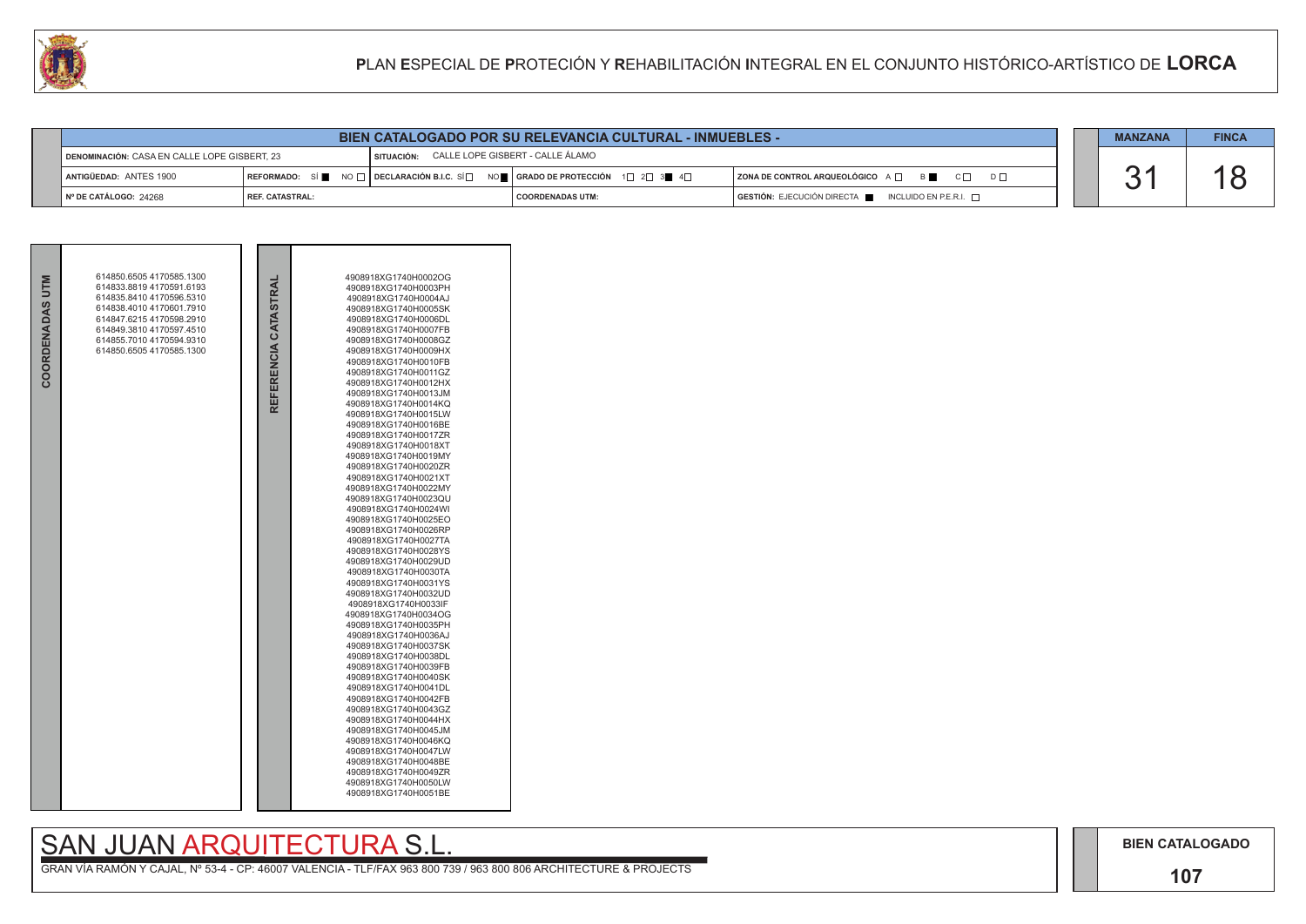

|                                              |                   |            | <b>BIEN CATALOGADO POR SU RELEVANCIA CULTURAL - INMUEBLES -</b>                                                                                       |                                                             |  |  |
|----------------------------------------------|-------------------|------------|-------------------------------------------------------------------------------------------------------------------------------------------------------|-------------------------------------------------------------|--|--|
| DENOMINACIÓN: CASA EN CALLE LOPE GISBERT, 23 |                   | SITUACIÓN: | CALLE LOPE GISBERT - CALLE ÁLAMO                                                                                                                      |                                                             |  |  |
| ANTIGÜEDAD: ANTES 1900                       |                   |            | REFORMADO: SÍ $\blacksquare$ NO $\Box$ DECLARACIÓN B.I.C. SÍ $\Box$ NO $\blacksquare$ GRADO DE PROTECCIÓN 1 $\Box$ 2 $\Box$ 3 $\blacksquare$ 4 $\Box$ | $ $ ZONA DE CONTROL ARQUEOLÓGICO $A \Box$ $B \Box$ $C \Box$ |  |  |
| Nº DE CATÁLOGO: 24268                        | I REF. CATASTRAL: |            | I COORDENADAS UTM:                                                                                                                                    | GESTIÓN: EJECUCIÓN DIRECTA NICLUIDO EN P.E.R.I.             |  |  |

|                 | 614850.6505 4170585.1300 |                      | 4908918XG1740H0002OG                         |
|-----------------|--------------------------|----------------------|----------------------------------------------|
|                 | 614833.8819 4170591.6193 |                      | 4908918XG1740H0003PH                         |
|                 | 614835.8410 4170596.5310 |                      | 4908918XG1740H0004AJ                         |
|                 | 614838.4010 4170601.7910 |                      | 4908918XG1740H0005SK                         |
|                 | 614847.6215 4170598.2910 |                      | 4908918XG1740H0006DL                         |
|                 | 614849.3810 4170597.4510 |                      | 4908918XG1740H0007FB                         |
|                 | 614855.7010 4170594.9310 |                      | 4908918XG1740H0008GZ                         |
| COORDENADAS UTM | 614850.6505 4170585.1300 |                      | 4908918XG1740H0009HX                         |
|                 |                          |                      | 4908918XG1740H0010FB                         |
|                 |                          |                      | 4908918XG1740H0011GZ                         |
|                 |                          | REFERENCIA CATASTRAL | 4908918XG1740H0012HX                         |
|                 |                          |                      | 4908918XG1740H0013JM                         |
|                 |                          |                      | 4908918XG1740H0014KQ                         |
|                 |                          |                      | 4908918XG1740H0015LW                         |
|                 |                          |                      | 4908918XG1740H0016BE                         |
|                 |                          |                      | 4908918XG1740H0017ZR                         |
|                 |                          |                      | 4908918XG1740H0018XT                         |
|                 |                          |                      | 4908918XG1740H0019MY                         |
|                 |                          |                      | 4908918XG1740H0020ZR                         |
|                 |                          |                      | 4908918XG1740H0021XT                         |
|                 |                          |                      | 4908918XG1740H0022MY<br>4908918XG1740H0023QU |
|                 |                          |                      | 4908918XG1740H0024WI                         |
|                 |                          |                      | 4908918XG1740H0025EO                         |
|                 |                          |                      | 4908918XG1740H0026RP                         |
|                 |                          |                      | 4908918XG1740H0027TA                         |
|                 |                          |                      | 4908918XG1740H0028YS                         |
|                 |                          |                      | 4908918XG1740H0029UD                         |
|                 |                          |                      | 4908918XG1740H0030TA                         |
|                 |                          |                      | 4908918XG1740H0031YS                         |
|                 |                          |                      | 4908918XG1740H0032UD                         |
|                 |                          |                      | 4908918XG1740H0033IF                         |
|                 |                          |                      | 4908918XG1740H0034OG                         |
|                 |                          |                      | 4908918XG1740H0035PH                         |
|                 |                          |                      | 4908918XG1740H0036AJ                         |
|                 |                          |                      | 4908918XG1740H0037SK                         |
|                 |                          |                      | 4908918XG1740H0038DL                         |
|                 |                          |                      | 4908918XG1740H0039FB                         |
|                 |                          |                      | 4908918XG1740H0040SK                         |
|                 |                          |                      | 4908918XG1740H0041DL                         |
|                 |                          |                      | 4908918XG1740H0042FB                         |
|                 |                          |                      | 4908918XG1740H0043GZ                         |
|                 |                          |                      | 4908918XG1740H0044HX                         |
|                 |                          |                      | 4908918XG1740H0045JM                         |
|                 |                          |                      | 4908918XG1740H0046KQ                         |
|                 |                          |                      | 4908918XG1740H0047LW                         |
|                 |                          |                      | 4908918XG1740H0048BE<br>4908918XG1740H0049ZR |
|                 |                          |                      | 4908918XG1740H0050LW                         |
|                 |                          |                      | 4908918XG1740H0051BE                         |
|                 |                          |                      |                                              |
|                 |                          |                      |                                              |

# SAN JUAN ARQUITECTURA S.L.<br>GRAN VÍA RAMÓN Y CAJAL, Nº 53-4 - CP: 46007 VALENCIA - TLF/FAX 963 800 739 / 963 800 806 ARCHITECTURE & PROJECTS

| $D \Box$ |  |
|----------|--|
|          |  |

| <b>MANZANA</b> | <b>FINCA</b> |
|----------------|--------------|
|                | Я            |

**BIEN CATALOGADO** 

## 107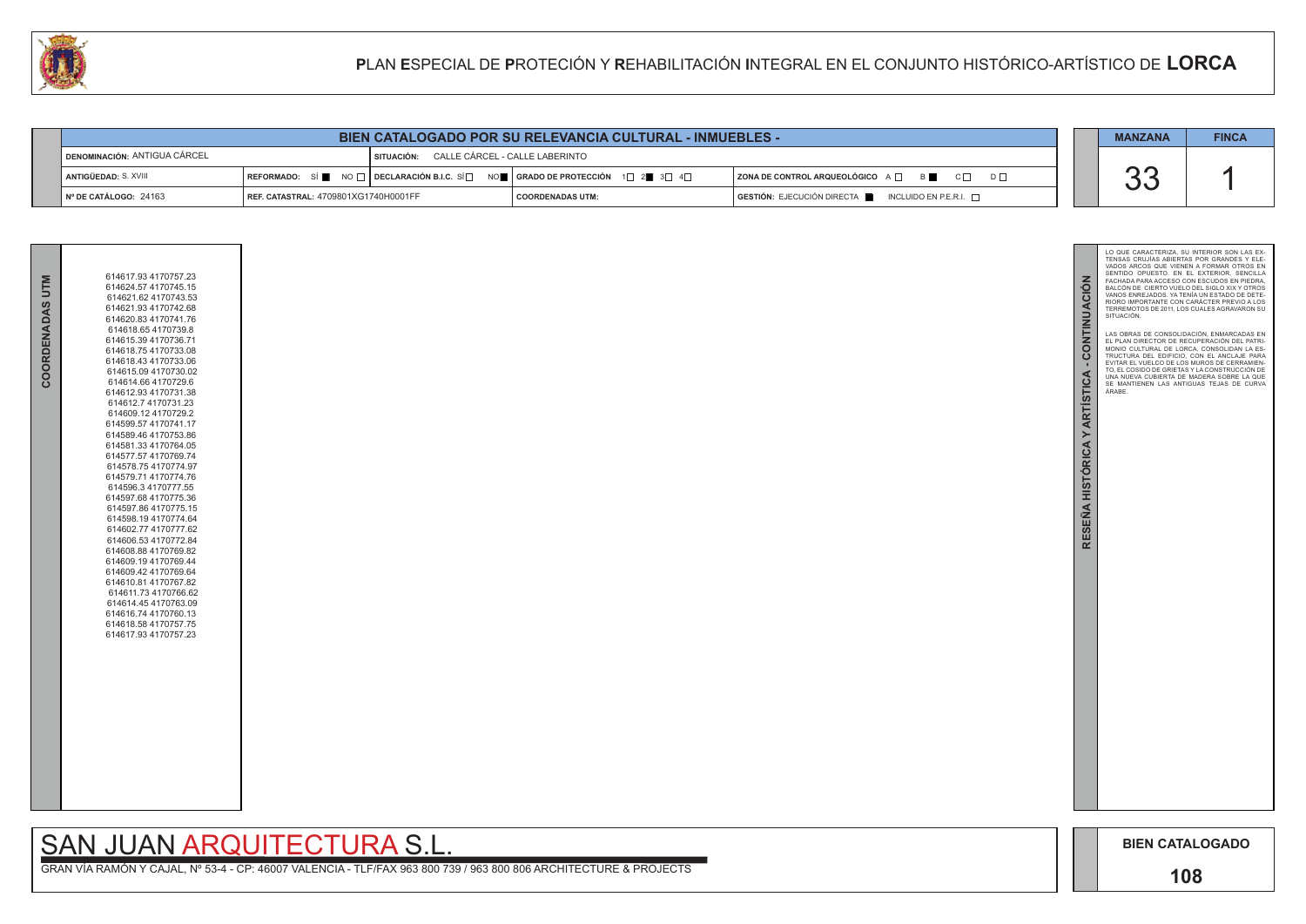

GRAN VÍA RAMÓN Y CAJAL, Nº 53-4 - CP: 46007 VALENCIA - TLF/FAX 963 800 739 / 963 800 806 ARCHITECTURE & PROJECTS

| 614617.93 4170757.23<br>COORDENADAS UTM<br>614624.57 4170745.15<br>614621.62 4170743.53<br>614621.93 4170742.68<br>614620.83 4170741.76<br>614618.654170739.8<br>614615.39 4170736.71<br>614618.75 4170733.08<br>614618.43 4170733.06<br>614615.09 4170730.02<br>614614.66 4170729.6<br>614612.93 4170731.38<br>614612.7 4170731.23<br>614609.12 4170729.2<br>614599.57 4170741.17<br>614589.46 4170753.86<br>614581.33 4170764.05<br>614577.57 4170769.74<br>614578.754170774.97<br>614579.71 4170774.76<br>614596.3 4170777.55<br>614597.68 4170775.36<br>614597.86 4170775.15<br>614598.19 4170774.64<br>614602.77 4170777.62<br>614606.53 4170772.84<br>614608.88 4170769.82<br>614609.19 4170769.44<br>614609.42 4170769.64<br>614610.81 4170767.82<br>614611.73 4170766.62<br>614614.45 4170763.09<br>614616.74 4170760.13<br>614618.58 4170757.75<br>614617.93 4170757.23 |  |  |
|----------------------------------------------------------------------------------------------------------------------------------------------------------------------------------------------------------------------------------------------------------------------------------------------------------------------------------------------------------------------------------------------------------------------------------------------------------------------------------------------------------------------------------------------------------------------------------------------------------------------------------------------------------------------------------------------------------------------------------------------------------------------------------------------------------------------------------------------------------------------------------|--|--|
|                                                                                                                                                                                                                                                                                                                                                                                                                                                                                                                                                                                                                                                                                                                                                                                                                                                                                  |  |  |

# SAN JUAN ARQUITECTURA S.L.

| <b>BIEN CATALOGADO POR SU RELEVANCIA CULTURAL - INMUEBLES -</b> |                                             |                                           |                                                                                                                 |                                                          | <b>MANZANA</b> | <b>FINCA</b> |
|-----------------------------------------------------------------|---------------------------------------------|-------------------------------------------|-----------------------------------------------------------------------------------------------------------------|----------------------------------------------------------|----------------|--------------|
| <b>DENOMINACIÓN: ANTIGUA CÁRCEL</b>                             |                                             | SITUACIÓN: CALLE CÁRCEL - CALLE LABERINTO |                                                                                                                 |                                                          |                |              |
| ANTIGÜEDAD: S. XVIII                                            |                                             |                                           | REFORMADO: SÍ NO $\Box$ DECLARACIÓN B.I.C. SÍ $\Box$ NO $\Box$ GRADO DE PROTECCIÓN 1 $\Box$ 2 3 $\Box$ 4 $\Box$ | $ $ ZONA DE CONTROL ARQUEOLÓGICO $A \Box$ B              |                |              |
| INº DE CATÁLOGO: 24163                                          | <b>REF. CATASTRAL: 4709801XG1740H0001FF</b> |                                           | <b>COORDENADAS UTM:</b>                                                                                         | $GESTIÓN: EJECUCIÓN DIRECTA$ INCLUIDO EN P.E.R.I. $\Box$ |                |              |

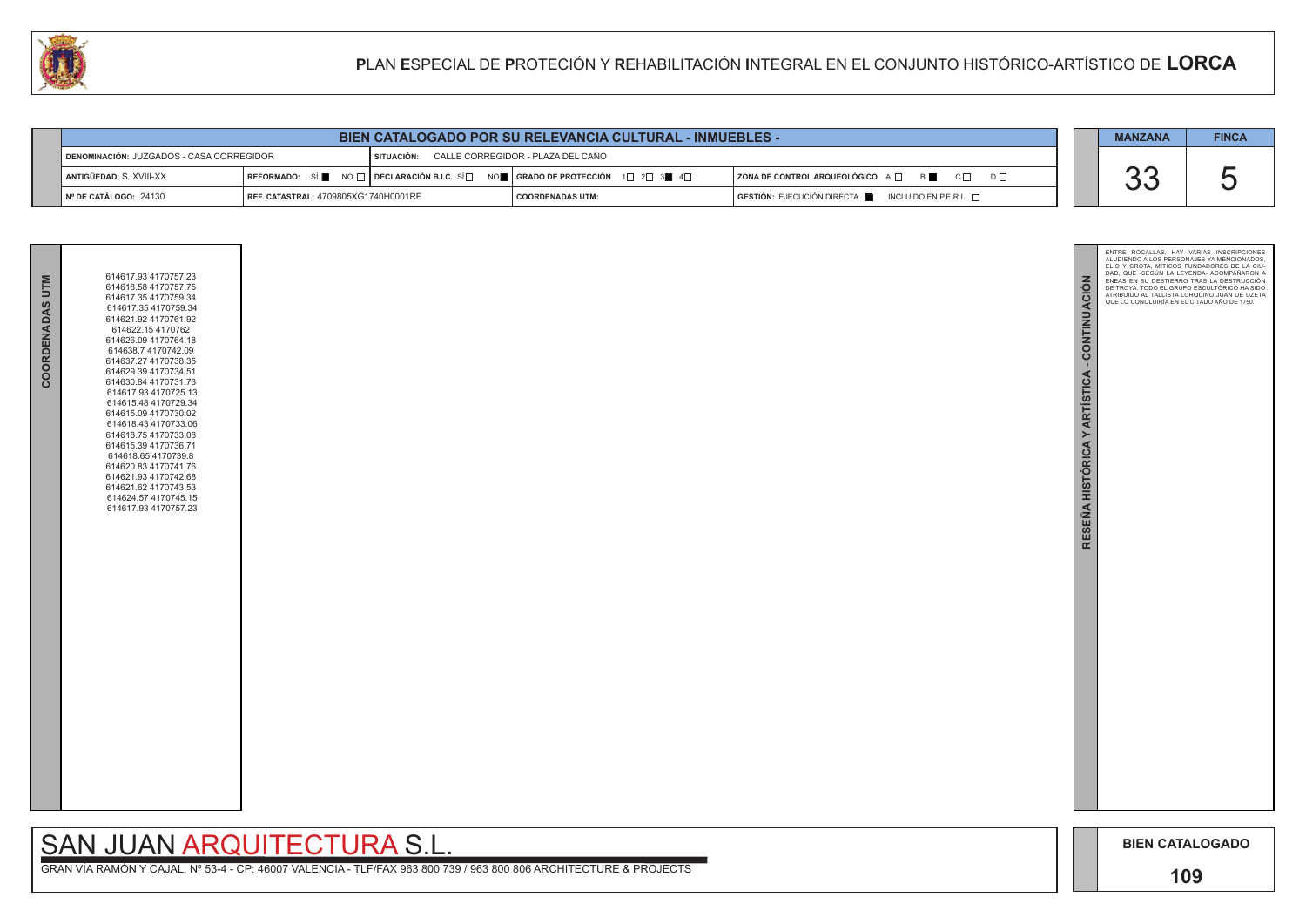

GRAN VÍA RAMÓN Y CAJAL, Nº 53-4 - CP: 46007 VALENCIA - TLF/FAX 963 800 739 / 963 800 806 ARCHITECTURE & PROJECTS

### SAN JUAN ARQUITECTURA S.L.

| <b>BIEN CATALOGADO POR SU RELEVANCIA CULTURAL - INMUEBLES -</b>                                    |                                      |                                                                                                                                                        |                         |  |                                                                        | <b>MANZANA</b> | <b>FINCA</b> |
|----------------------------------------------------------------------------------------------------|--------------------------------------|--------------------------------------------------------------------------------------------------------------------------------------------------------|-------------------------|--|------------------------------------------------------------------------|----------------|--------------|
| CALLE CORREGIDOR - PLAZA DEL CAÑO<br>DENOMINACIÓN: JUZGADOS - CASA CORREGIDOR<br><b>SITUACIÓN:</b> |                                      |                                                                                                                                                        |                         |  |                                                                        |                |              |
| I ANTIGÜEDAD: S. XVIII-XX                                                                          |                                      | REFORMADO: SÍ $\blacksquare$ NO $\Box$ DECLARACIÓN B.I.C. SÍ $\Box$ NO $\blacksquare$ SERADO DE PROTECCIÓN 1 $\Box$ 2 $\Box$ 3 $\blacksquare$ 4 $\Box$ |                         |  | $ $ ZONA DE CONTROL ARQUEOLÓGICO $A \Box$ $B \Box$ $C \Box$            |                |              |
| $\parallel$ N° DE CATÁLOGO: 24130                                                                  | REF. CATASTRAL: 4709805XG1740H0001RF |                                                                                                                                                        | <b>COORDENADAS UTM:</b> |  | $GESTIÓN: EJECUCIÓN DIRECTA \blacksquare INCLUIDO EN P.E.R.I. \square$ |                |              |

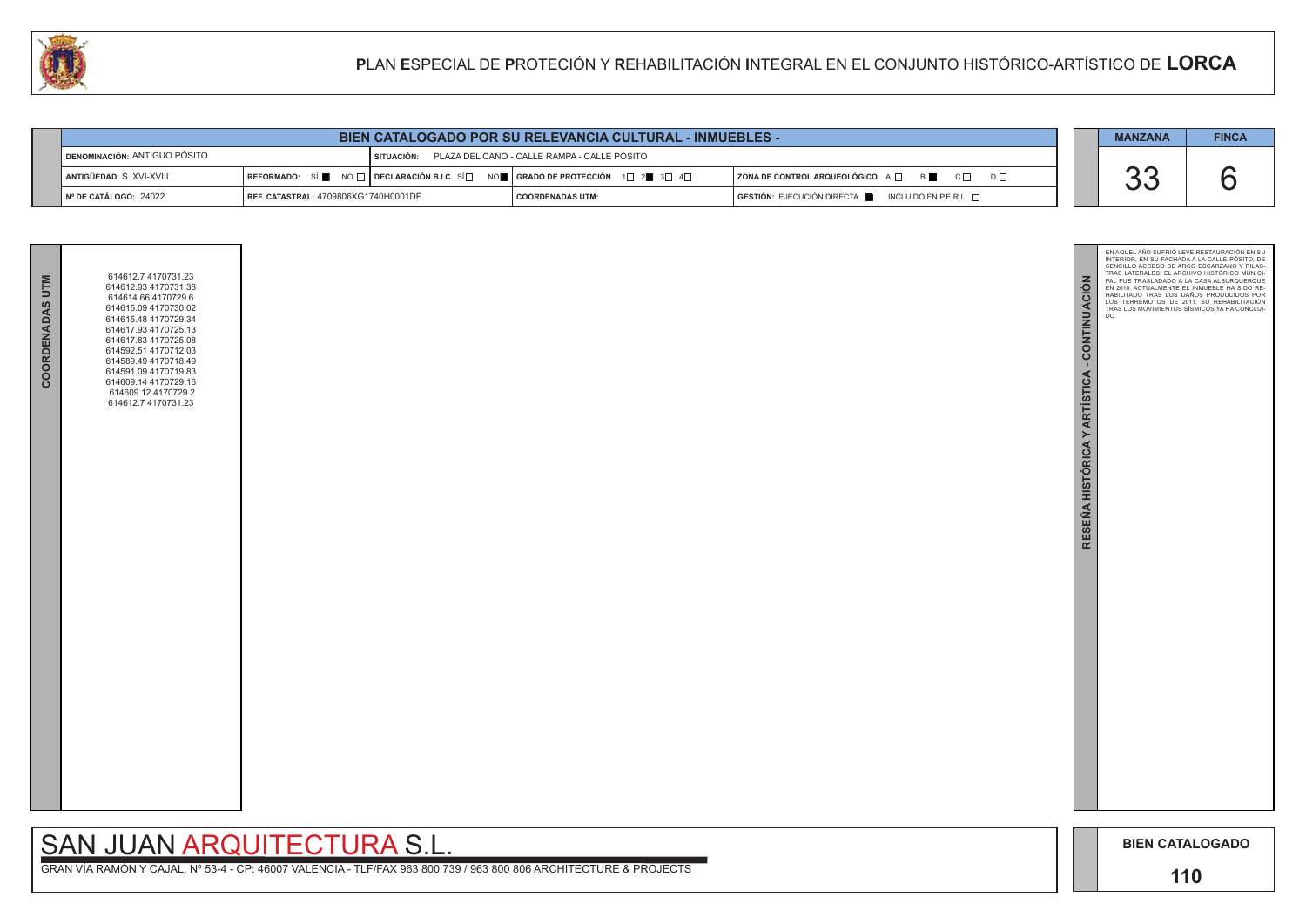

| COORDENADAS UTM | 614612.7 4170731.23<br>614612.93 4170731.38<br>614614.66 4170729.6<br>614615.09 4170730.02<br>614615.48 4170729.34<br>614617.93 4170725.13<br>614617.83 4170725.08<br>614592.51 4170712.03<br>614589.49 4170718.49<br>614591.09 4170719.83<br>614609.14 4170729.16<br>614609.12 4170729.2<br>614612.7 4170731.23 |  |
|-----------------|------------------------------------------------------------------------------------------------------------------------------------------------------------------------------------------------------------------------------------------------------------------------------------------------------------------|--|
|                 |                                                                                                                                                                                                                                                                                                                  |  |

| <b>BIEN CATALOGADO POR SU RELEVANCIA CULTURAL - INMUEBLES -</b> |                                      |  |                                                                                                                                                       |                                                             |  | <b>MANZANA</b> | <b>FINCA</b> |
|-----------------------------------------------------------------|--------------------------------------|--|-------------------------------------------------------------------------------------------------------------------------------------------------------|-------------------------------------------------------------|--|----------------|--------------|
| <b>DENOMINACIÓN: ANTIGUO PÓSITO</b>                             |                                      |  | SITUACIÓN: PLAZA DEL CAÑO - CALLE RAMPA - CALLE PÓSITO                                                                                                |                                                             |  |                |              |
| ANTIGÜEDAD: S. XVI-XVIII                                        |                                      |  | REFORMADO: SÍ $\blacksquare$ NO $\Box$ DECLARACIÓN B.I.C. SÍ $\Box$ NO $\blacksquare$ GRADO DE PROTECCIÓN 1 $\Box$ 2 $\blacksquare$ 3 $\Box$ 4 $\Box$ | $ $ ZONA DE CONTROL ARQUEOLÓGICO $A \Box$ $B \Box$ $C \Box$ |  |                |              |
| $N^{\circ}$ DE CATÁLOGO: 24022                                  | REF. CATASTRAL: 4709806XG1740H0001DF |  | <b>COORDENADAS UTM:</b>                                                                                                                               | GESTIÓN: EJECUCIÓN DIRECTA   INCLUIDO EN P.E.R.I.           |  |                |              |

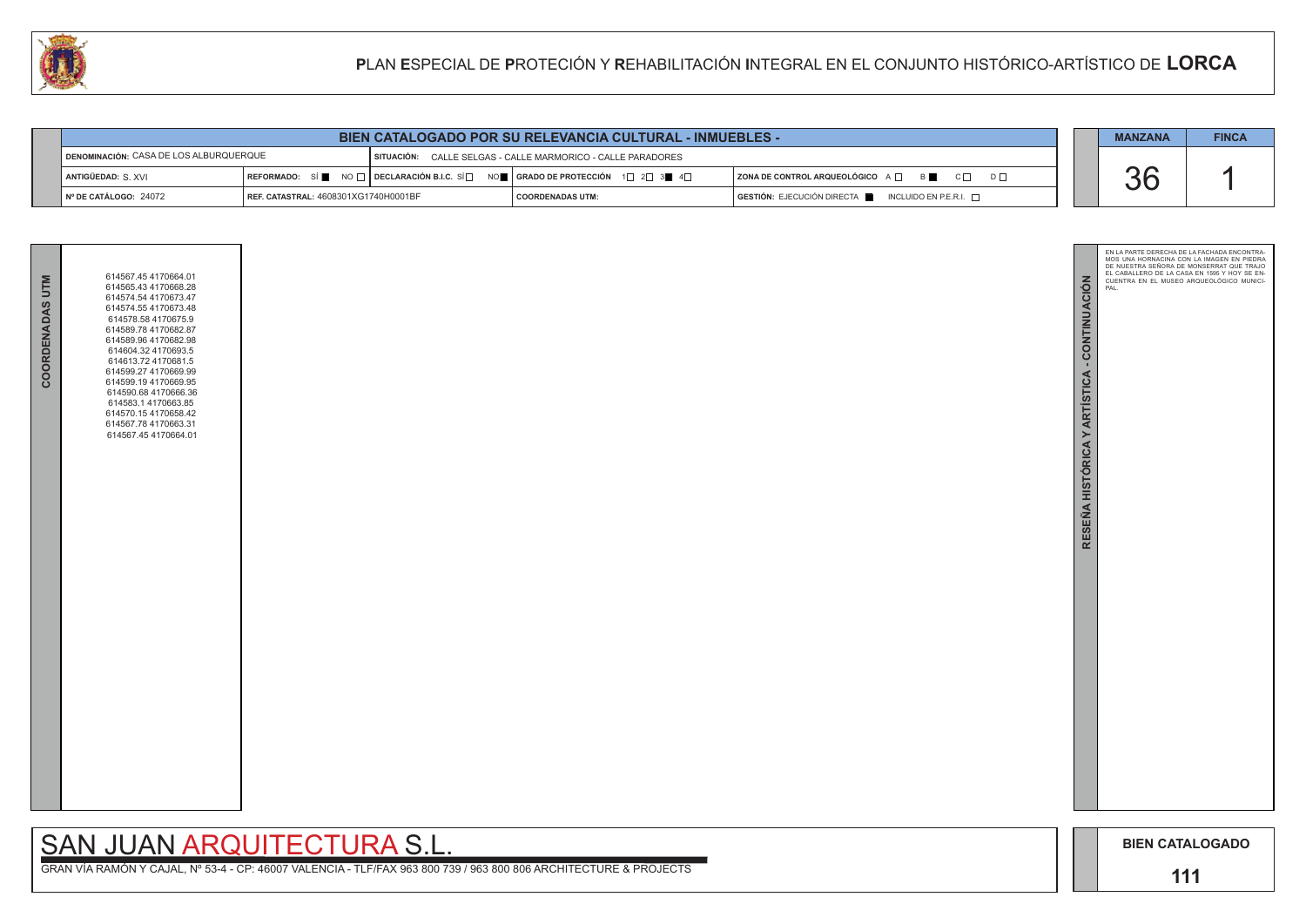

| COORDENADAS UTM | 614567.45 4170664.01<br>614565.43 4170668.28<br>614574.54 4170673.47<br>614574.55 4170673.48<br>614578.58 4170675.9<br>614589.78 4170682.87<br>614589.96 4170682.98<br>614604.32 4170693.5<br>614613.72 4170681.5<br>614599.27 4170669.99<br>614599.194170669.95<br>614590.68 4170666.36<br>614583.1 4170663.85<br>614570.15 4170658.42<br>614567.78 4170663.31<br>614567.45 4170664.01 |  |
|-----------------|-----------------------------------------------------------------------------------------------------------------------------------------------------------------------------------------------------------------------------------------------------------------------------------------------------------------------------------------------------------------------------------------|--|
|                 |                                                                                                                                                                                                                                                                                                                                                                                         |  |

| <b>BIEN CATALOGADO POR SU RELEVANCIA CULTURAL - INMUEBLES -</b>                                       |                                      |  |                                                                                                                   | <b>MANZANA</b>                                                         | <b>FINCA</b> |  |
|-------------------------------------------------------------------------------------------------------|--------------------------------------|--|-------------------------------------------------------------------------------------------------------------------|------------------------------------------------------------------------|--------------|--|
| DENOMINACIÓN: CASA DE LOS ALBURQUERQUE<br>SITUACIÓN: CALLE SELGAS - CALLE MARMORICO - CALLE PARADORES |                                      |  |                                                                                                                   |                                                                        |              |  |
| ANTIGÜEDAD: S. XVI                                                                                    |                                      |  | REFORMADO: SÍ NO $\Box$ DECLARACIÓN B.I.C. SÍ $\Box$ NO $\Box$ GRADO DE PROTECCIÓN 1 $\Box$ 2 $\Box$ 3 4 4 $\Box$ | <b>ZONA DE CONTROL ARQUEOLÓGICO</b> A □ B C C D D □                    | UU           |  |
| Nº DE CATÁLOGO: 24072                                                                                 | REF. CATASTRAL: 4608301XG1740H0001BF |  | COORDENADAS UTM:                                                                                                  | $GESTIÓN: EJECUCIÓN DIRECTA \blacksquare INCLUIDO EN P.E.R.I. \square$ |              |  |

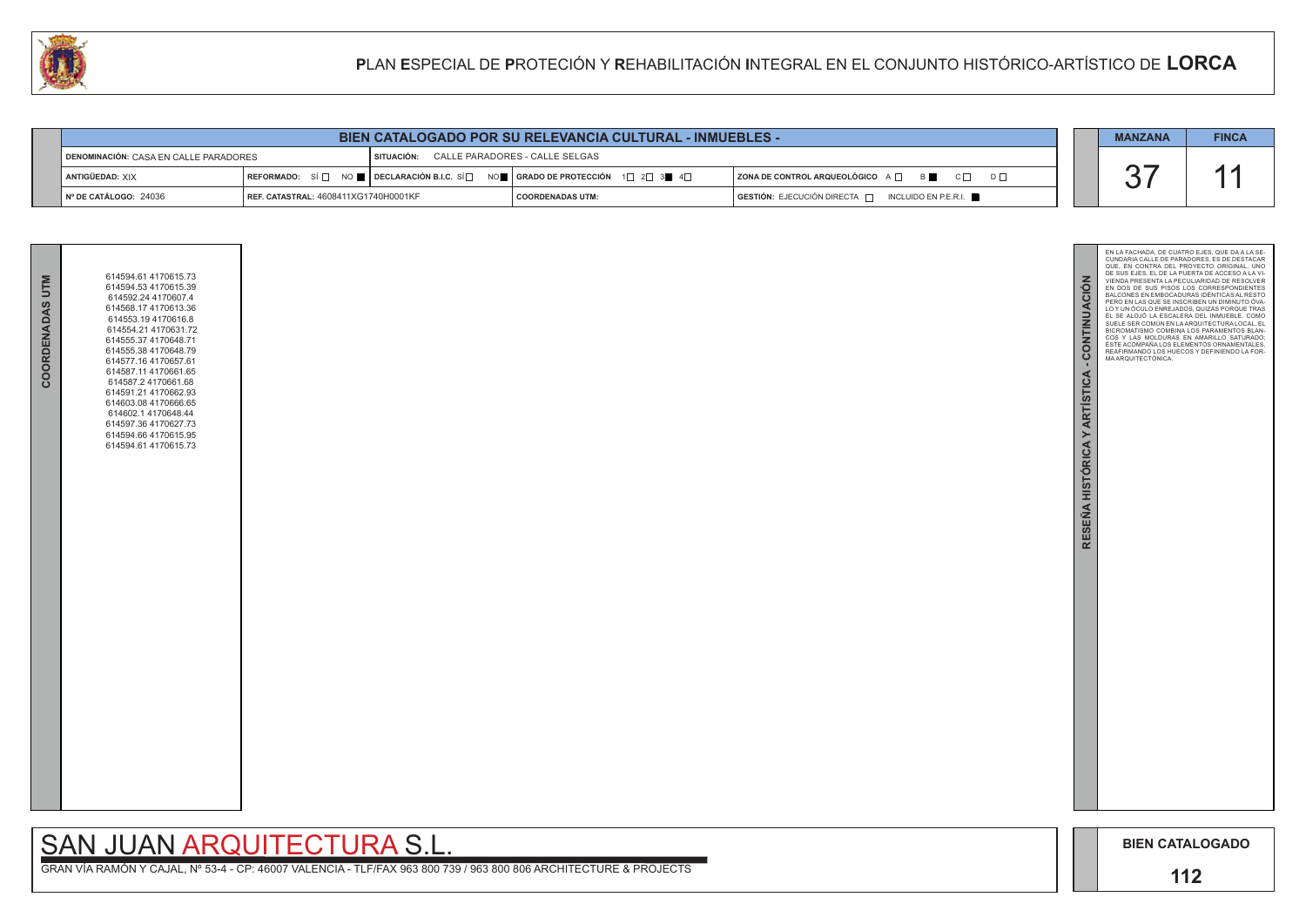



| <b>BIEN CATALOGADO POR SU RELEVANCIA CULTURAL - INMUEBLES -</b> |                                      |              |                                                                                                                                                                |                                                          |  | <b>MANZANA</b> | <b>FINCA</b> |
|-----------------------------------------------------------------|--------------------------------------|--------------|----------------------------------------------------------------------------------------------------------------------------------------------------------------|----------------------------------------------------------|--|----------------|--------------|
| DENOMINACIÓN: CASA EN CALLE PARADORES                           |                                      | I SITUACIÓN: | CALLE PARADORES - CALLE SELGAS                                                                                                                                 |                                                          |  |                |              |
| ANTIGÜEDAD: XIX                                                 |                                      |              | REFORMADO: SÍ $\square$ NO $\square$ DECLARACIÓN B.I.C. SÍ $\square$ NO $\square$   GRADO DE PROTECCIÓN $\Box$ 1 $\square$ 2 $\square$ 3 $\square$ 4 $\square$ | $\mid$ ZONA DE CONTROL ARQUEOLÓGICO A $\Box$<br><b>B</b> |  |                |              |
| Nº DE CATÁLOGO: 24036                                           | REF. CATASTRAL: 4608411XG1740H0001KF |              | <b>COORDENADAS UTM:</b>                                                                                                                                        | GESTIÓN: EJECUCIÓN DIRECTA [<br>INCLUIDO EN P.E.R.I.     |  |                |              |

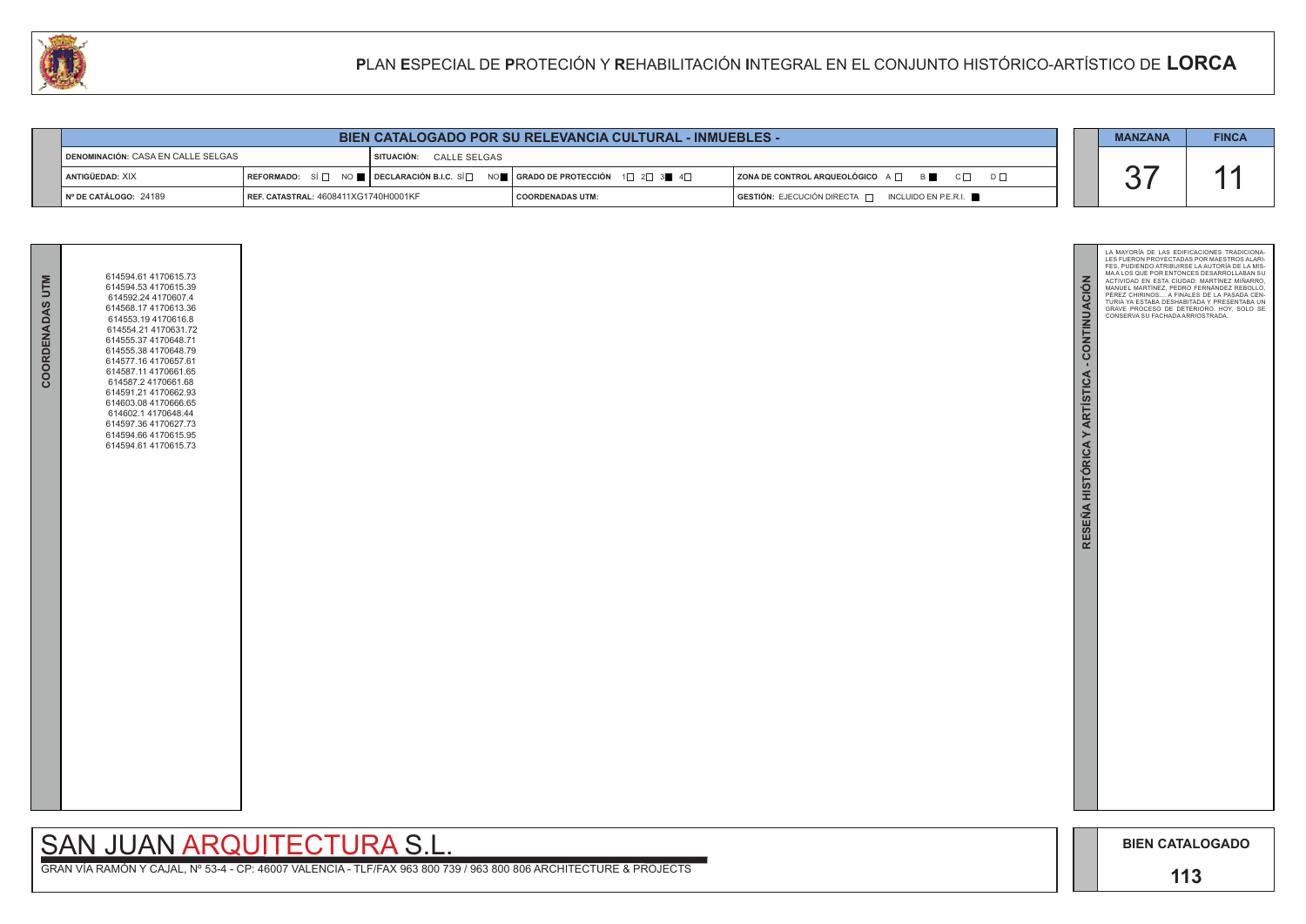



| <b>BIEN CATALOGADO POR SU RELEVANCIA CULTURAL - INMUEBLES -</b> |                                             |  |  | <b>MANZANA</b>                                                                                                                                        | <b>FINCA</b>            |                                                                      |  |  |
|-----------------------------------------------------------------|---------------------------------------------|--|--|-------------------------------------------------------------------------------------------------------------------------------------------------------|-------------------------|----------------------------------------------------------------------|--|--|
| DENOMINACIÓN: CASA EN CALLE SELGAS                              |                                             |  |  | SITUACIÓN: CALLE SELGAS                                                                                                                               |                         |                                                                      |  |  |
| ANTIGÜEDAD: XIX                                                 |                                             |  |  | REFORMADO: SÍ $\square$ NO $\square$ DECLARACIÓN B.I.C. SÍ $\square$ NO $\square$ GRADO DE PROTECCIÓN 1 $\square$ 2 $\square$ 3 $\square$ 4 $\square$ |                         | $ $ ZONA DE CONTROL ARQUEOLÓGICO A $\Box$ B $\Box$ C $\Box$ D $\Box$ |  |  |
| Nº DE CATÁLOGO: 24189                                           | <b>REF. CATASTRAL: 4608411XG1740H0001KF</b> |  |  |                                                                                                                                                       | <b>COORDENADAS UTM:</b> | GESTIÓN: EJECUCIÓN DIRECTA   INCLUIDO EN P.E.R.I.                    |  |  |

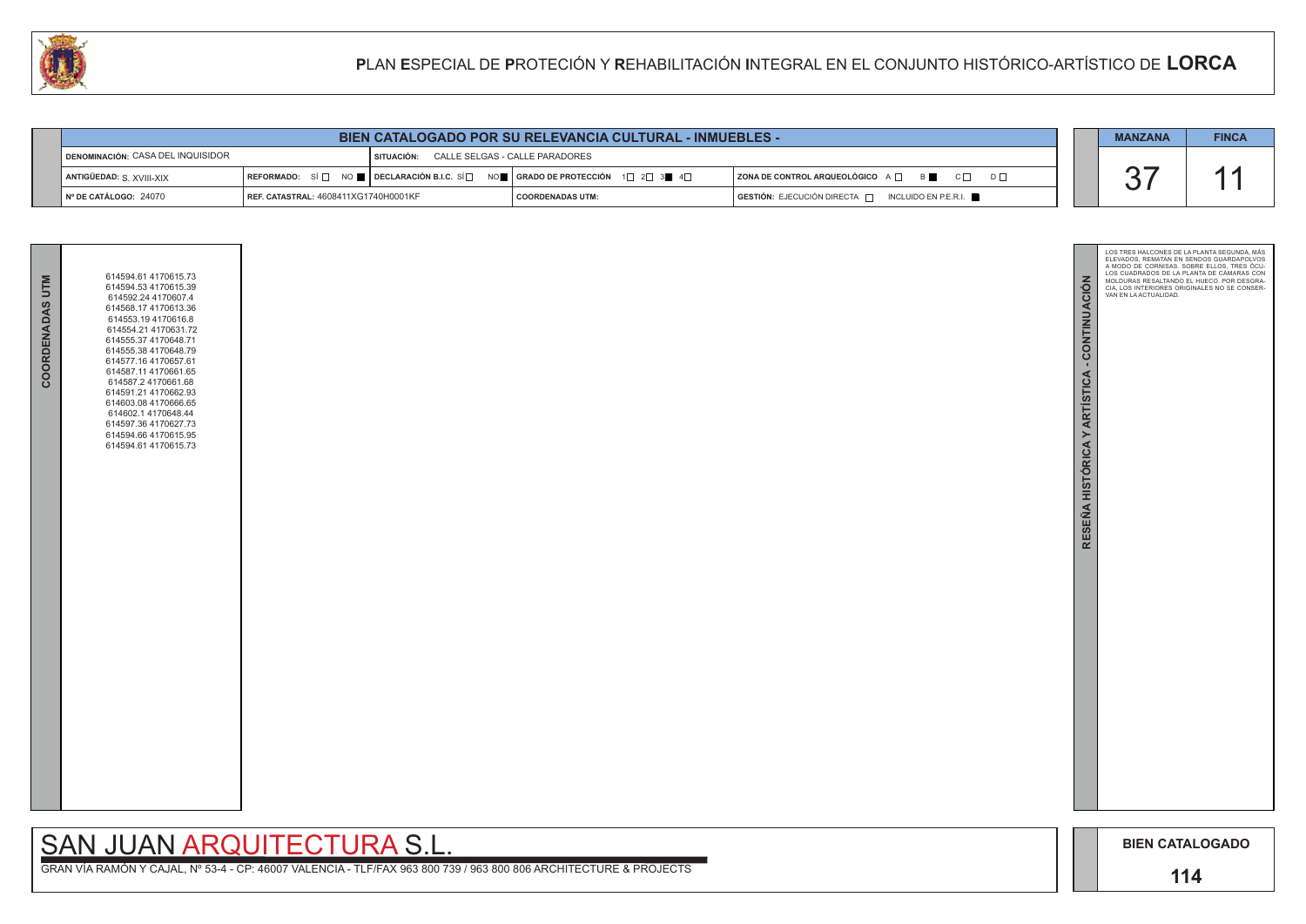

| COORDENADAS UTM | 614594.61 4170615.73<br>614594.53 4170615.39<br>614592.24 4170607.4<br>614568.17 4170613.36<br>614553.194170616.8<br>614554.21 4170631.72<br>614555.37 4170648.71<br>614555.38 4170648.79<br>614577.16 4170657.61<br>614587.11 4170661.65<br>614587.2 4170661.68<br>614591.21 4170662.93<br>614603.08 4170666.65<br>614602.1 4170648.44<br>614597.36 4170627.73<br>614594.66 4170615.95<br>614594.61 4170615.73 |  |
|-----------------|-----------------------------------------------------------------------------------------------------------------------------------------------------------------------------------------------------------------------------------------------------------------------------------------------------------------------------------------------------------------------------------------------------------------|--|
|                 |                                                                                                                                                                                                                                                                                                                                                                                                                 |  |

| <b>BIEN CATALOGADO POR SU RELEVANCIA CULTURAL - INMUEBLES -</b> |                                             |                                           |                                                                                                                                                       |                                                       |  | <b>MANZANA</b> | <b>FINCA</b> |
|-----------------------------------------------------------------|---------------------------------------------|-------------------------------------------|-------------------------------------------------------------------------------------------------------------------------------------------------------|-------------------------------------------------------|--|----------------|--------------|
| DENOMINACIÓN: CASA DEL INQUISIDOR                               |                                             | SITUACIÓN: CALLE SELGAS - CALLE PARADORES |                                                                                                                                                       |                                                       |  |                |              |
| ANTIGÜEDAD: S. XVIII-XIX                                        |                                             |                                           | REFORMADO: SÍ $\square$ NO $\square$ DECLARACIÓN B.I.C. SÍ $\square$ NO $\square$ GRADO DE PROTECCIÓN 1 $\square$ 2 $\square$ 3 $\square$ 4 $\square$ | ZONA DE CONTROL ARQUEOLÓGICO A D<br>B C<br>$D$ $\Box$ |  |                |              |
| N° DE CATÁLOGO: 24070                                           | <b>REF. CATASTRAL: 4608411XG1740H0001KF</b> |                                           | <b>COORDENADAS UTM:</b>                                                                                                                               | GESTIÓN: EJECUCIÓN DIRECTA   INCLUIDO EN P.E.R.I.     |  |                |              |

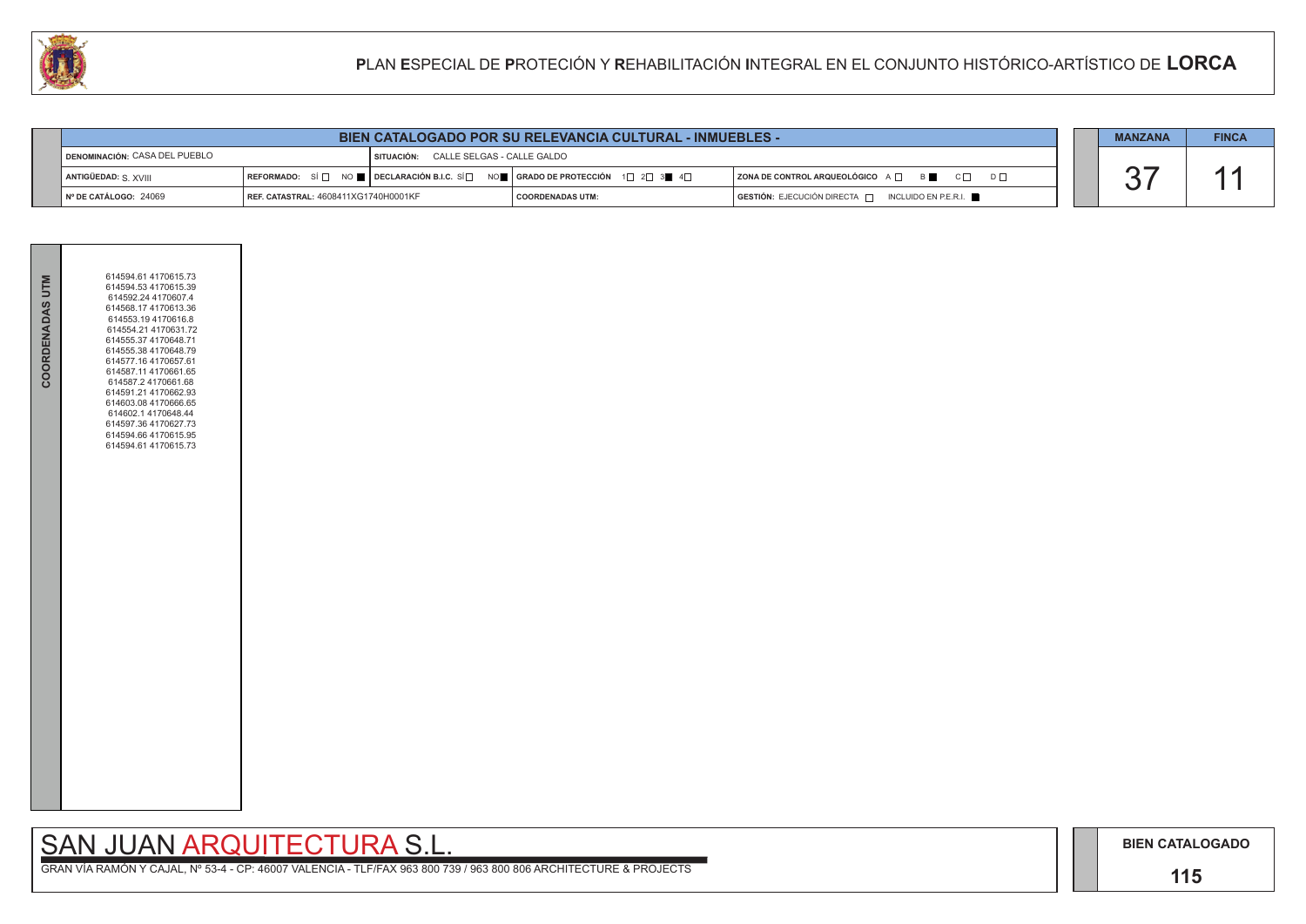**BIEN CATALOGADO**

### **115**

### SAN JUAN ARQUITECTURA S.L.

| COORDENADAS UTM | 614594.61 4170615.73<br>614594.53 4170615.39<br>614592.24 4170607.4<br>614568.17 4170613.36<br>614553.194170616.8<br>614554.21 4170631.72<br>614555.37 4170648.71<br>614555.38 4170648.79<br>614577.16 4170657.61<br>614587.11 4170661.65<br>614587.2 4170661.68<br>614591.21 4170662.93<br>614603.08 4170666.65<br>614602.1 4170648.44<br>614597.36 4170627.73<br>614594.66 4170615.95<br>614594.61 4170615.73 |  |
|-----------------|-----------------------------------------------------------------------------------------------------------------------------------------------------------------------------------------------------------------------------------------------------------------------------------------------------------------------------------------------------------------------------------------------------------------|--|
|                 |                                                                                                                                                                                                                                                                                                                                                                                                                 |  |

|                                      | <b>BIEN CATALOGADO POR SU RELEVANCIA CULTURAL - INMUEBLES -</b> |                                       |                                                                                                                                                                         |                                                     |  |  |  |
|--------------------------------------|-----------------------------------------------------------------|---------------------------------------|-------------------------------------------------------------------------------------------------------------------------------------------------------------------------|-----------------------------------------------------|--|--|--|
| DENOMINACIÓN: CASA DEL PUEBLO        |                                                                 | SITUACIÓN: CALLE SELGAS - CALLE GALDO |                                                                                                                                                                         |                                                     |  |  |  |
| ANTIGÜEDAD: S. XVIII                 |                                                                 |                                       | $\lceil$ REFORMADO: SÍ $\Box$ NO $\blacksquare$ $\lceil$ DECLARACIÓN B.I.C. SÍ $\Box$ NO $\blacksquare$ GRADO DE PROTECCIÓN 1 $\Box$ 2 $\Box$ 3 $\blacksquare$ 4 $\Box$ | ZONA DE CONTROL ARQUEOLÓGICO A O<br>$C\Box$ $D\Box$ |  |  |  |
| $\blacksquare$ N° DE CATÁLOGO: 24069 | <b>REF. CATASTRAL: 4608411XG1740H0001KF</b>                     |                                       | <b>COORDENADAS UTM:</b>                                                                                                                                                 | GESTIÓN: EJECUCIÓN DIRECTA   INCLUIDO EN P.E.R.I.   |  |  |  |